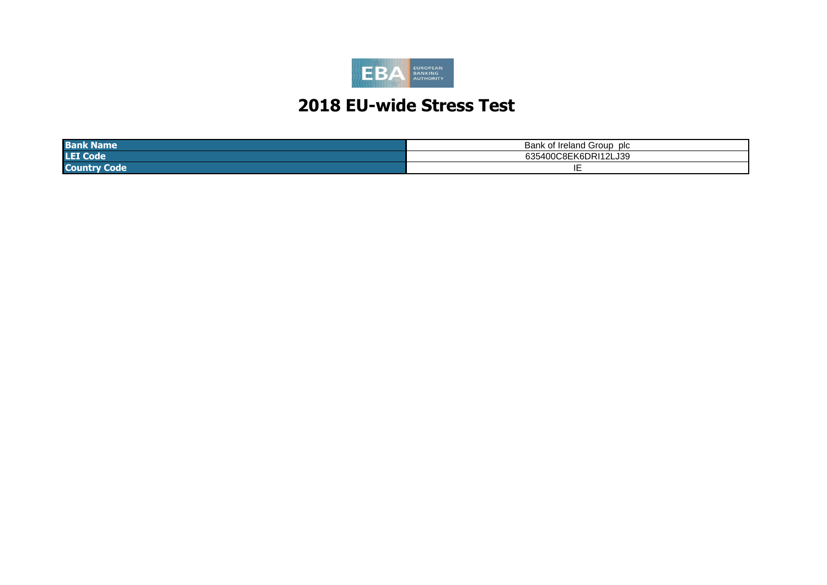

# **2018 EU-wide Stress Test**

| <b>Bank</b><br>lame  | <b>Bar</b><br>of Ireland a<br>∣ Group<br>$\sim$<br>טוש |
|----------------------|--------------------------------------------------------|
| <b>LEI Co</b><br>ooc | 12LJ39<br>יום י<br>$\sim$<br>. AD.<br>$\cdot$<br>N     |
| <b>Cc</b><br>otet    | . .                                                    |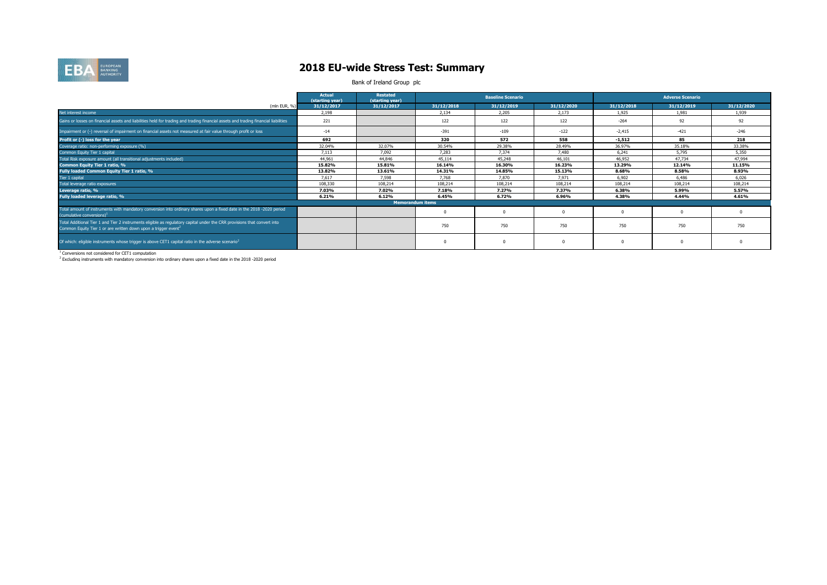

### **2018 EU-wide Stress Test: Summary**

Bank of Ireland Group plc

|                                                                                                                                                                                                        | <b>Actual</b><br>(starting year) | Restated<br>(starting year) |            | <b>Baseline Scenario</b> |            |            | <b>Adverse Scenario</b> |            |
|--------------------------------------------------------------------------------------------------------------------------------------------------------------------------------------------------------|----------------------------------|-----------------------------|------------|--------------------------|------------|------------|-------------------------|------------|
| (mln EUR, %)                                                                                                                                                                                           | 31/12/2017                       | 31/12/2017                  | 31/12/2018 | 31/12/2019               | 31/12/2020 | 31/12/2018 | 31/12/2019              | 31/12/2020 |
| Net interest income                                                                                                                                                                                    | 2.198                            |                             | 2.134      | 2,205                    | 2.173      | 1.925      | 1.981                   | 1,939      |
| Gains or losses on financial assets and liabilities held for trading and trading financial assets and trading financial liabilities                                                                    | 221                              |                             | 122        | 122                      | 122        | $-264$     | 92                      | 92         |
| Impairment or (-) reversal of impairment on financial assets not measured at fair value through profit or loss                                                                                         | $-14$                            |                             | $-391$     | $-109$                   | $-122$     | $-2.415$   | $-421$                  | $-246$     |
| Profit or (-) loss for the year                                                                                                                                                                        | 692                              |                             | 320        | 572                      | 558        | $-1.512$   | 85                      | 218        |
| Coverage ratio: non-performing exposure (%)                                                                                                                                                            | 32.04%                           | 32.07%                      | 30.54%     | 29.38%                   | 28.49%     | 36.97%     | 35.18%                  | 33.38%     |
| Common Equity Tier 1 capital                                                                                                                                                                           | 7.113                            | 7.092                       | 7,283      | 7,374                    | 7,480      | 6,241      | 5.795                   | 5,350      |
| Total Risk exposure amount (all transitional adjustments included)                                                                                                                                     | 44,961                           | 44,846                      | 45,114     | 45,248                   | 46,101     | 46,952     | 47.734                  | 47,994     |
| Common Equity Tier 1 ratio, %                                                                                                                                                                          | 15.82%                           | 15.81%                      | 16.14%     | 16.30%                   | 16.23%     | 13.29%     | 12.14%                  | 11.15%     |
| Fully loaded Common Equity Tier 1 ratio, %                                                                                                                                                             | 13.82%                           | 13.61%                      | 14.31%     | 14.85%                   | 15.13%     | 8.68%      | 8.58%                   | 8.93%      |
| Tier 1 capital                                                                                                                                                                                         | 7.617                            | 7,598                       | 7,768      | 7,870                    | 7.971      | 6,902      | 6.486                   | 6,026      |
| Total leverage ratio exposures                                                                                                                                                                         | 108,330                          | 108,214                     | 108,214    | 108,214                  | 108,214    | 108,214    | 108,214                 | 108,214    |
| Leverage ratio, %                                                                                                                                                                                      | 7.03%                            | 7.02%                       | 7.18%      | 7.27%                    | 7.37%      | 6.38%      | 5.99%                   | 5.57%      |
| Fully loaded leverage ratio, %                                                                                                                                                                         | 6.21%                            | 6.12%                       | 6.45%      | 6.72%                    | 6.96%      | 4.38%      | 4.44%                   | 4.61%      |
|                                                                                                                                                                                                        |                                  | <b>Memorandum items</b>     |            |                          |            |            |                         |            |
| Total amount of instruments with mandatory conversion into ordinary shares upon a fixed date in the 2018 -2020 period<br>(cumulative conversions) <sup>1</sup>                                         |                                  |                             |            |                          |            |            | $\Omega$                |            |
| Total Additional Tier 1 and Tier 2 instruments eligible as regulatory capital under the CRR provisions that convert into<br>Common Equity Tier 1 or are written down upon a trigger event <sup>2</sup> |                                  |                             | 750        | 750                      | 750        | 750        | 750                     | 750        |
| Of which: eligible instruments whose trigger is above CET1 capital ratio in the adverse scenario <sup>2</sup>                                                                                          |                                  |                             |            |                          |            |            | $\Omega$                |            |

<sup>1</sup> Conversions not considered for CET1 computation<br><sup>2</sup> Excluding instruments with mandatory conversion into ordinary shares upon a fixed date in the 2018 -2020 period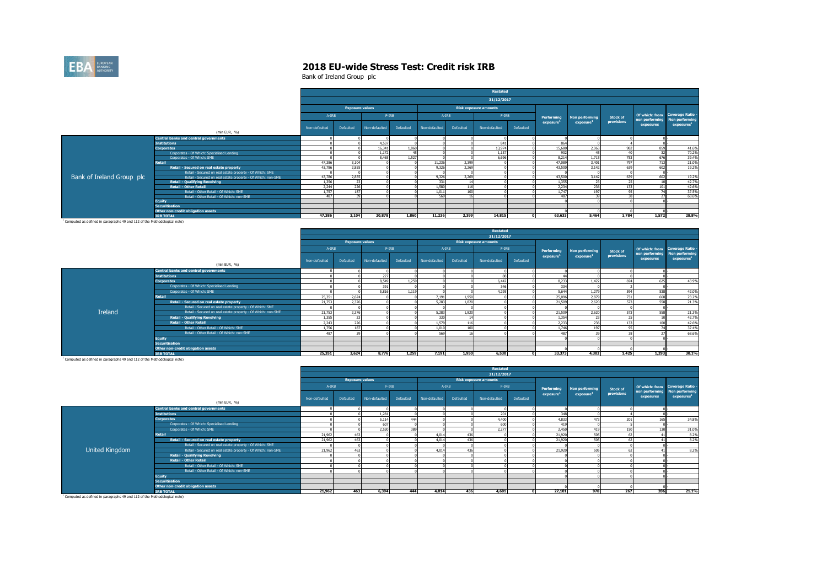

Bank of Ireland Group plc

|                           |                                                              |               |                        |               |           |               |           | Restated                     |           |            |                       |                 |                |                                                  |
|---------------------------|--------------------------------------------------------------|---------------|------------------------|---------------|-----------|---------------|-----------|------------------------------|-----------|------------|-----------------------|-----------------|----------------|--------------------------------------------------|
|                           |                                                              |               |                        |               |           |               |           | 31/12/2017                   |           |            |                       |                 |                |                                                  |
|                           |                                                              |               | <b>Exposure values</b> |               |           |               |           | <b>Risk exposure amounts</b> |           |            |                       |                 |                |                                                  |
|                           |                                                              | A-IRB         |                        | $F-IRB$       |           | $A-IRB$       |           | $F-IRB$                      |           | Performing | Non performing        | <b>Stock of</b> | non performing | Of which: from Coverage Ratio -<br>Non performin |
|                           |                                                              | Non-defaulted | Defaulted              | Non-defaulted | Defaulted | Non-defaulted | Defaulted | Non-defaulted                | Defaulted | exposure   | exposure <sup>1</sup> | provisions      | exposures      | exposures <sup>1</sup>                           |
|                           | (mln EUR, %)                                                 |               |                        |               |           |               |           |                              |           |            |                       |                 |                |                                                  |
|                           | <b>Central banks and central governments</b>                 |               |                        |               |           |               |           |                              |           |            |                       |                 |                |                                                  |
|                           | <b>Institutions</b>                                          |               |                        | 4.537         |           |               |           | 841                          |           | 864        |                       |                 |                |                                                  |
|                           | <b>Corporates</b>                                            |               |                        | 16.341        | 1,860     |               |           | 13,974                       |           | 15,680     | 2.063                 | 982             | 859            | 41.6%                                            |
|                           | Corporates - Of Which: Specialised Lending                   |               |                        | 1.172         |           |               |           | 1.137                        |           | 902        | 45                    |                 | 22             | 70.2%                                            |
|                           | Corporates - Of Which: SME                                   |               |                        | 8.465         | 1.527     |               |           | 6,696                        |           | 8.214      | 1,715                 | 753             | 676            | 39.4%                                            |
|                           | Retail                                                       | 47,386        | 3,104                  |               |           | 11,236        | 2,399     |                              |           | 47,089     | 3.401                 | 797             | 713            | 21.0%                                            |
|                           | Retail - Secured on real estate property                     | 43,786        | 2.855                  |               |           | 9,326         | 2.269     |                              |           | 43,500     | 3.142                 | 639             | 602            | 19.2%                                            |
|                           | Retail - Secured on real estate property - Of Which: SME     |               |                        |               |           |               |           |                              |           |            |                       |                 |                |                                                  |
| Bank of Ireland Group plc | Retail - Secured on real estate property - Of Which: non-SME | 43.786        | 2.855                  |               |           | 9.326         | 2.269     |                              |           | 43,500     | 3.142                 | 639             | 602            | 19.2%                                            |
|                           | <b>Retail - Qualifying Revolving</b>                         | 1.356         | 23                     |               |           | 331           |           |                              |           | 1.355      | 23                    | $\sim$          |                | 42.7%                                            |
|                           | <b>Retail - Other Retail</b>                                 | 2.244         | 226                    |               |           | 1.580         | 116       |                              |           | 2.234      | 236                   | 133             | 101            | 42.6%                                            |
|                           | Retail - Other Retail - Of Which: SME                        | 1,757         | 187                    |               |           | 1,011         | 100       |                              |           | 1.747      | 197                   | Q <sub>5</sub>  | <b>т</b>       | 37.5%                                            |
|                           | Retail - Other Retail - Of Which: non-SME                    | 487           |                        |               |           | 569           |           |                              |           | 487        | 39                    | --              |                | 68.6%                                            |
|                           | <b>Equity</b>                                                |               |                        |               |           |               |           |                              |           |            |                       |                 |                |                                                  |
|                           | <b>Securitisation</b>                                        |               |                        |               |           |               |           |                              |           |            |                       |                 |                |                                                  |
|                           | Other non-credit obligation assets                           |               |                        |               |           |               |           |                              |           |            |                       |                 |                |                                                  |
|                           | <b>IRB TOTAL</b>                                             | 47,386        | 3.104                  | 20,878        | 1,860     | 11,236        | 2,399     | 14.815                       |           | 63,633     | 5,464                 | 1.784           | 1,572          | 28.8%                                            |

<sup>1</sup> Computed as defined in paragraphs 49 and 112 of the Methodological note)

|         |                                                              | Restated<br>31/12/2017<br><b>Exposure values</b><br><b>Risk exposure amounts</b><br>$F-IRB$<br>$F-IRB$<br>A-IRB<br>$A-IRB$<br>Of which: from Coverage Ratio -<br>Performing<br>Non performing<br><b>Stock of</b><br><b>Non performing</b><br>non performing<br>provisions<br>exposure <sup>1</sup><br>exposure <sup>1</sup><br>exposures<br>exposures <sup>1</sup><br>Defaulted<br>Defaulted<br>Defaulted<br>Non-defaulted<br>Defaulted<br>Non-defaulted<br>Non-defaulted<br>Non-defaulted<br>227<br>694<br>8.549<br>1,259<br>6,442<br>8.233<br>625<br>1.422<br>391<br>346<br>334<br>594<br>5,816<br>1.119<br>4.295<br>5.644<br>1.279<br>538<br>25,096<br>2.879<br>731<br>25.351<br>2,624<br>668<br>7.191<br>1.95<br>2,376<br>2,620<br>5,283<br>21,509<br>573<br>21,753<br>1.82<br>558<br>2.376<br>21,753<br>5,283<br>1,820<br>21.509<br>2.620<br>573<br>558<br>330<br>1.354<br>1.355<br>25<br>73<br>- 72<br>$\overline{\phantom{a}}$<br>226<br>236<br>2,243<br>1.579<br>2.233<br>133<br>100<br>116<br>1,756<br>1,746<br>95<br>187<br>1,010<br>100<br>197 |        |       |       |       |       |       |  |        |        |       |       |       |
|---------|--------------------------------------------------------------|-----------------------------------------------------------------------------------------------------------------------------------------------------------------------------------------------------------------------------------------------------------------------------------------------------------------------------------------------------------------------------------------------------------------------------------------------------------------------------------------------------------------------------------------------------------------------------------------------------------------------------------------------------------------------------------------------------------------------------------------------------------------------------------------------------------------------------------------------------------------------------------------------------------------------------------------------------------------------------------------------------------------------------------------------------------|--------|-------|-------|-------|-------|-------|--|--------|--------|-------|-------|-------|
|         |                                                              |                                                                                                                                                                                                                                                                                                                                                                                                                                                                                                                                                                                                                                                                                                                                                                                                                                                                                                                                                                                                                                                           |        |       |       |       |       |       |  |        |        |       |       |       |
|         |                                                              |                                                                                                                                                                                                                                                                                                                                                                                                                                                                                                                                                                                                                                                                                                                                                                                                                                                                                                                                                                                                                                                           |        |       |       |       |       |       |  |        |        |       |       |       |
|         |                                                              |                                                                                                                                                                                                                                                                                                                                                                                                                                                                                                                                                                                                                                                                                                                                                                                                                                                                                                                                                                                                                                                           |        |       |       |       |       |       |  |        |        |       |       |       |
|         | (mln EUR, %)                                                 |                                                                                                                                                                                                                                                                                                                                                                                                                                                                                                                                                                                                                                                                                                                                                                                                                                                                                                                                                                                                                                                           |        |       |       |       |       |       |  |        |        |       |       |       |
|         | <b>Central banks and central governments</b>                 |                                                                                                                                                                                                                                                                                                                                                                                                                                                                                                                                                                                                                                                                                                                                                                                                                                                                                                                                                                                                                                                           |        |       |       |       |       |       |  |        |        |       |       |       |
|         | <b>Institutions</b>                                          |                                                                                                                                                                                                                                                                                                                                                                                                                                                                                                                                                                                                                                                                                                                                                                                                                                                                                                                                                                                                                                                           |        |       |       |       |       |       |  |        |        |       |       |       |
|         | <b>Corporates</b>                                            |                                                                                                                                                                                                                                                                                                                                                                                                                                                                                                                                                                                                                                                                                                                                                                                                                                                                                                                                                                                                                                                           |        |       |       |       |       |       |  |        |        |       |       | 43.9% |
|         | Corporates - Of Which: Specialised Lending                   |                                                                                                                                                                                                                                                                                                                                                                                                                                                                                                                                                                                                                                                                                                                                                                                                                                                                                                                                                                                                                                                           |        |       |       |       |       |       |  |        |        |       |       |       |
|         | Corporates - Of Which: SME                                   |                                                                                                                                                                                                                                                                                                                                                                                                                                                                                                                                                                                                                                                                                                                                                                                                                                                                                                                                                                                                                                                           |        |       |       |       |       |       |  |        |        |       |       | 42.0% |
|         | <b>Retail</b>                                                |                                                                                                                                                                                                                                                                                                                                                                                                                                                                                                                                                                                                                                                                                                                                                                                                                                                                                                                                                                                                                                                           |        |       |       |       |       |       |  |        |        |       |       | 23.2% |
|         | Retail - Secured on real estate property                     |                                                                                                                                                                                                                                                                                                                                                                                                                                                                                                                                                                                                                                                                                                                                                                                                                                                                                                                                                                                                                                                           |        |       |       |       |       |       |  |        |        |       |       | 21.3% |
|         | Retail - Secured on real estate property - Of Which: SME     |                                                                                                                                                                                                                                                                                                                                                                                                                                                                                                                                                                                                                                                                                                                                                                                                                                                                                                                                                                                                                                                           |        |       |       |       |       |       |  |        |        |       |       |       |
| Ireland | Retail - Secured on real estate property - Of Which: non-SME |                                                                                                                                                                                                                                                                                                                                                                                                                                                                                                                                                                                                                                                                                                                                                                                                                                                                                                                                                                                                                                                           |        |       |       |       |       |       |  |        |        |       |       | 21.3% |
|         | <b>Retail - Qualifying Revolving</b>                         |                                                                                                                                                                                                                                                                                                                                                                                                                                                                                                                                                                                                                                                                                                                                                                                                                                                                                                                                                                                                                                                           |        |       |       |       |       |       |  |        |        |       |       | 42.7% |
|         | <b>Retail - Other Retail</b>                                 |                                                                                                                                                                                                                                                                                                                                                                                                                                                                                                                                                                                                                                                                                                                                                                                                                                                                                                                                                                                                                                                           |        |       |       |       |       |       |  |        |        |       |       | 42.6% |
|         | Retail - Other Retail - Of Which: SME                        |                                                                                                                                                                                                                                                                                                                                                                                                                                                                                                                                                                                                                                                                                                                                                                                                                                                                                                                                                                                                                                                           |        |       |       |       |       |       |  |        |        |       |       | 37.4% |
|         | Retail - Other Retail - Of Which: non-SME                    | 487                                                                                                                                                                                                                                                                                                                                                                                                                                                                                                                                                                                                                                                                                                                                                                                                                                                                                                                                                                                                                                                       | $\sim$ |       |       | 569   |       |       |  | 487    | $\sim$ | 38    |       | 68.6% |
|         | <b>Equity</b>                                                |                                                                                                                                                                                                                                                                                                                                                                                                                                                                                                                                                                                                                                                                                                                                                                                                                                                                                                                                                                                                                                                           |        |       |       |       |       |       |  |        |        |       |       |       |
|         | <b>Securitisation</b>                                        |                                                                                                                                                                                                                                                                                                                                                                                                                                                                                                                                                                                                                                                                                                                                                                                                                                                                                                                                                                                                                                                           |        |       |       |       |       |       |  |        |        |       |       |       |
|         | Other non-credit obligation assets                           |                                                                                                                                                                                                                                                                                                                                                                                                                                                                                                                                                                                                                                                                                                                                                                                                                                                                                                                                                                                                                                                           |        |       |       |       |       |       |  |        |        |       |       |       |
|         | <b>IRB TOTAL</b>                                             | 25,351                                                                                                                                                                                                                                                                                                                                                                                                                                                                                                                                                                                                                                                                                                                                                                                                                                                                                                                                                                                                                                                    | 2,624  | 8,776 | 1,259 | 7.191 | 1,950 | 6,530 |  | 33,373 | 4,302  | 1,425 | 1,293 | 30.1% |

1 Computed as defined in paragraphs 49 and 112 of the Methodological note)

|                |                                                              |               |                        |               |           |               |           | Restated                     |           |                       |                       |                 |                             |                                          |
|----------------|--------------------------------------------------------------|---------------|------------------------|---------------|-----------|---------------|-----------|------------------------------|-----------|-----------------------|-----------------------|-----------------|-----------------------------|------------------------------------------|
|                |                                                              |               |                        |               |           |               |           | 31/12/2017                   |           |                       |                       |                 |                             |                                          |
|                |                                                              |               | <b>Exposure values</b> |               |           |               |           | <b>Risk exposure amounts</b> |           |                       |                       |                 |                             |                                          |
|                |                                                              | A-IRB         |                        | $F-IRB$       |           | $A-IRB$       |           | $F-IRB$                      |           | Performing            | Non performing        | <b>Stock of</b> |                             | Of which: from Coverage Ratio -          |
|                | (mln EUR, %)                                                 | Non-defaulted | Defaulted              | Non-defaulted | Defaulted | Non-defaulted | Defaulted | Non-defaulted                | Defaulted | exposure <sup>1</sup> | exposure <sup>1</sup> | provisions      | non performing<br>exposures | Non performing<br>exposures <sup>1</sup> |
|                | <b>Central banks and central governments</b>                 |               |                        |               |           |               |           |                              |           |                       |                       |                 |                             |                                          |
|                | <b>Institutions</b>                                          |               |                        | 1,281         |           |               |           | 201                          |           | 348                   |                       |                 |                             |                                          |
|                | Corporates                                                   |               |                        | 5,114         | 444       |               |           | 4,400                        |           | 4,833                 | 477                   | 201             |                             | 34.8%                                    |
|                | Corporates - Of Which: Specialised Lending                   |               |                        | 607           |           |               |           | 600                          |           | 419                   |                       |                 |                             |                                          |
|                | Corporates - Of Which: SME                                   |               |                        | 2,530         | 389       |               |           | 2.277                        |           | 2,450                 | 419                   | 150             | 130                         | 31.0%                                    |
|                | Retail                                                       | 21,962        | 463                    |               |           | 4,014         | 436       |                              |           | 21,920                | 505                   |                 |                             | 8.2%                                     |
|                | Retail - Secured on real estate property                     | 21,962        | 463                    |               |           | 4.014         | 436       |                              |           | 21,920                | 505                   |                 |                             | 8.2%                                     |
|                | Retail - Secured on real estate property - Of Which: SME     |               |                        |               |           |               |           |                              |           |                       |                       |                 |                             |                                          |
| United Kingdom | Retail - Secured on real estate property - Of Which: non-SME | 21,962        | AG.                    |               |           | 4,014         |           |                              |           | 21,920                | 505                   |                 |                             | 8.2%                                     |
|                | <b>Retail - Qualifying Revolving</b>                         |               |                        |               |           |               |           |                              |           |                       |                       |                 |                             |                                          |
|                | <b>Retail - Other Retail</b>                                 |               |                        |               |           |               |           |                              |           |                       |                       |                 |                             |                                          |
|                | Retail - Other Retail - Of Which: SME                        |               |                        |               |           |               |           |                              |           |                       |                       |                 |                             |                                          |
|                | Retail - Other Retail - Of Which: non-SME                    |               |                        |               |           |               |           |                              |           |                       |                       |                 |                             |                                          |
|                | <b>Equity</b>                                                |               |                        |               |           |               |           |                              |           |                       |                       |                 |                             |                                          |
|                | <b>Securitisation</b>                                        |               |                        |               |           |               |           |                              |           |                       |                       |                 |                             |                                          |
|                | Other non-credit obligation assets                           |               |                        |               |           |               |           |                              |           |                       |                       |                 |                             |                                          |
|                | <b>IRB TOTAL</b>                                             | 21,962        | 463                    | 6,394         | 444       | 4,014         | 436       | 4,601                        |           | 27,101                | 978                   | 267             | 206                         | 21.1%                                    |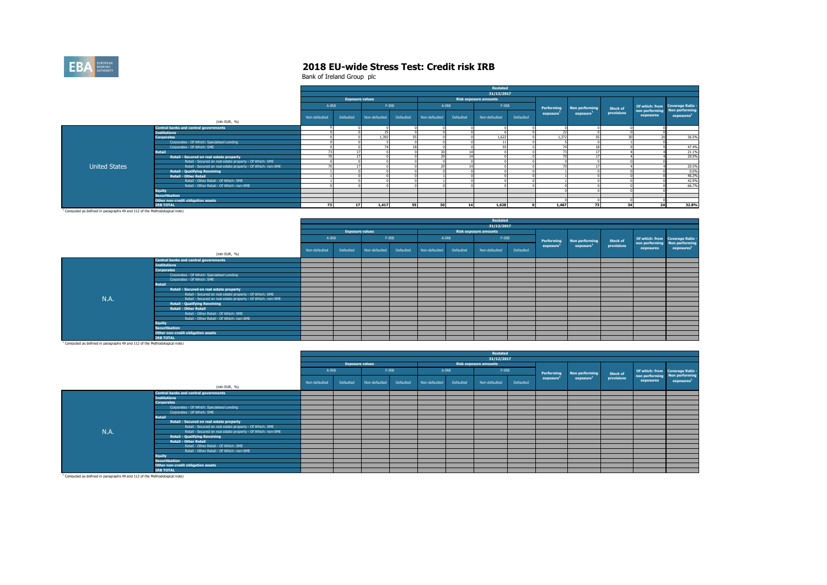

Bank of Ireland Group plc

|                                                                                       |                                                              |               |                        |               |           |                |           | Restated                     |           |                          |                       |                 |           |                                                        |
|---------------------------------------------------------------------------------------|--------------------------------------------------------------|---------------|------------------------|---------------|-----------|----------------|-----------|------------------------------|-----------|--------------------------|-----------------------|-----------------|-----------|--------------------------------------------------------|
|                                                                                       |                                                              |               |                        |               |           |                |           | 31/12/2017                   |           |                          |                       |                 |           |                                                        |
|                                                                                       |                                                              |               | <b>Exposure values</b> |               |           |                |           | <b>Risk exposure amounts</b> |           |                          |                       |                 |           |                                                        |
|                                                                                       |                                                              | $A-IRB$       |                        | $F-IRB$       |           | $A - IRB$      |           | $F-IRB$                      |           | Performing               | Non performing        | <b>Stock of</b> |           | Of which: from Coverage Ratio -                        |
|                                                                                       |                                                              | Non-defaulted | Defaulted              | Non-defaulted | Defaulted | Non-defaulted  | Defaulted | Non-defaulted                | Defaulted | exposure <sup>1</sup>    | exposure <sup>1</sup> | provisions      | exposures | non performing Non performing<br>exposure <sup>1</sup> |
|                                                                                       | (mln EUR, %)                                                 |               |                        |               |           |                |           |                              |           |                          |                       |                 |           |                                                        |
|                                                                                       | <b>Central banks and central governments</b>                 |               |                        |               |           |                |           |                              |           |                          |                       |                 |           |                                                        |
|                                                                                       | <b>Institutions</b>                                          |               |                        | 25            |           |                |           |                              |           | 22                       |                       |                 |           |                                                        |
|                                                                                       | <b>Corporates</b>                                            |               |                        | 1.392         |           |                |           | 1.622                        |           | 1.372                    |                       | $\sim$          |           | 36.5%                                                  |
|                                                                                       | Corporates - Of Which: Specialised Lending                   |               |                        |               |           |                |           |                              |           |                          |                       |                 |           |                                                        |
|                                                                                       | Corporates - Of Which: SME                                   |               |                        | 74            |           |                |           | n <sub>2</sub>               |           | $\overline{\phantom{a}}$ |                       |                 |           | 47.4%                                                  |
|                                                                                       | <b>Retail</b>                                                |               |                        |               |           | 30             |           |                              |           |                          |                       |                 |           | 21.1%                                                  |
|                                                                                       | Retail - Secured on real estate property                     |               |                        |               |           | $\overline{2}$ |           |                              |           |                          |                       |                 |           | 20.5%                                                  |
|                                                                                       | Retail - Secured on real estate property - Of Which: SME     |               |                        |               |           |                |           |                              |           |                          |                       |                 |           |                                                        |
| <b>United States</b>                                                                  | Retail - Secured on real estate property - Of Which: non-SME |               |                        |               |           | $\sim$         |           |                              |           |                          |                       |                 |           | 20.5%                                                  |
|                                                                                       | <b>Retail - Qualifying Revolving</b>                         |               |                        |               |           |                |           |                              |           |                          |                       |                 |           | 0.0%                                                   |
|                                                                                       | <b>Retail - Other Retail</b>                                 |               |                        |               |           |                |           |                              |           |                          |                       |                 |           | 46.3%                                                  |
|                                                                                       | Retail - Other Retail - Of Which: SME                        |               |                        |               |           |                |           |                              |           |                          |                       |                 |           | 42.9%                                                  |
|                                                                                       | Retail - Other Retail - Of Which: non-SME                    |               |                        |               |           |                |           |                              |           |                          |                       |                 |           | 66.7%                                                  |
|                                                                                       | <b>Equity</b>                                                |               |                        |               |           |                |           |                              |           |                          |                       |                 |           |                                                        |
|                                                                                       | <b>Securitisation</b>                                        |               |                        |               |           |                |           |                              |           |                          |                       |                 |           |                                                        |
|                                                                                       | Other non-credit obligation assets                           |               |                        |               |           |                |           |                              |           |                          |                       |                 |           |                                                        |
|                                                                                       | <b>IRB TOTAL</b>                                             | 73            | 17                     | 1.417         | 55        | 30             | 14        | 1.628                        |           | 1,467                    | 72                    | 34              | 24        | 32.8%                                                  |
| <sup>1</sup> Computed as defined in paragraphs 49 and 112 of the Methodological note) |                                                              |               |                        |               |           |                |           |                              |           |                          |                       |                 |           |                                                        |

(mln EUR, %) Non-defaulted Defaulted Non-defaulted Defaulted Non-defaulted Defaulted Non-defaulted Defaulted **Central banks and central governments** and the central governments of the central central central central central central central central central central central central central central central central central central cen Institutions and the contract of the contract of the contract of the contract of the contract of the contract of the contract of the contract of the contract of the contract of the contract of the contract of the contract **Corporates** 0 0 0 0 0 0 0 0 0 0 0 0 - Corporates - Of Which: Specialised Lending 0 0 0 0 0 0 0 0 0 0 0 0 - Corporates - Of Which: SME 0 0 0 0 0 0 0 0 0 0 0 0 - **Retail** 0 0 0 0 0 0 0 0 0 0 0 0 - Retail - Secured on real estate property **1996 and 2006 and 2006 and 2006 and 2006 and 2006 and 2006 and 2006 and 2006 and 2006 and 2006 and 2006 and 2007 and 2008 and 2007 and 2008 and 2008 and 2008 and 2008 and 2008 and** Retail - Secured on real estate property - Of Which: SME 0 0 0 0 0 0 0 0 0 0 0 0 - Retail - Secured on real estate property - Of Which: non-SME 0 0 0 0 0 0 0 0 0 0 0 0 - Retail - Qualifying Revolving **1996 of 2000 of the Conceptual Conceptual Conceptual Conceptual Conceptual Conceptual Conceptual Conceptual Conceptual Conceptual Conceptual Conceptual Conceptual Conceptual Conceptual Concep** Retail - Other Retail and a state of the controller of the controller of the controller of the controller of the controller of the controller of the controller of the controller of the controller of the controller of the c Retail - Other Retail - Of Which: SME 0 0 0 0 0 0 0 0 0 0 0 0 - Retail - Other Retail - Of Which: non-SME 0 0 0 0 0 0 0 0 0 0 0 0 - Equity and the contract of the contract of the contract of the contract of the contract of the contract of the contract of the contract of the contract of the contract of the contract of the contract of the contract of the **Securitisation Other non-credit obligation assets** 0 0 0 0 - **IRB TOTAL 0 0 0 0 0 0 0 0 0 0 0 0 - Restated 31/12/2017** A-IRB F-IRB A-IRB F-IRB **Exposure values Risk exposure amounts Performing exposure<sup>1</sup> Non performing exposure<sup>1</sup> Stock of provisions Of which: from non performing exposures Coverage Ratio - Non performing exposures<sup>1</sup>** N.A.

<sup>1</sup> Computed as defined in paragraphs 49 and 112 of the Methodological note)

|      |                                                              |               |                        |               |           |               |           | <b>Restated</b>              |           |                       |                       |                 |                |                                                   |
|------|--------------------------------------------------------------|---------------|------------------------|---------------|-----------|---------------|-----------|------------------------------|-----------|-----------------------|-----------------------|-----------------|----------------|---------------------------------------------------|
|      |                                                              |               |                        |               |           |               |           | 31/12/2017                   |           |                       |                       |                 |                |                                                   |
|      |                                                              |               | <b>Exposure values</b> |               |           |               |           | <b>Risk exposure amounts</b> |           |                       |                       |                 |                |                                                   |
|      |                                                              | A-IRB         |                        | $F-IRB$       |           | $A-IRB$       |           | $F-IRB$                      |           | Performing            | Non performing        | <b>Stock of</b> | non performing | Of which: from Coverage Ratio -<br>Non performing |
|      |                                                              | Non-defaulted | Defaulted              | Non-defaulted | Defaulted | Non-defaulted | Defaulted | Non-defaulted                | Defaulted | exposure <sup>1</sup> | exposure <sup>1</sup> | provisions      | exposures      | exposures <sup>1</sup>                            |
|      | (mln EUR, %)                                                 |               |                        |               |           |               |           |                              |           |                       |                       |                 |                |                                                   |
|      | <b>Central banks and central governments</b>                 |               |                        |               |           |               |           |                              |           |                       |                       |                 |                |                                                   |
|      | <b>Institutions</b>                                          |               |                        |               |           |               |           |                              |           |                       |                       |                 |                |                                                   |
|      | <b>Corporates</b>                                            |               |                        |               |           |               |           |                              |           |                       |                       |                 |                |                                                   |
|      | Corporates - Of Which: Specialised Lending                   |               |                        |               |           |               |           |                              |           |                       |                       |                 |                |                                                   |
|      | Corporates - Of Which: SME                                   |               |                        |               |           |               |           |                              |           |                       |                       |                 |                |                                                   |
|      | <b>Retail</b>                                                |               |                        |               |           |               |           |                              |           |                       |                       |                 |                |                                                   |
|      | Retail - Secured on real estate property                     |               |                        |               |           |               |           |                              |           |                       |                       |                 |                |                                                   |
|      | Retail - Secured on real estate property - Of Which: SME     |               |                        |               |           |               |           |                              |           |                       |                       |                 |                |                                                   |
| N.A. | Retail - Secured on real estate property - Of Which: non-SME |               |                        |               |           |               |           |                              |           |                       |                       |                 |                |                                                   |
|      | <b>Retail - Qualifying Revolving</b>                         |               |                        |               |           |               |           |                              |           |                       |                       |                 |                |                                                   |
|      | <b>Retail - Other Retail</b>                                 |               |                        |               |           |               |           |                              |           |                       |                       |                 |                |                                                   |
|      | Retail - Other Retail - Of Which: SME                        |               |                        |               |           |               |           |                              |           |                       |                       |                 |                |                                                   |
|      | Retail - Other Retail - Of Which: non-SME                    |               |                        |               |           |               |           |                              |           |                       |                       |                 |                |                                                   |
|      | <b>Equity</b>                                                |               |                        |               |           |               |           |                              |           |                       |                       |                 |                |                                                   |
|      | <b>Securitisation</b>                                        |               |                        |               |           |               |           |                              |           |                       |                       |                 |                |                                                   |
|      | Other non-credit obligation assets                           |               |                        |               |           |               |           |                              |           |                       |                       |                 |                |                                                   |
|      | <b>IRB TOTAL</b>                                             |               |                        |               |           |               |           |                              |           |                       |                       |                 |                |                                                   |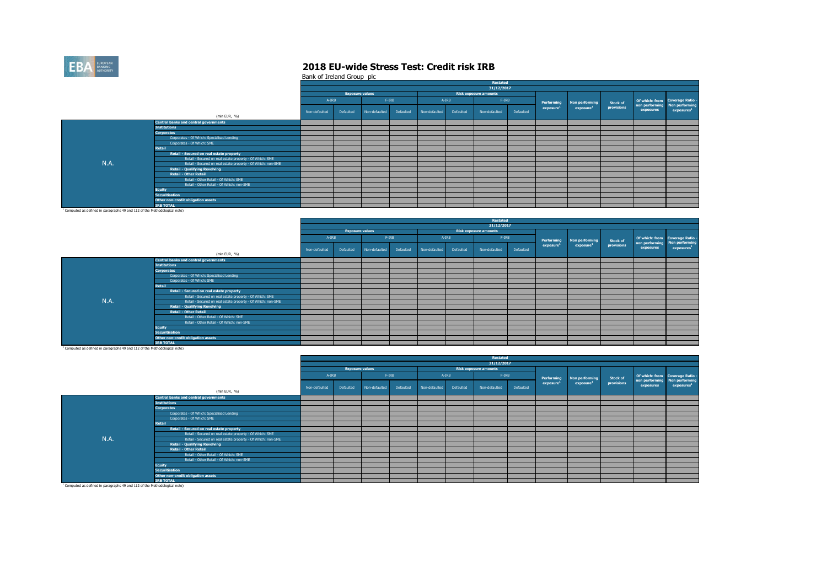

Bank of Ireland Group plc

|      |                                                              |               |                        |               |           |               |           | Restated                     |           |                       |                       |            |           |                                                        |
|------|--------------------------------------------------------------|---------------|------------------------|---------------|-----------|---------------|-----------|------------------------------|-----------|-----------------------|-----------------------|------------|-----------|--------------------------------------------------------|
|      |                                                              |               |                        |               |           |               |           | 31/12/2017                   |           |                       |                       |            |           |                                                        |
|      |                                                              |               | <b>Exposure values</b> |               |           |               |           | <b>Risk exposure amounts</b> |           |                       |                       |            |           |                                                        |
|      |                                                              | A-IRB         |                        | F-IRB         |           | $A-IRB$       |           | $F-IRB$                      |           | Performing            | Non performing        | Stock of   |           | Of which: from Coverage Ratio -                        |
|      |                                                              | Non-defaulted | Defaulted              | Non-defaulted | Defaulted | Non-defaulted | Defaulted | Non-defaulted                | Defaulted | exposure <sup>1</sup> | exposure <sup>1</sup> | provisions | exposures | non performing Non performing<br>exposure <sup>1</sup> |
|      | (mln EUR, %)                                                 |               |                        |               |           |               |           |                              |           |                       |                       |            |           |                                                        |
|      | <b>Central banks and central governments</b>                 |               |                        |               |           |               |           |                              |           |                       |                       |            |           |                                                        |
|      | <b>Institutions</b>                                          |               |                        |               |           |               |           |                              |           |                       |                       |            |           |                                                        |
|      | <b>Corporates</b>                                            |               |                        |               |           |               |           |                              |           |                       |                       |            |           |                                                        |
|      | Corporates - Of Which: Specialised Lending                   |               |                        |               |           |               |           |                              |           |                       |                       |            |           |                                                        |
|      | Corporates - Of Which: SME                                   |               |                        |               |           |               |           |                              |           |                       |                       |            |           |                                                        |
|      | Retail                                                       |               |                        |               |           |               |           |                              |           |                       |                       |            |           |                                                        |
|      | Retail - Secured on real estate property                     |               |                        |               |           |               |           |                              |           |                       |                       |            |           |                                                        |
|      | Retail - Secured on real estate property - Of Which: SME     |               |                        |               |           |               |           |                              |           |                       |                       |            |           |                                                        |
| N.A. | Retail - Secured on real estate property - Of Which: non-SME |               |                        |               |           |               |           |                              |           |                       |                       |            |           |                                                        |
|      | <b>Retail - Qualifying Revolving</b>                         |               |                        |               |           |               |           |                              |           |                       |                       |            |           |                                                        |
|      | <b>Retail - Other Retail</b>                                 |               |                        |               |           |               |           |                              |           |                       |                       |            |           |                                                        |
|      | Retail - Other Retail - Of Which: SME                        |               |                        |               |           |               |           |                              |           |                       |                       |            |           |                                                        |
|      | Retail - Other Retail - Of Which: non-SME                    |               |                        |               |           |               |           |                              |           |                       |                       |            |           |                                                        |
|      | <b>Equity</b>                                                |               |                        |               |           |               |           |                              |           |                       |                       |            |           |                                                        |
|      | <b>Securitisation</b>                                        |               |                        |               |           |               |           |                              |           |                       |                       |            |           |                                                        |
|      | Other non-credit obligation assets                           |               |                        |               |           |               |           |                              |           |                       |                       |            |           |                                                        |
|      | <b>IRB TOTAL</b>                                             |               |                        |               |           |               |           |                              |           |                       |                       |            |           |                                                        |
|      |                                                              |               |                        |               |           |               |           |                              |           |                       |                       |            |           |                                                        |

<sup>1</sup> Computed as defined in paragraphs 49 and 112 of the Methodological note)

|      |                                                              |               |                        |               |           |               |           | Restated                     |           |                       |                       |                 |           |                                 |
|------|--------------------------------------------------------------|---------------|------------------------|---------------|-----------|---------------|-----------|------------------------------|-----------|-----------------------|-----------------------|-----------------|-----------|---------------------------------|
|      |                                                              |               |                        |               |           |               |           | 31/12/2017                   |           |                       |                       |                 |           |                                 |
|      |                                                              |               | <b>Exposure values</b> |               |           |               |           | <b>Risk exposure amounts</b> |           |                       |                       |                 |           |                                 |
|      |                                                              | $A-IRB$       |                        | $F-IRB$       |           | $A - IRB$     |           | $F-IRB$                      |           | Performing            | Non performing        | <b>Stock of</b> |           | Of which: from Coverage Ratio - |
|      |                                                              |               |                        |               |           |               |           |                              |           | exposure <sup>1</sup> | exposure <sup>1</sup> | provisions      |           | non performing Non performing   |
|      |                                                              | Non-defaulted | Defaulted              | Non-defaulted | Defaulted | Non-defaulted | Defaulted | Non-defaulted                | Defaulted |                       |                       |                 | exposures | exposures <sup>1</sup>          |
|      | (mln EUR, %)                                                 |               |                        |               |           |               |           |                              |           |                       |                       |                 |           |                                 |
|      | <b>Central banks and central governments</b>                 |               |                        |               |           |               |           |                              |           |                       |                       |                 |           |                                 |
|      | <b>Institutions</b>                                          |               |                        |               |           |               |           |                              |           |                       |                       |                 |           |                                 |
|      | <b>Corporates</b>                                            |               |                        |               |           |               |           |                              |           |                       |                       |                 |           |                                 |
|      | Corporates - Of Which: Specialised Lending                   |               |                        |               |           |               |           |                              |           |                       |                       |                 |           |                                 |
|      | Corporates - Of Which: SME                                   |               |                        |               |           |               |           |                              |           |                       |                       |                 |           |                                 |
|      | Retail                                                       |               |                        |               |           |               |           |                              |           |                       |                       |                 |           |                                 |
|      | Retail - Secured on real estate property                     |               |                        |               |           |               |           |                              |           |                       |                       |                 |           |                                 |
|      | Retail - Secured on real estate property - Of Which: SME     |               |                        |               |           |               |           |                              |           |                       |                       |                 |           |                                 |
| N.A. | Retail - Secured on real estate property - Of Which: non-SME |               |                        |               |           |               |           |                              |           |                       |                       |                 |           |                                 |
|      | <b>Retail - Qualifying Revolving</b>                         |               |                        |               |           |               |           |                              |           |                       |                       |                 |           |                                 |
|      | <b>Retail - Other Retail</b>                                 |               |                        |               |           |               |           |                              |           |                       |                       |                 |           |                                 |
|      | Retail - Other Retail - Of Which: SME                        |               |                        |               |           |               |           |                              |           |                       |                       |                 |           |                                 |
|      | Retail - Other Retail - Of Which: non-SME                    |               |                        |               |           |               |           |                              |           |                       |                       |                 |           |                                 |
|      | <b>Equity</b>                                                |               |                        |               |           |               |           |                              |           |                       |                       |                 |           |                                 |
|      | <b>Securitisation</b>                                        |               |                        |               |           |               |           |                              |           |                       |                       |                 |           |                                 |
|      | Other non-credit obligation assets                           |               |                        |               |           |               |           |                              |           |                       |                       |                 |           |                                 |
|      | <b>IRB TOTAL</b>                                             |               |                        |               |           |               |           |                              |           |                       |                       |                 |           |                                 |

<sup>1</sup> Computed as defined in paragraphs 49 and 112 of the Methodological note)

|      |                                                              |               |                        |               |           |               |           | Restated                     |           |                       |                       |                 |           |                                                                  |
|------|--------------------------------------------------------------|---------------|------------------------|---------------|-----------|---------------|-----------|------------------------------|-----------|-----------------------|-----------------------|-----------------|-----------|------------------------------------------------------------------|
|      |                                                              |               |                        |               |           |               |           | 31/12/2017                   |           |                       |                       |                 |           |                                                                  |
|      |                                                              |               | <b>Exposure values</b> |               |           |               |           | <b>Risk exposure amounts</b> |           |                       |                       |                 |           |                                                                  |
|      |                                                              | A-IRB         |                        | $F-IRB$       |           | A-IRB         |           | $F-IRB$                      |           | Performing            | Non performing        | <b>Stock of</b> |           | Of which: from Coverage Ratio -<br>non performing Non performing |
|      |                                                              | Non-defaulted | Defaulted              | Non-defaulted | Defaulted | Non-defaulted | Defaulted | Non-defaulted                | Defaulted | exposure <sup>1</sup> | exposure <sup>1</sup> | provisions      | exposures | exposures <sup>1</sup>                                           |
|      | (mln EUR, %)                                                 |               |                        |               |           |               |           |                              |           |                       |                       |                 |           |                                                                  |
|      | <b>Central banks and central governments</b>                 |               |                        |               |           |               |           |                              |           |                       |                       |                 |           |                                                                  |
|      | <b>Institutions</b>                                          |               |                        |               |           |               |           |                              |           |                       |                       |                 |           |                                                                  |
|      | <b>Corporates</b>                                            |               |                        |               |           |               |           |                              |           |                       |                       |                 |           |                                                                  |
|      | Corporates - Of Which: Specialised Lending                   |               |                        |               |           |               |           |                              |           |                       |                       |                 |           |                                                                  |
|      | Corporates - Of Which: SME                                   |               |                        |               |           |               |           |                              |           |                       |                       |                 |           |                                                                  |
|      | <b>Retail</b>                                                |               |                        |               |           |               |           |                              |           |                       |                       |                 |           |                                                                  |
|      | Retail - Secured on real estate property                     |               |                        |               |           |               |           |                              |           |                       |                       |                 |           |                                                                  |
|      | Retail - Secured on real estate property - Of Which: SME     |               |                        |               |           |               |           |                              |           |                       |                       |                 |           |                                                                  |
| N.A. | Retail - Secured on real estate property - Of Which: non-SME |               |                        |               |           |               |           |                              |           |                       |                       |                 |           |                                                                  |
|      | <b>Retail - Qualifying Revolving</b>                         |               |                        |               |           |               |           |                              |           |                       |                       |                 |           |                                                                  |
|      | <b>Retail - Other Retail</b>                                 |               |                        |               |           |               |           |                              |           |                       |                       |                 |           |                                                                  |
|      | Retail - Other Retail - Of Which: SME                        |               |                        |               |           |               |           |                              |           |                       |                       |                 |           |                                                                  |
|      | Retail - Other Retail - Of Which: non-SME                    |               |                        |               |           |               |           |                              |           |                       |                       |                 |           |                                                                  |
|      | <b>Equity</b>                                                |               |                        |               |           |               |           |                              |           |                       |                       |                 |           |                                                                  |
|      | <b>Securitisation</b>                                        |               |                        |               |           |               |           |                              |           |                       |                       |                 |           |                                                                  |
|      | Other non-credit obligation assets                           |               |                        |               |           |               |           |                              |           |                       |                       |                 |           |                                                                  |
|      | <b>IRB TOTAL</b>                                             |               |                        |               |           |               |           |                              |           |                       |                       |                 |           |                                                                  |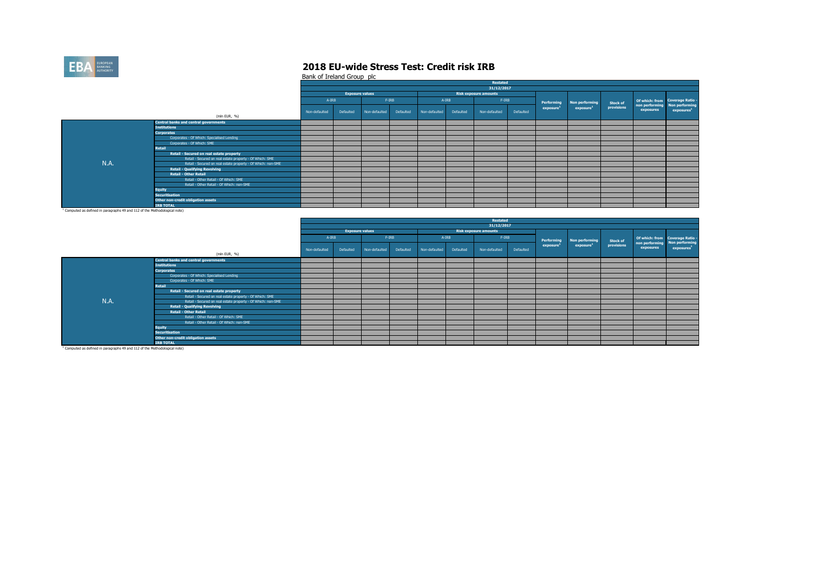

Bank of Ireland Group plc

| 31/12/2017<br><b>Exposure values</b><br><b>Risk exposure amounts</b><br>A-IRB<br>$F-IRB$<br>$F-IRB$<br>$A-IRB$<br>Of which: from Coverage Ratio -<br>Performing<br>Non performing<br><b>Stock of</b><br>provisions<br>exposure <sup>1</sup><br>exposure <sup>1</sup><br>exposures <sup>1</sup><br>exposures<br>Defaulted<br>Defaulted<br>Defaulted<br>Non-defaulted<br>Non-defaulted<br>Non-defaulted<br>Non-defaulted<br>Defaulted<br>(mln EUR, %)<br><b>Central banks and central governments</b><br><b>Institutions</b><br><b>Corporates</b><br>Corporates - Of Which: Specialised Lending<br>Corporates - Of Which: SME<br><b>Retail</b><br>Retail - Secured on real estate property<br>Retail - Secured on real estate property - Of Which: SME<br>N.A.<br>Retail - Secured on real estate property - Of Which: non-SME<br><b>Retail - Qualifying Revolving</b><br><b>Retail - Other Retail</b><br>Retail - Other Retail - Of Which: SME<br>Retail - Other Retail - Of Which: non-SME<br><b>Equity</b><br><b>Securitisation</b><br>Other non-credit obligation assets<br><b>IRB TOTAL</b> |  |  |  |  | Restated |  |  |  |
|------------------------------------------------------------------------------------------------------------------------------------------------------------------------------------------------------------------------------------------------------------------------------------------------------------------------------------------------------------------------------------------------------------------------------------------------------------------------------------------------------------------------------------------------------------------------------------------------------------------------------------------------------------------------------------------------------------------------------------------------------------------------------------------------------------------------------------------------------------------------------------------------------------------------------------------------------------------------------------------------------------------------------------------------------------------------------------------------|--|--|--|--|----------|--|--|--|
|                                                                                                                                                                                                                                                                                                                                                                                                                                                                                                                                                                                                                                                                                                                                                                                                                                                                                                                                                                                                                                                                                                |  |  |  |  |          |  |  |  |
| non performing Non performing                                                                                                                                                                                                                                                                                                                                                                                                                                                                                                                                                                                                                                                                                                                                                                                                                                                                                                                                                                                                                                                                  |  |  |  |  |          |  |  |  |
|                                                                                                                                                                                                                                                                                                                                                                                                                                                                                                                                                                                                                                                                                                                                                                                                                                                                                                                                                                                                                                                                                                |  |  |  |  |          |  |  |  |
|                                                                                                                                                                                                                                                                                                                                                                                                                                                                                                                                                                                                                                                                                                                                                                                                                                                                                                                                                                                                                                                                                                |  |  |  |  |          |  |  |  |
|                                                                                                                                                                                                                                                                                                                                                                                                                                                                                                                                                                                                                                                                                                                                                                                                                                                                                                                                                                                                                                                                                                |  |  |  |  |          |  |  |  |
|                                                                                                                                                                                                                                                                                                                                                                                                                                                                                                                                                                                                                                                                                                                                                                                                                                                                                                                                                                                                                                                                                                |  |  |  |  |          |  |  |  |
|                                                                                                                                                                                                                                                                                                                                                                                                                                                                                                                                                                                                                                                                                                                                                                                                                                                                                                                                                                                                                                                                                                |  |  |  |  |          |  |  |  |
|                                                                                                                                                                                                                                                                                                                                                                                                                                                                                                                                                                                                                                                                                                                                                                                                                                                                                                                                                                                                                                                                                                |  |  |  |  |          |  |  |  |
|                                                                                                                                                                                                                                                                                                                                                                                                                                                                                                                                                                                                                                                                                                                                                                                                                                                                                                                                                                                                                                                                                                |  |  |  |  |          |  |  |  |
|                                                                                                                                                                                                                                                                                                                                                                                                                                                                                                                                                                                                                                                                                                                                                                                                                                                                                                                                                                                                                                                                                                |  |  |  |  |          |  |  |  |
|                                                                                                                                                                                                                                                                                                                                                                                                                                                                                                                                                                                                                                                                                                                                                                                                                                                                                                                                                                                                                                                                                                |  |  |  |  |          |  |  |  |
|                                                                                                                                                                                                                                                                                                                                                                                                                                                                                                                                                                                                                                                                                                                                                                                                                                                                                                                                                                                                                                                                                                |  |  |  |  |          |  |  |  |
|                                                                                                                                                                                                                                                                                                                                                                                                                                                                                                                                                                                                                                                                                                                                                                                                                                                                                                                                                                                                                                                                                                |  |  |  |  |          |  |  |  |
|                                                                                                                                                                                                                                                                                                                                                                                                                                                                                                                                                                                                                                                                                                                                                                                                                                                                                                                                                                                                                                                                                                |  |  |  |  |          |  |  |  |
|                                                                                                                                                                                                                                                                                                                                                                                                                                                                                                                                                                                                                                                                                                                                                                                                                                                                                                                                                                                                                                                                                                |  |  |  |  |          |  |  |  |
|                                                                                                                                                                                                                                                                                                                                                                                                                                                                                                                                                                                                                                                                                                                                                                                                                                                                                                                                                                                                                                                                                                |  |  |  |  |          |  |  |  |
|                                                                                                                                                                                                                                                                                                                                                                                                                                                                                                                                                                                                                                                                                                                                                                                                                                                                                                                                                                                                                                                                                                |  |  |  |  |          |  |  |  |
|                                                                                                                                                                                                                                                                                                                                                                                                                                                                                                                                                                                                                                                                                                                                                                                                                                                                                                                                                                                                                                                                                                |  |  |  |  |          |  |  |  |
|                                                                                                                                                                                                                                                                                                                                                                                                                                                                                                                                                                                                                                                                                                                                                                                                                                                                                                                                                                                                                                                                                                |  |  |  |  |          |  |  |  |
|                                                                                                                                                                                                                                                                                                                                                                                                                                                                                                                                                                                                                                                                                                                                                                                                                                                                                                                                                                                                                                                                                                |  |  |  |  |          |  |  |  |
|                                                                                                                                                                                                                                                                                                                                                                                                                                                                                                                                                                                                                                                                                                                                                                                                                                                                                                                                                                                                                                                                                                |  |  |  |  |          |  |  |  |
|                                                                                                                                                                                                                                                                                                                                                                                                                                                                                                                                                                                                                                                                                                                                                                                                                                                                                                                                                                                                                                                                                                |  |  |  |  |          |  |  |  |

<sup>1</sup> Computed as defined in paragraphs 49 and 112 of the Methodological note)

|      |                                                              |               |                        |               |           |               |           | <b>Restated</b>              |           |                       |                       |                 |           |                                                                  |
|------|--------------------------------------------------------------|---------------|------------------------|---------------|-----------|---------------|-----------|------------------------------|-----------|-----------------------|-----------------------|-----------------|-----------|------------------------------------------------------------------|
|      |                                                              |               |                        |               |           |               |           | 31/12/2017                   |           |                       |                       |                 |           |                                                                  |
|      |                                                              |               | <b>Exposure values</b> |               |           |               |           | <b>Risk exposure amounts</b> |           |                       |                       |                 |           |                                                                  |
|      |                                                              | A-IRB         |                        |               | $F-IRB$   |               | $A - IRB$ | $F-IRB$                      |           | Performing            | Non performing        | <b>Stock of</b> |           | Of which: from Coverage Ratio -<br>non performing Non performing |
|      |                                                              | Non-defaulted | Defaulted              | Non-defaulted | Defaulted | Non-defaulted | Defaulted | Non-defaulted                | Defaulted | exposure <sup>1</sup> | exposure <sup>1</sup> | provisions      | exposures | exposures <sup>1</sup>                                           |
|      | (mln EUR, %)                                                 |               |                        |               |           |               |           |                              |           |                       |                       |                 |           |                                                                  |
|      | <b>Central banks and central governments</b>                 |               |                        |               |           |               |           |                              |           |                       |                       |                 |           |                                                                  |
|      | <b>Institutions</b>                                          |               |                        |               |           |               |           |                              |           |                       |                       |                 |           |                                                                  |
|      | <b>Corporates</b>                                            |               |                        |               |           |               |           |                              |           |                       |                       |                 |           |                                                                  |
|      | Corporates - Of Which: Specialised Lending                   |               |                        |               |           |               |           |                              |           |                       |                       |                 |           |                                                                  |
|      | Corporates - Of Which: SME                                   |               |                        |               |           |               |           |                              |           |                       |                       |                 |           |                                                                  |
|      | <b>Retail</b>                                                |               |                        |               |           |               |           |                              |           |                       |                       |                 |           |                                                                  |
|      | Retail - Secured on real estate property                     |               |                        |               |           |               |           |                              |           |                       |                       |                 |           |                                                                  |
|      | Retail - Secured on real estate property - Of Which: SME     |               |                        |               |           |               |           |                              |           |                       |                       |                 |           |                                                                  |
| N.A. | Retail - Secured on real estate property - Of Which: non-SME |               |                        |               |           |               |           |                              |           |                       |                       |                 |           |                                                                  |
|      | <b>Retail - Qualifying Revolving</b>                         |               |                        |               |           |               |           |                              |           |                       |                       |                 |           |                                                                  |
|      | <b>Retail - Other Retail</b>                                 |               |                        |               |           |               |           |                              |           |                       |                       |                 |           |                                                                  |
|      | Retail - Other Retail - Of Which: SME                        |               |                        |               |           |               |           |                              |           |                       |                       |                 |           |                                                                  |
|      | Retail - Other Retail - Of Which: non-SME                    |               |                        |               |           |               |           |                              |           |                       |                       |                 |           |                                                                  |
|      | <b>Equity</b>                                                |               |                        |               |           |               |           |                              |           |                       |                       |                 |           |                                                                  |
|      | <b>Securitisation</b>                                        |               |                        |               |           |               |           |                              |           |                       |                       |                 |           |                                                                  |
|      | Other non-credit obligation assets                           |               |                        |               |           |               |           |                              |           |                       |                       |                 |           |                                                                  |
|      | <b>IRB TOTAL</b>                                             |               |                        |               |           |               |           |                              |           |                       |                       |                 |           |                                                                  |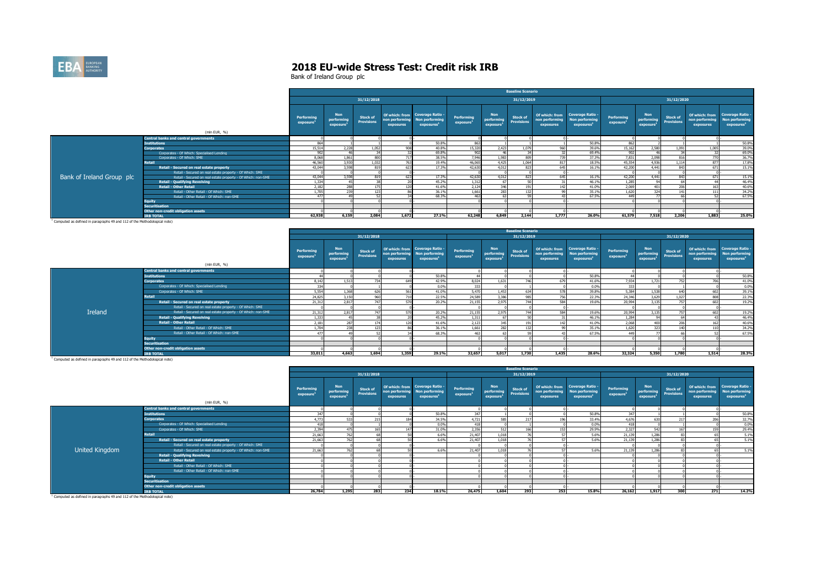

|                           |                                                              |                        |                                                   |                                      |           |                                                                                            |                        |                                                   | <b>Baseline Scenario</b>             |                             |                                                                             |                                     |                                                   |                                      |                             |                                                                             |
|---------------------------|--------------------------------------------------------------|------------------------|---------------------------------------------------|--------------------------------------|-----------|--------------------------------------------------------------------------------------------|------------------------|---------------------------------------------------|--------------------------------------|-----------------------------|-----------------------------------------------------------------------------|-------------------------------------|---------------------------------------------------|--------------------------------------|-----------------------------|-----------------------------------------------------------------------------|
|                           |                                                              |                        |                                                   | 31/12/2018                           |           |                                                                                            |                        |                                                   | 31/12/2019                           |                             |                                                                             |                                     |                                                   | 31/12/2020                           |                             |                                                                             |
|                           | (mln EUR, %)                                                 | Performing<br>exposure | <b>Non</b><br>performing<br>exposure <sup>1</sup> | <b>Stock of</b><br><b>Provisions</b> | exposures | Of which: from Coverage Ratio -<br>non performing Non performing<br>exposures <sup>1</sup> | Performing<br>exposure | <b>Non</b><br>performing<br>exposure <sup>1</sup> | <b>Stock of</b><br><b>Provisions</b> | non performing<br>exposures | Of which: from Coverage Ratio -<br>Non performing<br>exposures <sup>1</sup> | Performing<br>exposure <sup>1</sup> | <b>Non</b><br>performing<br>exposure <sup>1</sup> | <b>Stock of</b><br><b>Provisions</b> | non performing<br>exposures | Of which: from Coverage Ratio -<br>Non performing<br>exposures <sup>1</sup> |
|                           | <b>Central banks and central governments</b>                 |                        |                                                   |                                      |           |                                                                                            |                        |                                                   |                                      |                             |                                                                             |                                     |                                                   |                                      |                             |                                                                             |
|                           | <b>Institutions</b>                                          | 864                    |                                                   |                                      |           | 50.8%                                                                                      | 863                    |                                                   |                                      |                             | 50.8%                                                                       |                                     |                                                   |                                      |                             | 50.8%                                                                       |
|                           | <b>Corporates</b>                                            | 15,514                 | 2,228                                             | 1.052                                | <b>90</b> | 40.8%                                                                                      | 15,320                 | 2,423                                             |                                      | 960                         | 39.6%                                                                       | 15,162                              | 2,580                                             | 1.091                                | 1.005                       | 39.0%                                                                       |
|                           | Corporates - Of Which: Specialised Lending                   | 902                    |                                                   |                                      |           | 69.8%                                                                                      | 902                    |                                                   |                                      |                             | 69.4%                                                                       | 902                                 |                                                   |                                      |                             | 69.0%                                                                       |
|                           | Corporates - Of Which: SME                                   | 8.068                  | 1.861                                             | 800                                  | 717       | 38.5%                                                                                      | 7,946                  | 1.983                                             |                                      | 739                         | 37.3%                                                                       | 7,831                               | 2,098<br>4,936                                    | 816                                  |                             | 36.7%                                                                       |
|                           | <b>Retail</b>                                                | 46,560                 | 3,930                                             | 1.032                                | 763       | 19.4%                                                                                      | 46.065                 | 4,425                                             | 1.064                                | 817                         | 18.5%                                                                       | 45,554                              |                                                   | 1,114                                | 877                         | 17,8%                                                                       |
|                           | Retail - Secured on real estate property                     | 43,044                 | 3,598                                             | Q1Q                                  | 623       | 17.3%                                                                                      | 42,630                 | 4.017                                             | 823                                  | 645                         | 16.1%                                                                       | 42,200                              | 4.441                                             | 843                                  | 671                         | 15.1%                                                                       |
|                           | Retail - Secured on real estate property - Of Which: SME     |                        |                                                   |                                      |           |                                                                                            |                        |                                                   |                                      |                             |                                                                             |                                     |                                                   |                                      |                             |                                                                             |
| Bank of Ireland Group plc | Retail - Secured on real estate property - Of Which: non-SME | 43,044                 | 3.598                                             |                                      | 623       | 17.3%                                                                                      | 42,630                 | 4.012                                             | 823                                  | 645                         | 16.1%                                                                       | 42,200                              | 4.441                                             | 843                                  | 671                         | 15.1%                                                                       |
|                           | <b>Retail - Qualifying Revolving</b>                         | 1.334                  |                                                   |                                      |           | 45.2%                                                                                      | 1,312                  |                                                   |                                      |                             | 46.1%                                                                       | 1,285                               |                                                   |                                      |                             | 46.4%                                                                       |
|                           | <b>Retail - Other Retail</b>                                 | 2,182                  |                                                   |                                      | 171       | 41.6%                                                                                      | 2.124                  | 246                                               |                                      | 14                          | 41.0%                                                                       | 2.069                               | 401                                               | 206                                  |                             | 40.6%                                                                       |
|                           | Retail - Other Retail - Of Which: SME                        | 1.705                  | חכר                                               |                                      |           | 36.1%                                                                                      | 1,661                  |                                                   |                                      |                             | 35.1%                                                                       | 1.620                               | 22A                                               |                                      |                             | 34.2%                                                                       |
|                           | Retail - Other Retail - Of Which: non-SME                    | 477                    |                                                   |                                      |           | 68.3%                                                                                      |                        |                                                   |                                      |                             | 67.5%                                                                       |                                     |                                                   |                                      |                             | 67.5%                                                                       |
|                           | <b>Equity</b>                                                |                        |                                                   |                                      |           |                                                                                            |                        |                                                   |                                      |                             |                                                                             |                                     |                                                   |                                      |                             |                                                                             |
|                           | <b>Securitisation</b>                                        |                        |                                                   |                                      |           |                                                                                            |                        |                                                   |                                      |                             |                                                                             |                                     |                                                   |                                      |                             |                                                                             |
|                           | Other non-credit obligation assets                           |                        |                                                   |                                      |           |                                                                                            |                        |                                                   |                                      |                             |                                                                             |                                     |                                                   |                                      |                             |                                                                             |
|                           | <b><i>IRB TOTAL</i></b>                                      | 62.938                 | 6.159                                             | 2.084                                | 1,672     | 27.1%                                                                                      | 62,248                 | 6,849                                             | 2.144                                | 1.777                       | 26.0%                                                                       | 61.579                              | 7,518                                             | 2,206                                | 1,883                       | 25.0%                                                                       |

|                |                                                              |                                            |                                      |                                      |                             |                                                                                    |                                     |                                                   | <b>Baseline Scenario</b>             |                                               |                                                                     |                                     |                                      |                               |                                                                |                                                 |
|----------------|--------------------------------------------------------------|--------------------------------------------|--------------------------------------|--------------------------------------|-----------------------------|------------------------------------------------------------------------------------|-------------------------------------|---------------------------------------------------|--------------------------------------|-----------------------------------------------|---------------------------------------------------------------------|-------------------------------------|--------------------------------------|-------------------------------|----------------------------------------------------------------|-------------------------------------------------|
|                |                                                              |                                            |                                      | 31/12/2018                           |                             |                                                                                    |                                     |                                                   | 31/12/2019                           |                                               |                                                                     |                                     |                                      | 31/12/2020                    |                                                                |                                                 |
|                | (mln EUR, %)                                                 | <b>Performing</b><br>exposure <sup>2</sup> | <b>Non</b><br>performing<br>exposure | <b>Stock of</b><br><b>Provisions</b> | non performing<br>exposures | Of which: from Coverage Ratio -<br><b>Non performing</b><br>exposures <sup>1</sup> | Performing<br>exposure <sup>1</sup> | <b>Non</b><br>performing<br>exposure <sup>1</sup> | <b>Stock of</b><br><b>Provisions</b> | Of which: from<br>non performing<br>exposures | <b>Coverage Ratio -</b><br>Non performing<br>exposures <sup>1</sup> | Performing<br>exposure <sup>1</sup> | <b>Non</b><br>performing<br>exposure | <b>Stock of</b><br>Provisions | Of which: from Coverage Ratio -<br>non performing<br>exposures | <b>Non performing</b><br>exposures <sup>1</sup> |
|                | <b>Central banks and central governments</b>                 |                                            |                                      |                                      |                             |                                                                                    |                                     |                                                   |                                      |                                               |                                                                     |                                     |                                      |                               |                                                                |                                                 |
|                | <b>Institutions</b>                                          |                                            |                                      |                                      |                             | 50.8%                                                                              |                                     |                                                   |                                      |                                               | 50.8%                                                               |                                     |                                      |                               |                                                                |                                                 |
|                | <b>Corporates</b>                                            | 8.142                                      | 1.51                                 | 734                                  |                             | 42.9%                                                                              | 8.024                               | 1.631                                             | 74                                   | 679                                           | 41.6%                                                               | 7.934                               | 1.721                                |                               | 706                                                            | 50.8%<br>41.0%                                  |
|                | Corporates - Of Which: Specialised Lending                   | 334                                        |                                      |                                      |                             | 0.0%                                                                               | 333                                 |                                                   |                                      |                                               | 0.0%                                                                | 333                                 |                                      |                               |                                                                | 0.0%                                            |
|                | Corporates - Of Which: SME                                   | 5,554                                      | 1.368                                | 626                                  | EC <sub>1</sub>             | 41.0%                                                                              | 5.470                               | 1,453                                             | 63                                   |                                               | 39.8%                                                               | 5,384                               | 1,538                                |                               |                                                                | 39.1%                                           |
|                | Retail                                                       | 24,825                                     | 3,150                                | 960                                  |                             | 22.5%                                                                              | 24,589                              | 3,386                                             | ggt                                  | 756                                           | 22.3%                                                               | 24,346                              | 3.629                                | 1.027                         |                                                                | 22.3%                                           |
|                | Retail - Secured on real estate property                     | 21.312                                     | 2.817                                | 747                                  |                             | 20.2%                                                                              | 21.155                              | 2.975                                             | 744                                  | 584                                           | 19.6%                                                               | 20,994                              | 3.135                                | 757                           | co <sup>-</sup>                                                | 19.2%                                           |
|                | Retail - Secured on real estate property - Of Which: SME     |                                            |                                      |                                      |                             |                                                                                    |                                     |                                                   |                                      |                                               |                                                                     |                                     |                                      |                               |                                                                |                                                 |
| <b>Ireland</b> | Retail - Secured on real estate property - Of Which: non-SME | 21,312                                     | 2.817                                | 747                                  |                             | 20.2%                                                                              | 21.155                              | 2.975                                             | 744                                  | 584                                           | 19.6%                                                               | 20,994                              | 3.135                                |                               |                                                                | 19.2%                                           |
|                | <b>Retail - Qualifying Revolving</b>                         | 1,333                                      |                                      |                                      |                             | 45.2%                                                                              | 1.311                               |                                                   |                                      |                                               | 46.1%                                                               | 1.284                               |                                      |                               |                                                                | 46.4%                                           |
|                | <b>Retail - Other Retail</b>                                 | 2,181                                      | 287                                  | 174                                  |                             | 41.6%                                                                              | 2.123                               | 345                                               | 19                                   | 1421                                          | 41.0%                                                               | 2,068                               |                                      | 206                           |                                                                | 40.6%                                           |
|                | Retail - Other Retail - Of Which: SME                        | 1,704                                      |                                      | 123                                  |                             | 36.1%                                                                              | 1.661                               | 282                                               |                                      |                                               | 35.1%                                                               | 1,620                               |                                      |                               |                                                                | 34.2%                                           |
|                | Retail - Other Retail - Of Which: non-SME                    | 477                                        |                                      |                                      |                             | 68.3%                                                                              |                                     |                                                   |                                      |                                               | 67.5%                                                               | 449                                 |                                      |                               |                                                                | 67.5%                                           |
|                | <b>Equity</b>                                                |                                            |                                      |                                      |                             |                                                                                    |                                     |                                                   |                                      |                                               |                                                                     |                                     |                                      |                               |                                                                |                                                 |
|                | <b>Securitisation</b><br>Other non-credit obligation assets  |                                            |                                      |                                      |                             |                                                                                    |                                     |                                                   |                                      |                                               |                                                                     |                                     |                                      |                               |                                                                |                                                 |
|                | <b>IRB TOTAL</b>                                             | 33,011                                     | 4,663                                | 1,694                                | 1,359                       | 29.1%                                                                              | 32,657                              | 5.017                                             | 1,730                                | 1.435                                         | 28.6%                                                               | 32,324                              | 5,350                                | 1,780                         | 1.514                                                          | 28.3%                                           |
|                |                                                              |                                            |                                      |                                      |                             |                                                                                    |                                     |                                                   |                                      |                                               |                                                                     |                                     |                                      |                               |                                                                |                                                 |

| 31/12/2018<br>31/12/2019                                                                                                                                                                                                                                                                                                                                                                                                                                                                                                                                                                               | 31/12/2020                                                                                                                                               |
|--------------------------------------------------------------------------------------------------------------------------------------------------------------------------------------------------------------------------------------------------------------------------------------------------------------------------------------------------------------------------------------------------------------------------------------------------------------------------------------------------------------------------------------------------------------------------------------------------------|----------------------------------------------------------------------------------------------------------------------------------------------------------|
|                                                                                                                                                                                                                                                                                                                                                                                                                                                                                                                                                                                                        |                                                                                                                                                          |
| Of which: from Coverage Ratio -<br>Of which: from Coverage Ratio -<br><b>Non</b><br><b>Non</b><br><b>Non</b><br>Performing<br>Performing<br><b>Performing</b><br><b>Stock of</b><br><b>Stock of</b><br>performing<br>performing<br>performing<br>Non performing<br>non performing<br>non performing<br>Non performing<br><b>Provisions</b><br><b>Provisions</b><br>exposure <sup>1</sup><br>exposure <sup>1</sup><br>exposure<br>exposure <sup>1</sup><br>exposure <sup>1</sup><br>exposures<br>exposures <sup>1</sup><br>exposures<br>exposures <sup>1</sup><br>exposure <sup>1</sup><br>(mln EUR, %) | Of which: from Coverage Ratio -<br><b>Stock of</b><br><b>Non performing</b><br>non performing<br><b>Provisions</b><br>exposures<br>exposure <sup>1</sup> |
| <b>Central banks and central governments</b>                                                                                                                                                                                                                                                                                                                                                                                                                                                                                                                                                           |                                                                                                                                                          |
| <b>Institutions</b><br>50.8%<br>347<br>24<br>50.8%<br>347                                                                                                                                                                                                                                                                                                                                                                                                                                                                                                                                              | 50.8%                                                                                                                                                    |
| 4,773<br>34.5%<br>4.721<br>585<br>33.4%<br>4.676<br><b>Corporates</b>                                                                                                                                                                                                                                                                                                                                                                                                                                                                                                                                  | $\frac{32.7\%}{0.0\%}$<br>206                                                                                                                            |
| Corporates - Of Which: Specialised Lending<br>0.0%<br>418<br>418<br>418<br>0.0%                                                                                                                                                                                                                                                                                                                                                                                                                                                                                                                        |                                                                                                                                                          |
| Corporates - Of Which: SME<br>2,394<br>2.356<br>29.9%<br>2,327<br>31.0%<br>512<br>542<br>166<br>153<br>475                                                                                                                                                                                                                                                                                                                                                                                                                                                                                             | 29.4%<br>15                                                                                                                                              |
| <b>Retail</b><br>21,663<br>21,407<br>1.018<br>21,139<br>1.286<br>76<br>6.6%<br>5.6%                                                                                                                                                                                                                                                                                                                                                                                                                                                                                                                    | 5.1%                                                                                                                                                     |
| Retail - Secured on real estate property<br>21,663<br>6.6%<br>21,407<br>21,139<br>1.286<br>$\sim$<br>1.018<br>5.6%                                                                                                                                                                                                                                                                                                                                                                                                                                                                                     | 5.1%                                                                                                                                                     |
| Retail - Secured on real estate property - Of Which: SME                                                                                                                                                                                                                                                                                                                                                                                                                                                                                                                                               |                                                                                                                                                          |
| United Kingdom<br>Retail - Secured on real estate property - Of Which: non-SME<br>21.663<br>21.139<br>76<br>6.6%<br>21,407<br>1.018<br>1.286<br>5.6%                                                                                                                                                                                                                                                                                                                                                                                                                                                   | 5.1%                                                                                                                                                     |
| <b>Retail - Qualifying Revolving</b>                                                                                                                                                                                                                                                                                                                                                                                                                                                                                                                                                                   |                                                                                                                                                          |
| <b>Retail - Other Retail</b>                                                                                                                                                                                                                                                                                                                                                                                                                                                                                                                                                                           |                                                                                                                                                          |
| Retail - Other Retail - Of Which: SME                                                                                                                                                                                                                                                                                                                                                                                                                                                                                                                                                                  |                                                                                                                                                          |
| Retail - Other Retail - Of Which: non-SME                                                                                                                                                                                                                                                                                                                                                                                                                                                                                                                                                              |                                                                                                                                                          |
| Equity                                                                                                                                                                                                                                                                                                                                                                                                                                                                                                                                                                                                 |                                                                                                                                                          |
| <b>Securitisation</b>                                                                                                                                                                                                                                                                                                                                                                                                                                                                                                                                                                                  |                                                                                                                                                          |
| Other non-credit obligation assets                                                                                                                                                                                                                                                                                                                                                                                                                                                                                                                                                                     |                                                                                                                                                          |
| 26.784<br>1,295<br>283<br>234<br>26,475<br>293<br>18.1%<br>1,604<br>253<br>15.8%<br>26.162<br>1.917<br><b><i>IRB TOTAL</i></b>                                                                                                                                                                                                                                                                                                                                                                                                                                                                         | 300<br>14.2%<br>271                                                                                                                                      |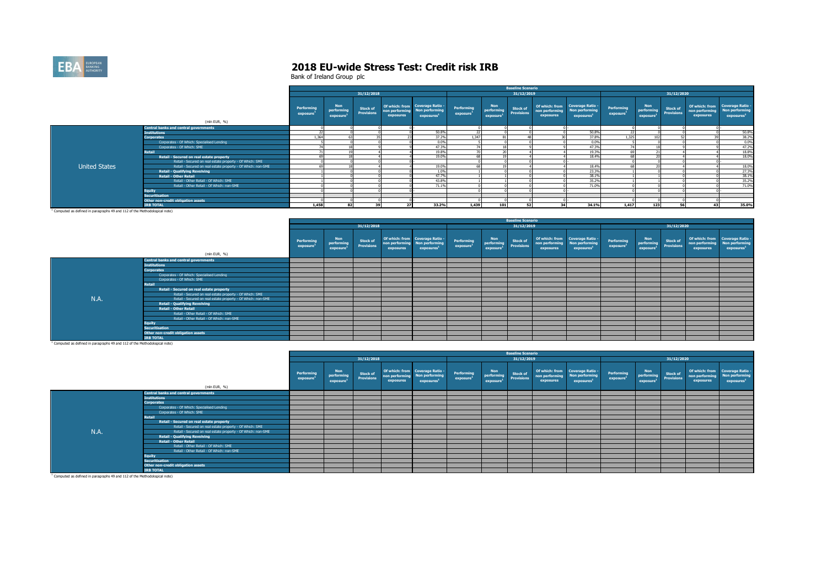

|                      |                                                              |                               |                                                   |                                      |                             |                                                                             |                                     |                                      | <b>Baseline Scenario</b>             |                             |                                                                             |                                     |                                                   |                                      |                             |                                                                                    |
|----------------------|--------------------------------------------------------------|-------------------------------|---------------------------------------------------|--------------------------------------|-----------------------------|-----------------------------------------------------------------------------|-------------------------------------|--------------------------------------|--------------------------------------|-----------------------------|-----------------------------------------------------------------------------|-------------------------------------|---------------------------------------------------|--------------------------------------|-----------------------------|------------------------------------------------------------------------------------|
|                      |                                                              |                               |                                                   | 31/12/2018                           |                             |                                                                             |                                     |                                      | 31/12/2019                           |                             |                                                                             |                                     |                                                   | 31/12/2020                           |                             |                                                                                    |
|                      |                                                              | <b>Performing</b><br>exposure | <b>Non</b><br>performing<br>exposure <sup>1</sup> | <b>Stock of</b><br><b>Provisions</b> | non performing<br>exposures | Of which: from Coverage Ratio -<br>Non performing<br>exposures <sup>1</sup> | Performing<br>exposure <sup>1</sup> | <b>Non</b><br>performing<br>exposure | <b>Stock of</b><br><b>Provisions</b> | non performing<br>exposures | Of which: from Coverage Ratio -<br>Non performing<br>exposures <sup>3</sup> | Performing<br>exposure <sup>1</sup> | <b>Non</b><br>performing<br>exposure <sup>1</sup> | <b>Stock of</b><br><b>Provisions</b> | non performing<br>exposures | Of which: from Coverage Ratio -<br><b>Non performing</b><br>exposures <sup>1</sup> |
|                      | (mln EUR, %)                                                 |                               |                                                   |                                      |                             |                                                                             |                                     |                                      |                                      |                             |                                                                             |                                     |                                                   |                                      |                             |                                                                                    |
|                      | <b>Central banks and central governments</b>                 |                               |                                                   |                                      |                             |                                                                             |                                     |                                      |                                      |                             |                                                                             |                                     |                                                   |                                      |                             |                                                                                    |
|                      | <b>Institutions</b>                                          |                               |                                                   |                                      |                             | 50.8%                                                                       | 22                                  |                                      |                                      |                             | 50.8%                                                                       | 22                                  |                                                   |                                      |                             | 50.8%                                                                              |
|                      | <b>Corporates</b>                                            | 1.364                         |                                                   |                                      |                             | 37.2%                                                                       | 1.347                               |                                      |                                      |                             | 37,8%                                                                       | 1.325                               | 50 <sup>2</sup>                                   |                                      |                             | $\frac{38.2\%}{0.0\%}$                                                             |
|                      | Corporates - Of Which: Specialised Lending                   |                               |                                                   |                                      |                             | 0.0%                                                                        |                                     |                                      |                                      |                             | 0.0%                                                                        |                                     |                                                   |                                      |                             |                                                                                    |
|                      | Corporates - Of Which: SME                                   |                               |                                                   |                                      |                             | 47.3%                                                                       |                                     |                                      |                                      |                             | 47.3%                                                                       | $\sim$                              |                                                   |                                      |                             | 47.2%                                                                              |
|                      | <b>Retail</b>                                                |                               |                                                   |                                      |                             | 19.8%                                                                       |                                     |                                      |                                      |                             | 19.3%                                                                       |                                     |                                                   |                                      |                             | 18.8%                                                                              |
|                      | Retail - Secured on real estate property                     |                               |                                                   |                                      |                             | 19.0%                                                                       |                                     |                                      |                                      |                             | 18.4%                                                                       |                                     |                                                   |                                      |                             | 18.0%                                                                              |
|                      | Retail - Secured on real estate property - Of Which: SME     |                               |                                                   |                                      |                             |                                                                             |                                     |                                      |                                      |                             |                                                                             |                                     |                                                   |                                      |                             |                                                                                    |
| <b>United States</b> | Retail - Secured on real estate property - Of Which: non-SME |                               |                                                   |                                      |                             | 19.0%                                                                       |                                     |                                      |                                      |                             | 18.4%                                                                       |                                     |                                                   |                                      |                             |                                                                                    |
|                      | <b>Retail - Qualifying Revolving</b>                         |                               |                                                   |                                      |                             | 1.0%                                                                        |                                     |                                      |                                      |                             | 23.3%                                                                       |                                     |                                                   |                                      |                             | 18.0%<br>27.3%                                                                     |
|                      | <b>Retail - Other Retail</b>                                 |                               |                                                   |                                      |                             | 47.7%                                                                       |                                     |                                      |                                      |                             | 38.19                                                                       |                                     |                                                   |                                      |                             | 38.1%<br>35.2%<br>71.0%                                                            |
|                      | Retail - Other Retail - Of Which: SME                        |                               |                                                   |                                      |                             | 43.8%                                                                       |                                     |                                      |                                      |                             | 35.2%                                                                       |                                     |                                                   |                                      |                             |                                                                                    |
|                      | Retail - Other Retail - Of Which: non-SME                    |                               |                                                   |                                      |                             | 71.1%                                                                       |                                     |                                      |                                      |                             | 71.0%                                                                       |                                     |                                                   |                                      |                             |                                                                                    |
|                      | <b>Equity</b>                                                |                               |                                                   |                                      |                             |                                                                             |                                     |                                      |                                      |                             |                                                                             |                                     |                                                   |                                      |                             |                                                                                    |
|                      | Securitisation                                               |                               |                                                   |                                      |                             |                                                                             |                                     |                                      |                                      |                             |                                                                             |                                     |                                                   |                                      |                             |                                                                                    |
|                      | Other non-credit obligation assets                           |                               |                                                   |                                      |                             |                                                                             |                                     |                                      |                                      |                             |                                                                             |                                     |                                                   |                                      |                             |                                                                                    |
|                      | <b>IRB TOTAL</b>                                             | 1,458                         |                                                   | 20                                   | 27                          | 33.2%                                                                       | 1,439                               | 101                                  |                                      |                             | 34.1%                                                                       | 1,417                               | 123                                               |                                      | 42                          | 35.0%                                                                              |

|                                                                                       |                                                              |                               |                                                   |                                      |           |                                                                                            |                                     |                                                   | <b>Baseline Scenario</b>             |                             |                                                                             |                                     |                                                              |                 |                             |                                                                             |
|---------------------------------------------------------------------------------------|--------------------------------------------------------------|-------------------------------|---------------------------------------------------|--------------------------------------|-----------|--------------------------------------------------------------------------------------------|-------------------------------------|---------------------------------------------------|--------------------------------------|-----------------------------|-----------------------------------------------------------------------------|-------------------------------------|--------------------------------------------------------------|-----------------|-----------------------------|-----------------------------------------------------------------------------|
|                                                                                       |                                                              |                               |                                                   | 31/12/2018                           |           |                                                                                            |                                     |                                                   | 31/12/2019                           |                             |                                                                             |                                     |                                                              | 31/12/2020      |                             |                                                                             |
|                                                                                       | (mln EUR, %)                                                 | <b>Performing</b><br>exposure | <b>Non</b><br>performing<br>exposure <sup>1</sup> | <b>Stock of</b><br><b>Provisions</b> | exposures | Of which: from Coverage Ratio -<br>non performing Non performing<br>exposures <sup>1</sup> | Performing<br>exposure <sup>1</sup> | <b>Non</b><br>performing<br>exposure <sup>1</sup> | <b>Stock of</b><br><b>Provisions</b> | non performing<br>exposures | Of which: from Coverage Ratio -<br>Non performing<br>exposures <sup>3</sup> | Performing<br>exposure <sup>3</sup> | <b>Non</b><br>performing Provisions<br>exposure <sup>1</sup> | <b>Stock of</b> | non performing<br>exposures | Of which: from Coverage Ratio -<br>Non performing<br>exposures <sup>1</sup> |
|                                                                                       | <b>Central banks and central governments</b>                 |                               |                                                   |                                      |           |                                                                                            |                                     |                                                   |                                      |                             |                                                                             |                                     |                                                              |                 |                             |                                                                             |
|                                                                                       | <b>Institutions</b>                                          |                               |                                                   |                                      |           |                                                                                            |                                     |                                                   |                                      |                             |                                                                             |                                     |                                                              |                 |                             |                                                                             |
|                                                                                       | <b>Corporates</b>                                            |                               |                                                   |                                      |           |                                                                                            |                                     |                                                   |                                      |                             |                                                                             |                                     |                                                              |                 |                             |                                                                             |
|                                                                                       | Corporates - Of Which: Specialised Lending                   |                               |                                                   |                                      |           |                                                                                            |                                     |                                                   |                                      |                             |                                                                             |                                     |                                                              |                 |                             |                                                                             |
|                                                                                       | Corporates - Of Which: SME                                   |                               |                                                   |                                      |           |                                                                                            |                                     |                                                   |                                      |                             |                                                                             |                                     |                                                              |                 |                             |                                                                             |
|                                                                                       | <b>Retail</b>                                                |                               |                                                   |                                      |           |                                                                                            |                                     |                                                   |                                      |                             |                                                                             |                                     |                                                              |                 |                             |                                                                             |
|                                                                                       | Retail - Secured on real estate property                     |                               |                                                   |                                      |           |                                                                                            |                                     |                                                   |                                      |                             |                                                                             |                                     |                                                              |                 |                             |                                                                             |
|                                                                                       | Retail - Secured on real estate property - Of Which: SME     |                               |                                                   |                                      |           |                                                                                            |                                     |                                                   |                                      |                             |                                                                             |                                     |                                                              |                 |                             |                                                                             |
| N.A.                                                                                  | Retail - Secured on real estate property - Of Which: non-SME |                               |                                                   |                                      |           |                                                                                            |                                     |                                                   |                                      |                             |                                                                             |                                     |                                                              |                 |                             |                                                                             |
|                                                                                       | <b>Retail - Qualifying Revolving</b>                         |                               |                                                   |                                      |           |                                                                                            |                                     |                                                   |                                      |                             |                                                                             |                                     |                                                              |                 |                             |                                                                             |
|                                                                                       | <b>Retail - Other Retail</b>                                 |                               |                                                   |                                      |           |                                                                                            |                                     |                                                   |                                      |                             |                                                                             |                                     |                                                              |                 |                             |                                                                             |
|                                                                                       | Retail - Other Retail - Of Which: SME                        |                               |                                                   |                                      |           |                                                                                            |                                     |                                                   |                                      |                             |                                                                             |                                     |                                                              |                 |                             |                                                                             |
|                                                                                       | Retail - Other Retail - Of Which: non-SME                    |                               |                                                   |                                      |           |                                                                                            |                                     |                                                   |                                      |                             |                                                                             |                                     |                                                              |                 |                             |                                                                             |
|                                                                                       | <b>Equity</b>                                                |                               |                                                   |                                      |           |                                                                                            |                                     |                                                   |                                      |                             |                                                                             |                                     |                                                              |                 |                             |                                                                             |
|                                                                                       | <b>Securitisation</b>                                        |                               |                                                   |                                      |           |                                                                                            |                                     |                                                   |                                      |                             |                                                                             |                                     |                                                              |                 |                             |                                                                             |
|                                                                                       | Other non-credit obligation assets                           |                               |                                                   |                                      |           |                                                                                            |                                     |                                                   |                                      |                             |                                                                             |                                     |                                                              |                 |                             |                                                                             |
|                                                                                       | <b>IRB TOTAL</b>                                             |                               |                                                   |                                      |           |                                                                                            |                                     |                                                   |                                      |                             |                                                                             |                                     |                                                              |                 |                             |                                                                             |
| <sup>1</sup> Computed as defined in paragraphs 49 and 112 of the Methodological note) |                                                              |                               |                                                   |                                      |           |                                                                                            |                                     |                                                   |                                      |                             |                                                                             |                                     |                                                              |                 |                             |                                                                             |

|                                                                                       |                                                              |                                     |                                                   |                                      |           |                                                                                            |                                     |                                                   | <b>Baseline Scenario</b>             |                             |                                                                             |                                     |                                                   |                                      |                             |                                                                             |
|---------------------------------------------------------------------------------------|--------------------------------------------------------------|-------------------------------------|---------------------------------------------------|--------------------------------------|-----------|--------------------------------------------------------------------------------------------|-------------------------------------|---------------------------------------------------|--------------------------------------|-----------------------------|-----------------------------------------------------------------------------|-------------------------------------|---------------------------------------------------|--------------------------------------|-----------------------------|-----------------------------------------------------------------------------|
|                                                                                       |                                                              |                                     |                                                   | 31/12/2018                           |           |                                                                                            |                                     |                                                   | 31/12/2019                           |                             |                                                                             |                                     |                                                   | 31/12/2020                           |                             |                                                                             |
|                                                                                       | (mln EUR, %)                                                 | Performing<br>exposure <sup>3</sup> | <b>Non</b><br>performing<br>exposure <sup>1</sup> | <b>Stock of</b><br><b>Provisions</b> | exposures | Of which: from Coverage Ratio -<br>non performing Non performing<br>exposures <sup>1</sup> | Performing<br>exposure <sup>1</sup> | <b>Non</b><br>performing<br>exposure <sup>1</sup> | <b>Stock of</b><br><b>Provisions</b> | non performing<br>exposures | Of which: from Coverage Ratio -<br>Non performing<br>exposures <sup>1</sup> | Performing<br>exposure <sup>1</sup> | <b>Non</b><br>performing<br>exposure <sup>1</sup> | <b>Stock of</b><br><b>Provisions</b> | non performing<br>exposures | Of which: from Coverage Ratio -<br>Non performing<br>exposures <sup>1</sup> |
|                                                                                       |                                                              |                                     |                                                   |                                      |           |                                                                                            |                                     |                                                   |                                      |                             |                                                                             |                                     |                                                   |                                      |                             |                                                                             |
|                                                                                       | <b>Central banks and central governments</b>                 |                                     |                                                   |                                      |           |                                                                                            |                                     |                                                   |                                      |                             |                                                                             |                                     |                                                   |                                      |                             |                                                                             |
|                                                                                       | <b>Institutions</b>                                          |                                     |                                                   |                                      |           |                                                                                            |                                     |                                                   |                                      |                             |                                                                             |                                     |                                                   |                                      |                             |                                                                             |
|                                                                                       | <b>Corporates</b>                                            |                                     |                                                   |                                      |           |                                                                                            |                                     |                                                   |                                      |                             |                                                                             |                                     |                                                   |                                      |                             |                                                                             |
|                                                                                       | Corporates - Of Which: Specialised Lending                   |                                     |                                                   |                                      |           |                                                                                            |                                     |                                                   |                                      |                             |                                                                             |                                     |                                                   |                                      |                             |                                                                             |
|                                                                                       | Corporates - Of Which: SME                                   |                                     |                                                   |                                      |           |                                                                                            |                                     |                                                   |                                      |                             |                                                                             |                                     |                                                   |                                      |                             |                                                                             |
|                                                                                       | Retail                                                       |                                     |                                                   |                                      |           |                                                                                            |                                     |                                                   |                                      |                             |                                                                             |                                     |                                                   |                                      |                             |                                                                             |
|                                                                                       | Retail - Secured on real estate property                     |                                     |                                                   |                                      |           |                                                                                            |                                     |                                                   |                                      |                             |                                                                             |                                     |                                                   |                                      |                             |                                                                             |
|                                                                                       | Retail - Secured on real estate property - Of Which: SME     |                                     |                                                   |                                      |           |                                                                                            |                                     |                                                   |                                      |                             |                                                                             |                                     |                                                   |                                      |                             |                                                                             |
| N.A.                                                                                  | Retail - Secured on real estate property - Of Which: non-SME |                                     |                                                   |                                      |           |                                                                                            |                                     |                                                   |                                      |                             |                                                                             |                                     |                                                   |                                      |                             |                                                                             |
|                                                                                       | <b>Retail - Qualifying Revolving</b>                         |                                     |                                                   |                                      |           |                                                                                            |                                     |                                                   |                                      |                             |                                                                             |                                     |                                                   |                                      |                             |                                                                             |
|                                                                                       | <b>Retail - Other Retail</b>                                 |                                     |                                                   |                                      |           |                                                                                            |                                     |                                                   |                                      |                             |                                                                             |                                     |                                                   |                                      |                             |                                                                             |
|                                                                                       | Retail - Other Retail - Of Which: SME                        |                                     |                                                   |                                      |           |                                                                                            |                                     |                                                   |                                      |                             |                                                                             |                                     |                                                   |                                      |                             |                                                                             |
|                                                                                       | Retail - Other Retail - Of Which: non-SME                    |                                     |                                                   |                                      |           |                                                                                            |                                     |                                                   |                                      |                             |                                                                             |                                     |                                                   |                                      |                             |                                                                             |
|                                                                                       | <b>Equity</b>                                                |                                     |                                                   |                                      |           |                                                                                            |                                     |                                                   |                                      |                             |                                                                             |                                     |                                                   |                                      |                             |                                                                             |
|                                                                                       | <b>Securitisation</b>                                        |                                     |                                                   |                                      |           |                                                                                            |                                     |                                                   |                                      |                             |                                                                             |                                     |                                                   |                                      |                             |                                                                             |
|                                                                                       | Other non-credit obligation assets                           |                                     |                                                   |                                      |           |                                                                                            |                                     |                                                   |                                      |                             |                                                                             |                                     |                                                   |                                      |                             |                                                                             |
|                                                                                       | <b>IRB TOTAL</b>                                             |                                     |                                                   |                                      |           |                                                                                            |                                     |                                                   |                                      |                             |                                                                             |                                     |                                                   |                                      |                             |                                                                             |
| <sup>1</sup> Computed as defined in paragraphs 49 and 112 of the Methodological note) |                                                              |                                     |                                                   |                                      |           |                                                                                            |                                     |                                                   |                                      |                             |                                                                             |                                     |                                                   |                                      |                             |                                                                             |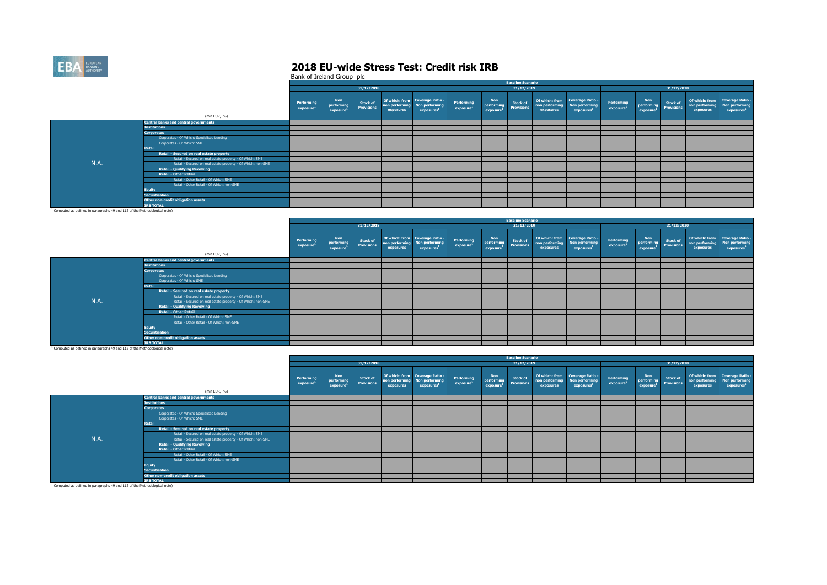

Bank of Ireland Group plc

|                                                                                                                                                                                                                                |                                                              |                        |                                                   |                                      |                             |                                                                             |                                     |                                      | <b>Baseline Scenario</b>             |                             |                                                                             |                                     |                                                   |                        |                             |                                                                             |
|--------------------------------------------------------------------------------------------------------------------------------------------------------------------------------------------------------------------------------|--------------------------------------------------------------|------------------------|---------------------------------------------------|--------------------------------------|-----------------------------|-----------------------------------------------------------------------------|-------------------------------------|--------------------------------------|--------------------------------------|-----------------------------|-----------------------------------------------------------------------------|-------------------------------------|---------------------------------------------------|------------------------|-----------------------------|-----------------------------------------------------------------------------|
|                                                                                                                                                                                                                                |                                                              |                        |                                                   | 31/12/2018                           |                             |                                                                             |                                     |                                      | 31/12/2019                           |                             |                                                                             |                                     |                                                   | 31/12/2020             |                             |                                                                             |
|                                                                                                                                                                                                                                | (mln EUR, %)                                                 | Performing<br>exposure | <b>Non</b><br>performing<br>exposure <sup>1</sup> | <b>Stock of</b><br><b>Provisions</b> | non performing<br>exposures | Of which: from Coverage Ratio -<br>Non performing<br>exposures <sup>1</sup> | Performing<br>exposure <sup>1</sup> | <b>Non</b><br>performing<br>exposure | <b>Stock of</b><br><b>Provisions</b> | non performing<br>exposures | Of which: from Coverage Ratio -<br>Non performing<br>exposures <sup>1</sup> | Performing<br>exposure <sup>1</sup> | <b>Non</b><br>performing<br>exposure <sup>1</sup> | Stock of<br>Provisions | non performing<br>exposures | Of which: from Coverage Ratio -<br>Non performing<br>exposures <sup>1</sup> |
|                                                                                                                                                                                                                                | <b>Central banks and central governments</b>                 |                        |                                                   |                                      |                             |                                                                             |                                     |                                      |                                      |                             |                                                                             |                                     |                                                   |                        |                             |                                                                             |
|                                                                                                                                                                                                                                | <b>Institutions</b>                                          |                        |                                                   |                                      |                             |                                                                             |                                     |                                      |                                      |                             |                                                                             |                                     |                                                   |                        |                             |                                                                             |
|                                                                                                                                                                                                                                | <b>Corporates</b>                                            |                        |                                                   |                                      |                             |                                                                             |                                     |                                      |                                      |                             |                                                                             |                                     |                                                   |                        |                             |                                                                             |
|                                                                                                                                                                                                                                | Corporates - Of Which: Specialised Lending                   |                        |                                                   |                                      |                             |                                                                             |                                     |                                      |                                      |                             |                                                                             |                                     |                                                   |                        |                             |                                                                             |
|                                                                                                                                                                                                                                | Corporates - Of Which: SME                                   |                        |                                                   |                                      |                             |                                                                             |                                     |                                      |                                      |                             |                                                                             |                                     |                                                   |                        |                             |                                                                             |
|                                                                                                                                                                                                                                | <b>Retail</b>                                                |                        |                                                   |                                      |                             |                                                                             |                                     |                                      |                                      |                             |                                                                             |                                     |                                                   |                        |                             |                                                                             |
|                                                                                                                                                                                                                                | Retail - Secured on real estate property                     |                        |                                                   |                                      |                             |                                                                             |                                     |                                      |                                      |                             |                                                                             |                                     |                                                   |                        |                             |                                                                             |
|                                                                                                                                                                                                                                | Retail - Secured on real estate property - Of Which: SME     |                        |                                                   |                                      |                             |                                                                             |                                     |                                      |                                      |                             |                                                                             |                                     |                                                   |                        |                             |                                                                             |
| N.A.                                                                                                                                                                                                                           | Retail - Secured on real estate property - Of Which: non-SME |                        |                                                   |                                      |                             |                                                                             |                                     |                                      |                                      |                             |                                                                             |                                     |                                                   |                        |                             |                                                                             |
|                                                                                                                                                                                                                                | <b>Retail - Qualifying Revolving</b>                         |                        |                                                   |                                      |                             |                                                                             |                                     |                                      |                                      |                             |                                                                             |                                     |                                                   |                        |                             |                                                                             |
|                                                                                                                                                                                                                                | <b>Retail - Other Retail</b>                                 |                        |                                                   |                                      |                             |                                                                             |                                     |                                      |                                      |                             |                                                                             |                                     |                                                   |                        |                             |                                                                             |
|                                                                                                                                                                                                                                | Retail - Other Retail - Of Which: SME                        |                        |                                                   |                                      |                             |                                                                             |                                     |                                      |                                      |                             |                                                                             |                                     |                                                   |                        |                             |                                                                             |
|                                                                                                                                                                                                                                | Retail - Other Retail - Of Which: non-SME                    |                        |                                                   |                                      |                             |                                                                             |                                     |                                      |                                      |                             |                                                                             |                                     |                                                   |                        |                             |                                                                             |
|                                                                                                                                                                                                                                | <b>Equity</b>                                                |                        |                                                   |                                      |                             |                                                                             |                                     |                                      |                                      |                             |                                                                             |                                     |                                                   |                        |                             |                                                                             |
|                                                                                                                                                                                                                                | <b>Securitisation</b>                                        |                        |                                                   |                                      |                             |                                                                             |                                     |                                      |                                      |                             |                                                                             |                                     |                                                   |                        |                             |                                                                             |
|                                                                                                                                                                                                                                | Other non-credit obligation assets                           |                        |                                                   |                                      |                             |                                                                             |                                     |                                      |                                      |                             |                                                                             |                                     |                                                   |                        |                             |                                                                             |
|                                                                                                                                                                                                                                | <b>TRB TOTAL</b>                                             |                        |                                                   |                                      |                             |                                                                             |                                     |                                      |                                      |                             |                                                                             |                                     |                                                   |                        |                             |                                                                             |
| the contract of the communication of the contract of the contract of the contract of the contract of the contract of the contract of the contract of the contract of the contract of the contract of the contract of the contr |                                                              |                        |                                                   |                                      |                             |                                                                             |                                     |                                      |                                      |                             |                                                                             |                                     |                                                   |                        |                             |                                                                             |

<sup>1</sup> Computed as defined in paragraphs 49 and 112 of the Methodological note)

|      |                                                              |                        |                               |                               |                             |                                                                             |                                     |                                            | <b>Baseline Scenario</b>             |                                            |                                                           |                                     |                                                   |                               |           |                                                                                            |
|------|--------------------------------------------------------------|------------------------|-------------------------------|-------------------------------|-----------------------------|-----------------------------------------------------------------------------|-------------------------------------|--------------------------------------------|--------------------------------------|--------------------------------------------|-----------------------------------------------------------|-------------------------------------|---------------------------------------------------|-------------------------------|-----------|--------------------------------------------------------------------------------------------|
|      |                                                              |                        |                               | 31/12/2018                    |                             |                                                                             |                                     |                                            | 31/12/2019                           |                                            |                                                           |                                     |                                                   | 31/12/2020                    |           |                                                                                            |
|      | (mln EUR, %)                                                 | Performing<br>exposure | Non<br>performing<br>exposure | Stock of<br><b>Provisions</b> | non performing<br>exposures | Of which: from Coverage Ratio -<br>Non performing<br>exposures <sup>1</sup> | Performing<br>exposure <sup>1</sup> | Non<br>performing<br>exposure <sup>1</sup> | <b>Stock of</b><br><b>Provisions</b> | non performing Non performing<br>exposures | Of which: from Coverage Ratio -<br>exposures <sup>1</sup> | Performing<br>exposure <sup>1</sup> | <b>Non</b><br>performing<br>exposure <sup>1</sup> | Stock of<br><b>Provisions</b> | exposures | Of which: from Coverage Ratio -<br>non performing Non performing<br>exposures <sup>1</sup> |
|      | <b>Central banks and central governments</b>                 |                        |                               |                               |                             |                                                                             |                                     |                                            |                                      |                                            |                                                           |                                     |                                                   |                               |           |                                                                                            |
|      | <b>Institutions</b>                                          |                        |                               |                               |                             |                                                                             |                                     |                                            |                                      |                                            |                                                           |                                     |                                                   |                               |           |                                                                                            |
|      | <b>Corporates</b>                                            |                        |                               |                               |                             |                                                                             |                                     |                                            |                                      |                                            |                                                           |                                     |                                                   |                               |           |                                                                                            |
|      | Corporates - Of Which: Specialised Lending                   |                        |                               |                               |                             |                                                                             |                                     |                                            |                                      |                                            |                                                           |                                     |                                                   |                               |           |                                                                                            |
|      | Corporates - Of Which: SME                                   |                        |                               |                               |                             |                                                                             |                                     |                                            |                                      |                                            |                                                           |                                     |                                                   |                               |           |                                                                                            |
|      | <b>Retail</b>                                                |                        |                               |                               |                             |                                                                             |                                     |                                            |                                      |                                            |                                                           |                                     |                                                   |                               |           |                                                                                            |
|      | Retail - Secured on real estate property                     |                        |                               |                               |                             |                                                                             |                                     |                                            |                                      |                                            |                                                           |                                     |                                                   |                               |           |                                                                                            |
|      | Retail - Secured on real estate property - Of Which: SME     |                        |                               |                               |                             |                                                                             |                                     |                                            |                                      |                                            |                                                           |                                     |                                                   |                               |           |                                                                                            |
| N.A. | Retail - Secured on real estate property - Of Which: non-SME |                        |                               |                               |                             |                                                                             |                                     |                                            |                                      |                                            |                                                           |                                     |                                                   |                               |           |                                                                                            |
|      | <b>Retail - Qualifying Revolving</b>                         |                        |                               |                               |                             |                                                                             |                                     |                                            |                                      |                                            |                                                           |                                     |                                                   |                               |           |                                                                                            |
|      | <b>Retail - Other Retail</b>                                 |                        |                               |                               |                             |                                                                             |                                     |                                            |                                      |                                            |                                                           |                                     |                                                   |                               |           |                                                                                            |
|      | Retail - Other Retail - Of Which: SME                        |                        |                               |                               |                             |                                                                             |                                     |                                            |                                      |                                            |                                                           |                                     |                                                   |                               |           |                                                                                            |
|      | Retail - Other Retail - Of Which: non-SME                    |                        |                               |                               |                             |                                                                             |                                     |                                            |                                      |                                            |                                                           |                                     |                                                   |                               |           |                                                                                            |
|      | <b>Equity</b>                                                |                        |                               |                               |                             |                                                                             |                                     |                                            |                                      |                                            |                                                           |                                     |                                                   |                               |           |                                                                                            |
|      | <b>Securitisation</b>                                        |                        |                               |                               |                             |                                                                             |                                     |                                            |                                      |                                            |                                                           |                                     |                                                   |                               |           |                                                                                            |
|      | Other non-credit obligation assets                           |                        |                               |                               |                             |                                                                             |                                     |                                            |                                      |                                            |                                                           |                                     |                                                   |                               |           |                                                                                            |
|      | <b>IRB TOTAL</b>                                             |                        |                               |                               |                             |                                                                             |                                     |                                            |                                      |                                            |                                                           |                                     |                                                   |                               |           |                                                                                            |

|                                                                                       |                                                              |                               |                                                   |                                      |           |                                                                               |                                     |                                      | <b>Baseline Scenario</b>             |                             |                                                                             |                        |                                                   |                        |                                            |                                                           |
|---------------------------------------------------------------------------------------|--------------------------------------------------------------|-------------------------------|---------------------------------------------------|--------------------------------------|-----------|-------------------------------------------------------------------------------|-------------------------------------|--------------------------------------|--------------------------------------|-----------------------------|-----------------------------------------------------------------------------|------------------------|---------------------------------------------------|------------------------|--------------------------------------------|-----------------------------------------------------------|
|                                                                                       |                                                              |                               |                                                   | 31/12/2018                           |           |                                                                               |                                     |                                      | 31/12/2019                           |                             |                                                                             |                        |                                                   | 31/12/2020             |                                            |                                                           |
|                                                                                       | (mln EUR, %)                                                 | <b>Performing</b><br>exposure | <b>Non</b><br>performing<br>exposure <sup>1</sup> | <b>Stock of</b><br><b>Provisions</b> | exposures | Of which: from Coverage Ratio -<br>non performing Non performing<br>exposures | Performing<br>exposure <sup>3</sup> | <b>Non</b><br>performing<br>exposure | <b>Stock of</b><br><b>Provisions</b> | non performing<br>exposures | Of which: from Coverage Ratio -<br>Non performing<br>exposures <sup>1</sup> | Performing<br>exposure | <b>Non</b><br>performing<br>exposure <sup>1</sup> | Stock of<br>Provisions | non performing Non performing<br>exposures | Of which: from Coverage Ratio -<br>exposures <sup>1</sup> |
|                                                                                       | <b>Central banks and central governments</b>                 |                               |                                                   |                                      |           |                                                                               |                                     |                                      |                                      |                             |                                                                             |                        |                                                   |                        |                                            |                                                           |
|                                                                                       | <b>Institutions</b>                                          |                               |                                                   |                                      |           |                                                                               |                                     |                                      |                                      |                             |                                                                             |                        |                                                   |                        |                                            |                                                           |
|                                                                                       | <b>Corporates</b>                                            |                               |                                                   |                                      |           |                                                                               |                                     |                                      |                                      |                             |                                                                             |                        |                                                   |                        |                                            |                                                           |
|                                                                                       | Corporates - Of Which: Specialised Lending                   |                               |                                                   |                                      |           |                                                                               |                                     |                                      |                                      |                             |                                                                             |                        |                                                   |                        |                                            |                                                           |
|                                                                                       | Corporates - Of Which: SME                                   |                               |                                                   |                                      |           |                                                                               |                                     |                                      |                                      |                             |                                                                             |                        |                                                   |                        |                                            |                                                           |
|                                                                                       | <b>Retail</b>                                                |                               |                                                   |                                      |           |                                                                               |                                     |                                      |                                      |                             |                                                                             |                        |                                                   |                        |                                            |                                                           |
|                                                                                       | Retail - Secured on real estate property                     |                               |                                                   |                                      |           |                                                                               |                                     |                                      |                                      |                             |                                                                             |                        |                                                   |                        |                                            |                                                           |
|                                                                                       | Retail - Secured on real estate property - Of Which: SME     |                               |                                                   |                                      |           |                                                                               |                                     |                                      |                                      |                             |                                                                             |                        |                                                   |                        |                                            |                                                           |
| N.A.                                                                                  | Retail - Secured on real estate property - Of Which: non-SME |                               |                                                   |                                      |           |                                                                               |                                     |                                      |                                      |                             |                                                                             |                        |                                                   |                        |                                            |                                                           |
|                                                                                       | <b>Retail - Qualifying Revolving</b>                         |                               |                                                   |                                      |           |                                                                               |                                     |                                      |                                      |                             |                                                                             |                        |                                                   |                        |                                            |                                                           |
|                                                                                       | <b>Retail - Other Retail</b>                                 |                               |                                                   |                                      |           |                                                                               |                                     |                                      |                                      |                             |                                                                             |                        |                                                   |                        |                                            |                                                           |
|                                                                                       | Retail - Other Retail - Of Which: SME                        |                               |                                                   |                                      |           |                                                                               |                                     |                                      |                                      |                             |                                                                             |                        |                                                   |                        |                                            |                                                           |
|                                                                                       | Retail - Other Retail - Of Which: non-SME                    |                               |                                                   |                                      |           |                                                                               |                                     |                                      |                                      |                             |                                                                             |                        |                                                   |                        |                                            |                                                           |
|                                                                                       | <b>Equity</b>                                                |                               |                                                   |                                      |           |                                                                               |                                     |                                      |                                      |                             |                                                                             |                        |                                                   |                        |                                            |                                                           |
|                                                                                       | <b>Securitisation</b>                                        |                               |                                                   |                                      |           |                                                                               |                                     |                                      |                                      |                             |                                                                             |                        |                                                   |                        |                                            |                                                           |
|                                                                                       | Other non-credit obligation assets                           |                               |                                                   |                                      |           |                                                                               |                                     |                                      |                                      |                             |                                                                             |                        |                                                   |                        |                                            |                                                           |
|                                                                                       | <b>IRB TOTAL</b>                                             |                               |                                                   |                                      |           |                                                                               |                                     |                                      |                                      |                             |                                                                             |                        |                                                   |                        |                                            |                                                           |
| <sup>1</sup> Computed as defined in paragraphs 49 and 112 of the Methodological note) |                                                              |                               |                                                   |                                      |           |                                                                               |                                     |                                      |                                      |                             |                                                                             |                        |                                                   |                        |                                            |                                                           |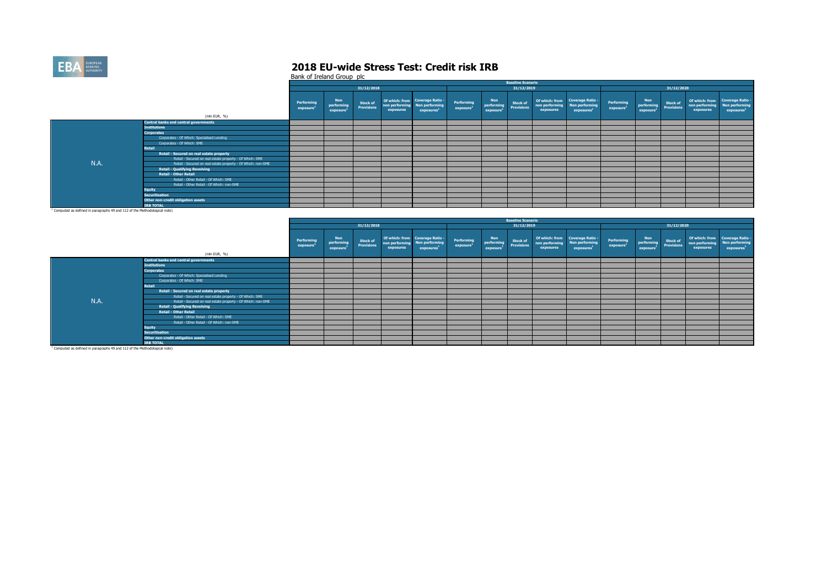

Bank of Ireland Group plc

|                                                                                                                                                                                                                                |                                                              |                        |                                                   |                               |                             |                                                                             |                                     |                                                   | <b>Baseline Scenario</b>             |                                            |                                                           |                                     |                                                   |                        |                             |                                                                             |
|--------------------------------------------------------------------------------------------------------------------------------------------------------------------------------------------------------------------------------|--------------------------------------------------------------|------------------------|---------------------------------------------------|-------------------------------|-----------------------------|-----------------------------------------------------------------------------|-------------------------------------|---------------------------------------------------|--------------------------------------|--------------------------------------------|-----------------------------------------------------------|-------------------------------------|---------------------------------------------------|------------------------|-----------------------------|-----------------------------------------------------------------------------|
|                                                                                                                                                                                                                                |                                                              |                        |                                                   | 31/12/2018                    |                             |                                                                             |                                     |                                                   | 31/12/2019                           |                                            |                                                           |                                     |                                                   | 31/12/2020             |                             |                                                                             |
|                                                                                                                                                                                                                                | (mln EUR, %)                                                 | Performing<br>exposure | <b>Non</b><br>performing<br>exposure <sup>1</sup> | Stock of<br><b>Provisions</b> | non performing<br>exposures | Of which: from Coverage Ratio -<br>Non performing<br>exposures <sup>1</sup> | Performing<br>exposure <sup>2</sup> | <b>Non</b><br>performing<br>exposure <sup>1</sup> | <b>Stock of</b><br><b>Provisions</b> | non performing Non performing<br>exposures | Of which: from Coverage Ratio -<br>exposures <sup>1</sup> | Performing<br>exposure <sup>1</sup> | <b>Non</b><br>performing<br>exposure <sup>1</sup> | Stock of<br>Provisions | non performing<br>exposures | Of which: from Coverage Ratio -<br>Non performing<br>exposures <sup>1</sup> |
|                                                                                                                                                                                                                                | <b>Central banks and central governments</b>                 |                        |                                                   |                               |                             |                                                                             |                                     |                                                   |                                      |                                            |                                                           |                                     |                                                   |                        |                             |                                                                             |
|                                                                                                                                                                                                                                | <b>Institutions</b>                                          |                        |                                                   |                               |                             |                                                                             |                                     |                                                   |                                      |                                            |                                                           |                                     |                                                   |                        |                             |                                                                             |
|                                                                                                                                                                                                                                | <b>Corporates</b>                                            |                        |                                                   |                               |                             |                                                                             |                                     |                                                   |                                      |                                            |                                                           |                                     |                                                   |                        |                             |                                                                             |
|                                                                                                                                                                                                                                | Corporates - Of Which: Specialised Lending                   |                        |                                                   |                               |                             |                                                                             |                                     |                                                   |                                      |                                            |                                                           |                                     |                                                   |                        |                             |                                                                             |
|                                                                                                                                                                                                                                | Corporates - Of Which: SME                                   |                        |                                                   |                               |                             |                                                                             |                                     |                                                   |                                      |                                            |                                                           |                                     |                                                   |                        |                             |                                                                             |
|                                                                                                                                                                                                                                | <b>Retail</b>                                                |                        |                                                   |                               |                             |                                                                             |                                     |                                                   |                                      |                                            |                                                           |                                     |                                                   |                        |                             |                                                                             |
|                                                                                                                                                                                                                                | Retail - Secured on real estate property                     |                        |                                                   |                               |                             |                                                                             |                                     |                                                   |                                      |                                            |                                                           |                                     |                                                   |                        |                             |                                                                             |
|                                                                                                                                                                                                                                | Retail - Secured on real estate property - Of Which: SME     |                        |                                                   |                               |                             |                                                                             |                                     |                                                   |                                      |                                            |                                                           |                                     |                                                   |                        |                             |                                                                             |
| N.A.                                                                                                                                                                                                                           | Retail - Secured on real estate property - Of Which: non-SME |                        |                                                   |                               |                             |                                                                             |                                     |                                                   |                                      |                                            |                                                           |                                     |                                                   |                        |                             |                                                                             |
|                                                                                                                                                                                                                                | <b>Retail - Qualifying Revolving</b>                         |                        |                                                   |                               |                             |                                                                             |                                     |                                                   |                                      |                                            |                                                           |                                     |                                                   |                        |                             |                                                                             |
|                                                                                                                                                                                                                                | <b>Retail - Other Retail</b>                                 |                        |                                                   |                               |                             |                                                                             |                                     |                                                   |                                      |                                            |                                                           |                                     |                                                   |                        |                             |                                                                             |
|                                                                                                                                                                                                                                | Retail - Other Retail - Of Which: SME                        |                        |                                                   |                               |                             |                                                                             |                                     |                                                   |                                      |                                            |                                                           |                                     |                                                   |                        |                             |                                                                             |
|                                                                                                                                                                                                                                | Retail - Other Retail - Of Which: non-SME                    |                        |                                                   |                               |                             |                                                                             |                                     |                                                   |                                      |                                            |                                                           |                                     |                                                   |                        |                             |                                                                             |
|                                                                                                                                                                                                                                | <b>Equity</b>                                                |                        |                                                   |                               |                             |                                                                             |                                     |                                                   |                                      |                                            |                                                           |                                     |                                                   |                        |                             |                                                                             |
|                                                                                                                                                                                                                                | <b>Securitisation</b>                                        |                        |                                                   |                               |                             |                                                                             |                                     |                                                   |                                      |                                            |                                                           |                                     |                                                   |                        |                             |                                                                             |
|                                                                                                                                                                                                                                | Other non-credit obligation assets                           |                        |                                                   |                               |                             |                                                                             |                                     |                                                   |                                      |                                            |                                                           |                                     |                                                   |                        |                             |                                                                             |
|                                                                                                                                                                                                                                | <b>IRB TOTAL</b>                                             |                        |                                                   |                               |                             |                                                                             |                                     |                                                   |                                      |                                            |                                                           |                                     |                                                   |                        |                             |                                                                             |
| the contract of the communication of the contract of the contract of the contract of the contract of the contract of the contract of the contract of the contract of the contract of the contract of the contract of the contr |                                                              |                        |                                                   |                               |                             |                                                                             |                                     |                                                   |                                      |                                            |                                                           |                                     |                                                   |                        |                             |                                                                             |

<sup>1</sup> Computed as defined in paragraphs 49 and 112 of the Methodological note)

|             |                                                              |                        |                                                   |                                      |                             |                                                                             |                                     |                               | <b>Baseline Scenario</b>             |           |                                                                                            |                                     |                                                   |                                      |                             |                                                                             |
|-------------|--------------------------------------------------------------|------------------------|---------------------------------------------------|--------------------------------------|-----------------------------|-----------------------------------------------------------------------------|-------------------------------------|-------------------------------|--------------------------------------|-----------|--------------------------------------------------------------------------------------------|-------------------------------------|---------------------------------------------------|--------------------------------------|-----------------------------|-----------------------------------------------------------------------------|
|             |                                                              |                        |                                                   | 31/12/2018                           |                             |                                                                             |                                     |                               | 31/12/2019                           |           |                                                                                            |                                     |                                                   | 31/12/2020                           |                             |                                                                             |
|             | (mln EUR, %)                                                 | Performing<br>exposure | <b>Non</b><br>performing<br>exposure <sup>1</sup> | <b>Stock of</b><br><b>Provisions</b> | non performing<br>exposures | Of which: from Coverage Ratio -<br>Non performing<br>exposures <sup>1</sup> | Performing<br>exposure <sup>1</sup> | Non<br>performing<br>exposure | <b>Stock of</b><br><b>Provisions</b> | exposures | Of which: from Coverage Ratio -<br>non performing Non performing<br>exposures <sup>1</sup> | Performing<br>exposure <sup>1</sup> | <b>Non</b><br>performing<br>exposure <sup>3</sup> | <b>Stock of</b><br><b>Provisions</b> | non performing<br>exposures | Of which: from Coverage Ratio -<br>Non performing<br>exposures <sup>1</sup> |
|             | <b>Central banks and central governments</b>                 |                        |                                                   |                                      |                             |                                                                             |                                     |                               |                                      |           |                                                                                            |                                     |                                                   |                                      |                             |                                                                             |
|             | <b>Institutions</b>                                          |                        |                                                   |                                      |                             |                                                                             |                                     |                               |                                      |           |                                                                                            |                                     |                                                   |                                      |                             |                                                                             |
|             | <b>Corporates</b>                                            |                        |                                                   |                                      |                             |                                                                             |                                     |                               |                                      |           |                                                                                            |                                     |                                                   |                                      |                             |                                                                             |
|             | Corporates - Of Which: Specialised Lending                   |                        |                                                   |                                      |                             |                                                                             |                                     |                               |                                      |           |                                                                                            |                                     |                                                   |                                      |                             |                                                                             |
|             | Corporates - Of Which: SME                                   |                        |                                                   |                                      |                             |                                                                             |                                     |                               |                                      |           |                                                                                            |                                     |                                                   |                                      |                             |                                                                             |
|             | Retail                                                       |                        |                                                   |                                      |                             |                                                                             |                                     |                               |                                      |           |                                                                                            |                                     |                                                   |                                      |                             |                                                                             |
|             | Retail - Secured on real estate property                     |                        |                                                   |                                      |                             |                                                                             |                                     |                               |                                      |           |                                                                                            |                                     |                                                   |                                      |                             |                                                                             |
|             | Retail - Secured on real estate property - Of Which: SME     |                        |                                                   |                                      |                             |                                                                             |                                     |                               |                                      |           |                                                                                            |                                     |                                                   |                                      |                             |                                                                             |
| <b>N.A.</b> | Retail - Secured on real estate property - Of Which: non-SME |                        |                                                   |                                      |                             |                                                                             |                                     |                               |                                      |           |                                                                                            |                                     |                                                   |                                      |                             |                                                                             |
|             | <b>Retail - Qualifying Revolving</b>                         |                        |                                                   |                                      |                             |                                                                             |                                     |                               |                                      |           |                                                                                            |                                     |                                                   |                                      |                             |                                                                             |
|             | <b>Retail - Other Retail</b>                                 |                        |                                                   |                                      |                             |                                                                             |                                     |                               |                                      |           |                                                                                            |                                     |                                                   |                                      |                             |                                                                             |
|             | Retail - Other Retail - Of Which: SME                        |                        |                                                   |                                      |                             |                                                                             |                                     |                               |                                      |           |                                                                                            |                                     |                                                   |                                      |                             |                                                                             |
|             | Retail - Other Retail - Of Which: non-SME                    |                        |                                                   |                                      |                             |                                                                             |                                     |                               |                                      |           |                                                                                            |                                     |                                                   |                                      |                             |                                                                             |
|             | <b>Equity</b>                                                |                        |                                                   |                                      |                             |                                                                             |                                     |                               |                                      |           |                                                                                            |                                     |                                                   |                                      |                             |                                                                             |
|             | <b>Securitisation</b>                                        |                        |                                                   |                                      |                             |                                                                             |                                     |                               |                                      |           |                                                                                            |                                     |                                                   |                                      |                             |                                                                             |
|             | Other non-credit obligation assets                           |                        |                                                   |                                      |                             |                                                                             |                                     |                               |                                      |           |                                                                                            |                                     |                                                   |                                      |                             |                                                                             |
|             | <b>IRB TOTAL</b>                                             |                        |                                                   |                                      |                             |                                                                             |                                     |                               |                                      |           |                                                                                            |                                     |                                                   |                                      |                             |                                                                             |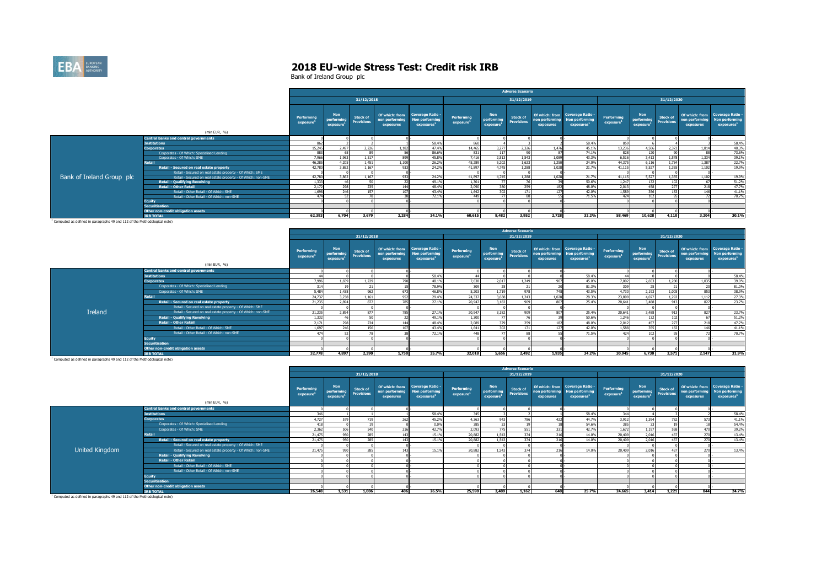

Bank of Ireland Group plc

|                           |                                                              |                        |                                      |                               |                                               |                                                                            |                                     |                                                   | <b>Adverse Scenario</b>              |                             |                                                                                    |                                     |                                                   |                                      |                             |                                                                             |
|---------------------------|--------------------------------------------------------------|------------------------|--------------------------------------|-------------------------------|-----------------------------------------------|----------------------------------------------------------------------------|-------------------------------------|---------------------------------------------------|--------------------------------------|-----------------------------|------------------------------------------------------------------------------------|-------------------------------------|---------------------------------------------------|--------------------------------------|-----------------------------|-----------------------------------------------------------------------------|
|                           |                                                              |                        |                                      | 31/12/2018                    |                                               |                                                                            |                                     |                                                   | 31/12/2019                           |                             |                                                                                    |                                     |                                                   | 31/12/2020                           |                             |                                                                             |
|                           | (mln EUR, %)                                                 | Performing<br>exposure | <b>Non</b><br>performing<br>exposure | Stock of<br><b>Provisions</b> | Of which: from<br>non performing<br>exposures | <b>Coverage Ratio -</b><br><b>Non performing</b><br>exposures <sup>1</sup> | Performing<br>exposure <sup>1</sup> | <b>Non</b><br>performing<br>exposure <sup>1</sup> | <b>Stock of</b><br><b>Provisions</b> | non performing<br>exposures | Of which: from Coverage Ratio -<br><b>Non performing</b><br>exposures <sup>1</sup> | Performing<br>exposure <sup>1</sup> | <b>Non</b><br>performing<br>exposure <sup>1</sup> | <b>Stock of</b><br><b>Provisions</b> | non performing<br>exposures | Of which: from Coverage Ratio -<br>Non performing<br>exposures <sup>1</sup> |
|                           | <b>Central banks and central governments</b>                 |                        |                                      |                               |                                               |                                                                            |                                     |                                                   |                                      |                             |                                                                                    |                                     |                                                   |                                      |                             |                                                                             |
|                           | <b>Institutions</b>                                          | 86                     |                                      |                               |                                               | 58.4%                                                                      | 860                                 |                                                   |                                      |                             | 58,4%                                                                              | 859                                 |                                                   |                                      |                             | 58,4%                                                                       |
|                           | <b>Corporates</b>                                            | 15,245                 | 2.497                                | 2.226                         | 1.182                                         | 47.4%                                                                      | 14,465                              | 3.277                                             | 2.326                                | 1.476                       | 45.1%                                                                              | 13,236                              | 4.506                                             | 2,372                                | 1.814                       | 40.3%                                                                       |
|                           | Corporates - Of Which: Specialised Lending                   | 88                     |                                      |                               |                                               | 86.6%                                                                      | 831                                 |                                                   |                                      |                             | 74.1%                                                                              | 828                                 |                                                   |                                      |                             | 73.6%                                                                       |
|                           | Corporates - Of Which: SME                                   | 7,966                  | 1.963                                | 1,517                         | 899                                           | 45.8%                                                                      | 7,416                               | 2,513                                             | 1,543                                | 1.089                       | 43.3%                                                                              | 6,516                               | 3,413                                             | 1,578                                | 1,334                       | 39.1%                                                                       |
|                           | <b>Retail</b>                                                | 46,285                 | 4.205                                | 1.451                         | 1,100                                         | 26.2%                                                                      | 45,289                              | 5,202                                             | 1,623                                | 1,250                       | 24.0%                                                                              | 44,375                              | 6.116                                             | 1.734                                | 1,387                       | 22,7%                                                                       |
|                           | Retail - Secured on real estate property                     | 42,780                 | 3,862                                | 1.167                         | 933                                           | 24.2%                                                                      | 41.897                              | 4.745                                             | 1.288                                | 1.028                       | 21.7%                                                                              | 41.115                              | 5.527                                             | 1.355                                | 1.102                       | 19.9%                                                                       |
|                           | Retail - Secured on real estate property - Of Which: SME     |                        |                                      |                               |                                               |                                                                            |                                     |                                                   |                                      |                             |                                                                                    |                                     |                                                   |                                      |                             |                                                                             |
| Bank of Ireland Group plc | Retail - Secured on real estate property - Of Which: non-SME | 42,780                 | 3.862                                | 1.167                         | 933                                           | 24.2%                                                                      | 41.897                              | 4.745                                             | 1.288                                | 1.028                       | 21.7%                                                                              | 41.115                              | 5.527                                             | 1.355                                | 1.102                       | 19.9%                                                                       |
|                           | <b>Retail - Qualifying Revolving</b>                         | 1,333                  |                                      |                               |                                               | 49.1%                                                                      | 1,301                               |                                                   |                                      |                             | 50.6%                                                                              | 1,247                               |                                                   | 102                                  |                             | 51.2%                                                                       |
|                           | <b>Retail - Other Retail</b>                                 | 2,172                  | 298                                  | 23                            | 144                                           | 48.4%                                                                      | 2,090                               | 380                                               | 259                                  |                             | 48.0%                                                                              | 2,013                               | 458                                               | 277                                  | 715                         | 47.7%                                                                       |
|                           | Retail - Other Retail - Of Which: SME                        | 1.698                  | 246                                  | 15                            | 107                                           | 43.4%                                                                      | 1.642                               | 202                                               | 171                                  |                             | 42.0%                                                                              | 1.589                               | 356                                               | 183                                  |                             | 41.1%                                                                       |
|                           | Retail - Other Retail - Of Which: non-SME                    | 474                    |                                      |                               |                                               | 72.1%                                                                      | 449                                 |                                                   |                                      |                             | 71.5%                                                                              | 424                                 |                                                   |                                      |                             | 70.7%                                                                       |
|                           | <b>Equity</b>                                                |                        |                                      |                               |                                               |                                                                            |                                     |                                                   |                                      |                             |                                                                                    |                                     |                                                   |                                      |                             |                                                                             |
|                           | <b>Securitisation</b>                                        |                        |                                      |                               |                                               |                                                                            |                                     |                                                   |                                      |                             |                                                                                    |                                     |                                                   |                                      |                             |                                                                             |
|                           | Other non-credit obligation assets                           |                        |                                      |                               |                                               |                                                                            |                                     |                                                   |                                      |                             |                                                                                    |                                     |                                                   |                                      |                             |                                                                             |
|                           | <b>TRB TOTAL</b>                                             | 62.393                 | 6.704                                | 3.679                         | 2,284                                         | 34.1%                                                                      | 60,615                              | 8,482                                             | 3,952                                | 2.728                       | 32.2%                                                                              | 58,469                              | 10,628                                            | 4.110                                | 3,204                       | 30.1%                                                                       |

|         |                                                              |                        |                                      |                                      |                                               |                                                                     |                                     |                                                   | <b>Adverse Scenario</b>        |           |                                                                                            |                        |                                                   |                                      |                             |                                                                             |
|---------|--------------------------------------------------------------|------------------------|--------------------------------------|--------------------------------------|-----------------------------------------------|---------------------------------------------------------------------|-------------------------------------|---------------------------------------------------|--------------------------------|-----------|--------------------------------------------------------------------------------------------|------------------------|---------------------------------------------------|--------------------------------------|-----------------------------|-----------------------------------------------------------------------------|
|         |                                                              |                        |                                      | 31/12/2018                           |                                               |                                                                     |                                     |                                                   | 31/12/2019                     |           |                                                                                            |                        |                                                   | 31/12/2020                           |                             |                                                                             |
|         | (mln EUR, %)                                                 | Performing<br>exposure | <b>Non</b><br>performing<br>exposure | <b>Stock of</b><br><b>Provisions</b> | Of which: from<br>non performing<br>exposures | <b>Coverage Ratio -</b><br>Non performing<br>exposures <sup>1</sup> | Performing<br>exposure <sup>1</sup> | <b>Non</b><br>performing<br>exposure <sup>+</sup> | <b>Stock of<br/>Provisions</b> | exposures | Of which: from Coverage Ratio -<br>non performing Non performing<br>exposures <sup>1</sup> | Performing<br>exposure | <b>Non</b><br>performing<br>exposure <sup>1</sup> | <b>Stock of</b><br><b>Provisions</b> | non performing<br>exposures | Of which: from Coverage Ratio -<br>Non performing<br>exposures <sup>1</sup> |
|         | <b>Central banks and central governments</b>                 |                        |                                      |                                      |                                               |                                                                     |                                     |                                                   |                                |           |                                                                                            |                        |                                                   |                                      |                             |                                                                             |
|         | <b>Institutions</b>                                          |                        |                                      |                                      |                                               | 58,4%                                                               |                                     |                                                   |                                |           | 58.4%                                                                                      |                        |                                                   |                                      |                             | 58.4%                                                                       |
|         | <b>Corporates</b>                                            | 7,996                  | 1.65                                 | 1.229                                | 798                                           | 48.19                                                               | 7.638                               | 2,017                                             | 1.249                          | 907       | 45.0%                                                                                      | 7,002                  | 2,653                                             | 1.280                                | 1,035                       | 39.0%                                                                       |
|         | Corporates - Of Which: Specialised Lending                   | 214                    |                                      | 21                                   |                                               | 78.9%                                                               | 200                                 |                                                   |                                |           | 81.3%                                                                                      | 309                    |                                                   |                                      |                             | 81.0%                                                                       |
|         | Corporates - Of Which: SME                                   | 5.484                  | 1,43                                 | 962                                  | 673                                           | 46.89                                                               | 5.203                               | 1,719                                             | 978                            | 741       | 43.5%                                                                                      | 4.730                  | 2,193                                             | 1,005                                | 853                         | 38.9%                                                                       |
|         | <b>Retail</b>                                                | 24,737                 | 3.23                                 | 1.161                                | 952                                           | 29.4%                                                               | 24,337                              | 3,638                                             | 1.243                          | 1.028     | 28.3%                                                                                      | 23,899                 | 4.077                                             | 1.292                                | 1.112                       | 27.3%                                                                       |
|         | Retail - Secured on real estate property                     | 21.235                 | 2.894                                | 877                                  | 785                                           | 27.1%                                                               | 20.947                              | 3.182                                             | 909                            | 807       | 25.4%                                                                                      | 20,641                 | 3.488                                             | 913                                  | 827                         | 23.7%                                                                       |
|         | Retail - Secured on real estate property - Of Which: SME     |                        |                                      |                                      |                                               |                                                                     |                                     |                                                   |                                |           |                                                                                            |                        |                                                   |                                      |                             |                                                                             |
| Ireland | Retail - Secured on real estate property - Of Which: non-SME | 21.235                 | 2,894                                | 877                                  | 785                                           | 27.1%                                                               | 20,947                              | 3.182                                             | 909                            | 807       | 25.4%                                                                                      | 20,641                 | 3,488                                             | 913                                  | 827                         | 23.7%                                                                       |
|         | <b>Retail - Qualifying Revolving</b>                         | 1.332                  |                                      | 50                                   |                                               | 49.1%                                                               | 1,300                               |                                                   |                                |           | 50.6%                                                                                      | 1.246                  | 132                                               | 102                                  |                             | 51.2%                                                                       |
|         | <b>Retail - Other Retail</b>                                 | 2.171                  |                                      | 234                                  | 144                                           | 48.4%                                                               | 2.089                               | 270                                               | 259                            | 187       | 48.0%                                                                                      | 2.012                  | 457                                               | 277                                  | 21                          | 47.7%                                                                       |
|         | Retail - Other Retail - Of Which: SME                        | 1.697                  |                                      | 156                                  | 107                                           | 43.4%                                                               | 1.641                               | 302                                               | 171                            | 127       | 42.0%                                                                                      | 1,588                  | 355                                               | 182                                  | 146                         | 41.1%                                                                       |
|         | Retail - Other Retail - Of Which: non-SME                    | 474                    |                                      |                                      |                                               | 72.1%                                                               | 448                                 |                                                   |                                |           | 71.5%                                                                                      | 424                    |                                                   |                                      |                             | 70.7%                                                                       |
|         | <b>Equity</b>                                                |                        |                                      |                                      |                                               |                                                                     |                                     |                                                   |                                |           |                                                                                            |                        |                                                   |                                      |                             |                                                                             |
|         | <b>Securitisation</b>                                        |                        |                                      |                                      |                                               |                                                                     |                                     |                                                   |                                |           |                                                                                            |                        |                                                   |                                      |                             |                                                                             |
|         | Other non-credit obligation assets                           |                        |                                      |                                      |                                               |                                                                     |                                     |                                                   |                                |           |                                                                                            |                        |                                                   |                                      |                             |                                                                             |
|         | <b>IRB TOTAL</b>                                             | 32,778                 | 4.897                                | 2,390                                | 1,750                                         | 35.7%                                                               | 32.018                              | 5,656                                             | 2.492                          | 1,935     | 34.2%                                                                                      | 30,945                 | 6,730                                             | 2.571                                | 2.147                       | 31.9%                                                                       |

|                                                                                       |                                                              |                        |                                                   |                                      |                                               |                                                                            |                                     |                                                         | <b>Adverse Scenario</b>              |                             |                                                                             |                                     |                                                          |                 |                             |                                                                                    |
|---------------------------------------------------------------------------------------|--------------------------------------------------------------|------------------------|---------------------------------------------------|--------------------------------------|-----------------------------------------------|----------------------------------------------------------------------------|-------------------------------------|---------------------------------------------------------|--------------------------------------|-----------------------------|-----------------------------------------------------------------------------|-------------------------------------|----------------------------------------------------------|-----------------|-----------------------------|------------------------------------------------------------------------------------|
|                                                                                       |                                                              |                        |                                                   | 31/12/2018                           |                                               |                                                                            |                                     |                                                         | 31/12/2019                           |                             |                                                                             |                                     |                                                          | 31/12/2020      |                             |                                                                                    |
|                                                                                       | (mln EUR, %)                                                 | Performing<br>exposure | <b>Non</b><br>performing<br>exposure <sup>2</sup> | <b>Stock of</b><br><b>Provisions</b> | Of which: from<br>non performing<br>exposures | <b>Coverage Ratio -</b><br><b>Non performing</b><br>exposures <sup>1</sup> | Performing<br>exposure <sup>1</sup> | Non <sup>1</sup><br>performing<br>exposure <sup>1</sup> | <b>Stock of</b><br><b>Provisions</b> | non performing<br>exposures | Of which: from Coverage Ratio -<br>Non performing<br>exposures <sup>1</sup> | Performing<br>exposure <sup>1</sup> | <b>Non</b><br><b>Provisions</b><br>exposure <sup>1</sup> | <b>Stock of</b> | non performing<br>exposures | Of which: from Coverage Ratio -<br><b>Non performing</b><br>exposures <sup>1</sup> |
|                                                                                       | <b>Central banks and central governments</b>                 |                        |                                                   |                                      |                                               |                                                                            |                                     |                                                         |                                      |                             |                                                                             |                                     |                                                          |                 |                             |                                                                                    |
|                                                                                       | <b>Institutions</b>                                          | 346                    |                                                   |                                      |                                               | 58.4%                                                                      | 345                                 |                                                         |                                      |                             | 58,4%                                                                       | 344                                 |                                                          |                 |                             | 58.4%                                                                              |
|                                                                                       | <b>Corporates</b>                                            | 4.727                  |                                                   | 719                                  |                                               | 45.29                                                                      | 4.363                               | Qd                                                      | 700                                  | 422                         | 44.7%                                                                       | 3.912                               | 1.394                                                    |                 |                             | 41.1%                                                                              |
|                                                                                       | Corporates - Of Which: Specialised Lending                   | 418                    |                                                   | $\overline{a}$                       |                                               | 0.0%                                                                       | 385                                 |                                                         |                                      |                             | 54.6%                                                                       | 385                                 |                                                          |                 |                             | 54.4%                                                                              |
|                                                                                       | Corporates - Of Which: SME                                   | 2,362                  | 506                                               | 540                                  | 216                                           | 42.7%                                                                      | 2.093                               | 775                                                     | 551                                  | 331                         | 42.7%                                                                       | 1.672                               | 1,197                                                    | 558             | 470                         | 39.2%                                                                              |
|                                                                                       | <b>Retail</b>                                                | 21,475                 | OSC                                               | 285                                  | 143                                           | 15.1%                                                                      | 20,882                              | 1,543                                                   | 374                                  | 216                         | 14.0%                                                                       | 20,409                              | 2,016                                                    | 437             | 270                         | 13.4%                                                                              |
|                                                                                       | Retail - Secured on real estate property                     | 21,475                 | <b>QC</b>                                         | 285                                  | 143                                           | 15.1%                                                                      | 20,882                              | 1,543                                                   | 374                                  | 216                         | 14.0%                                                                       | 20,409                              | 2,016                                                    | A2              | 270                         | 13.4%                                                                              |
|                                                                                       | Retail - Secured on real estate property - Of Which: SME     |                        |                                                   |                                      |                                               |                                                                            |                                     |                                                         |                                      |                             |                                                                             |                                     |                                                          |                 |                             |                                                                                    |
| United Kingdom                                                                        | Retail - Secured on real estate property - Of Which: non-SME | 21,475                 | 950                                               | 285                                  | 143                                           | 15.1%                                                                      | 20,882                              | 1.543                                                   | 374                                  | 216                         | 14.0%                                                                       | 20,409                              | 2.016                                                    | 437             | 270                         | 13,4%                                                                              |
|                                                                                       | <b>Retail - Qualifying Revolving</b>                         |                        |                                                   |                                      |                                               |                                                                            |                                     |                                                         |                                      |                             |                                                                             |                                     |                                                          |                 |                             |                                                                                    |
|                                                                                       | <b>Retail - Other Retail</b>                                 |                        |                                                   |                                      |                                               |                                                                            |                                     |                                                         |                                      |                             |                                                                             |                                     |                                                          |                 |                             |                                                                                    |
|                                                                                       | Retail - Other Retail - Of Which: SME                        |                        |                                                   |                                      |                                               |                                                                            |                                     |                                                         |                                      |                             |                                                                             |                                     |                                                          |                 |                             |                                                                                    |
|                                                                                       | Retail - Other Retail - Of Which: non-SME                    |                        |                                                   |                                      |                                               |                                                                            |                                     |                                                         |                                      |                             |                                                                             |                                     |                                                          |                 |                             |                                                                                    |
|                                                                                       | <b>Equity</b>                                                |                        |                                                   |                                      |                                               |                                                                            |                                     |                                                         |                                      |                             |                                                                             |                                     |                                                          |                 |                             |                                                                                    |
|                                                                                       | <b>Securitisation</b>                                        |                        |                                                   |                                      |                                               |                                                                            |                                     |                                                         |                                      |                             |                                                                             |                                     |                                                          |                 |                             |                                                                                    |
|                                                                                       | Other non-credit obligation assets                           | 26,548                 |                                                   |                                      |                                               |                                                                            |                                     |                                                         |                                      |                             |                                                                             |                                     |                                                          |                 |                             |                                                                                    |
|                                                                                       | <b>TRB TOTAL</b>                                             |                        |                                                   | 1,006<br>1.531                       | 406                                           | 26.5%                                                                      | 25,590                              | 2,489                                                   | 1.162                                | <b>640</b>                  | 25.7%                                                                       | 24,665                              | 3.414                                                    | 1,221           | 844                         | 24.7%                                                                              |
| <sup>1</sup> Computed as defined in paragraphs 49 and 112 of the Methodological note) |                                                              |                        |                                                   |                                      |                                               |                                                                            |                                     |                                                         |                                      |                             |                                                                             |                                     |                                                          |                 |                             |                                                                                    |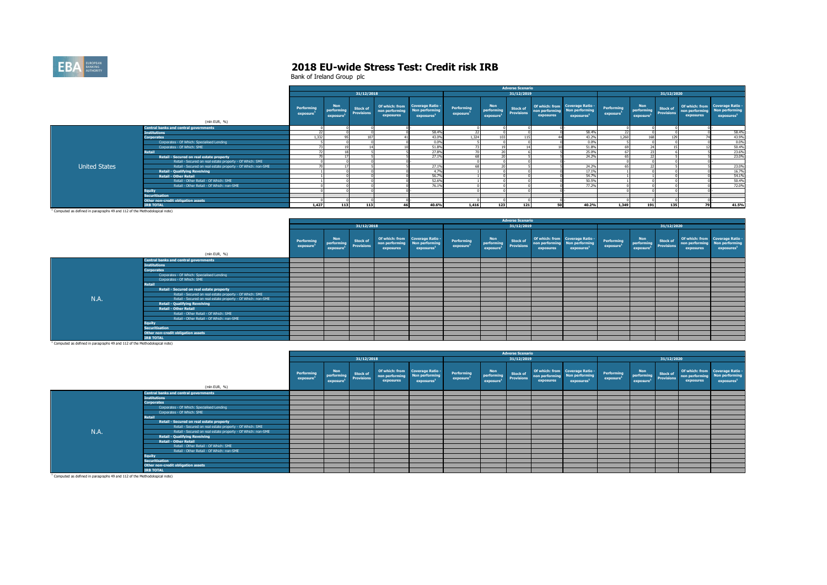

|                      |                                                              |                        |                                      |                                      |                                               |                                                              |                                     |                                      | <b>Adverse Scenario</b>              |                             |                                                                             |                                     |                                                   |                                      |           |                                                                                            |
|----------------------|--------------------------------------------------------------|------------------------|--------------------------------------|--------------------------------------|-----------------------------------------------|--------------------------------------------------------------|-------------------------------------|--------------------------------------|--------------------------------------|-----------------------------|-----------------------------------------------------------------------------|-------------------------------------|---------------------------------------------------|--------------------------------------|-----------|--------------------------------------------------------------------------------------------|
|                      |                                                              |                        |                                      | 31/12/2018                           |                                               |                                                              |                                     |                                      | 31/12/2019                           |                             |                                                                             |                                     |                                                   | 31/12/2020                           |           |                                                                                            |
|                      |                                                              | Performing<br>exposure | <b>Non</b><br>performing<br>exposure | <b>Stock of</b><br><b>Provisions</b> | Of which: from<br>non performing<br>exposures | Coverage Ratio -<br>Non performing<br>exposures <sup>1</sup> | Performing<br>exposure <sup>1</sup> | <b>Non</b><br>performing<br>exposure | <b>Stock of</b><br><b>Provisions</b> | non performing<br>exposures | Of which: from Coverage Ratio -<br>Non performing<br>exposures <sup>1</sup> | Performing<br>exposure <sup>1</sup> | <b>Non</b><br>performing<br>exposure <sup>1</sup> | <b>Stock of</b><br><b>Provisions</b> | exposures | Of which: from Coverage Ratio -<br>non performing Non performing<br>exposures <sup>1</sup> |
|                      | (mln EUR, %)                                                 |                        |                                      |                                      |                                               |                                                              |                                     |                                      |                                      |                             |                                                                             |                                     |                                                   |                                      |           |                                                                                            |
|                      | <b>Central banks and central governments</b>                 |                        |                                      |                                      |                                               |                                                              |                                     |                                      |                                      |                             |                                                                             |                                     |                                                   |                                      |           |                                                                                            |
|                      | <b>Institutions</b>                                          |                        |                                      |                                      |                                               | 58,4%                                                        | 22                                  |                                      |                                      |                             | 58,4%                                                                       | 22                                  |                                                   |                                      |           | 58.4%                                                                                      |
|                      | <b>Corporates</b>                                            | 1.332                  |                                      | 107                                  |                                               | 43.0%                                                        | 1.324                               |                                      | 115                                  |                             | 43.2%                                                                       | 1.260                               | 168                                               | 129                                  |           | 43.9%                                                                                      |
|                      | Corporates - Of Which: Specialised Lending                   |                        |                                      |                                      |                                               | 0.0%                                                         |                                     |                                      |                                      |                             | 0.0%                                                                        |                                     |                                                   |                                      |           | 0.0%                                                                                       |
|                      | Corporates - Of Which: SME                                   |                        |                                      |                                      |                                               | 51.8%                                                        | 72                                  |                                      |                                      |                             | 51.8%                                                                       | 69                                  |                                                   |                                      |           | 50.4%                                                                                      |
|                      | Retail                                                       |                        |                                      |                                      |                                               | 27,8%                                                        | $\sim$                              |                                      |                                      |                             | 25.0%                                                                       | 67                                  |                                                   |                                      |           | 23.6%                                                                                      |
|                      | Retail - Secured on real estate property                     |                        |                                      |                                      |                                               | 27.1%                                                        | 68                                  |                                      |                                      |                             | 24.2%                                                                       | 65                                  |                                                   |                                      |           | 23.0%                                                                                      |
|                      | Retail - Secured on real estate property - Of Which: SME     |                        |                                      |                                      |                                               |                                                              |                                     |                                      |                                      |                             |                                                                             |                                     |                                                   |                                      |           |                                                                                            |
| <b>United States</b> | Retail - Secured on real estate property - Of Which: non-SME |                        |                                      |                                      |                                               | 27.1%                                                        | 68                                  |                                      |                                      |                             | 24.2%                                                                       | 65                                  |                                                   |                                      |           | 23.0%                                                                                      |
|                      | <b>Retail - Qualifying Revolving</b>                         |                        |                                      |                                      |                                               | 4.7%                                                         |                                     |                                      |                                      |                             | 17.1%                                                                       |                                     |                                                   |                                      |           | 16.7%                                                                                      |
|                      | <b>Retail - Other Retail</b>                                 |                        |                                      |                                      |                                               | 56.7%                                                        |                                     |                                      |                                      |                             | 54.7%                                                                       |                                     |                                                   |                                      |           | 54.1%                                                                                      |
|                      | Retail - Other Retail - Of Which: SME                        |                        |                                      |                                      |                                               | 52.6%                                                        |                                     |                                      |                                      |                             | 50.5%                                                                       |                                     |                                                   |                                      |           | 50.4%                                                                                      |
|                      | Retail - Other Retail - Of Which: non-SME                    |                        |                                      |                                      |                                               | 76.1%                                                        |                                     |                                      |                                      |                             | 77.2%                                                                       |                                     |                                                   |                                      |           | 72.0%                                                                                      |
|                      | <b>Equity</b>                                                |                        |                                      |                                      |                                               |                                                              |                                     |                                      |                                      |                             |                                                                             |                                     |                                                   |                                      |           |                                                                                            |
|                      | <b>Securitisation</b>                                        |                        |                                      |                                      |                                               |                                                              |                                     |                                      |                                      |                             |                                                                             |                                     |                                                   |                                      |           |                                                                                            |
|                      | Other non-credit obligation assets                           |                        |                                      |                                      |                                               |                                                              |                                     |                                      |                                      |                             |                                                                             |                                     |                                                   |                                      |           |                                                                                            |
|                      | <b>IRB TOTAL</b>                                             | 1,427                  | 113                                  | 113                                  |                                               | 40.6%                                                        | 1.416                               | 123                                  | 121                                  |                             | 40.2%                                                                       | 1,349                               | 191                                               | 135                                  | 79        | 41.5%                                                                                      |

|     |                                                                                       |                               |                               |                                      |                                               |                                                                           |                                     |                                      | <b>Adverse Scenario</b>              |           |                                                                                            |                                     |                                                              |                 |                             |                                                                             |
|-----|---------------------------------------------------------------------------------------|-------------------------------|-------------------------------|--------------------------------------|-----------------------------------------------|---------------------------------------------------------------------------|-------------------------------------|--------------------------------------|--------------------------------------|-----------|--------------------------------------------------------------------------------------------|-------------------------------------|--------------------------------------------------------------|-----------------|-----------------------------|-----------------------------------------------------------------------------|
|     |                                                                                       |                               |                               | 31/12/2018                           |                                               |                                                                           |                                     |                                      | 31/12/2019                           |           |                                                                                            |                                     |                                                              | 31/12/2020      |                             |                                                                             |
|     | (mln EUR, %)                                                                          | <b>Performing</b><br>exposure | Non<br>performing<br>exposure | <b>Stock of</b><br><b>Provisions</b> | Of which: from<br>non performing<br>exposures | <b>Coverage Ratio -</b><br><b>Non performing</b><br>exposure <sup>1</sup> | Performing<br>exposure <sup>1</sup> | <b>Non</b><br>performing<br>exposure | <b>Stock of</b><br><b>Provisions</b> | exposures | Of which: from Coverage Ratio -<br>non performing Non performing<br>exposures <sup>1</sup> | Performing<br>exposure <sup>1</sup> | <b>Non</b><br>performing Provisions<br>exposure <sup>1</sup> | <b>Stock of</b> | non performing<br>exposures | Of which: from Coverage Ratio -<br>Non performing<br>exposures <sup>1</sup> |
|     | <b>Central banks and central governments</b>                                          |                               |                               |                                      |                                               |                                                                           |                                     |                                      |                                      |           |                                                                                            |                                     |                                                              |                 |                             |                                                                             |
|     | <b>Institutions</b>                                                                   |                               |                               |                                      |                                               |                                                                           |                                     |                                      |                                      |           |                                                                                            |                                     |                                                              |                 |                             |                                                                             |
|     | <b>Corporates</b>                                                                     |                               |                               |                                      |                                               |                                                                           |                                     |                                      |                                      |           |                                                                                            |                                     |                                                              |                 |                             |                                                                             |
|     | Corporates - Of Which: Specialised Lending                                            |                               |                               |                                      |                                               |                                                                           |                                     |                                      |                                      |           |                                                                                            |                                     |                                                              |                 |                             |                                                                             |
|     | Corporates - Of Which: SME                                                            |                               |                               |                                      |                                               |                                                                           |                                     |                                      |                                      |           |                                                                                            |                                     |                                                              |                 |                             |                                                                             |
|     | Retail                                                                                |                               |                               |                                      |                                               |                                                                           |                                     |                                      |                                      |           |                                                                                            |                                     |                                                              |                 |                             |                                                                             |
|     | Retail - Secured on real estate property                                              |                               |                               |                                      |                                               |                                                                           |                                     |                                      |                                      |           |                                                                                            |                                     |                                                              |                 |                             |                                                                             |
|     | Retail - Secured on real estate property - Of Which: SME                              |                               |                               |                                      |                                               |                                                                           |                                     |                                      |                                      |           |                                                                                            |                                     |                                                              |                 |                             |                                                                             |
| N.A | Retail - Secured on real estate property - Of Which: non-SME                          |                               |                               |                                      |                                               |                                                                           |                                     |                                      |                                      |           |                                                                                            |                                     |                                                              |                 |                             |                                                                             |
|     | <b>Retail - Qualifying Revolving</b>                                                  |                               |                               |                                      |                                               |                                                                           |                                     |                                      |                                      |           |                                                                                            |                                     |                                                              |                 |                             |                                                                             |
|     | <b>Retail - Other Retail</b>                                                          |                               |                               |                                      |                                               |                                                                           |                                     |                                      |                                      |           |                                                                                            |                                     |                                                              |                 |                             |                                                                             |
|     | Retail - Other Retail - Of Which: SME                                                 |                               |                               |                                      |                                               |                                                                           |                                     |                                      |                                      |           |                                                                                            |                                     |                                                              |                 |                             |                                                                             |
|     | Retail - Other Retail - Of Which: non-SME                                             |                               |                               |                                      |                                               |                                                                           |                                     |                                      |                                      |           |                                                                                            |                                     |                                                              |                 |                             |                                                                             |
|     | Equity<br>Securitisation                                                              |                               |                               |                                      |                                               |                                                                           |                                     |                                      |                                      |           |                                                                                            |                                     |                                                              |                 |                             |                                                                             |
|     |                                                                                       |                               |                               |                                      |                                               |                                                                           |                                     |                                      |                                      |           |                                                                                            |                                     |                                                              |                 |                             |                                                                             |
|     | Other non-credit obligation assets                                                    |                               |                               |                                      |                                               |                                                                           |                                     |                                      |                                      |           |                                                                                            |                                     |                                                              |                 |                             |                                                                             |
|     | <b>IRB TOTAL</b>                                                                      |                               |                               |                                      |                                               |                                                                           |                                     |                                      |                                      |           |                                                                                            |                                     |                                                              |                 |                             |                                                                             |
|     | <sup>1</sup> Computed as defined in paragraphs 49 and 112 of the Methodological note) |                               |                               |                                      |                                               |                                                                           |                                     |                                      |                                      |           |                                                                                            |                                     |                                                              |                 |                             |                                                                             |

|                                                                                       |                                                              |                                     |                               |                                      |                                               |                                                                            |                                     |                                      | <b>Adverse Scenario</b>              |           |                                                                                            |                                     |                                          |                 |                             |                                                                                    |
|---------------------------------------------------------------------------------------|--------------------------------------------------------------|-------------------------------------|-------------------------------|--------------------------------------|-----------------------------------------------|----------------------------------------------------------------------------|-------------------------------------|--------------------------------------|--------------------------------------|-----------|--------------------------------------------------------------------------------------------|-------------------------------------|------------------------------------------|-----------------|-----------------------------|------------------------------------------------------------------------------------|
|                                                                                       |                                                              |                                     |                               | 31/12/2018                           |                                               |                                                                            |                                     |                                      | 31/12/2019                           |           |                                                                                            |                                     |                                          | 31/12/2020      |                             |                                                                                    |
|                                                                                       | (mln EUR, %)                                                 | Performing<br>exposure <sup>1</sup> | Non<br>performing<br>exposure | <b>Stock of</b><br><b>Provisions</b> | Of which: from<br>non performing<br>exposures | <b>Coverage Ratio -</b><br><b>Non performing</b><br>exposures <sup>1</sup> | Performing<br>exposure <sup>1</sup> | <b>Non</b><br>performing<br>exposure | <b>Stock of</b><br><b>Provisions</b> | exposures | Of which: from Coverage Ratio -<br>non performing Non performing<br>exposures <sup>1</sup> | Performing<br>exposure <sup>1</sup> | Non<br>performing Provisions<br>exposure | <b>Stock of</b> | non performing<br>exposures | Of which: from Coverage Ratio -<br><b>Non performing</b><br>exposures <sup>1</sup> |
|                                                                                       | <b>Central banks and central governments</b>                 |                                     |                               |                                      |                                               |                                                                            |                                     |                                      |                                      |           |                                                                                            |                                     |                                          |                 |                             |                                                                                    |
|                                                                                       | <b>Institutions</b>                                          |                                     |                               |                                      |                                               |                                                                            |                                     |                                      |                                      |           |                                                                                            |                                     |                                          |                 |                             |                                                                                    |
|                                                                                       | <b>Corporates</b>                                            |                                     |                               |                                      |                                               |                                                                            |                                     |                                      |                                      |           |                                                                                            |                                     |                                          |                 |                             |                                                                                    |
|                                                                                       | Corporates - Of Which: Specialised Lending                   |                                     |                               |                                      |                                               |                                                                            |                                     |                                      |                                      |           |                                                                                            |                                     |                                          |                 |                             |                                                                                    |
|                                                                                       | Corporates - Of Which: SME                                   |                                     |                               |                                      |                                               |                                                                            |                                     |                                      |                                      |           |                                                                                            |                                     |                                          |                 |                             |                                                                                    |
|                                                                                       | Retail                                                       |                                     |                               |                                      |                                               |                                                                            |                                     |                                      |                                      |           |                                                                                            |                                     |                                          |                 |                             |                                                                                    |
|                                                                                       | Retail - Secured on real estate property                     |                                     |                               |                                      |                                               |                                                                            |                                     |                                      |                                      |           |                                                                                            |                                     |                                          |                 |                             |                                                                                    |
|                                                                                       | Retail - Secured on real estate property - Of Which: SME     |                                     |                               |                                      |                                               |                                                                            |                                     |                                      |                                      |           |                                                                                            |                                     |                                          |                 |                             |                                                                                    |
| N.A.                                                                                  | Retail - Secured on real estate property - Of Which: non-SME |                                     |                               |                                      |                                               |                                                                            |                                     |                                      |                                      |           |                                                                                            |                                     |                                          |                 |                             |                                                                                    |
|                                                                                       | <b>Retail - Qualifying Revolving</b>                         |                                     |                               |                                      |                                               |                                                                            |                                     |                                      |                                      |           |                                                                                            |                                     |                                          |                 |                             |                                                                                    |
|                                                                                       | <b>Retail - Other Retail</b>                                 |                                     |                               |                                      |                                               |                                                                            |                                     |                                      |                                      |           |                                                                                            |                                     |                                          |                 |                             |                                                                                    |
|                                                                                       | Retail - Other Retail - Of Which: SME                        |                                     |                               |                                      |                                               |                                                                            |                                     |                                      |                                      |           |                                                                                            |                                     |                                          |                 |                             |                                                                                    |
|                                                                                       | Retail - Other Retail - Of Which: non-SME                    |                                     |                               |                                      |                                               |                                                                            |                                     |                                      |                                      |           |                                                                                            |                                     |                                          |                 |                             |                                                                                    |
|                                                                                       | <b>Equity</b>                                                |                                     |                               |                                      |                                               |                                                                            |                                     |                                      |                                      |           |                                                                                            |                                     |                                          |                 |                             |                                                                                    |
|                                                                                       | <b>Securitisation</b>                                        |                                     |                               |                                      |                                               |                                                                            |                                     |                                      |                                      |           |                                                                                            |                                     |                                          |                 |                             |                                                                                    |
|                                                                                       | Other non-credit obligation assets                           |                                     |                               |                                      |                                               |                                                                            |                                     |                                      |                                      |           |                                                                                            |                                     |                                          |                 |                             |                                                                                    |
|                                                                                       | <b>IRB TOTAL</b>                                             |                                     |                               |                                      |                                               |                                                                            |                                     |                                      |                                      |           |                                                                                            |                                     |                                          |                 |                             |                                                                                    |
| <sup>1</sup> Computed as defined in paragraphs 49 and 112 of the Methodological note) |                                                              |                                     |                               |                                      |                                               |                                                                            |                                     |                                      |                                      |           |                                                                                            |                                     |                                          |                 |                             |                                                                                    |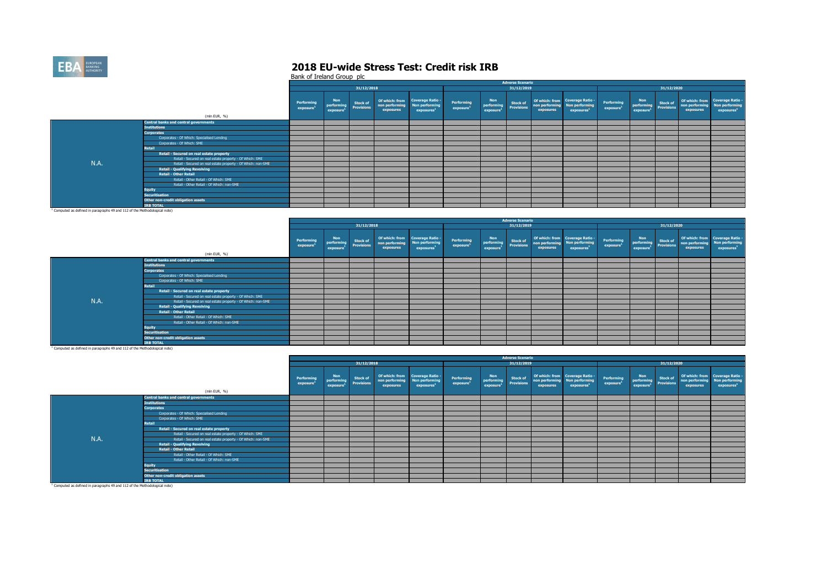

Bank of Ireland Group plc

|                                                                                   |                                                              |                        |                                                   |                                      |                             |                                                                             |                                     |                                                   | <b>Adverse Scenario</b>        |                             |                                                                             |                                     |                                                   |                                |                             |                                                                                    |
|-----------------------------------------------------------------------------------|--------------------------------------------------------------|------------------------|---------------------------------------------------|--------------------------------------|-----------------------------|-----------------------------------------------------------------------------|-------------------------------------|---------------------------------------------------|--------------------------------|-----------------------------|-----------------------------------------------------------------------------|-------------------------------------|---------------------------------------------------|--------------------------------|-----------------------------|------------------------------------------------------------------------------------|
|                                                                                   |                                                              |                        |                                                   | 31/12/2018                           |                             |                                                                             |                                     |                                                   | 31/12/2019                     |                             |                                                                             |                                     |                                                   | 31/12/2020                     |                             |                                                                                    |
|                                                                                   | (mln EUR, %)                                                 | Performing<br>exposure | <b>Non</b><br>performing<br>exposure <sup>3</sup> | <b>Stock of</b><br><b>Provisions</b> | non performing<br>exposures | Of which: from Coverage Ratio -<br>Non performing<br>exposures <sup>1</sup> | Performing<br>exposure <sup>1</sup> | <b>Non</b><br>performing<br>exposure <sup>1</sup> | <b>Stock of<br/>Provisions</b> | non performing<br>exposures | Of which: from Coverage Ratio -<br>Non performing<br>exposures <sup>1</sup> | Performing<br>exposure <sup>1</sup> | <b>Non</b><br>performing<br>exposure <sup>1</sup> | <b>Stock of<br/>Provisions</b> | non performing<br>exposures | Of which: from Coverage Ratio -<br><b>Non performing</b><br>exposures <sup>1</sup> |
|                                                                                   | <b>Central banks and central governments</b>                 |                        |                                                   |                                      |                             |                                                                             |                                     |                                                   |                                |                             |                                                                             |                                     |                                                   |                                |                             |                                                                                    |
|                                                                                   | <b>Institutions</b>                                          |                        |                                                   |                                      |                             |                                                                             |                                     |                                                   |                                |                             |                                                                             |                                     |                                                   |                                |                             |                                                                                    |
|                                                                                   | <b>Corporates</b>                                            |                        |                                                   |                                      |                             |                                                                             |                                     |                                                   |                                |                             |                                                                             |                                     |                                                   |                                |                             |                                                                                    |
|                                                                                   | Corporates - Of Which: Specialised Lending                   |                        |                                                   |                                      |                             |                                                                             |                                     |                                                   |                                |                             |                                                                             |                                     |                                                   |                                |                             |                                                                                    |
|                                                                                   | Corporates - Of Which: SME                                   |                        |                                                   |                                      |                             |                                                                             |                                     |                                                   |                                |                             |                                                                             |                                     |                                                   |                                |                             |                                                                                    |
|                                                                                   | Retail                                                       |                        |                                                   |                                      |                             |                                                                             |                                     |                                                   |                                |                             |                                                                             |                                     |                                                   |                                |                             |                                                                                    |
|                                                                                   | Retail - Secured on real estate property                     |                        |                                                   |                                      |                             |                                                                             |                                     |                                                   |                                |                             |                                                                             |                                     |                                                   |                                |                             |                                                                                    |
|                                                                                   | Retail - Secured on real estate property - Of Which: SME     |                        |                                                   |                                      |                             |                                                                             |                                     |                                                   |                                |                             |                                                                             |                                     |                                                   |                                |                             |                                                                                    |
| N.A.                                                                              | Retail - Secured on real estate property - Of Which: non-SME |                        |                                                   |                                      |                             |                                                                             |                                     |                                                   |                                |                             |                                                                             |                                     |                                                   |                                |                             |                                                                                    |
|                                                                                   | <b>Retail - Qualifying Revolving</b>                         |                        |                                                   |                                      |                             |                                                                             |                                     |                                                   |                                |                             |                                                                             |                                     |                                                   |                                |                             |                                                                                    |
|                                                                                   | <b>Retail - Other Retail</b>                                 |                        |                                                   |                                      |                             |                                                                             |                                     |                                                   |                                |                             |                                                                             |                                     |                                                   |                                |                             |                                                                                    |
|                                                                                   | Retail - Other Retail - Of Which: SME                        |                        |                                                   |                                      |                             |                                                                             |                                     |                                                   |                                |                             |                                                                             |                                     |                                                   |                                |                             |                                                                                    |
|                                                                                   | Retail - Other Retail - Of Which: non-SME                    |                        |                                                   |                                      |                             |                                                                             |                                     |                                                   |                                |                             |                                                                             |                                     |                                                   |                                |                             |                                                                                    |
|                                                                                   | <b>Equity</b>                                                |                        |                                                   |                                      |                             |                                                                             |                                     |                                                   |                                |                             |                                                                             |                                     |                                                   |                                |                             |                                                                                    |
|                                                                                   | <b>Securitisation</b>                                        |                        |                                                   |                                      |                             |                                                                             |                                     |                                                   |                                |                             |                                                                             |                                     |                                                   |                                |                             |                                                                                    |
|                                                                                   | Other non-credit obligation assets                           |                        |                                                   |                                      |                             |                                                                             |                                     |                                                   |                                |                             |                                                                             |                                     |                                                   |                                |                             |                                                                                    |
|                                                                                   | <b>TRB TOTAL</b>                                             |                        |                                                   |                                      |                             |                                                                             |                                     |                                                   |                                |                             |                                                                             |                                     |                                                   |                                |                             |                                                                                    |
| $^1$ Committed on defined in announcement 40 and 112 of the Methodological antaly |                                                              |                        |                                                   |                                      |                             |                                                                             |                                     |                                                   |                                |                             |                                                                             |                                     |                                                   |                                |                             |                                                                                    |

<sup>1</sup> Computed as defined in paragraphs 49 and 112 of the Methodological note)

|      |                                                              |                               |                                            |                                      |                                               |                                                                     |                                     |                                      | <b>Adverse Scenario</b> |           |                                                                                            |                                     |                                                       |                 |                             |                                                                             |
|------|--------------------------------------------------------------|-------------------------------|--------------------------------------------|--------------------------------------|-----------------------------------------------|---------------------------------------------------------------------|-------------------------------------|--------------------------------------|-------------------------|-----------|--------------------------------------------------------------------------------------------|-------------------------------------|-------------------------------------------------------|-----------------|-----------------------------|-----------------------------------------------------------------------------|
|      |                                                              |                               |                                            | 31/12/2018                           |                                               |                                                                     |                                     |                                      | 31/12/2019              |           |                                                                                            |                                     |                                                       | 31/12/2020      |                             |                                                                             |
|      | (mln EUR, %)                                                 | <b>Performing</b><br>exposure | Non<br>performing<br>exposure <sup>2</sup> | <b>Stock of</b><br><b>Provisions</b> | Of which: from<br>non performing<br>exposures | <b>Coverage Ratio -</b><br>Non performing<br>exposures <sup>1</sup> | Performing<br>exposure <sup>1</sup> | Non<br><b>Provisions</b><br>exposure | <b>Stock of</b>         | exposures | Of which: from Coverage Ratio -<br>non performing Non performing<br>exposures <sup>1</sup> | Performing<br>exposure <sup>1</sup> | Non<br>performing Provisions<br>exposure <sup>1</sup> | <b>Stock of</b> | non performing<br>exposures | Of which: from Coverage Ratio -<br>Non performing<br>exposures <sup>1</sup> |
|      | <b>Central banks and central governments</b>                 |                               |                                            |                                      |                                               |                                                                     |                                     |                                      |                         |           |                                                                                            |                                     |                                                       |                 |                             |                                                                             |
|      | <b>Institutions</b>                                          |                               |                                            |                                      |                                               |                                                                     |                                     |                                      |                         |           |                                                                                            |                                     |                                                       |                 |                             |                                                                             |
|      | <b>Corporates</b>                                            |                               |                                            |                                      |                                               |                                                                     |                                     |                                      |                         |           |                                                                                            |                                     |                                                       |                 |                             |                                                                             |
|      | Corporates - Of Which: Specialised Lending                   |                               |                                            |                                      |                                               |                                                                     |                                     |                                      |                         |           |                                                                                            |                                     |                                                       |                 |                             |                                                                             |
|      | Corporates - Of Which: SME                                   |                               |                                            |                                      |                                               |                                                                     |                                     |                                      |                         |           |                                                                                            |                                     |                                                       |                 |                             |                                                                             |
|      | Retail                                                       |                               |                                            |                                      |                                               |                                                                     |                                     |                                      |                         |           |                                                                                            |                                     |                                                       |                 |                             |                                                                             |
|      | Retail - Secured on real estate property                     |                               |                                            |                                      |                                               |                                                                     |                                     |                                      |                         |           |                                                                                            |                                     |                                                       |                 |                             |                                                                             |
|      | Retail - Secured on real estate property - Of Which: SME     |                               |                                            |                                      |                                               |                                                                     |                                     |                                      |                         |           |                                                                                            |                                     |                                                       |                 |                             |                                                                             |
| N.A. | Retail - Secured on real estate property - Of Which: non-SME |                               |                                            |                                      |                                               |                                                                     |                                     |                                      |                         |           |                                                                                            |                                     |                                                       |                 |                             |                                                                             |
|      | <b>Retail - Qualifying Revolving</b>                         |                               |                                            |                                      |                                               |                                                                     |                                     |                                      |                         |           |                                                                                            |                                     |                                                       |                 |                             |                                                                             |
|      | <b>Retail - Other Retail</b>                                 |                               |                                            |                                      |                                               |                                                                     |                                     |                                      |                         |           |                                                                                            |                                     |                                                       |                 |                             |                                                                             |
|      | Retail - Other Retail - Of Which: SME                        |                               |                                            |                                      |                                               |                                                                     |                                     |                                      |                         |           |                                                                                            |                                     |                                                       |                 |                             |                                                                             |
|      | Retail - Other Retail - Of Which: non-SME                    |                               |                                            |                                      |                                               |                                                                     |                                     |                                      |                         |           |                                                                                            |                                     |                                                       |                 |                             |                                                                             |
|      | <b>Equity</b>                                                |                               |                                            |                                      |                                               |                                                                     |                                     |                                      |                         |           |                                                                                            |                                     |                                                       |                 |                             |                                                                             |
|      | <b>Securitisation</b>                                        |                               |                                            |                                      |                                               |                                                                     |                                     |                                      |                         |           |                                                                                            |                                     |                                                       |                 |                             |                                                                             |
|      | Other non-credit obligation assets                           |                               |                                            |                                      |                                               |                                                                     |                                     |                                      |                         |           |                                                                                            |                                     |                                                       |                 |                             |                                                                             |
|      | <b>IRB TOTAL</b>                                             |                               |                                            |                                      |                                               |                                                                     |                                     |                                      |                         |           |                                                                                            |                                     |                                                       |                 |                             |                                                                             |

|                                                                                       |                                                              |                                     |                               |                                      |                                               |                                                              |                                     |                               | <b>Adverse Scenario</b>              |           |                                                                                            |                        |                                                   |                                      |                             |                                                                             |
|---------------------------------------------------------------------------------------|--------------------------------------------------------------|-------------------------------------|-------------------------------|--------------------------------------|-----------------------------------------------|--------------------------------------------------------------|-------------------------------------|-------------------------------|--------------------------------------|-----------|--------------------------------------------------------------------------------------------|------------------------|---------------------------------------------------|--------------------------------------|-----------------------------|-----------------------------------------------------------------------------|
|                                                                                       |                                                              |                                     |                               | 31/12/2018                           |                                               |                                                              |                                     |                               | 31/12/2019                           |           |                                                                                            |                        |                                                   | 31/12/2020                           |                             |                                                                             |
|                                                                                       | (mln EUR, %)                                                 | Performing<br>exposure <sup>1</sup> | Non<br>performing<br>exposure | <b>Stock of</b><br><b>Provisions</b> | Of which: from<br>non performing<br>exposures | Coverage Ratio -<br>Non performing<br>exposures <sup>1</sup> | Performing<br>exposure <sup>1</sup> | Non<br>performing<br>exposure | <b>Stock of</b><br><b>Provisions</b> | exposures | Of which: from Coverage Ratio -<br>non performing Non performing<br>exposures <sup>3</sup> | Performing<br>exposure | <b>Non</b><br>performing<br>exposure <sup>1</sup> | <b>Stock of</b><br><b>Provisions</b> | non performing<br>exposures | Of which: from Coverage Ratio -<br>Non performing<br>exposures <sup>1</sup> |
|                                                                                       | <b>Central banks and central governments</b>                 |                                     |                               |                                      |                                               |                                                              |                                     |                               |                                      |           |                                                                                            |                        |                                                   |                                      |                             |                                                                             |
|                                                                                       | <b>Institutions</b>                                          |                                     |                               |                                      |                                               |                                                              |                                     |                               |                                      |           |                                                                                            |                        |                                                   |                                      |                             |                                                                             |
|                                                                                       | <b>Corporates</b>                                            |                                     |                               |                                      |                                               |                                                              |                                     |                               |                                      |           |                                                                                            |                        |                                                   |                                      |                             |                                                                             |
|                                                                                       | Corporates - Of Which: Specialised Lending                   |                                     |                               |                                      |                                               |                                                              |                                     |                               |                                      |           |                                                                                            |                        |                                                   |                                      |                             |                                                                             |
|                                                                                       | Corporates - Of Which: SME                                   |                                     |                               |                                      |                                               |                                                              |                                     |                               |                                      |           |                                                                                            |                        |                                                   |                                      |                             |                                                                             |
|                                                                                       | Retail                                                       |                                     |                               |                                      |                                               |                                                              |                                     |                               |                                      |           |                                                                                            |                        |                                                   |                                      |                             |                                                                             |
|                                                                                       | Retail - Secured on real estate property                     |                                     |                               |                                      |                                               |                                                              |                                     |                               |                                      |           |                                                                                            |                        |                                                   |                                      |                             |                                                                             |
|                                                                                       | Retail - Secured on real estate property - Of Which: SME     |                                     |                               |                                      |                                               |                                                              |                                     |                               |                                      |           |                                                                                            |                        |                                                   |                                      |                             |                                                                             |
| N.A.                                                                                  | Retail - Secured on real estate property - Of Which: non-SME |                                     |                               |                                      |                                               |                                                              |                                     |                               |                                      |           |                                                                                            |                        |                                                   |                                      |                             |                                                                             |
|                                                                                       | <b>Retail - Qualifying Revolving</b>                         |                                     |                               |                                      |                                               |                                                              |                                     |                               |                                      |           |                                                                                            |                        |                                                   |                                      |                             |                                                                             |
|                                                                                       | <b>Retail - Other Retail</b>                                 |                                     |                               |                                      |                                               |                                                              |                                     |                               |                                      |           |                                                                                            |                        |                                                   |                                      |                             |                                                                             |
|                                                                                       | Retail - Other Retail - Of Which: SME                        |                                     |                               |                                      |                                               |                                                              |                                     |                               |                                      |           |                                                                                            |                        |                                                   |                                      |                             |                                                                             |
|                                                                                       | Retail - Other Retail - Of Which: non-SME                    |                                     |                               |                                      |                                               |                                                              |                                     |                               |                                      |           |                                                                                            |                        |                                                   |                                      |                             |                                                                             |
|                                                                                       | <b>Equity</b>                                                |                                     |                               |                                      |                                               |                                                              |                                     |                               |                                      |           |                                                                                            |                        |                                                   |                                      |                             |                                                                             |
|                                                                                       | <b>Securitisation</b>                                        |                                     |                               |                                      |                                               |                                                              |                                     |                               |                                      |           |                                                                                            |                        |                                                   |                                      |                             |                                                                             |
|                                                                                       | Other non-credit obligation assets                           |                                     |                               |                                      |                                               |                                                              |                                     |                               |                                      |           |                                                                                            |                        |                                                   |                                      |                             |                                                                             |
|                                                                                       | <b>IRB TOTAL</b>                                             |                                     |                               |                                      |                                               |                                                              |                                     |                               |                                      |           |                                                                                            |                        |                                                   |                                      |                             |                                                                             |
| <sup>1</sup> Computed as defined in paragraphs 49 and 112 of the Methodological note) |                                                              |                                     |                               |                                      |                                               |                                                              |                                     |                               |                                      |           |                                                                                            |                        |                                                   |                                      |                             |                                                                             |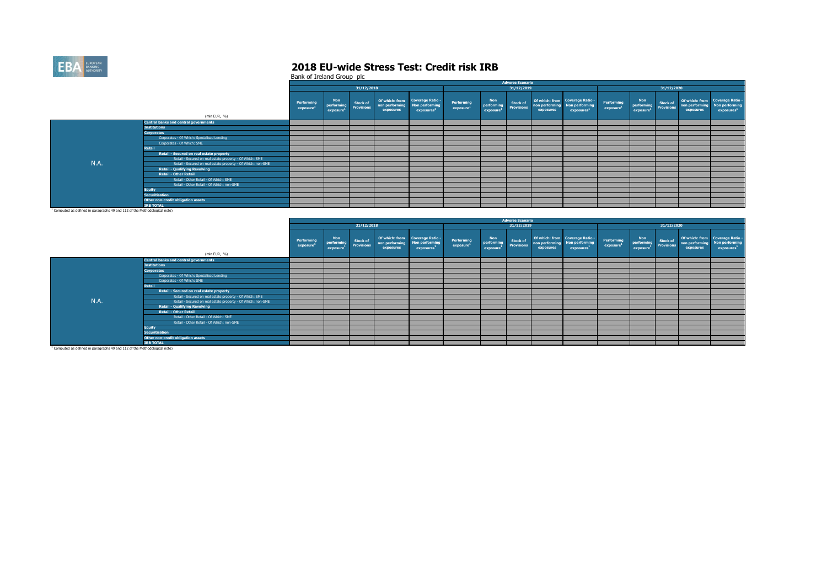

Bank of Ireland Group plc

|                                                                                                                                                                                                                                |                                                              |                         |                                      |                                      |                             |                                                                                    |                                     |                                      | Adverse Scenario               |                             |                                                                             |                                     |                                                   |                        |                             |                                                                             |
|--------------------------------------------------------------------------------------------------------------------------------------------------------------------------------------------------------------------------------|--------------------------------------------------------------|-------------------------|--------------------------------------|--------------------------------------|-----------------------------|------------------------------------------------------------------------------------|-------------------------------------|--------------------------------------|--------------------------------|-----------------------------|-----------------------------------------------------------------------------|-------------------------------------|---------------------------------------------------|------------------------|-----------------------------|-----------------------------------------------------------------------------|
|                                                                                                                                                                                                                                |                                                              |                         |                                      | 31/12/2018                           |                             |                                                                                    |                                     |                                      | 31/12/2019                     |                             |                                                                             |                                     |                                                   | 31/12/2020             |                             |                                                                             |
|                                                                                                                                                                                                                                | (mln EUR, %)                                                 | Performing<br>exposure' | <b>Non</b><br>performing<br>exposure | <b>Stock of</b><br><b>Provisions</b> | non performing<br>exposures | Of which: from Coverage Ratio -<br><b>Non performing</b><br>exposures <sup>1</sup> | Performing<br>exposure <sup>1</sup> | <b>Non</b><br>performing<br>exposure | <b>Stock of<br/>Provisions</b> | non performing<br>exposures | Of which: from Coverage Ratio -<br>Non performing<br>exposures <sup>1</sup> | Performing<br>exposure <sup>1</sup> | <b>Non</b><br>performing<br>exposure <sup>1</sup> | Stock of<br>Provisions | non performing<br>exposures | Of which: from Coverage Ratio -<br>Non performing<br>exposures <sup>1</sup> |
|                                                                                                                                                                                                                                | <b>Central banks and central governments</b>                 |                         |                                      |                                      |                             |                                                                                    |                                     |                                      |                                |                             |                                                                             |                                     |                                                   |                        |                             |                                                                             |
|                                                                                                                                                                                                                                | <b>Institutions</b>                                          |                         |                                      |                                      |                             |                                                                                    |                                     |                                      |                                |                             |                                                                             |                                     |                                                   |                        |                             |                                                                             |
|                                                                                                                                                                                                                                | <b>Corporates</b>                                            |                         |                                      |                                      |                             |                                                                                    |                                     |                                      |                                |                             |                                                                             |                                     |                                                   |                        |                             |                                                                             |
|                                                                                                                                                                                                                                | Corporates - Of Which: Specialised Lending                   |                         |                                      |                                      |                             |                                                                                    |                                     |                                      |                                |                             |                                                                             |                                     |                                                   |                        |                             |                                                                             |
|                                                                                                                                                                                                                                | Corporates - Of Which: SME                                   |                         |                                      |                                      |                             |                                                                                    |                                     |                                      |                                |                             |                                                                             |                                     |                                                   |                        |                             |                                                                             |
|                                                                                                                                                                                                                                | <b>Retail</b>                                                |                         |                                      |                                      |                             |                                                                                    |                                     |                                      |                                |                             |                                                                             |                                     |                                                   |                        |                             |                                                                             |
|                                                                                                                                                                                                                                | Retail - Secured on real estate property                     |                         |                                      |                                      |                             |                                                                                    |                                     |                                      |                                |                             |                                                                             |                                     |                                                   |                        |                             |                                                                             |
|                                                                                                                                                                                                                                | Retail - Secured on real estate property - Of Which: SME     |                         |                                      |                                      |                             |                                                                                    |                                     |                                      |                                |                             |                                                                             |                                     |                                                   |                        |                             |                                                                             |
| N.A.                                                                                                                                                                                                                           | Retail - Secured on real estate property - Of Which: non-SME |                         |                                      |                                      |                             |                                                                                    |                                     |                                      |                                |                             |                                                                             |                                     |                                                   |                        |                             |                                                                             |
|                                                                                                                                                                                                                                | <b>Retail - Qualifying Revolving</b>                         |                         |                                      |                                      |                             |                                                                                    |                                     |                                      |                                |                             |                                                                             |                                     |                                                   |                        |                             |                                                                             |
|                                                                                                                                                                                                                                | <b>Retail - Other Retail</b>                                 |                         |                                      |                                      |                             |                                                                                    |                                     |                                      |                                |                             |                                                                             |                                     |                                                   |                        |                             |                                                                             |
|                                                                                                                                                                                                                                | Retail - Other Retail - Of Which: SME                        |                         |                                      |                                      |                             |                                                                                    |                                     |                                      |                                |                             |                                                                             |                                     |                                                   |                        |                             |                                                                             |
|                                                                                                                                                                                                                                | Retail - Other Retail - Of Which: non-SME                    |                         |                                      |                                      |                             |                                                                                    |                                     |                                      |                                |                             |                                                                             |                                     |                                                   |                        |                             |                                                                             |
|                                                                                                                                                                                                                                | <b>Equity</b>                                                |                         |                                      |                                      |                             |                                                                                    |                                     |                                      |                                |                             |                                                                             |                                     |                                                   |                        |                             |                                                                             |
|                                                                                                                                                                                                                                | <b>Securitisation</b>                                        |                         |                                      |                                      |                             |                                                                                    |                                     |                                      |                                |                             |                                                                             |                                     |                                                   |                        |                             |                                                                             |
|                                                                                                                                                                                                                                | Other non-credit obligation assets                           |                         |                                      |                                      |                             |                                                                                    |                                     |                                      |                                |                             |                                                                             |                                     |                                                   |                        |                             |                                                                             |
| the contract of the communication of the contract of the contract of the contract of the contract of the contract of the contract of the contract of the contract of the contract of the contract of the contract of the contr | <b>IRB TOTAL</b>                                             |                         |                                      |                                      |                             |                                                                                    |                                     |                                      |                                |                             |                                                                             |                                     |                                                   |                        |                             |                                                                             |
|                                                                                                                                                                                                                                |                                                              |                         |                                      |                                      |                             |                                                                                    |                                     |                                      |                                |                             |                                                                             |                                     |                                                   |                        |                             |                                                                             |

<sup>1</sup> Computed as defined in paragraphs 49 and 112 of the Methodological note)

|      |                                                              |                               |                                      |                                      |                             |                                                                                    |                                     |                                                   | <b>Adverse Scenario</b>              |           |                                                                                            |                                     |                                                                   |            |                             |                                                                             |
|------|--------------------------------------------------------------|-------------------------------|--------------------------------------|--------------------------------------|-----------------------------|------------------------------------------------------------------------------------|-------------------------------------|---------------------------------------------------|--------------------------------------|-----------|--------------------------------------------------------------------------------------------|-------------------------------------|-------------------------------------------------------------------|------------|-----------------------------|-----------------------------------------------------------------------------|
|      |                                                              |                               |                                      | 31/12/2018                           |                             |                                                                                    |                                     |                                                   | 31/12/2019                           |           |                                                                                            |                                     |                                                                   | 31/12/2020 |                             |                                                                             |
|      | (mln EUR, %)                                                 | <b>Performing</b><br>exposure | <b>Non</b><br>performing<br>exposure | <b>Stock of</b><br><b>Provisions</b> | non performing<br>exposures | Of which: from Coverage Ratio -<br><b>Non performing</b><br>exposures <sup>1</sup> | Performing<br>exposure <sup>1</sup> | <b>Non</b><br>performing<br>exposure <sup>1</sup> | <b>Stock of</b><br><b>Provisions</b> | exposures | Of which: from Coverage Ratio -<br>non performing Non performing<br>exposures <sup>1</sup> | Performing<br>exposure <sup>1</sup> | <b>Non</b><br>Non<br>performing Stock of<br>exposure <sup>1</sup> |            | non performing<br>exposures | Of which: from Coverage Ratio -<br>Non performing<br>exposures <sup>1</sup> |
|      | <b>Central banks and central governments</b>                 |                               |                                      |                                      |                             |                                                                                    |                                     |                                                   |                                      |           |                                                                                            |                                     |                                                                   |            |                             |                                                                             |
|      | <b>Institutions</b>                                          |                               |                                      |                                      |                             |                                                                                    |                                     |                                                   |                                      |           |                                                                                            |                                     |                                                                   |            |                             |                                                                             |
|      | <b>Corporates</b>                                            |                               |                                      |                                      |                             |                                                                                    |                                     |                                                   |                                      |           |                                                                                            |                                     |                                                                   |            |                             |                                                                             |
|      | Corporates - Of Which: Specialised Lending                   |                               |                                      |                                      |                             |                                                                                    |                                     |                                                   |                                      |           |                                                                                            |                                     |                                                                   |            |                             |                                                                             |
|      | Corporates - Of Which: SME                                   |                               |                                      |                                      |                             |                                                                                    |                                     |                                                   |                                      |           |                                                                                            |                                     |                                                                   |            |                             |                                                                             |
|      | Retail                                                       |                               |                                      |                                      |                             |                                                                                    |                                     |                                                   |                                      |           |                                                                                            |                                     |                                                                   |            |                             |                                                                             |
|      | Retail - Secured on real estate property                     |                               |                                      |                                      |                             |                                                                                    |                                     |                                                   |                                      |           |                                                                                            |                                     |                                                                   |            |                             |                                                                             |
|      | Retail - Secured on real estate property - Of Which: SME     |                               |                                      |                                      |                             |                                                                                    |                                     |                                                   |                                      |           |                                                                                            |                                     |                                                                   |            |                             |                                                                             |
| N.A. | Retail - Secured on real estate property - Of Which: non-SME |                               |                                      |                                      |                             |                                                                                    |                                     |                                                   |                                      |           |                                                                                            |                                     |                                                                   |            |                             |                                                                             |
|      | <b>Retail - Qualifying Revolving</b>                         |                               |                                      |                                      |                             |                                                                                    |                                     |                                                   |                                      |           |                                                                                            |                                     |                                                                   |            |                             |                                                                             |
|      | <b>Retail - Other Retail</b>                                 |                               |                                      |                                      |                             |                                                                                    |                                     |                                                   |                                      |           |                                                                                            |                                     |                                                                   |            |                             |                                                                             |
|      | Retail - Other Retail - Of Which: SME                        |                               |                                      |                                      |                             |                                                                                    |                                     |                                                   |                                      |           |                                                                                            |                                     |                                                                   |            |                             |                                                                             |
|      | Retail - Other Retail - Of Which: non-SME                    |                               |                                      |                                      |                             |                                                                                    |                                     |                                                   |                                      |           |                                                                                            |                                     |                                                                   |            |                             |                                                                             |
|      | <b>Equity</b>                                                |                               |                                      |                                      |                             |                                                                                    |                                     |                                                   |                                      |           |                                                                                            |                                     |                                                                   |            |                             |                                                                             |
|      | <b>Securitisation</b>                                        |                               |                                      |                                      |                             |                                                                                    |                                     |                                                   |                                      |           |                                                                                            |                                     |                                                                   |            |                             |                                                                             |
|      | Other non-credit obligation assets                           |                               |                                      |                                      |                             |                                                                                    |                                     |                                                   |                                      |           |                                                                                            |                                     |                                                                   |            |                             |                                                                             |
|      | <b>IRB TOTAL</b>                                             |                               |                                      |                                      |                             |                                                                                    |                                     |                                                   |                                      |           |                                                                                            |                                     |                                                                   |            |                             |                                                                             |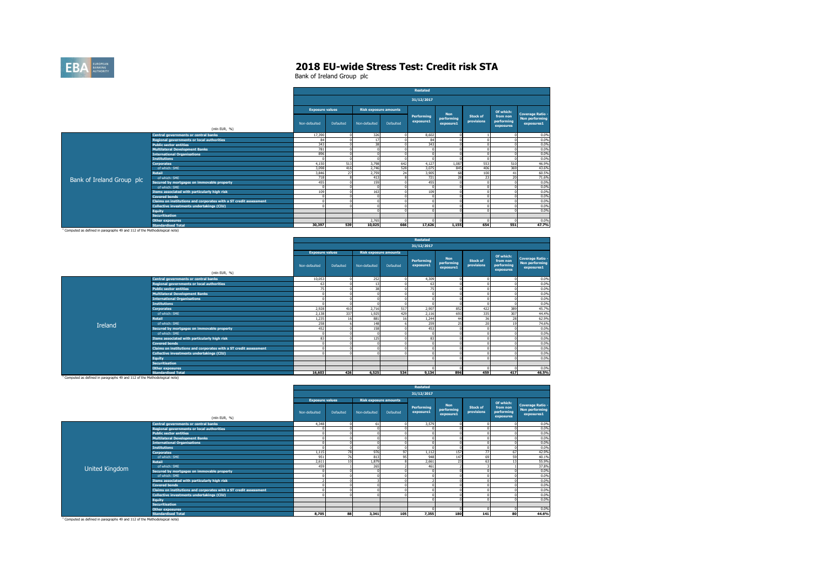

Bank of Ireland Group plc

|                           |                                                                   |                        |           |               |                              | Restated                |                         |                               |                                     |                                     |
|---------------------------|-------------------------------------------------------------------|------------------------|-----------|---------------|------------------------------|-------------------------|-------------------------|-------------------------------|-------------------------------------|-------------------------------------|
|                           |                                                                   |                        |           |               |                              | 31/12/2017              |                         |                               |                                     |                                     |
|                           |                                                                   | <b>Exposure values</b> |           |               | <b>Risk exposure amounts</b> |                         | <b>Non</b>              |                               | Of which:                           | <b>Coverage Ratio -</b>             |
|                           |                                                                   | Non-defaulted          | Defaulted | Non-defaulted | Defaulted                    | Performing<br>exposure1 | performing<br>exposure1 | <b>Stock of</b><br>provisions | from non<br>performing<br>exposures | <b>Non performing</b><br>exposures1 |
|                           | (mln EUR, %)                                                      |                        |           |               |                              |                         |                         |                               |                                     |                                     |
|                           | Central governments or central banks                              | 17,390                 |           | 326           |                              | 8,602                   |                         |                               |                                     | 0.0%                                |
|                           | <b>Regional governments or local authorities</b>                  | 84                     |           | 17            |                              | 84                      |                         |                               |                                     | 0.0%                                |
|                           | <b>Public sector entities</b>                                     | 343                    |           | 38            |                              | 343                     |                         |                               |                                     | 0.0%                                |
|                           | <b>Multilateral Development Banks</b>                             | 781                    |           | $\Omega$      |                              |                         |                         |                               |                                     | 0.0%                                |
|                           | <b>International Organisations</b>                                | 896                    |           |               |                              |                         |                         |                               |                                     | 0.0%                                |
|                           | <b>Institutions</b>                                               |                        |           |               |                              |                         |                         |                               |                                     | 0.0%                                |
|                           | <b>Corporates</b>                                                 | 4.150                  | 513       | 3,798         | 642                          | 4.127                   | 1.087                   | 553                           | 510                                 | 46.9%                               |
|                           | of which: SME                                                     | 3,098                  | 416       | 2.746         | 528                          | 3,075                   | 845                     | 406                           | 369                                 | 43.6%                               |
|                           | <b>Retail</b>                                                     | 3.846                  | 27        | 2.759         | 24                           | 3.905                   | 68                      | 100                           | 41                                  | 60.5%                               |
| Bank of Ireland Group plc | of which: SME                                                     | 718                    |           | 413           |                              | 721                     | 28                      | 23                            | 20                                  | 71.6%                               |
|                           | Secured by mortgages on immovable property                        | 455                    |           | 159           |                              | 455                     |                         |                               |                                     | 0.0%                                |
|                           | of which: SME                                                     |                        |           |               |                              |                         |                         |                               |                                     | 0.0%                                |
|                           | Items associated with particularly high risk                      | 109                    |           | 163           |                              | 109                     |                         |                               |                                     | 0.0%                                |
|                           | <b>Covered bonds</b>                                              |                        |           |               |                              |                         |                         |                               |                                     | 0.0%                                |
|                           | Claims on institutions and corporates with a ST credit assessment |                        |           | $\sim$        |                              |                         |                         |                               |                                     | 0.0%                                |
|                           | Collective investments undertakings (CIU)                         |                        |           |               |                              |                         |                         |                               |                                     | 0.0%                                |
|                           | <b>Equity</b>                                                     |                        |           |               |                              |                         |                         |                               |                                     | 0.0%                                |
|                           | <b>Securitisation</b>                                             |                        |           |               |                              |                         |                         |                               |                                     |                                     |
|                           | <b>Other exposures</b>                                            |                        |           | 2.765         |                              |                         |                         |                               |                                     | 0.0%                                |
|                           | <b>Standardised Total</b>                                         | 30.397                 | 539       | 10.025        | 666                          | 17.626                  | 1.155                   | 654                           | 551                                 | 47.7%                               |

<sup>1</sup> Computed as defined in paragraphs 49 and 112 of the Methodological note)

|         |                                                                   |                        |           |               |                              | Restated                |                                       |                                      |                                     |                                                                |
|---------|-------------------------------------------------------------------|------------------------|-----------|---------------|------------------------------|-------------------------|---------------------------------------|--------------------------------------|-------------------------------------|----------------------------------------------------------------|
|         |                                                                   |                        |           |               |                              | 31/12/2017              |                                       |                                      |                                     |                                                                |
|         |                                                                   | <b>Exposure values</b> |           |               | <b>Risk exposure amounts</b> |                         |                                       |                                      | Of which:                           |                                                                |
|         | (mln EUR, %)                                                      | Non-defaulted          | Defaulted | Non-defaulted | Defaulted                    | Performing<br>exposure1 | <b>Non</b><br>performing<br>exposure1 | <b>Stock of</b><br><b>provisions</b> | from non<br>performing<br>exposures | <b>Coverage Ratio -</b><br><b>Non performing</b><br>exposures1 |
|         | Central governments or central banks                              | 10,053                 |           | 252           |                              | 4,309                   |                                       |                                      |                                     | 0.0%                                                           |
|         | Regional governments or local authorities                         | 63                     |           | 13            |                              | 63                      |                                       |                                      |                                     | 0.0%                                                           |
|         | <b>Public sector entities</b>                                     | 75                     |           | 38            |                              | 75                      |                                       |                                      |                                     | 0.0%                                                           |
|         | <b>Multilateral Development Banks</b>                             | $\Omega$               |           |               |                              |                         |                                       |                                      |                                     | 0.0%                                                           |
|         | <b>International Organisations</b>                                | $\Omega$               |           |               |                              |                         |                                       |                                      |                                     | 0.0%                                                           |
|         | <b>Institutions</b>                                               |                        |           |               |                              |                         |                                       |                                      |                                     | 0.0%                                                           |
|         | <b>Corporates</b>                                                 | 2.928                  | 410       | 2.716         | 517                          | 2.907                   | 852                                   | 422                                  | 389                                 | 45.7%                                                          |
|         | of which: SME                                                     | 2,138                  | 337       | 1,925         | 429                          | 2,116                   | 693                                   | 335                                  | 307                                 | 44.4%                                                          |
|         | <b>Retail</b>                                                     | 1.235                  | 16        | 881           | 16                           | 1.244                   | 44                                    | 36                                   | 28                                  | 62.9%                                                          |
| Ireland | of which: SMF                                                     | 258                    |           | 148           |                              | 259                     | 25                                    | 20                                   |                                     | 74.6%                                                          |
|         | Secured by mortgages on immovable property                        | 452                    |           | 158           |                              | 453                     |                                       |                                      |                                     | 0.0%                                                           |
|         | of which: SME                                                     | $\Omega$               |           |               |                              |                         |                                       |                                      |                                     | 0.0%                                                           |
|         | Items associated with particularly high risk                      | 83                     |           | 125           |                              | 83                      |                                       |                                      |                                     | 0.0%                                                           |
|         | <b>Covered bonds</b>                                              | $\Omega$               |           |               |                              |                         |                                       |                                      |                                     | 0.0%                                                           |
|         | Claims on institutions and corporates with a ST credit assessment | $\Omega$               |           |               |                              |                         |                                       |                                      |                                     | 0.0%                                                           |
|         | Collective investments undertakings (CIU)                         |                        |           |               |                              |                         |                                       |                                      |                                     | 0.0%                                                           |
|         | <b>Equity</b>                                                     |                        |           |               |                              |                         |                                       |                                      |                                     | 0.0%                                                           |
|         | <b>Securitisation</b>                                             |                        |           |               |                              |                         |                                       |                                      |                                     |                                                                |
|         | <b>Other exposures</b>                                            |                        |           |               |                              |                         |                                       |                                      |                                     | 0.0%                                                           |
|         | <b>Standardised Total</b>                                         | 16,603                 | 426       | 6,525         | 534                          | 9,134                   | 896                                   | 459                                  | 417                                 | 46.5%                                                          |

<sup>1</sup> Computed as defined in paragraphs 49 and 112 of the Methodological note)

|                |                                                                   |                        |                  |                              |           | Restated                |                                       |                        |                                     |                                                                |
|----------------|-------------------------------------------------------------------|------------------------|------------------|------------------------------|-----------|-------------------------|---------------------------------------|------------------------|-------------------------------------|----------------------------------------------------------------|
|                |                                                                   |                        |                  |                              |           | 31/12/2017              |                                       |                        |                                     |                                                                |
|                |                                                                   | <b>Exposure values</b> |                  | <b>Risk exposure amounts</b> |           |                         |                                       |                        | Of which:                           |                                                                |
|                | (mln EUR, %)                                                      | Non-defaulted          | <b>Defaulted</b> | Non-defaulted                | Defaulted | Performing<br>exposure1 | <b>Non</b><br>performing<br>exposure1 | Stock of<br>provisions | from non<br>performing<br>exposures | <b>Coverage Ratio -</b><br><b>Non performing</b><br>exposures1 |
|                | Central governments or central banks                              | 4,348                  | $\Omega$         | 61                           |           | 3,579                   |                                       |                        |                                     | 0.0%                                                           |
|                | Regional governments or local authorities                         |                        |                  |                              |           |                         |                                       |                        |                                     | 0.0%                                                           |
|                | <b>Public sector entities</b>                                     |                        |                  | $\Omega$                     |           |                         |                                       |                        |                                     | 0.0%                                                           |
|                | <b>Multilateral Development Banks</b>                             |                        |                  | $\Omega$                     |           |                         |                                       |                        |                                     | 0.0%                                                           |
|                | <b>International Organisations</b>                                |                        |                  |                              |           |                         |                                       |                        |                                     | 0.0%                                                           |
|                | <b>Institutions</b>                                               |                        |                  | $\Omega$                     |           |                         |                                       |                        |                                     | 0.0%                                                           |
|                | <b>Corporates</b>                                                 | 1.115                  | 78               | 976                          | 97        | 1.112                   | 157                                   | 77                     | 67                                  | 42.9%                                                          |
|                | of which: SME                                                     | 951                    | 76               | 813                          | 95        | 948                     | 147                                   | 69                     | 59                                  | 40.1%                                                          |
|                | <b>Retail</b>                                                     | 2.611                  | 10               | 1.879                        |           | 2,661                   | 23                                    | 63                     | 13                                  | 55.9%                                                          |
| United Kingdom | of which: SME                                                     | 459                    |                  | 265                          |           | 461                     |                                       |                        |                                     | 37.8%                                                          |
|                | Secured by mortgages on immovable property                        |                        |                  |                              |           |                         |                                       |                        |                                     | 0.0%                                                           |
|                | of which: SME                                                     |                        |                  | $\Omega$                     |           |                         |                                       |                        |                                     | 0.0%                                                           |
|                | Items associated with particularly high risk                      |                        |                  | $\overline{\phantom{a}}$     |           |                         |                                       |                        |                                     | 0.0%                                                           |
|                | <b>Covered bonds</b>                                              |                        |                  | n                            |           |                         |                                       |                        |                                     | 0.0%                                                           |
|                | Claims on institutions and corporates with a ST credit assessment |                        |                  | $\Omega$                     |           |                         |                                       |                        |                                     | 0.0%                                                           |
|                | Collective investments undertakings (CIU)                         |                        |                  | $\Omega$                     |           |                         |                                       |                        |                                     | 0.0%                                                           |
|                | <b>Equity</b>                                                     |                        |                  |                              |           |                         |                                       |                        |                                     | 0.0%                                                           |
|                | <b>Securitisation</b>                                             |                        |                  |                              |           |                         |                                       |                        |                                     |                                                                |
|                | Other exposures                                                   |                        |                  |                              |           |                         |                                       |                        |                                     | 0.0%                                                           |
|                | <b>Standardised Total</b>                                         | 8.705                  | 88               | 3,341                        | 105       | 7,355                   | 180                                   | 141                    | 80                                  | 44.6%                                                          |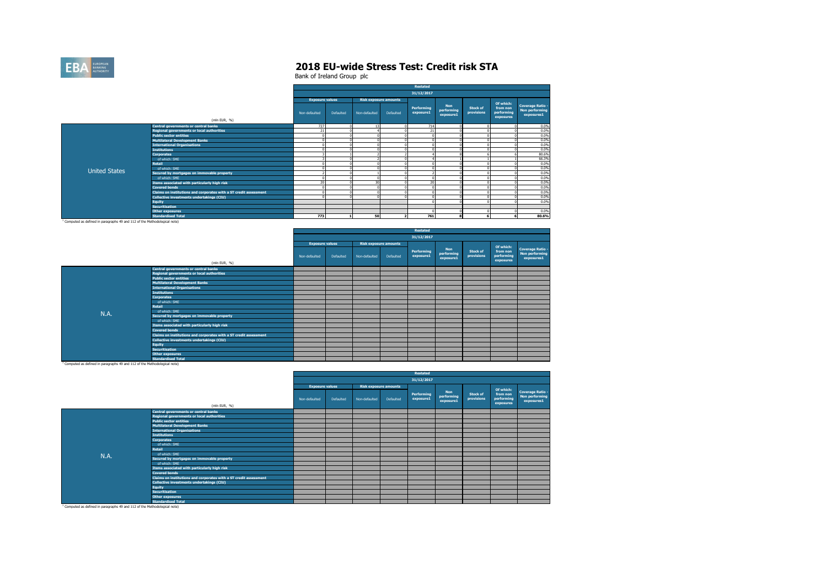

Bank of Ireland Group plc

|                      |                                                                   |                        |           |                              |           | Restated                |                                       |                               |                                                  |                                                                |
|----------------------|-------------------------------------------------------------------|------------------------|-----------|------------------------------|-----------|-------------------------|---------------------------------------|-------------------------------|--------------------------------------------------|----------------------------------------------------------------|
|                      |                                                                   |                        |           |                              |           | 31/12/2017              |                                       |                               |                                                  |                                                                |
|                      |                                                                   | <b>Exposure values</b> |           | <b>Risk exposure amounts</b> |           |                         |                                       |                               |                                                  |                                                                |
|                      |                                                                   | Non-defaulted          | Defaulted | Non-defaulted                | Defaulted | Performing<br>exposure1 | <b>Non</b><br>performing<br>exposure1 | <b>Stock of</b><br>provisions | Of which:<br>from non<br>performing<br>exposures | <b>Coverage Ratio -</b><br><b>Non performing</b><br>exposures1 |
|                      | (mln EUR, %)                                                      |                        |           |                              |           |                         |                                       |                               |                                                  |                                                                |
|                      | Central governments or central banks                              | 727                    |           | 13                           |           | 714                     |                                       |                               |                                                  | 0.0%                                                           |
|                      | Regional governments or local authorities                         | 21                     |           |                              |           | 21                      |                                       |                               |                                                  | 0.0%                                                           |
|                      | <b>Public sector entities</b>                                     | $\Omega$               |           | $\Omega$                     |           |                         |                                       |                               |                                                  | 0.0%                                                           |
|                      | <b>Multilateral Development Banks</b>                             | $\Omega$               |           | $\Omega$                     |           |                         |                                       |                               |                                                  | 0.0%                                                           |
|                      | <b>International Organisations</b>                                | $\theta$               |           | $\Omega$                     |           |                         |                                       |                               |                                                  | 0.0%                                                           |
|                      | <b>Institutions</b>                                               |                        |           | $\Omega$                     |           |                         |                                       |                               |                                                  | 0.0%                                                           |
|                      | <b>Corporates</b>                                                 |                        |           |                              |           |                         |                                       |                               |                                                  | 80.6%                                                          |
|                      | of which: SME                                                     |                        |           |                              |           |                         |                                       |                               |                                                  | 66.3%                                                          |
|                      | Retail                                                            |                        |           | $\Omega$                     |           |                         |                                       |                               |                                                  | 0.0%                                                           |
| <b>United States</b> | of which: SME                                                     | $\Omega$               |           | $\sqrt{2}$                   |           |                         |                                       |                               |                                                  | 0.0%                                                           |
|                      | Secured by mortgages on immovable property                        |                        |           |                              |           |                         |                                       |                               |                                                  | 0.0%                                                           |
|                      | of which: SME                                                     |                        |           | $\Omega$                     |           |                         |                                       |                               |                                                  | 0.0%                                                           |
|                      | Items associated with particularly high risk                      | 20                     |           | 30                           |           | 20 <sub>0</sub>         |                                       |                               |                                                  | 0.0%                                                           |
|                      | <b>Covered bonds</b>                                              | $\Omega$               |           | $\Omega$                     |           |                         |                                       |                               |                                                  | 0.0%                                                           |
|                      | Claims on institutions and corporates with a ST credit assessment | $\sim$                 |           | $\Omega$                     |           |                         |                                       |                               |                                                  | 0.0%                                                           |
|                      | Collective investments undertakings (CIU)                         |                        |           | $\Omega$                     |           |                         |                                       |                               |                                                  | 0.0%                                                           |
|                      | <b>Equity</b>                                                     |                        |           |                              |           |                         |                                       |                               |                                                  | 0.0%                                                           |
|                      | <b>Securitisation</b>                                             |                        |           |                              |           |                         |                                       |                               |                                                  |                                                                |
|                      | Other exposures                                                   |                        |           |                              |           |                         |                                       |                               |                                                  | 0.0%                                                           |
|                      | <b>Standardised Total</b>                                         | 773                    |           | 50                           |           | 761                     |                                       |                               |                                                  | 80.6%                                                          |

<sup>1</sup> Computed as defined in paragraphs 49 and 112 of the Methodological note)

|             |                                                                   |                        |           |                              |           | <b>Restated</b>         |                                       |                               |                                                  |                                                                |
|-------------|-------------------------------------------------------------------|------------------------|-----------|------------------------------|-----------|-------------------------|---------------------------------------|-------------------------------|--------------------------------------------------|----------------------------------------------------------------|
|             |                                                                   |                        |           |                              |           | 31/12/2017              |                                       |                               |                                                  |                                                                |
|             |                                                                   | <b>Exposure values</b> |           | <b>Risk exposure amounts</b> |           |                         |                                       |                               |                                                  |                                                                |
|             |                                                                   | Non-defaulted          | Defaulted | Non-defaulted                | Defaulted | Performing<br>exposure1 | <b>Non</b><br>performing<br>exposure1 | <b>Stock of</b><br>provisions | Of which:<br>from non<br>performing<br>exposures | <b>Coverage Ratio -</b><br><b>Non performing</b><br>exposures1 |
|             | (mln EUR, %)                                                      |                        |           |                              |           |                         |                                       |                               |                                                  |                                                                |
|             | Central governments or central banks                              |                        |           |                              |           |                         |                                       |                               |                                                  |                                                                |
|             | Regional governments or local authorities                         |                        |           |                              |           |                         |                                       |                               |                                                  |                                                                |
|             | <b>Public sector entities</b>                                     |                        |           |                              |           |                         |                                       |                               |                                                  |                                                                |
|             | <b>Multilateral Development Banks</b>                             |                        |           |                              |           |                         |                                       |                               |                                                  |                                                                |
|             | <b>International Organisations</b>                                |                        |           |                              |           |                         |                                       |                               |                                                  |                                                                |
|             | <b>Institutions</b>                                               |                        |           |                              |           |                         |                                       |                               |                                                  |                                                                |
|             | <b>Corporates</b>                                                 |                        |           |                              |           |                         |                                       |                               |                                                  |                                                                |
|             | of which: SME                                                     |                        |           |                              |           |                         |                                       |                               |                                                  |                                                                |
|             | <b>Retail</b>                                                     |                        |           |                              |           |                         |                                       |                               |                                                  |                                                                |
| <b>N.A.</b> | of which: SME                                                     |                        |           |                              |           |                         |                                       |                               |                                                  |                                                                |
|             | Secured by mortgages on immovable property                        |                        |           |                              |           |                         |                                       |                               |                                                  |                                                                |
|             | of which: SME                                                     |                        |           |                              |           |                         |                                       |                               |                                                  |                                                                |
|             | Items associated with particularly high risk                      |                        |           |                              |           |                         |                                       |                               |                                                  |                                                                |
|             | <b>Covered bonds</b>                                              |                        |           |                              |           |                         |                                       |                               |                                                  |                                                                |
|             | Claims on institutions and corporates with a ST credit assessment |                        |           |                              |           |                         |                                       |                               |                                                  |                                                                |
|             | Collective investments undertakings (CIU)                         |                        |           |                              |           |                         |                                       |                               |                                                  |                                                                |
|             | <b>Equity</b>                                                     |                        |           |                              |           |                         |                                       |                               |                                                  |                                                                |
|             | <b>Securitisation</b>                                             |                        |           |                              |           |                         |                                       |                               |                                                  |                                                                |
|             | <b>Other exposures</b>                                            |                        |           |                              |           |                         |                                       |                               |                                                  |                                                                |
|             | <b>Standardised Total</b>                                         |                        |           |                              |           |                         |                                       |                               |                                                  |                                                                |

<sup>1</sup> Computed as defined in paragraphs 49 and 112 of the Methodological note)

|      |                                                                   |                        |           |                              |           | <b>Restated</b>         |                                       |                               |                                                  |                                                                |
|------|-------------------------------------------------------------------|------------------------|-----------|------------------------------|-----------|-------------------------|---------------------------------------|-------------------------------|--------------------------------------------------|----------------------------------------------------------------|
|      |                                                                   |                        |           |                              |           | 31/12/2017              |                                       |                               |                                                  |                                                                |
|      |                                                                   | <b>Exposure values</b> |           | <b>Risk exposure amounts</b> |           |                         |                                       |                               |                                                  |                                                                |
|      | (mln EUR, %)                                                      | Non-defaulted          | Defaulted | Non-defaulted                | Defaulted | Performing<br>exposure1 | <b>Non</b><br>performing<br>exposure1 | <b>Stock of</b><br>provisions | Of which:<br>from non<br>performing<br>exposures | <b>Coverage Ratio -</b><br><b>Non performing</b><br>exposures1 |
|      | Central governments or central banks                              |                        |           |                              |           |                         |                                       |                               |                                                  |                                                                |
|      | Regional governments or local authorities                         |                        |           |                              |           |                         |                                       |                               |                                                  |                                                                |
|      | <b>Public sector entities</b>                                     |                        |           |                              |           |                         |                                       |                               |                                                  |                                                                |
|      | <b>Multilateral Development Banks</b>                             |                        |           |                              |           |                         |                                       |                               |                                                  |                                                                |
|      | <b>International Organisations</b>                                |                        |           |                              |           |                         |                                       |                               |                                                  |                                                                |
|      | <b>Institutions</b>                                               |                        |           |                              |           |                         |                                       |                               |                                                  |                                                                |
|      | <b>Corporates</b>                                                 |                        |           |                              |           |                         |                                       |                               |                                                  |                                                                |
|      | of which: SME                                                     |                        |           |                              |           |                         |                                       |                               |                                                  |                                                                |
|      | <b>Retail</b>                                                     |                        |           |                              |           |                         |                                       |                               |                                                  |                                                                |
| N.A. | of which: SME                                                     |                        |           |                              |           |                         |                                       |                               |                                                  |                                                                |
|      | Secured by mortgages on immovable property                        |                        |           |                              |           |                         |                                       |                               |                                                  |                                                                |
|      | of which: SME                                                     |                        |           |                              |           |                         |                                       |                               |                                                  |                                                                |
|      | Items associated with particularly high risk                      |                        |           |                              |           |                         |                                       |                               |                                                  |                                                                |
|      | <b>Covered bonds</b>                                              |                        |           |                              |           |                         |                                       |                               |                                                  |                                                                |
|      | Claims on institutions and corporates with a ST credit assessment |                        |           |                              |           |                         |                                       |                               |                                                  |                                                                |
|      | <b>Collective investments undertakings (CIU)</b>                  |                        |           |                              |           |                         |                                       |                               |                                                  |                                                                |
|      | Equity                                                            |                        |           |                              |           |                         |                                       |                               |                                                  |                                                                |
|      | <b>Securitisation</b>                                             |                        |           |                              |           |                         |                                       |                               |                                                  |                                                                |
|      | <b>Other exposures</b>                                            |                        |           |                              |           |                         |                                       |                               |                                                  |                                                                |
|      | <b>Standardised Total</b>                                         |                        |           |                              |           |                         |                                       |                               |                                                  |                                                                |
|      |                                                                   |                        |           |                              |           |                         |                                       |                               |                                                  |                                                                |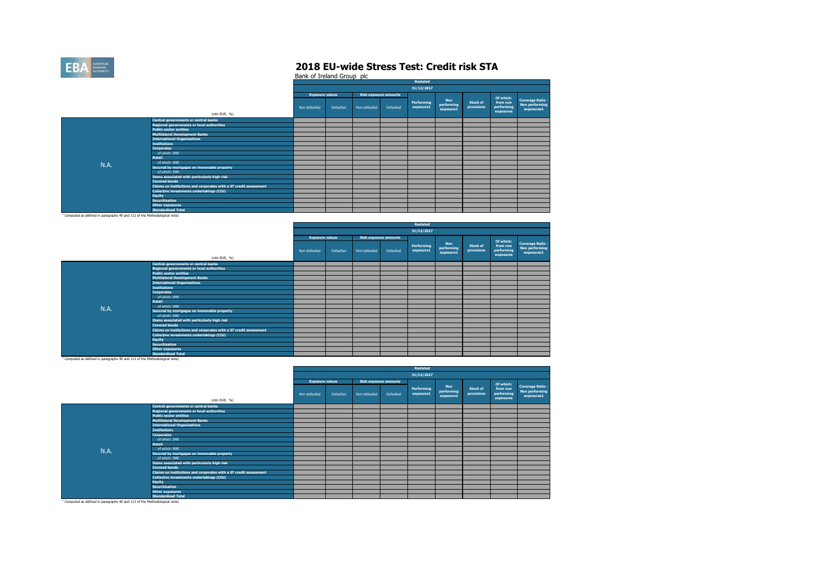

Bank of Ireland Group plc

|      |                                                                   |                        |           |               |                              | Restated                |                                       |                        |                                                  |                                                         |
|------|-------------------------------------------------------------------|------------------------|-----------|---------------|------------------------------|-------------------------|---------------------------------------|------------------------|--------------------------------------------------|---------------------------------------------------------|
|      |                                                                   |                        |           |               |                              | 31/12/2017              |                                       |                        |                                                  |                                                         |
|      |                                                                   | <b>Exposure values</b> |           |               | <b>Risk exposure amounts</b> |                         |                                       |                        |                                                  |                                                         |
|      | (mln EUR, %)                                                      | Non-defaulted          | Defaulted | Non-defaulted | Defaulted                    | Performing<br>exposure1 | <b>Non</b><br>performing<br>exposure1 | Stock of<br>provisions | Of which:<br>from non<br>performing<br>exposures | Coverage Ratio -<br><b>Non performing</b><br>exposures1 |
|      | Central governments or central banks                              |                        |           |               |                              |                         |                                       |                        |                                                  |                                                         |
|      | Regional governments or local authorities                         |                        |           |               |                              |                         |                                       |                        |                                                  |                                                         |
|      | <b>Public sector entities</b>                                     |                        |           |               |                              |                         |                                       |                        |                                                  |                                                         |
|      | <b>Multilateral Development Banks</b>                             |                        |           |               |                              |                         |                                       |                        |                                                  |                                                         |
|      | <b>International Organisations</b>                                |                        |           |               |                              |                         |                                       |                        |                                                  |                                                         |
|      | <b>Institutions</b>                                               |                        |           |               |                              |                         |                                       |                        |                                                  |                                                         |
|      | <b>Corporates</b>                                                 |                        |           |               |                              |                         |                                       |                        |                                                  |                                                         |
|      | of which: SME                                                     |                        |           |               |                              |                         |                                       |                        |                                                  |                                                         |
|      | <b>Retail</b>                                                     |                        |           |               |                              |                         |                                       |                        |                                                  |                                                         |
| N.A. | of which: SME                                                     |                        |           |               |                              |                         |                                       |                        |                                                  |                                                         |
|      | Secured by mortgages on immovable property                        |                        |           |               |                              |                         |                                       |                        |                                                  |                                                         |
|      | of which: SME                                                     |                        |           |               |                              |                         |                                       |                        |                                                  |                                                         |
|      | Items associated with particularly high risk                      |                        |           |               |                              |                         |                                       |                        |                                                  |                                                         |
|      | <b>Covered bonds</b>                                              |                        |           |               |                              |                         |                                       |                        |                                                  |                                                         |
|      | Claims on institutions and corporates with a ST credit assessment |                        |           |               |                              |                         |                                       |                        |                                                  |                                                         |
|      | Collective investments undertakings (CIU)                         |                        |           |               |                              |                         |                                       |                        |                                                  |                                                         |
|      | <b>Equity</b>                                                     |                        |           |               |                              |                         |                                       |                        |                                                  |                                                         |
|      | <b>Securitisation</b>                                             |                        |           |               |                              |                         |                                       |                        |                                                  |                                                         |
|      | Other exposures                                                   |                        |           |               |                              |                         |                                       |                        |                                                  |                                                         |
|      | <b>Standardised Total</b>                                         |                        |           |               |                              |                         |                                       |                        |                                                  |                                                         |

<sup>1</sup> Computed as defined in paragraphs 49 and 112 of the Methodological note)

|             |                                                                   |                        |           |                              |           | Restated                |                                       |                        |                                                  |                                                                |
|-------------|-------------------------------------------------------------------|------------------------|-----------|------------------------------|-----------|-------------------------|---------------------------------------|------------------------|--------------------------------------------------|----------------------------------------------------------------|
|             |                                                                   |                        |           |                              |           | 31/12/2017              |                                       |                        |                                                  |                                                                |
|             |                                                                   | <b>Exposure values</b> |           | <b>Risk exposure amounts</b> |           |                         |                                       |                        |                                                  |                                                                |
|             | (mln EUR, %)                                                      | Non-defaulted          | Defaulted | Non-defaulted                | Defaulted | Performing<br>exposure1 | <b>Non</b><br>performing<br>exposure1 | Stock of<br>provisions | Of which:<br>from non<br>performing<br>exposures | <b>Coverage Ratio -</b><br><b>Non performing</b><br>exposures1 |
|             | Central governments or central banks                              |                        |           |                              |           |                         |                                       |                        |                                                  |                                                                |
|             | Regional governments or local authorities                         |                        |           |                              |           |                         |                                       |                        |                                                  |                                                                |
|             | <b>Public sector entities</b>                                     |                        |           |                              |           |                         |                                       |                        |                                                  |                                                                |
|             | <b>Multilateral Development Banks</b>                             |                        |           |                              |           |                         |                                       |                        |                                                  |                                                                |
|             | <b>International Organisations</b>                                |                        |           |                              |           |                         |                                       |                        |                                                  |                                                                |
|             | <b>Institutions</b>                                               |                        |           |                              |           |                         |                                       |                        |                                                  |                                                                |
|             | <b>Corporates</b>                                                 |                        |           |                              |           |                         |                                       |                        |                                                  |                                                                |
|             | of which: SME                                                     |                        |           |                              |           |                         |                                       |                        |                                                  |                                                                |
|             | Retail                                                            |                        |           |                              |           |                         |                                       |                        |                                                  |                                                                |
| <b>N.A.</b> | of which: SME                                                     |                        |           |                              |           |                         |                                       |                        |                                                  |                                                                |
|             | Secured by mortgages on immovable property                        |                        |           |                              |           |                         |                                       |                        |                                                  |                                                                |
|             | of which: SME                                                     |                        |           |                              |           |                         |                                       |                        |                                                  |                                                                |
|             | Items associated with particularly high risk                      |                        |           |                              |           |                         |                                       |                        |                                                  |                                                                |
|             | <b>Covered bonds</b>                                              |                        |           |                              |           |                         |                                       |                        |                                                  |                                                                |
|             | Claims on institutions and corporates with a ST credit assessment |                        |           |                              |           |                         |                                       |                        |                                                  |                                                                |
|             | Collective investments undertakings (CIU)                         |                        |           |                              |           |                         |                                       |                        |                                                  |                                                                |
|             | Equity                                                            |                        |           |                              |           |                         |                                       |                        |                                                  |                                                                |
|             | <b>Securitisation</b>                                             |                        |           |                              |           |                         |                                       |                        |                                                  |                                                                |
|             | Other exposures                                                   |                        |           |                              |           |                         |                                       |                        |                                                  |                                                                |
|             | <b>Standardised Total</b>                                         |                        |           |                              |           |                         |                                       |                        |                                                  |                                                                |

<sup>1</sup> Computed as defined in paragraphs 49 and 112 of the Methodological note)

|                                                                                                                |                                                                   |                        |           |               |                              | <b>Restated</b>         |                                       |                               |                                     |                                                         |
|----------------------------------------------------------------------------------------------------------------|-------------------------------------------------------------------|------------------------|-----------|---------------|------------------------------|-------------------------|---------------------------------------|-------------------------------|-------------------------------------|---------------------------------------------------------|
|                                                                                                                |                                                                   |                        |           |               |                              | 31/12/2017              |                                       |                               |                                     |                                                         |
|                                                                                                                |                                                                   | <b>Exposure values</b> |           |               | <b>Risk exposure amounts</b> |                         |                                       |                               | Of which:                           |                                                         |
|                                                                                                                | (mln EUR, %)                                                      | Non-defaulted          | Defaulted | Non-defaulted | Defaulted                    | Performing<br>exposure1 | <b>Non</b><br>performing<br>exposure1 | <b>Stock of</b><br>provisions | from non<br>performing<br>exposures | Coverage Ratio -<br><b>Non performing</b><br>exposures1 |
|                                                                                                                | <b>Central governments or central banks</b>                       |                        |           |               |                              |                         |                                       |                               |                                     |                                                         |
|                                                                                                                | Regional governments or local authorities                         |                        |           |               |                              |                         |                                       |                               |                                     |                                                         |
|                                                                                                                | <b>Public sector entities</b>                                     |                        |           |               |                              |                         |                                       |                               |                                     |                                                         |
|                                                                                                                | <b>Multilateral Development Banks</b>                             |                        |           |               |                              |                         |                                       |                               |                                     |                                                         |
|                                                                                                                | <b>International Organisations</b>                                |                        |           |               |                              |                         |                                       |                               |                                     |                                                         |
|                                                                                                                | <b>Institutions</b>                                               |                        |           |               |                              |                         |                                       |                               |                                     |                                                         |
|                                                                                                                | <b>Corporates</b>                                                 |                        |           |               |                              |                         |                                       |                               |                                     |                                                         |
|                                                                                                                | of which: SME                                                     |                        |           |               |                              |                         |                                       |                               |                                     |                                                         |
|                                                                                                                | <b>Retail</b>                                                     |                        |           |               |                              |                         |                                       |                               |                                     |                                                         |
| <b>N.A.</b>                                                                                                    | of which: SME                                                     |                        |           |               |                              |                         |                                       |                               |                                     |                                                         |
|                                                                                                                | Secured by mortgages on immovable property                        |                        |           |               |                              |                         |                                       |                               |                                     |                                                         |
|                                                                                                                | of which: SME                                                     |                        |           |               |                              |                         |                                       |                               |                                     |                                                         |
|                                                                                                                | Items associated with particularly high risk                      |                        |           |               |                              |                         |                                       |                               |                                     |                                                         |
|                                                                                                                | <b>Covered bonds</b>                                              |                        |           |               |                              |                         |                                       |                               |                                     |                                                         |
|                                                                                                                | Claims on institutions and corporates with a ST credit assessment |                        |           |               |                              |                         |                                       |                               |                                     |                                                         |
|                                                                                                                | Collective investments undertakings (CIU)                         |                        |           |               |                              |                         |                                       |                               |                                     |                                                         |
|                                                                                                                | Equity                                                            |                        |           |               |                              |                         |                                       |                               |                                     |                                                         |
|                                                                                                                | Securitisation                                                    |                        |           |               |                              |                         |                                       |                               |                                     |                                                         |
|                                                                                                                | <b>Other exposures</b>                                            |                        |           |               |                              |                         |                                       |                               |                                     |                                                         |
|                                                                                                                | <b>Standardised Total</b>                                         |                        |           |               |                              |                         |                                       |                               |                                     |                                                         |
| Construction of Constitution Construction and constitution of the construction of the American Constitution of |                                                                   |                        |           |               |                              |                         |                                       |                               |                                     |                                                         |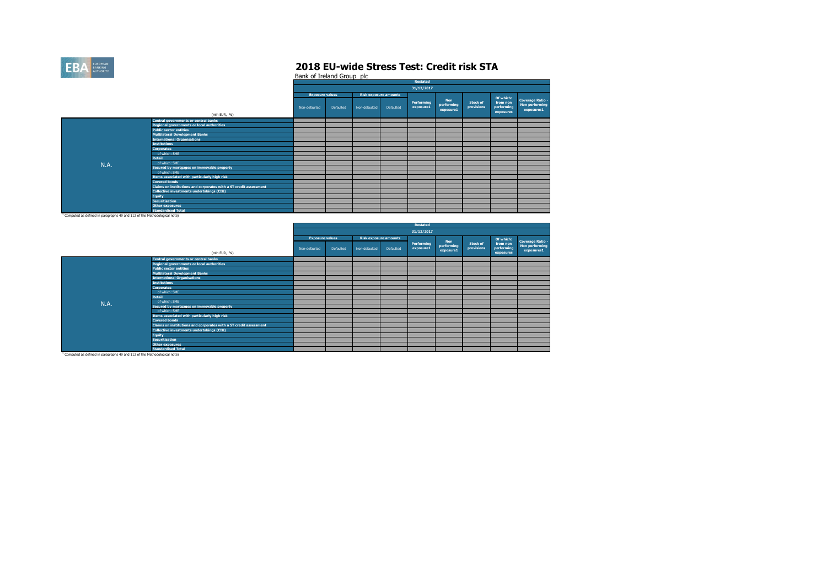

Bank of Ireland Group plc

|      |                                                                   |                        |           |               |                              | Restated                |                                       |                               |                                                  |                                                  |
|------|-------------------------------------------------------------------|------------------------|-----------|---------------|------------------------------|-------------------------|---------------------------------------|-------------------------------|--------------------------------------------------|--------------------------------------------------|
|      |                                                                   |                        |           |               |                              | 31/12/2017              |                                       |                               |                                                  |                                                  |
|      |                                                                   | <b>Exposure values</b> |           |               | <b>Risk exposure amounts</b> |                         |                                       |                               |                                                  |                                                  |
|      | (mln EUR, %)                                                      | Non-defaulted          | Defaulted | Non-defaulted | Defaulted                    | Performing<br>exposure1 | <b>Non</b><br>performing<br>exposure1 | <b>Stock of</b><br>provisions | Of which:<br>from non<br>performing<br>exposures | Coverage Ratio -<br>Non performing<br>exposures1 |
|      | Central governments or central banks                              |                        |           |               |                              |                         |                                       |                               |                                                  |                                                  |
|      | Regional governments or local authorities                         |                        |           |               |                              |                         |                                       |                               |                                                  |                                                  |
|      | <b>Public sector entities</b>                                     |                        |           |               |                              |                         |                                       |                               |                                                  |                                                  |
|      | <b>Multilateral Development Banks</b>                             |                        |           |               |                              |                         |                                       |                               |                                                  |                                                  |
|      | <b>International Organisations</b>                                |                        |           |               |                              |                         |                                       |                               |                                                  |                                                  |
|      | <b>Institutions</b>                                               |                        |           |               |                              |                         |                                       |                               |                                                  |                                                  |
|      | <b>Corporates</b>                                                 |                        |           |               |                              |                         |                                       |                               |                                                  |                                                  |
|      | of which: SME                                                     |                        |           |               |                              |                         |                                       |                               |                                                  |                                                  |
|      | <b>Retail</b>                                                     |                        |           |               |                              |                         |                                       |                               |                                                  |                                                  |
| N.A. | of which: SME                                                     |                        |           |               |                              |                         |                                       |                               |                                                  |                                                  |
|      | Secured by mortgages on immovable property                        |                        |           |               |                              |                         |                                       |                               |                                                  |                                                  |
|      | of which: SME                                                     |                        |           |               |                              |                         |                                       |                               |                                                  |                                                  |
|      | Items associated with particularly high risk                      |                        |           |               |                              |                         |                                       |                               |                                                  |                                                  |
|      | <b>Covered bonds</b>                                              |                        |           |               |                              |                         |                                       |                               |                                                  |                                                  |
|      | Claims on institutions and corporates with a ST credit assessment |                        |           |               |                              |                         |                                       |                               |                                                  |                                                  |
|      | Collective investments undertakings (CIU)                         |                        |           |               |                              |                         |                                       |                               |                                                  |                                                  |
|      | <b>Equity</b>                                                     |                        |           |               |                              |                         |                                       |                               |                                                  |                                                  |
|      | <b>Securitisation</b>                                             |                        |           |               |                              |                         |                                       |                               |                                                  |                                                  |
|      | <b>Other exposures</b>                                            |                        |           |               |                              |                         |                                       |                               |                                                  |                                                  |
|      | <b>Standardised Total</b>                                         |                        |           |               |                              |                         |                                       |                               |                                                  |                                                  |

<sup>1</sup> Computed as defined in paragraphs 49 and 112 of the Methodological note)

|      |                                                                   |                        |           |               |                              | Restated                |                         |                        |                                     |                                                                |
|------|-------------------------------------------------------------------|------------------------|-----------|---------------|------------------------------|-------------------------|-------------------------|------------------------|-------------------------------------|----------------------------------------------------------------|
|      |                                                                   |                        |           |               |                              | 31/12/2017              |                         |                        |                                     |                                                                |
|      |                                                                   | <b>Exposure values</b> |           |               | <b>Risk exposure amounts</b> |                         | <b>Non</b>              |                        | Of which:                           |                                                                |
|      | (mln EUR, %)                                                      | Non-defaulted          | Defaulted | Non-defaulted | Defaulted                    | Performing<br>exposure1 | performing<br>exposure1 | Stock of<br>provisions | from non<br>performing<br>exposures | <b>Coverage Ratio -</b><br><b>Non performing</b><br>exposures1 |
|      | <b>Central governments or central banks</b>                       |                        |           |               |                              |                         |                         |                        |                                     |                                                                |
|      | Regional governments or local authorities                         |                        |           |               |                              |                         |                         |                        |                                     |                                                                |
|      | <b>Public sector entities</b>                                     |                        |           |               |                              |                         |                         |                        |                                     |                                                                |
|      | <b>Multilateral Development Banks</b>                             |                        |           |               |                              |                         |                         |                        |                                     |                                                                |
|      | <b>International Organisations</b>                                |                        |           |               |                              |                         |                         |                        |                                     |                                                                |
|      | <b>Institutions</b>                                               |                        |           |               |                              |                         |                         |                        |                                     |                                                                |
|      | <b>Corporates</b>                                                 |                        |           |               |                              |                         |                         |                        |                                     |                                                                |
|      | of which: SME                                                     |                        |           |               |                              |                         |                         |                        |                                     |                                                                |
|      | <b>Retail</b>                                                     |                        |           |               |                              |                         |                         |                        |                                     |                                                                |
| N.A. | of which: SME                                                     |                        |           |               |                              |                         |                         |                        |                                     |                                                                |
|      | Secured by mortgages on immovable property                        |                        |           |               |                              |                         |                         |                        |                                     |                                                                |
|      | of which: SME                                                     |                        |           |               |                              |                         |                         |                        |                                     |                                                                |
|      | Items associated with particularly high risk                      |                        |           |               |                              |                         |                         |                        |                                     |                                                                |
|      | <b>Covered bonds</b>                                              |                        |           |               |                              |                         |                         |                        |                                     |                                                                |
|      | Claims on institutions and corporates with a ST credit assessment |                        |           |               |                              |                         |                         |                        |                                     |                                                                |
|      | Collective investments undertakings (CIU)                         |                        |           |               |                              |                         |                         |                        |                                     |                                                                |
|      | <b>Equity</b>                                                     |                        |           |               |                              |                         |                         |                        |                                     |                                                                |
|      | <b>Securitisation</b>                                             |                        |           |               |                              |                         |                         |                        |                                     |                                                                |
|      | Other exposures                                                   |                        |           |               |                              |                         |                         |                        |                                     |                                                                |
|      | <b>Standardised Total</b>                                         |                        |           |               |                              |                         |                         |                        |                                     |                                                                |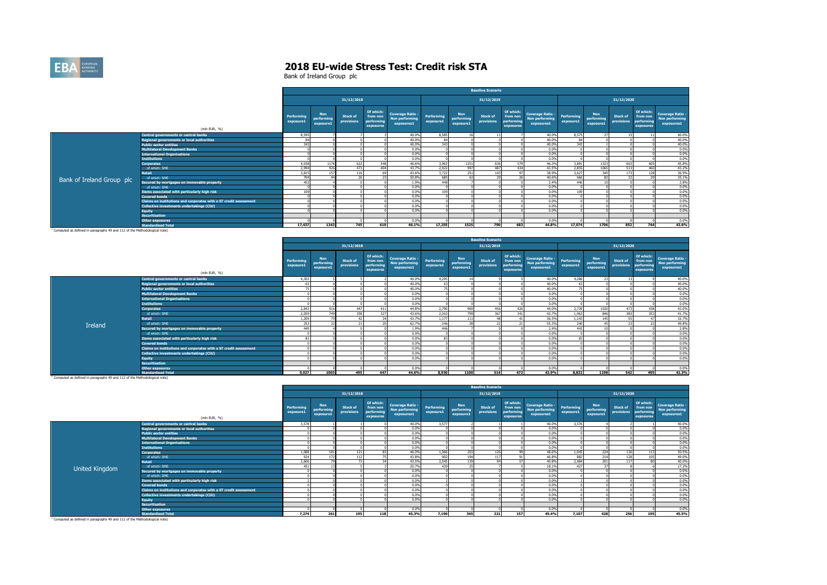

|                           |                                                                   | <b>Baseline Scenario</b> |                                       |                        |                                                  |                                                         |                         |                                       |                        |                                                  |                                                         |                         |                                       |                               |                                                  |                                                         |
|---------------------------|-------------------------------------------------------------------|--------------------------|---------------------------------------|------------------------|--------------------------------------------------|---------------------------------------------------------|-------------------------|---------------------------------------|------------------------|--------------------------------------------------|---------------------------------------------------------|-------------------------|---------------------------------------|-------------------------------|--------------------------------------------------|---------------------------------------------------------|
|                           |                                                                   |                          |                                       | 31/12/2018             |                                                  |                                                         |                         |                                       | 31/12/2019             |                                                  |                                                         |                         |                                       | 31/12/2020                    |                                                  |                                                         |
|                           | (mln EUR, %)                                                      | Performing<br>exposure1  | <b>Non</b><br>performing<br>exposure1 | Stock of<br>provisions | Of which:<br>from non<br>performing<br>exposures | <b>Coverage Ratio -</b><br>Non performing<br>exposures1 | Performing<br>exposure1 | <b>Non</b><br>performing<br>exposure1 | Stock of<br>provisions | Of which:<br>from non<br>performing<br>exposures | <b>Coverage Ratio -</b><br>Non performing<br>exposures1 | Performing<br>exposure1 | <b>Non</b><br>performing<br>exposure1 | <b>Stock of</b><br>provisions | Of which:<br>from non<br>performing<br>exposures | <b>Coverage Ratio -</b><br>Non performing<br>exposures1 |
|                           | <b>Central governments or central banks</b>                       | 8.595                    |                                       |                        |                                                  | 40.0%                                                   | 8,585                   |                                       |                        |                                                  | 40.0%                                                   | 8.575                   | 77                                    |                               |                                                  | 40.0%                                                   |
|                           | <b>Regional governments or local authorities</b>                  | 84                       |                                       |                        |                                                  | 40.0%                                                   | 84                      |                                       |                        |                                                  | 40.0%                                                   | 84                      |                                       |                               |                                                  | 40.0%                                                   |
|                           | <b>Public sector entities</b>                                     | 343                      |                                       |                        |                                                  | 40.0%                                                   | 343                     |                                       |                        |                                                  | 40.0%                                                   | 343                     |                                       |                               |                                                  | 40.0%                                                   |
|                           | <b>Multilateral Development Banks</b>                             |                          |                                       |                        |                                                  | 0.0%                                                    |                         |                                       |                        |                                                  | 0.0%                                                    |                         |                                       |                               |                                                  | 0.0%                                                    |
|                           | <b>International Organisations</b>                                |                          |                                       |                        |                                                  | 0.0%                                                    |                         |                                       |                        |                                                  | 0.0%                                                    |                         |                                       |                               |                                                  | 0.0%                                                    |
|                           | <b>Institutions</b>                                               |                          |                                       |                        |                                                  | 0.0%                                                    |                         |                                       |                        |                                                  | 0.0%                                                    |                         |                                       |                               |                                                  | 0.0%                                                    |
|                           | <b>Corporates</b>                                                 | 4.038                    | 1176                                  | 622                    | 548                                              | 46.6%                                                   | 3.963                   | 1251                                  | 636                    | 579                                              | 46.3%                                                   | 3.891                   | 1323                                  | 663                           | 605                                              | 45.8%                                                   |
|                           | of which: SME                                                     | 2.994                    | 926                                   | 473                    | 404                                              | 43.7%                                                   | 2,922                   | 997                                   | 487                    | 434                                              | 43.5%                                                   | 2.855                   | 1065                                  | 513                           | 460                                              | 43.2%                                                   |
|                           | <b>Retail</b>                                                     | 3.815                    | 157                                   | 116                    | 60                                               | 43.6%                                                   | 3.722                   | 251                                   | 143                    | 07                                               | 38.9%                                                   | 3.627                   | 345                                   | 173                           | 128                                              | 36.9%                                                   |
| Bank of Ireland Group plc | of which: SME                                                     | 704                      |                                       | 26                     |                                                  | 50.8%                                                   | 685                     |                                       | 29                     |                                                  | 40.6%                                                   | 666                     |                                       | $\mathbf{z}$                  |                                                  | 35.1%                                                   |
|                           | Secured by mortgages on immovable property                        | 452                      |                                       |                        |                                                  | 1.9%                                                    | 448                     |                                       |                        |                                                  | 2.4%                                                    | 446                     |                                       |                               |                                                  | 2.8%                                                    |
|                           | of which: SME                                                     |                          |                                       |                        |                                                  | 0.0%                                                    |                         |                                       |                        |                                                  | 0.0%                                                    |                         |                                       |                               |                                                  | 0.0%                                                    |
|                           | Items associated with particularly high risk                      | 109                      |                                       |                        |                                                  | 0.0%                                                    | 109                     |                                       |                        |                                                  | 0.0%                                                    | 109                     |                                       |                               |                                                  | 0.0%                                                    |
|                           | <b>Covered bonds</b>                                              |                          |                                       |                        |                                                  | 0.0%                                                    |                         |                                       |                        |                                                  | 0.0%                                                    |                         |                                       |                               |                                                  | 0.0%                                                    |
|                           | Claims on institutions and corporates with a ST credit assessment |                          |                                       |                        |                                                  | 0.0%                                                    |                         |                                       |                        |                                                  | 0.0%                                                    |                         |                                       |                               |                                                  | 0.0%                                                    |
|                           | <b>Collective investments undertakings (CIU)</b>                  |                          |                                       |                        |                                                  | 0.0%                                                    |                         |                                       |                        |                                                  | 0.0%                                                    |                         |                                       |                               |                                                  | 0.0%                                                    |
|                           | Eauity                                                            |                          |                                       |                        |                                                  | 0.0%                                                    |                         |                                       |                        |                                                  | 0.0%                                                    |                         |                                       |                               |                                                  | 0.0%                                                    |
|                           | <b>Securitisation</b>                                             |                          |                                       |                        |                                                  |                                                         |                         |                                       |                        |                                                  |                                                         |                         |                                       |                               |                                                  |                                                         |
|                           | <b>Other exposures</b>                                            |                          |                                       |                        |                                                  | 0.0%                                                    |                         |                                       |                        |                                                  | 0.0%                                                    |                         |                                       |                               |                                                  | 0.0%                                                    |
|                           | <b>Standardised Total</b>                                         | 17,437                   | 1343                                  | 745                    | 619                                              | 46.1%                                                   | 17,255                  | 1525                                  | 790                    | 683                                              | 44.8%                                                   | 17.074                  | 1706                                  | 852                           | 744                                              | 43.6%                                                   |

**Standardised Total** 1 Computed as defined in paragraphs 49 and 112 of the Methodological note)

|         |                                                                   |                         |                                       |                               |                                                  |                                                         |                         |                                       | <b>Baseline Scenario</b> |                                                  |                                                         |                         |                                       |                               |                                                  |                                                         |
|---------|-------------------------------------------------------------------|-------------------------|---------------------------------------|-------------------------------|--------------------------------------------------|---------------------------------------------------------|-------------------------|---------------------------------------|--------------------------|--------------------------------------------------|---------------------------------------------------------|-------------------------|---------------------------------------|-------------------------------|--------------------------------------------------|---------------------------------------------------------|
|         |                                                                   |                         |                                       | 31/12/2018                    |                                                  |                                                         |                         |                                       | 31/12/2019               |                                                  |                                                         |                         |                                       | 31/12/2020                    |                                                  |                                                         |
|         | (mln EUR, %)                                                      | Performing<br>exposure1 | <b>Non</b><br>performing<br>exposure1 | <b>Stock of</b><br>provisions | Of which:<br>from non<br>performing<br>exposures | <b>Coverage Ratio -</b><br>Non performing<br>exposures1 | Performing<br>exposure1 | <b>Non</b><br>performing<br>exposure1 | Stock of<br>provisions   | Of which:<br>from non<br>performing<br>exposures | <b>Coverage Ratio -</b><br>Non performing<br>exposures1 | Performing<br>exposure1 | <b>Non</b><br>performing<br>exposure1 | <b>Stock of</b><br>provisions | Of which:<br>from non<br>performing<br>exposures | <b>Coverage Ratio -</b><br>Non performing<br>exposures1 |
|         | <b>Central governments or central banks</b>                       | 4.303                   |                                       |                               |                                                  | 40.0%                                                   | 4.295                   |                                       |                          |                                                  | 40.0%                                                   | 4.286                   | 27                                    | 13                            |                                                  | 40.0%                                                   |
|         | <b>Regional governments or local authorities</b>                  |                         |                                       |                               |                                                  | 40.0%                                                   |                         |                                       |                          |                                                  | 40.0%                                                   |                         |                                       |                               |                                                  | 40.0%                                                   |
|         | <b>Public sector entities</b>                                     | 75                      |                                       |                               |                                                  | 40.0%                                                   | <b>110</b>              |                                       |                          |                                                  | 40.0%                                                   | 75                      |                                       |                               |                                                  | 40.0%                                                   |
|         | <b>Multilateral Development Banks</b>                             |                         |                                       |                               |                                                  | 0.0%                                                    |                         |                                       |                          |                                                  | 0.0%                                                    |                         |                                       |                               |                                                  | 0.0%                                                    |
|         | <b>International Organisations</b>                                |                         |                                       |                               |                                                  | 0.0%                                                    |                         |                                       |                          |                                                  | 0.0%                                                    |                         |                                       |                               |                                                  | 0.0%                                                    |
|         | <b>Institutions</b>                                               |                         |                                       |                               |                                                  | 0.0%                                                    |                         |                                       |                          |                                                  | 0.0%                                                    |                         |                                       |                               |                                                  | 0.0%                                                    |
|         | <b>Corporates</b>                                                 | 2.843                   | 916                                   | 447                           | 411                                              | 44.8%                                                   | 2,790                   | 969                                   | 456                      | 476                                              | 44.0%                                                   | 2.739                   | 1020                                  | 473                           | 438                                              | 43.0%                                                   |
|         | of which: SME                                                     | 2,059                   |                                       | 358                           | 327                                              | 43.6%                                                   | 2,010                   | 799                                   | 367                      | 341                                              | 42.7%                                                   | 1,963                   | 846                                   | 383                           | 353                                              | 41.7%                                                   |
|         | <b>Retail</b>                                                     | 1,209                   |                                       | 47                            |                                                  | 43.7%                                                   | 1.177                   | 111                                   | 48                       |                                                  | 36.5%                                                   | 1.143                   | 145                                   | 55                            |                                                  | 32.7%                                                   |
| Ireland | of which: SME                                                     | 253                     |                                       | 21                            |                                                  | 62.7%                                                   | 246                     |                                       | 22                       |                                                  | 55.3%                                                   | 240                     |                                       | 23                            |                                                  | 49.8%                                                   |
|         | Secured by mortgages on immovable property                        | 449                     |                                       |                               |                                                  | 1.9%                                                    | 446                     |                                       |                          |                                                  | 2.4%                                                    | 443                     |                                       |                               |                                                  | 2.8%                                                    |
|         | of which: SME                                                     |                         |                                       |                               |                                                  | 0.0%                                                    |                         |                                       |                          |                                                  | 0.0%                                                    |                         |                                       |                               |                                                  | 0.0%                                                    |
|         | Items associated with particularly high risk                      | 83                      |                                       |                               |                                                  | 0.0%                                                    | $\mathbf{R}^*$          |                                       |                          |                                                  | 0.0%                                                    |                         |                                       |                               |                                                  | 0.0%                                                    |
|         | <b>Covered bonds</b>                                              |                         |                                       |                               |                                                  | 0.0%                                                    |                         |                                       |                          |                                                  | 0.0%                                                    |                         |                                       |                               |                                                  | 0.0%                                                    |
|         | Claims on institutions and corporates with a ST credit assessment |                         |                                       |                               |                                                  | 0.0%                                                    |                         |                                       |                          |                                                  | 0.0%                                                    |                         |                                       |                               |                                                  | 0.0%                                                    |
|         | <b>Collective investments undertakings (CIU)</b>                  |                         |                                       |                               |                                                  | 0.0%                                                    |                         |                                       |                          |                                                  | 0.0%                                                    |                         |                                       |                               |                                                  | 0.0%                                                    |
|         | <b>Equity</b>                                                     |                         |                                       |                               |                                                  | 0.0%                                                    |                         |                                       |                          |                                                  | 0.0%                                                    |                         |                                       |                               |                                                  | 0.0%                                                    |
|         | <b>Securitisation</b>                                             |                         |                                       |                               |                                                  |                                                         |                         |                                       |                          |                                                  |                                                         |                         |                                       |                               |                                                  |                                                         |
|         | <b>Other exposures</b>                                            |                         |                                       |                               |                                                  | 0.0%                                                    |                         |                                       |                          |                                                  | 0.0%                                                    |                         |                                       |                               |                                                  | 0.0%                                                    |
|         | <b>Standardised Total</b>                                         | 9.027                   | 1003                                  | 495                           | 447                                              | 44.6%                                                   | 8,930                   | 1100                                  | 514                      | 472                                              | 42.9%                                                   | 8.832                   | 1198                                  | 542                           | 495                                              | 41.3%                                                   |

**Standardised Total** 1 Computed as defined in paragraphs 49 and 112 of the Methodological note)

|                       |                                                                   |                         |                                       |                               |                                                  |                                                                |                         |                                       | <b>Baseline Scenario</b>      |                                                  |                                                         |                         |                                       |                               |                                                  |                                                                |
|-----------------------|-------------------------------------------------------------------|-------------------------|---------------------------------------|-------------------------------|--------------------------------------------------|----------------------------------------------------------------|-------------------------|---------------------------------------|-------------------------------|--------------------------------------------------|---------------------------------------------------------|-------------------------|---------------------------------------|-------------------------------|--------------------------------------------------|----------------------------------------------------------------|
|                       |                                                                   |                         |                                       | 31/12/2018                    |                                                  |                                                                |                         |                                       | 31/12/2019                    |                                                  |                                                         |                         |                                       | 31/12/2020                    |                                                  |                                                                |
|                       | (mln EUR, %)                                                      | Performing<br>exposure1 | <b>Non</b><br>performing<br>exposure1 | <b>Stock of</b><br>provisions | Of which:<br>from non<br>performing<br>exposures | <b>Coverage Ratio -</b><br><b>Non performing</b><br>exposures1 | Performing<br>exposure1 | <b>Non</b><br>performing<br>exposure1 | <b>Stock of</b><br>provisions | Of which:<br>from non<br>performing<br>exposures | <b>Coverage Ratio -</b><br>Non performing<br>exposures1 | Performing<br>exposure1 | <b>Non</b><br>performing<br>exposure1 | <b>Stock of</b><br>provisions | Of which:<br>from non<br>performing<br>exposures | <b>Coverage Ratio -</b><br><b>Non performing</b><br>exposures1 |
|                       | Central governments or central banks                              | 3,578                   |                                       |                               |                                                  | 40.0%                                                          | 3,577                   |                                       |                               |                                                  | 40.0%                                                   | 3.576                   |                                       |                               |                                                  | 40.0%                                                          |
|                       | <b>Regional governments or local authorities</b>                  |                         |                                       |                               |                                                  | 0.0%                                                           |                         |                                       |                               |                                                  | 0.0%                                                    |                         |                                       |                               |                                                  | 0.0%                                                           |
|                       | <b>Public sector entities</b>                                     |                         |                                       |                               |                                                  | 0.0%                                                           |                         |                                       |                               |                                                  | 0.0%                                                    |                         |                                       |                               |                                                  | 0.0%                                                           |
|                       | Multilateral Development Banks                                    |                         |                                       |                               |                                                  | 0.0%                                                           |                         |                                       |                               |                                                  | 0.0%                                                    |                         |                                       |                               |                                                  | 0.0%                                                           |
|                       | <b>International Organisations</b>                                |                         |                                       |                               |                                                  | 0.0%                                                           |                         |                                       |                               |                                                  | 0.0%                                                    |                         |                                       |                               |                                                  | 0.0%                                                           |
|                       | <b>Institutions</b>                                               |                         |                                       |                               |                                                  | 0.0%                                                           |                         |                                       |                               |                                                  | 0.0%                                                    |                         |                                       |                               |                                                  | 0.0%                                                           |
|                       | <b>Corporates</b>                                                 | 1.088                   | 181                                   | 121                           |                                                  | 46.0%                                                          | 1.066                   | 203                                   | 126                           | <b>QQ</b>                                        | 48.6%                                                   | 1.045                   | 224                                   | 136                           | 113                                              | 50.5%                                                          |
|                       | of which: SME                                                     | 924                     |                                       | 112                           |                                                  | 43.8%                                                          | 902                     | 194                                   | 117                           |                                                  | 46.8%                                                   | 882                     | 214                                   | 128                           | 1.01                                             | 49.0%                                                          |
|                       | <b>Retail</b>                                                     | 2,606                   |                                       | 73                            |                                                  | 43.5%                                                          | 2,545                   | 139                                   | 0 <sub>A</sub>                |                                                  | 40.8%                                                   | 2.484                   | 201                                   | 117                           |                                                  | 40.0%                                                          |
|                       | of which: SME                                                     | 451                     |                                       |                               |                                                  | 20.7%                                                          | 439                     |                                       |                               |                                                  | 18.1%                                                   | 427                     |                                       |                               |                                                  | 17.2%                                                          |
| <b>United Kingdom</b> | Secured by mortgages on immovable property                        |                         |                                       |                               |                                                  | 0.0%                                                           |                         |                                       |                               |                                                  | 0.0%                                                    |                         |                                       |                               |                                                  | 0.0%                                                           |
|                       | of which: SME                                                     |                         |                                       |                               |                                                  | 0.0%                                                           |                         |                                       |                               |                                                  | 0.0%                                                    |                         |                                       |                               |                                                  | 0.0%                                                           |
|                       | Items associated with particularly high risk                      |                         |                                       |                               |                                                  | 0.0%                                                           |                         |                                       |                               |                                                  | 0.0%                                                    |                         |                                       |                               |                                                  | 0.0%                                                           |
|                       | <b>Covered bonds</b>                                              |                         |                                       |                               |                                                  | 0.0%                                                           |                         |                                       |                               |                                                  | 0.0%                                                    |                         |                                       |                               |                                                  | 0.0%                                                           |
|                       | Claims on institutions and corporates with a ST credit assessment |                         |                                       |                               |                                                  | 0.0%                                                           |                         |                                       |                               |                                                  | 0.0%                                                    |                         |                                       |                               |                                                  | 0.0%                                                           |
|                       | Collective investments undertakings (CIU)                         |                         |                                       |                               |                                                  | 0.0%                                                           |                         |                                       |                               |                                                  | 0.0%                                                    |                         |                                       |                               |                                                  | 0.0%                                                           |
|                       | <b>Equity</b>                                                     |                         |                                       |                               |                                                  | 0.0%                                                           |                         |                                       |                               |                                                  | 0.0%                                                    |                         |                                       |                               |                                                  | 0.0%                                                           |
|                       | <b>Securitisation</b>                                             |                         |                                       |                               |                                                  |                                                                |                         |                                       |                               |                                                  |                                                         |                         |                                       |                               |                                                  |                                                                |
|                       | <b>Other exposures</b>                                            |                         |                                       |                               |                                                  | 0.0%                                                           |                         |                                       |                               |                                                  | 0.0%                                                    |                         |                                       |                               |                                                  | 0.0%                                                           |
|                       | <b>Standardised Total</b>                                         | 7.274                   | 261                                   | 195                           | 118                                              | 45.3%                                                          | 7.190                   | 345                                   | 221                           | 157                                              | 45.4%                                                   | 7.107                   | 428                                   | 256                           | 195                                              | 45.5%                                                          |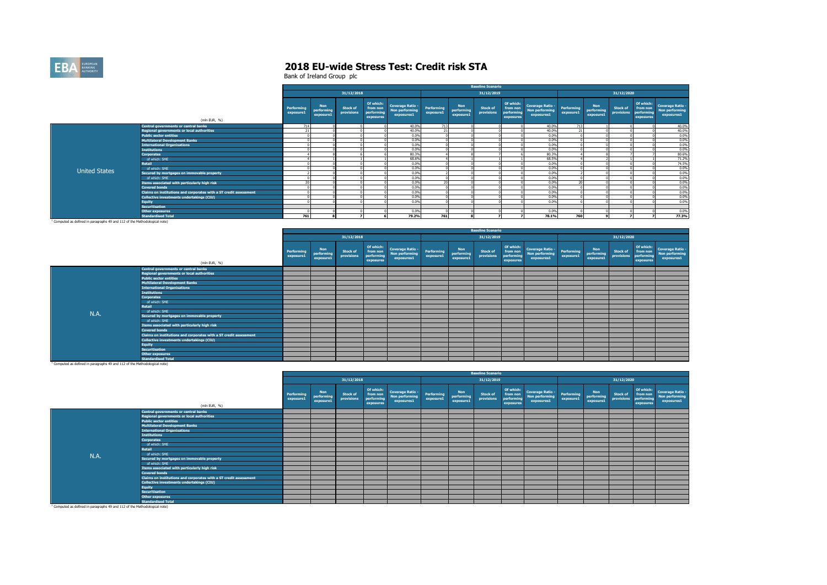

|                      |                                                                   |                         |                                       |                        |                                                  |                                                         |                                |                                       | <b>Baseline Scenario</b>      |                                                  |                                                         |                         |                                |                               |                                                  |                                                         |
|----------------------|-------------------------------------------------------------------|-------------------------|---------------------------------------|------------------------|--------------------------------------------------|---------------------------------------------------------|--------------------------------|---------------------------------------|-------------------------------|--------------------------------------------------|---------------------------------------------------------|-------------------------|--------------------------------|-------------------------------|--------------------------------------------------|---------------------------------------------------------|
|                      |                                                                   |                         |                                       | 31/12/2018             |                                                  |                                                         |                                |                                       | 31/12/2019                    |                                                  |                                                         |                         |                                | 31/12/2020                    |                                                  |                                                         |
|                      | (mln EUR, %)                                                      | Performing<br>exposure1 | <b>Non</b><br>performing<br>exposure1 | Stock of<br>provisions | Of which:<br>from non<br>performing<br>exposures | <b>Coverage Ratio -</b><br>Non performing<br>exposures1 | <b>Performing</b><br>exposure1 | <b>Non</b><br>performing<br>exposure1 | <b>Stock of</b><br>provisions | Of which:<br>from non<br>performing<br>exposures | <b>Coverage Ratio -</b><br>Non performing<br>exposures1 | Performing<br>exposure1 | Non<br>performing<br>exposure1 | <b>Stock of</b><br>provisions | Of which:<br>from non<br>performing<br>exposures | <b>Coverage Ratio -</b><br>Non performing<br>exposures1 |
|                      | Central governments or central banks                              | 714                     |                                       |                        |                                                  | 40.0%                                                   | 713                            |                                       |                               |                                                  | 40.0%                                                   | 713                     |                                |                               |                                                  | 40.0%                                                   |
|                      | <b>Regional governments or local authorities</b>                  |                         |                                       |                        |                                                  | 40.0%                                                   | 74                             |                                       |                               |                                                  | 40.0%                                                   | 21                      |                                |                               |                                                  | 40.0%                                                   |
|                      | <b>Public sector entities</b>                                     |                         |                                       |                        |                                                  | 0.0%                                                    |                                |                                       |                               |                                                  | 0.0%                                                    |                         |                                |                               |                                                  | 0.0%                                                    |
|                      | <b>Multilateral Development Banks</b>                             |                         |                                       |                        |                                                  | 0.0%                                                    |                                |                                       |                               |                                                  | 0.0%                                                    |                         |                                |                               |                                                  | 0.0%                                                    |
|                      | <b>International Organisations</b>                                |                         |                                       |                        |                                                  | 0.0%                                                    |                                |                                       |                               |                                                  | 0.0%                                                    |                         |                                |                               |                                                  | 0.0%                                                    |
|                      | <b>Institutions</b>                                               |                         |                                       |                        |                                                  | 0.0%                                                    |                                |                                       |                               |                                                  | 0.0%                                                    |                         |                                |                               |                                                  | 0.0%                                                    |
|                      | <b>Corporates</b>                                                 |                         |                                       |                        |                                                  | 80.3%                                                   |                                |                                       |                               |                                                  | 80.3%                                                   |                         |                                |                               |                                                  | 80.6%                                                   |
|                      | of which: SME                                                     |                         |                                       |                        |                                                  | 68.6%                                                   |                                |                                       |                               |                                                  | 68.5%                                                   |                         |                                |                               |                                                  | 71.2%                                                   |
|                      | <b>Retail</b>                                                     |                         |                                       |                        |                                                  | 0.0%                                                    |                                |                                       |                               |                                                  | 0.0%                                                    |                         |                                |                               |                                                  | 74.5%                                                   |
| <b>United States</b> | of which: SME                                                     |                         |                                       |                        |                                                  | 0.0%                                                    |                                |                                       |                               |                                                  | 0.0%                                                    |                         |                                |                               |                                                  | 0.0%                                                    |
|                      | Secured by mortgages on immovable property                        |                         |                                       |                        |                                                  | 0.0%                                                    |                                |                                       |                               |                                                  | 0.0%                                                    |                         |                                |                               |                                                  | 0.0%                                                    |
|                      | of which: SME                                                     |                         |                                       |                        |                                                  | 0.0%                                                    |                                |                                       |                               |                                                  | 0.0%                                                    |                         |                                |                               |                                                  | 0.0%                                                    |
|                      | Items associated with particularly high risk                      | 20                      |                                       |                        |                                                  | 0.0%                                                    | $\sim$                         |                                       |                               |                                                  | 0.0%                                                    | 20                      |                                |                               |                                                  | 0.0%                                                    |
|                      | <b>Covered bonds</b>                                              |                         |                                       |                        |                                                  | 0.0%                                                    |                                |                                       |                               |                                                  | 0.0%                                                    |                         |                                |                               |                                                  | 0.0%                                                    |
|                      | Claims on institutions and corporates with a ST credit assessment |                         |                                       |                        |                                                  | 0.0%                                                    |                                |                                       |                               |                                                  | 0.0%                                                    |                         |                                |                               |                                                  | 0.0%                                                    |
|                      | Collective investments undertakings (CIU)                         |                         |                                       |                        |                                                  | 0.0%                                                    |                                |                                       |                               |                                                  | 0.0%                                                    |                         |                                |                               |                                                  | 0.0%                                                    |
|                      | <b>Equity</b>                                                     |                         |                                       |                        |                                                  | 0.0%                                                    |                                |                                       |                               |                                                  | 0.0%                                                    |                         |                                |                               |                                                  | 0.0%                                                    |
|                      | <b>Securitisation</b>                                             |                         |                                       |                        |                                                  |                                                         |                                |                                       |                               |                                                  |                                                         |                         |                                |                               |                                                  |                                                         |
|                      | Other exposures                                                   |                         |                                       |                        |                                                  | 0.0%                                                    |                                |                                       |                               |                                                  | 0.0%                                                    |                         |                                |                               |                                                  | 0.0%                                                    |
|                      | <b>Standardised Total</b>                                         | 761                     |                                       |                        |                                                  | 79.2%                                                   | 761                            |                                       |                               |                                                  | 78.1%                                                   | 760                     |                                |                               |                                                  | 77.3%                                                   |

**Standardised Total** 1 Computed as defined in paragraphs 49 and 112 of the Methodological note)

|      |                                                                   |                         |                                       |                               |                                                  |                                                         |                         |                                | <b>Baseline Scenario</b> |                                                  |                                                                          |           |                                |                               |                                                  |                                                  |
|------|-------------------------------------------------------------------|-------------------------|---------------------------------------|-------------------------------|--------------------------------------------------|---------------------------------------------------------|-------------------------|--------------------------------|--------------------------|--------------------------------------------------|--------------------------------------------------------------------------|-----------|--------------------------------|-------------------------------|--------------------------------------------------|--------------------------------------------------|
|      |                                                                   |                         |                                       | 31/12/2018                    |                                                  |                                                         |                         |                                | 31/12/2019               |                                                  |                                                                          |           |                                | 31/12/2020                    |                                                  |                                                  |
|      | (mln EUR, %)                                                      | Performing<br>exposure1 | <b>Non</b><br>performing<br>exposure1 | <b>Stock of</b><br>provisions | Of which:<br>from non<br>performing<br>exposures | <b>Coverage Ratio -</b><br>Non performing<br>exposures1 | Performing<br>exposure1 | Non<br>performing<br>exposure1 | Stock of<br>provisions   | Of which:<br>from non<br>performing<br>exposures | Coverage Ratio - Performing<br>Non performing - exportuned<br>exposures1 | exposure1 | Non<br>performing<br>exposure1 | <b>Stock of</b><br>provisions | Of which:<br>from non<br>performing<br>exposures | Coverage Ratio -<br>Non performing<br>exposures1 |
|      | Central governments or central banks                              |                         |                                       |                               |                                                  |                                                         |                         |                                |                          |                                                  |                                                                          |           |                                |                               |                                                  |                                                  |
|      | Regional governments or local authorities                         |                         |                                       |                               |                                                  |                                                         |                         |                                |                          |                                                  |                                                                          |           |                                |                               |                                                  |                                                  |
|      | <b>Public sector entities</b>                                     |                         |                                       |                               |                                                  |                                                         |                         |                                |                          |                                                  |                                                                          |           |                                |                               |                                                  |                                                  |
|      | <b>Multilateral Development Banks</b>                             |                         |                                       |                               |                                                  |                                                         |                         |                                |                          |                                                  |                                                                          |           |                                |                               |                                                  |                                                  |
|      | <b>International Organisations</b>                                |                         |                                       |                               |                                                  |                                                         |                         |                                |                          |                                                  |                                                                          |           |                                |                               |                                                  |                                                  |
|      | <b>Institutions</b>                                               |                         |                                       |                               |                                                  |                                                         |                         |                                |                          |                                                  |                                                                          |           |                                |                               |                                                  |                                                  |
|      | Corporates                                                        |                         |                                       |                               |                                                  |                                                         |                         |                                |                          |                                                  |                                                                          |           |                                |                               |                                                  |                                                  |
|      | of which: SME                                                     |                         |                                       |                               |                                                  |                                                         |                         |                                |                          |                                                  |                                                                          |           |                                |                               |                                                  |                                                  |
|      | <b>Retail</b>                                                     |                         |                                       |                               |                                                  |                                                         |                         |                                |                          |                                                  |                                                                          |           |                                |                               |                                                  |                                                  |
| N.A. | of which: SME                                                     |                         |                                       |                               |                                                  |                                                         |                         |                                |                          |                                                  |                                                                          |           |                                |                               |                                                  |                                                  |
|      | Secured by mortgages on immovable property                        |                         |                                       |                               |                                                  |                                                         |                         |                                |                          |                                                  |                                                                          |           |                                |                               |                                                  |                                                  |
|      | of which: SME                                                     |                         |                                       |                               |                                                  |                                                         |                         |                                |                          |                                                  |                                                                          |           |                                |                               |                                                  |                                                  |
|      | Items associated with particularly high risk                      |                         |                                       |                               |                                                  |                                                         |                         |                                |                          |                                                  |                                                                          |           |                                |                               |                                                  |                                                  |
|      | <b>Covered bonds</b>                                              |                         |                                       |                               |                                                  |                                                         |                         |                                |                          |                                                  |                                                                          |           |                                |                               |                                                  |                                                  |
|      | Claims on institutions and corporates with a ST credit assessment |                         |                                       |                               |                                                  |                                                         |                         |                                |                          |                                                  |                                                                          |           |                                |                               |                                                  |                                                  |
|      | Collective investments undertakings (CIU)                         |                         |                                       |                               |                                                  |                                                         |                         |                                |                          |                                                  |                                                                          |           |                                |                               |                                                  |                                                  |
|      | <b>Equity</b>                                                     |                         |                                       |                               |                                                  |                                                         |                         |                                |                          |                                                  |                                                                          |           |                                |                               |                                                  |                                                  |
|      | <b>Securitisation</b>                                             |                         |                                       |                               |                                                  |                                                         |                         |                                |                          |                                                  |                                                                          |           |                                |                               |                                                  |                                                  |
|      | <b>Other exposures</b>                                            |                         |                                       |                               |                                                  |                                                         |                         |                                |                          |                                                  |                                                                          |           |                                |                               |                                                  |                                                  |
|      | <b>Standardised Total</b>                                         |                         |                                       |                               |                                                  |                                                         |                         |                                |                          |                                                  |                                                                          |           |                                |                               |                                                  |                                                  |

**Standardised Total** 1 Computed as defined in paragraphs 49 and 112 of the Methodological note)

|      |                                                                   |                         |                                       |                               |                                                  |                                                  |                         |                                       | <b>Baseline Scenario</b>      |           |                                                                                           |                                       |                               |                                                  |                                                         |
|------|-------------------------------------------------------------------|-------------------------|---------------------------------------|-------------------------------|--------------------------------------------------|--------------------------------------------------|-------------------------|---------------------------------------|-------------------------------|-----------|-------------------------------------------------------------------------------------------|---------------------------------------|-------------------------------|--------------------------------------------------|---------------------------------------------------------|
|      |                                                                   |                         |                                       | 31/12/2018                    |                                                  |                                                  |                         |                                       | 31/12/2019                    |           |                                                                                           |                                       | 31/12/2020                    |                                                  |                                                         |
|      | (mln EUR, %)                                                      | Performing<br>exposure1 | <b>Non</b><br>performing<br>exposure1 | <b>Stock of</b><br>provisions | Of which:<br>from non<br>performing<br>exposures | Coverage Ratio -<br>Non performing<br>exposures1 | Performing<br>exposure1 | <b>Non</b><br>performing<br>exposure1 | <b>Stock of</b><br>provisions | exposures | of twhich: Coverage Ratio - Performing<br>from non Non performing exposures<br>exposures1 | <b>Non</b><br>performing<br>exposure1 | <b>Stock of</b><br>provisions | Of which:<br>from non<br>performing<br>exposures | <b>Coverage Ratio -</b><br>Non performing<br>exposures1 |
|      | <b>Central governments or central banks</b>                       |                         |                                       |                               |                                                  |                                                  |                         |                                       |                               |           |                                                                                           |                                       |                               |                                                  |                                                         |
|      | Regional governments or local authorities                         |                         |                                       |                               |                                                  |                                                  |                         |                                       |                               |           |                                                                                           |                                       |                               |                                                  |                                                         |
|      | <b>Public sector entities</b>                                     |                         |                                       |                               |                                                  |                                                  |                         |                                       |                               |           |                                                                                           |                                       |                               |                                                  |                                                         |
|      | <b>Multilateral Development Banks</b>                             |                         |                                       |                               |                                                  |                                                  |                         |                                       |                               |           |                                                                                           |                                       |                               |                                                  |                                                         |
|      | <b>International Organisations</b>                                |                         |                                       |                               |                                                  |                                                  |                         |                                       |                               |           |                                                                                           |                                       |                               |                                                  |                                                         |
|      | <b>Institutions</b>                                               |                         |                                       |                               |                                                  |                                                  |                         |                                       |                               |           |                                                                                           |                                       |                               |                                                  |                                                         |
|      | Corporates                                                        |                         |                                       |                               |                                                  |                                                  |                         |                                       |                               |           |                                                                                           |                                       |                               |                                                  |                                                         |
|      | of which: SME                                                     |                         |                                       |                               |                                                  |                                                  |                         |                                       |                               |           |                                                                                           |                                       |                               |                                                  |                                                         |
|      | Retail                                                            |                         |                                       |                               |                                                  |                                                  |                         |                                       |                               |           |                                                                                           |                                       |                               |                                                  |                                                         |
| N.A. | of which: SME                                                     |                         |                                       |                               |                                                  |                                                  |                         |                                       |                               |           |                                                                                           |                                       |                               |                                                  |                                                         |
|      | Secured by mortgages on immovable property                        |                         |                                       |                               |                                                  |                                                  |                         |                                       |                               |           |                                                                                           |                                       |                               |                                                  |                                                         |
|      | of which: SME                                                     |                         |                                       |                               |                                                  |                                                  |                         |                                       |                               |           |                                                                                           |                                       |                               |                                                  |                                                         |
|      | Items associated with particularly high risk                      |                         |                                       |                               |                                                  |                                                  |                         |                                       |                               |           |                                                                                           |                                       |                               |                                                  |                                                         |
|      | <b>Covered bonds</b>                                              |                         |                                       |                               |                                                  |                                                  |                         |                                       |                               |           |                                                                                           |                                       |                               |                                                  |                                                         |
|      | Claims on institutions and corporates with a ST credit assessment |                         |                                       |                               |                                                  |                                                  |                         |                                       |                               |           |                                                                                           |                                       |                               |                                                  |                                                         |
|      | <b>Collective investments undertakings (CIU)</b>                  |                         |                                       |                               |                                                  |                                                  |                         |                                       |                               |           |                                                                                           |                                       |                               |                                                  |                                                         |
|      | Eauity                                                            |                         |                                       |                               |                                                  |                                                  |                         |                                       |                               |           |                                                                                           |                                       |                               |                                                  |                                                         |
|      | <b>Securitisation</b>                                             |                         |                                       |                               |                                                  |                                                  |                         |                                       |                               |           |                                                                                           |                                       |                               |                                                  |                                                         |
|      | Other exposures                                                   |                         |                                       |                               |                                                  |                                                  |                         |                                       |                               |           |                                                                                           |                                       |                               |                                                  |                                                         |
|      | <b>Standardised Total</b>                                         |                         |                                       |                               |                                                  |                                                  |                         |                                       |                               |           |                                                                                           |                                       |                               |                                                  |                                                         |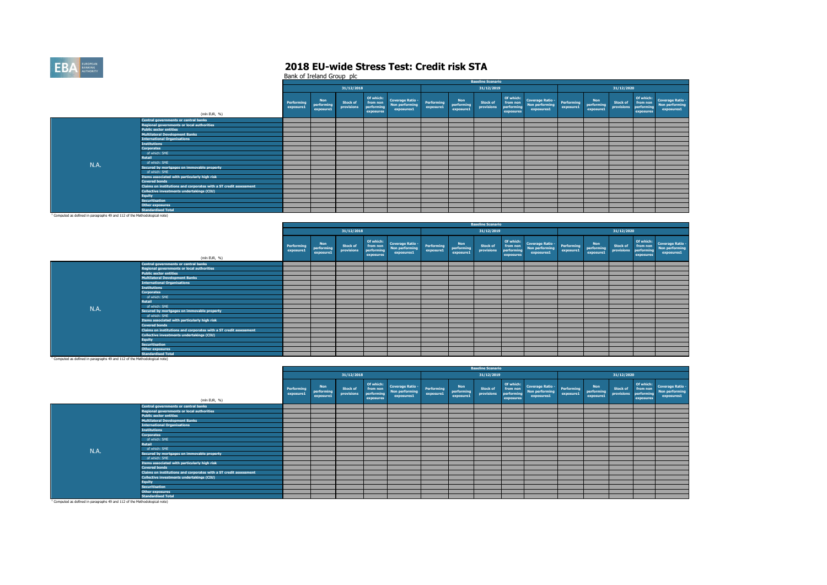

|                                                                                       |                                                                   |                                |                                       |                               |                                                  |                                                         |                         |                                       | <b>Baseline Scenario</b>      |                                     |                                                            |                         |                                |                               |                                                  |                                                  |
|---------------------------------------------------------------------------------------|-------------------------------------------------------------------|--------------------------------|---------------------------------------|-------------------------------|--------------------------------------------------|---------------------------------------------------------|-------------------------|---------------------------------------|-------------------------------|-------------------------------------|------------------------------------------------------------|-------------------------|--------------------------------|-------------------------------|--------------------------------------------------|--------------------------------------------------|
|                                                                                       |                                                                   |                                |                                       | 31/12/2018                    |                                                  |                                                         |                         |                                       | 31/12/2019                    |                                     |                                                            |                         |                                | 31/12/2020                    |                                                  |                                                  |
|                                                                                       | (mln EUR, %)                                                      | <b>Performing</b><br>exposure1 | <b>Non</b><br>performing<br>exposure1 | <b>Stock of</b><br>provisions | Of which:<br>from non<br>performing<br>exposures | <b>Coverage Ratio -</b><br>Non performing<br>exposures1 | Performing<br>exposure1 | <b>Non</b><br>performing<br>exposure1 | <b>Stock of</b><br>provisions | from non<br>performing<br>exposures | Of which: Coverage Ratio -<br>Non performing<br>exposures1 | Performing<br>exposure1 | Non<br>performing<br>exposure1 | <b>Stock of</b><br>provisions | Of which:<br>from non<br>performing<br>exposures | Coverage Ratio -<br>Non performing<br>exposures1 |
|                                                                                       | Central governments or central banks                              |                                |                                       |                               |                                                  |                                                         |                         |                                       |                               |                                     |                                                            |                         |                                |                               |                                                  |                                                  |
|                                                                                       | <b>Regional governments or local authorities</b>                  |                                |                                       |                               |                                                  |                                                         |                         |                                       |                               |                                     |                                                            |                         |                                |                               |                                                  |                                                  |
|                                                                                       | <b>Public sector entities</b>                                     |                                |                                       |                               |                                                  |                                                         |                         |                                       |                               |                                     |                                                            |                         |                                |                               |                                                  |                                                  |
|                                                                                       | <b>Multilateral Development Banks</b>                             |                                |                                       |                               |                                                  |                                                         |                         |                                       |                               |                                     |                                                            |                         |                                |                               |                                                  |                                                  |
|                                                                                       | <b>International Organisations</b>                                |                                |                                       |                               |                                                  |                                                         |                         |                                       |                               |                                     |                                                            |                         |                                |                               |                                                  |                                                  |
|                                                                                       | <b>Institutions</b>                                               |                                |                                       |                               |                                                  |                                                         |                         |                                       |                               |                                     |                                                            |                         |                                |                               |                                                  |                                                  |
|                                                                                       | <b>Corporates</b>                                                 |                                |                                       |                               |                                                  |                                                         |                         |                                       |                               |                                     |                                                            |                         |                                |                               |                                                  |                                                  |
|                                                                                       | of which: SME                                                     |                                |                                       |                               |                                                  |                                                         |                         |                                       |                               |                                     |                                                            |                         |                                |                               |                                                  |                                                  |
|                                                                                       | Retail                                                            |                                |                                       |                               |                                                  |                                                         |                         |                                       |                               |                                     |                                                            |                         |                                |                               |                                                  |                                                  |
| N.A.                                                                                  | of which: SME                                                     |                                |                                       |                               |                                                  |                                                         |                         |                                       |                               |                                     |                                                            |                         |                                |                               |                                                  |                                                  |
|                                                                                       | Secured by mortgages on immovable property                        |                                |                                       |                               |                                                  |                                                         |                         |                                       |                               |                                     |                                                            |                         |                                |                               |                                                  |                                                  |
|                                                                                       | of which: SME                                                     |                                |                                       |                               |                                                  |                                                         |                         |                                       |                               |                                     |                                                            |                         |                                |                               |                                                  |                                                  |
|                                                                                       | Items associated with particularly high risk                      |                                |                                       |                               |                                                  |                                                         |                         |                                       |                               |                                     |                                                            |                         |                                |                               |                                                  |                                                  |
|                                                                                       | <b>Covered bonds</b>                                              |                                |                                       |                               |                                                  |                                                         |                         |                                       |                               |                                     |                                                            |                         |                                |                               |                                                  |                                                  |
|                                                                                       | Claims on institutions and corporates with a ST credit assessment |                                |                                       |                               |                                                  |                                                         |                         |                                       |                               |                                     |                                                            |                         |                                |                               |                                                  |                                                  |
|                                                                                       | Collective investments undertakings (CIU)                         |                                |                                       |                               |                                                  |                                                         |                         |                                       |                               |                                     |                                                            |                         |                                |                               |                                                  |                                                  |
|                                                                                       | <b>Equity</b>                                                     |                                |                                       |                               |                                                  |                                                         |                         |                                       |                               |                                     |                                                            |                         |                                |                               |                                                  |                                                  |
|                                                                                       | <b>Securitisation</b>                                             |                                |                                       |                               |                                                  |                                                         |                         |                                       |                               |                                     |                                                            |                         |                                |                               |                                                  |                                                  |
|                                                                                       | <b>Other exposures</b>                                            |                                |                                       |                               |                                                  |                                                         |                         |                                       |                               |                                     |                                                            |                         |                                |                               |                                                  |                                                  |
|                                                                                       | <b>Standardised Total</b>                                         |                                |                                       |                               |                                                  |                                                         |                         |                                       |                               |                                     |                                                            |                         |                                |                               |                                                  |                                                  |
| <sup>1</sup> Computed as defined in paragraphs 49 and 112 of the Methodological note) |                                                                   |                                |                                       |                               |                                                  |                                                         |                         |                                       |                               |                                     |                                                            |                         |                                |                               |                                                  |                                                  |

|      |                                                                   |                         |                                       |                        |                                                  |                                                         |                         |                                       | <b>Baseline Scenario</b>      |                                                  |                                                         |                         |                                |                        |                                                  |                                                         |
|------|-------------------------------------------------------------------|-------------------------|---------------------------------------|------------------------|--------------------------------------------------|---------------------------------------------------------|-------------------------|---------------------------------------|-------------------------------|--------------------------------------------------|---------------------------------------------------------|-------------------------|--------------------------------|------------------------|--------------------------------------------------|---------------------------------------------------------|
|      |                                                                   |                         |                                       | 31/12/2018             |                                                  |                                                         |                         |                                       | 31/12/2019                    |                                                  |                                                         |                         |                                | 31/12/2020             |                                                  |                                                         |
|      | (mln EUR, %)                                                      | Performing<br>exposure1 | <b>Non</b><br>performing<br>exposure1 | Stock of<br>provisions | Of which:<br>from non<br>performing<br>exposures | <b>Coverage Ratio -</b><br>Non performing<br>exposures1 | Performing<br>exposure1 | <b>Non</b><br>performing<br>exposure1 | <b>Stock of</b><br>provisions | Of which:<br>from non<br>performing<br>exposures | <b>Coverage Ratio -</b><br>Non performing<br>exposures1 | Performing<br>exposure1 | Non<br>performing<br>exposure1 | Stock of<br>provisions | Of which:<br>from non<br>performing<br>exposures | <b>Coverage Ratio -</b><br>Non performing<br>exposures1 |
|      | Central governments or central banks                              |                         |                                       |                        |                                                  |                                                         |                         |                                       |                               |                                                  |                                                         |                         |                                |                        |                                                  |                                                         |
|      | <b>Regional governments or local authorities</b>                  |                         |                                       |                        |                                                  |                                                         |                         |                                       |                               |                                                  |                                                         |                         |                                |                        |                                                  |                                                         |
|      | <b>Public sector entities</b>                                     |                         |                                       |                        |                                                  |                                                         |                         |                                       |                               |                                                  |                                                         |                         |                                |                        |                                                  |                                                         |
|      | <b>Multilateral Development Banks</b>                             |                         |                                       |                        |                                                  |                                                         |                         |                                       |                               |                                                  |                                                         |                         |                                |                        |                                                  |                                                         |
|      | <b>International Organisations</b>                                |                         |                                       |                        |                                                  |                                                         |                         |                                       |                               |                                                  |                                                         |                         |                                |                        |                                                  |                                                         |
|      | <b>Institutions</b>                                               |                         |                                       |                        |                                                  |                                                         |                         |                                       |                               |                                                  |                                                         |                         |                                |                        |                                                  |                                                         |
|      | <b>Corporates</b>                                                 |                         |                                       |                        |                                                  |                                                         |                         |                                       |                               |                                                  |                                                         |                         |                                |                        |                                                  |                                                         |
|      | of which: SME                                                     |                         |                                       |                        |                                                  |                                                         |                         |                                       |                               |                                                  |                                                         |                         |                                |                        |                                                  |                                                         |
|      | <b>Retail</b>                                                     |                         |                                       |                        |                                                  |                                                         |                         |                                       |                               |                                                  |                                                         |                         |                                |                        |                                                  |                                                         |
| N.A. | of which: SME                                                     |                         |                                       |                        |                                                  |                                                         |                         |                                       |                               |                                                  |                                                         |                         |                                |                        |                                                  |                                                         |
|      | Secured by mortgages on immovable property                        |                         |                                       |                        |                                                  |                                                         |                         |                                       |                               |                                                  |                                                         |                         |                                |                        |                                                  |                                                         |
|      | of which: SME                                                     |                         |                                       |                        |                                                  |                                                         |                         |                                       |                               |                                                  |                                                         |                         |                                |                        |                                                  |                                                         |
|      | Items associated with particularly high risk                      |                         |                                       |                        |                                                  |                                                         |                         |                                       |                               |                                                  |                                                         |                         |                                |                        |                                                  |                                                         |
|      | <b>Covered bonds</b>                                              |                         |                                       |                        |                                                  |                                                         |                         |                                       |                               |                                                  |                                                         |                         |                                |                        |                                                  |                                                         |
|      | Claims on institutions and corporates with a ST credit assessment |                         |                                       |                        |                                                  |                                                         |                         |                                       |                               |                                                  |                                                         |                         |                                |                        |                                                  |                                                         |
|      | Collective investments undertakings (CIU)                         |                         |                                       |                        |                                                  |                                                         |                         |                                       |                               |                                                  |                                                         |                         |                                |                        |                                                  |                                                         |
|      | <b>Equity</b>                                                     |                         |                                       |                        |                                                  |                                                         |                         |                                       |                               |                                                  |                                                         |                         |                                |                        |                                                  |                                                         |
|      | <b>Securitisation</b>                                             |                         |                                       |                        |                                                  |                                                         |                         |                                       |                               |                                                  |                                                         |                         |                                |                        |                                                  |                                                         |
|      | <b>Other exposures</b>                                            |                         |                                       |                        |                                                  |                                                         |                         |                                       |                               |                                                  |                                                         |                         |                                |                        |                                                  |                                                         |
|      | <b>Standardised Total</b>                                         |                         |                                       |                        |                                                  |                                                         |                         |                                       |                               |                                                  |                                                         |                         |                                |                        |                                                  |                                                         |

|                                                                                       |                                                                   |                         |                                       |                               |                                                  |                                                          |                         |                                       | <b>Baseline Scenario</b>      |                                     |                                                            |                         |                                       |                               |                                                  |                                                         |
|---------------------------------------------------------------------------------------|-------------------------------------------------------------------|-------------------------|---------------------------------------|-------------------------------|--------------------------------------------------|----------------------------------------------------------|-------------------------|---------------------------------------|-------------------------------|-------------------------------------|------------------------------------------------------------|-------------------------|---------------------------------------|-------------------------------|--------------------------------------------------|---------------------------------------------------------|
|                                                                                       |                                                                   |                         |                                       | 31/12/2018                    |                                                  |                                                          |                         |                                       | 31/12/2019                    |                                     |                                                            |                         |                                       | 31/12/2020                    |                                                  |                                                         |
|                                                                                       | (mln EUR, %)                                                      | Performing<br>exposure1 | <b>Non</b><br>performing<br>exposure1 | <b>Stock of</b><br>provisions | Of which:<br>from non<br>performing<br>exposures | <b>Coverage Ratio -<br/>Non performing</b><br>exposures1 | Performing<br>exposure1 | <b>Non</b><br>performing<br>exposure1 | <b>Stock of</b><br>provisions | from non<br>performing<br>exposures | Of which: Coverage Ratio -<br>Non performing<br>exposures1 | Performing<br>exposure1 | <b>Non</b><br>performing<br>exposure1 | <b>Stock of</b><br>provisions | Of which:<br>from non<br>performing<br>exposures | <b>Coverage Ratio -</b><br>Non performing<br>exposures1 |
|                                                                                       | Central governments or central banks                              |                         |                                       |                               |                                                  |                                                          |                         |                                       |                               |                                     |                                                            |                         |                                       |                               |                                                  |                                                         |
|                                                                                       | <b>Regional governments or local authorities</b>                  |                         |                                       |                               |                                                  |                                                          |                         |                                       |                               |                                     |                                                            |                         |                                       |                               |                                                  |                                                         |
|                                                                                       | <b>Public sector entities</b>                                     |                         |                                       |                               |                                                  |                                                          |                         |                                       |                               |                                     |                                                            |                         |                                       |                               |                                                  |                                                         |
|                                                                                       | <b>Multilateral Development Banks</b>                             |                         |                                       |                               |                                                  |                                                          |                         |                                       |                               |                                     |                                                            |                         |                                       |                               |                                                  |                                                         |
|                                                                                       | <b>International Organisations</b>                                |                         |                                       |                               |                                                  |                                                          |                         |                                       |                               |                                     |                                                            |                         |                                       |                               |                                                  |                                                         |
|                                                                                       | <b>Institutions</b>                                               |                         |                                       |                               |                                                  |                                                          |                         |                                       |                               |                                     |                                                            |                         |                                       |                               |                                                  |                                                         |
|                                                                                       | <b>Corporates</b>                                                 |                         |                                       |                               |                                                  |                                                          |                         |                                       |                               |                                     |                                                            |                         |                                       |                               |                                                  |                                                         |
|                                                                                       | of which: SME                                                     |                         |                                       |                               |                                                  |                                                          |                         |                                       |                               |                                     |                                                            |                         |                                       |                               |                                                  |                                                         |
|                                                                                       | Retail                                                            |                         |                                       |                               |                                                  |                                                          |                         |                                       |                               |                                     |                                                            |                         |                                       |                               |                                                  |                                                         |
| N.A.                                                                                  | of which: SME                                                     |                         |                                       |                               |                                                  |                                                          |                         |                                       |                               |                                     |                                                            |                         |                                       |                               |                                                  |                                                         |
|                                                                                       | Secured by mortgages on immovable property                        |                         |                                       |                               |                                                  |                                                          |                         |                                       |                               |                                     |                                                            |                         |                                       |                               |                                                  |                                                         |
|                                                                                       | of which: SME                                                     |                         |                                       |                               |                                                  |                                                          |                         |                                       |                               |                                     |                                                            |                         |                                       |                               |                                                  |                                                         |
|                                                                                       | Items associated with particularly high risk                      |                         |                                       |                               |                                                  |                                                          |                         |                                       |                               |                                     |                                                            |                         |                                       |                               |                                                  |                                                         |
|                                                                                       | <b>Covered bonds</b>                                              |                         |                                       |                               |                                                  |                                                          |                         |                                       |                               |                                     |                                                            |                         |                                       |                               |                                                  |                                                         |
|                                                                                       | Claims on institutions and corporates with a ST credit assessment |                         |                                       |                               |                                                  |                                                          |                         |                                       |                               |                                     |                                                            |                         |                                       |                               |                                                  |                                                         |
|                                                                                       | Collective investments undertakings (CIU)                         |                         |                                       |                               |                                                  |                                                          |                         |                                       |                               |                                     |                                                            |                         |                                       |                               |                                                  |                                                         |
|                                                                                       | <b>Equity</b>                                                     |                         |                                       |                               |                                                  |                                                          |                         |                                       |                               |                                     |                                                            |                         |                                       |                               |                                                  |                                                         |
|                                                                                       | <b>Securitisation</b>                                             |                         |                                       |                               |                                                  |                                                          |                         |                                       |                               |                                     |                                                            |                         |                                       |                               |                                                  |                                                         |
|                                                                                       | <b>Other exposures</b>                                            |                         |                                       |                               |                                                  |                                                          |                         |                                       |                               |                                     |                                                            |                         |                                       |                               |                                                  |                                                         |
|                                                                                       | <b>Standardised Total</b>                                         |                         |                                       |                               |                                                  |                                                          |                         |                                       |                               |                                     |                                                            |                         |                                       |                               |                                                  |                                                         |
| <sup>1</sup> Computed as defined in paragraphs 49 and 112 of the Methodological note) |                                                                   |                         |                                       |                               |                                                  |                                                          |                         |                                       |                               |                                     |                                                            |                         |                                       |                               |                                                  |                                                         |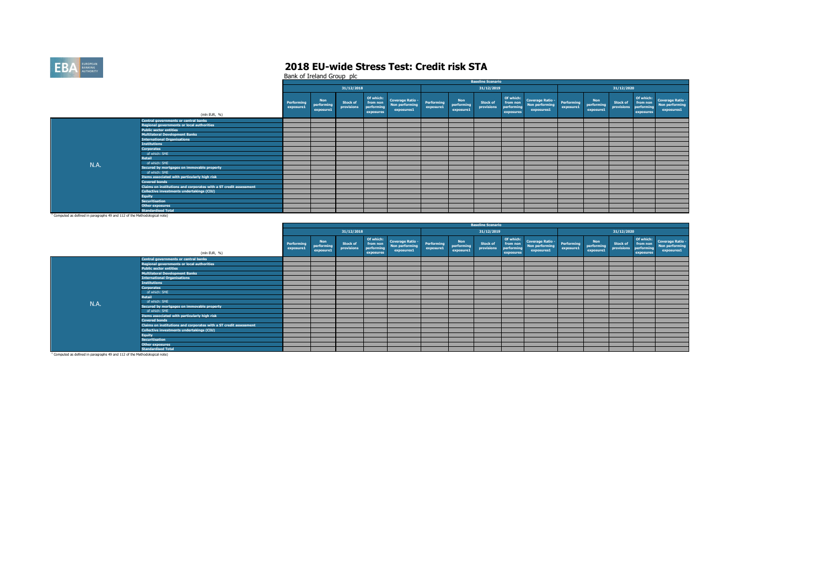

|                                                                                       |                                                                   |                         |                                       |                               |                                                  |                                                         |                         |                                       | <b>Baseline Scenario</b>      |                                                  |                                                         |                         |                                |                               |                                                  |                                                                |
|---------------------------------------------------------------------------------------|-------------------------------------------------------------------|-------------------------|---------------------------------------|-------------------------------|--------------------------------------------------|---------------------------------------------------------|-------------------------|---------------------------------------|-------------------------------|--------------------------------------------------|---------------------------------------------------------|-------------------------|--------------------------------|-------------------------------|--------------------------------------------------|----------------------------------------------------------------|
|                                                                                       |                                                                   |                         |                                       | 31/12/2018                    |                                                  |                                                         |                         |                                       | 31/12/2019                    |                                                  |                                                         |                         |                                | 31/12/2020                    |                                                  |                                                                |
|                                                                                       | (mln EUR, %)                                                      | Performing<br>exposure1 | <b>Non</b><br>performing<br>exposure1 | <b>Stock of</b><br>provisions | Of which:<br>from non<br>performing<br>exposures | <b>Coverage Ratio -</b><br>Non performing<br>exposures1 | Performing<br>exposure1 | <b>Non</b><br>performing<br>exposure1 | <b>Stock of</b><br>provisions | Of which:<br>from non<br>performing<br>exposures | <b>Coverage Ratio -</b><br>Non performing<br>exposures1 | Performing<br>exposure1 | Non<br>performing<br>exposure1 | <b>Stock of</b><br>provisions | Of which:<br>from non<br>performing<br>exposures | <b>Coverage Ratio -</b><br><b>Non performing</b><br>exposures1 |
|                                                                                       | Central governments or central banks                              |                         |                                       |                               |                                                  |                                                         |                         |                                       |                               |                                                  |                                                         |                         |                                |                               |                                                  |                                                                |
|                                                                                       | <b>Regional governments or local authorities</b>                  |                         |                                       |                               |                                                  |                                                         |                         |                                       |                               |                                                  |                                                         |                         |                                |                               |                                                  |                                                                |
|                                                                                       | <b>Public sector entities</b>                                     |                         |                                       |                               |                                                  |                                                         |                         |                                       |                               |                                                  |                                                         |                         |                                |                               |                                                  |                                                                |
|                                                                                       | <b>Multilateral Development Banks</b>                             |                         |                                       |                               |                                                  |                                                         |                         |                                       |                               |                                                  |                                                         |                         |                                |                               |                                                  |                                                                |
|                                                                                       | <b>International Organisations</b>                                |                         |                                       |                               |                                                  |                                                         |                         |                                       |                               |                                                  |                                                         |                         |                                |                               |                                                  |                                                                |
|                                                                                       | <b>Institutions</b>                                               |                         |                                       |                               |                                                  |                                                         |                         |                                       |                               |                                                  |                                                         |                         |                                |                               |                                                  |                                                                |
|                                                                                       | <b>Corporates</b>                                                 |                         |                                       |                               |                                                  |                                                         |                         |                                       |                               |                                                  |                                                         |                         |                                |                               |                                                  |                                                                |
|                                                                                       | of which: SME                                                     |                         |                                       |                               |                                                  |                                                         |                         |                                       |                               |                                                  |                                                         |                         |                                |                               |                                                  |                                                                |
|                                                                                       | <b>Retail</b>                                                     |                         |                                       |                               |                                                  |                                                         |                         |                                       |                               |                                                  |                                                         |                         |                                |                               |                                                  |                                                                |
| N.A.                                                                                  | of which: SME                                                     |                         |                                       |                               |                                                  |                                                         |                         |                                       |                               |                                                  |                                                         |                         |                                |                               |                                                  |                                                                |
|                                                                                       | Secured by mortgages on immovable property                        |                         |                                       |                               |                                                  |                                                         |                         |                                       |                               |                                                  |                                                         |                         |                                |                               |                                                  |                                                                |
|                                                                                       | of which: SME                                                     |                         |                                       |                               |                                                  |                                                         |                         |                                       |                               |                                                  |                                                         |                         |                                |                               |                                                  |                                                                |
|                                                                                       | Items associated with particularly high risk                      |                         |                                       |                               |                                                  |                                                         |                         |                                       |                               |                                                  |                                                         |                         |                                |                               |                                                  |                                                                |
|                                                                                       | <b>Covered bonds</b>                                              |                         |                                       |                               |                                                  |                                                         |                         |                                       |                               |                                                  |                                                         |                         |                                |                               |                                                  |                                                                |
|                                                                                       | Claims on institutions and corporates with a ST credit assessment |                         |                                       |                               |                                                  |                                                         |                         |                                       |                               |                                                  |                                                         |                         |                                |                               |                                                  |                                                                |
|                                                                                       | Collective investments undertakings (CIU)                         |                         |                                       |                               |                                                  |                                                         |                         |                                       |                               |                                                  |                                                         |                         |                                |                               |                                                  |                                                                |
|                                                                                       | <b>Equity</b>                                                     |                         |                                       |                               |                                                  |                                                         |                         |                                       |                               |                                                  |                                                         |                         |                                |                               |                                                  |                                                                |
|                                                                                       | <b>Securitisation</b>                                             |                         |                                       |                               |                                                  |                                                         |                         |                                       |                               |                                                  |                                                         |                         |                                |                               |                                                  |                                                                |
|                                                                                       | <b>Other exposures</b>                                            |                         |                                       |                               |                                                  |                                                         |                         |                                       |                               |                                                  |                                                         |                         |                                |                               |                                                  |                                                                |
|                                                                                       | <b>Standardised Total</b>                                         |                         |                                       |                               |                                                  |                                                         |                         |                                       |                               |                                                  |                                                         |                         |                                |                               |                                                  |                                                                |
| <sup>1</sup> Computed as defined in paragraphs 49 and 112 of the Methodological note) |                                                                   |                         |                                       |                               |                                                  |                                                         |                         |                                       |                               |                                                  |                                                         |                         |                                |                               |                                                  |                                                                |

|                                                                                       |                                                                   |                         |                                       |                               |                                                  |                                                         |                         |                                       | <b>Baseline Scenario</b>      |                                     |                                                            |                         |                                       |                               |                                                  |                                                         |
|---------------------------------------------------------------------------------------|-------------------------------------------------------------------|-------------------------|---------------------------------------|-------------------------------|--------------------------------------------------|---------------------------------------------------------|-------------------------|---------------------------------------|-------------------------------|-------------------------------------|------------------------------------------------------------|-------------------------|---------------------------------------|-------------------------------|--------------------------------------------------|---------------------------------------------------------|
|                                                                                       |                                                                   |                         |                                       | 31/12/2018                    |                                                  |                                                         |                         |                                       | 31/12/2019                    |                                     |                                                            |                         |                                       | 31/12/2020                    |                                                  |                                                         |
|                                                                                       | (mln EUR, %)                                                      | Performing<br>exposure1 | <b>Non</b><br>performing<br>exposure1 | <b>Stock of</b><br>provisions | Of which:<br>from non<br>performing<br>exposures | <b>Coverage Ratio -</b><br>Non performing<br>exposures1 | Performing<br>exposure1 | <b>Non</b><br>performing<br>exposure1 | <b>Stock of</b><br>provisions | from non<br>performing<br>exposures | Of which: Coverage Ratio -<br>Non performing<br>exposures1 | Performing<br>exposure1 | <b>Non</b><br>performing<br>exposure1 | <b>Stock of</b><br>provisions | Of which:<br>from non<br>performing<br>exposures | <b>Coverage Ratio -</b><br>Non performing<br>exposures1 |
|                                                                                       | <b>Central governments or central banks</b>                       |                         |                                       |                               |                                                  |                                                         |                         |                                       |                               |                                     |                                                            |                         |                                       |                               |                                                  |                                                         |
|                                                                                       | <b>Regional governments or local authorities</b>                  |                         |                                       |                               |                                                  |                                                         |                         |                                       |                               |                                     |                                                            |                         |                                       |                               |                                                  |                                                         |
|                                                                                       | <b>Public sector entities</b>                                     |                         |                                       |                               |                                                  |                                                         |                         |                                       |                               |                                     |                                                            |                         |                                       |                               |                                                  |                                                         |
|                                                                                       | <b>Multilateral Development Banks</b>                             |                         |                                       |                               |                                                  |                                                         |                         |                                       |                               |                                     |                                                            |                         |                                       |                               |                                                  |                                                         |
|                                                                                       | <b>International Organisations</b>                                |                         |                                       |                               |                                                  |                                                         |                         |                                       |                               |                                     |                                                            |                         |                                       |                               |                                                  |                                                         |
|                                                                                       | <b>Institutions</b>                                               |                         |                                       |                               |                                                  |                                                         |                         |                                       |                               |                                     |                                                            |                         |                                       |                               |                                                  |                                                         |
|                                                                                       | <b>Corporates</b>                                                 |                         |                                       |                               |                                                  |                                                         |                         |                                       |                               |                                     |                                                            |                         |                                       |                               |                                                  |                                                         |
|                                                                                       | of which: SME                                                     |                         |                                       |                               |                                                  |                                                         |                         |                                       |                               |                                     |                                                            |                         |                                       |                               |                                                  |                                                         |
|                                                                                       | Retail                                                            |                         |                                       |                               |                                                  |                                                         |                         |                                       |                               |                                     |                                                            |                         |                                       |                               |                                                  |                                                         |
| N.A.                                                                                  | of which: SME                                                     |                         |                                       |                               |                                                  |                                                         |                         |                                       |                               |                                     |                                                            |                         |                                       |                               |                                                  |                                                         |
|                                                                                       | Secured by mortgages on immovable property                        |                         |                                       |                               |                                                  |                                                         |                         |                                       |                               |                                     |                                                            |                         |                                       |                               |                                                  |                                                         |
|                                                                                       | of which: SME                                                     |                         |                                       |                               |                                                  |                                                         |                         |                                       |                               |                                     |                                                            |                         |                                       |                               |                                                  |                                                         |
|                                                                                       | Items associated with particularly high risk                      |                         |                                       |                               |                                                  |                                                         |                         |                                       |                               |                                     |                                                            |                         |                                       |                               |                                                  |                                                         |
|                                                                                       | <b>Covered bonds</b>                                              |                         |                                       |                               |                                                  |                                                         |                         |                                       |                               |                                     |                                                            |                         |                                       |                               |                                                  |                                                         |
|                                                                                       | Claims on institutions and corporates with a ST credit assessment |                         |                                       |                               |                                                  |                                                         |                         |                                       |                               |                                     |                                                            |                         |                                       |                               |                                                  |                                                         |
|                                                                                       | Collective investments undertakings (CIU)                         |                         |                                       |                               |                                                  |                                                         |                         |                                       |                               |                                     |                                                            |                         |                                       |                               |                                                  |                                                         |
|                                                                                       | <b>Equity</b>                                                     |                         |                                       |                               |                                                  |                                                         |                         |                                       |                               |                                     |                                                            |                         |                                       |                               |                                                  |                                                         |
|                                                                                       | <b>Securitisation</b>                                             |                         |                                       |                               |                                                  |                                                         |                         |                                       |                               |                                     |                                                            |                         |                                       |                               |                                                  |                                                         |
|                                                                                       | <b>Other exposures</b>                                            |                         |                                       |                               |                                                  |                                                         |                         |                                       |                               |                                     |                                                            |                         |                                       |                               |                                                  |                                                         |
|                                                                                       | <b>Standardised Total</b>                                         |                         |                                       |                               |                                                  |                                                         |                         |                                       |                               |                                     |                                                            |                         |                                       |                               |                                                  |                                                         |
| <sup>1</sup> Computed as defined in paragraphs 49 and 112 of the Methodological note) |                                                                   |                         |                                       |                               |                                                  |                                                         |                         |                                       |                               |                                     |                                                            |                         |                                       |                               |                                                  |                                                         |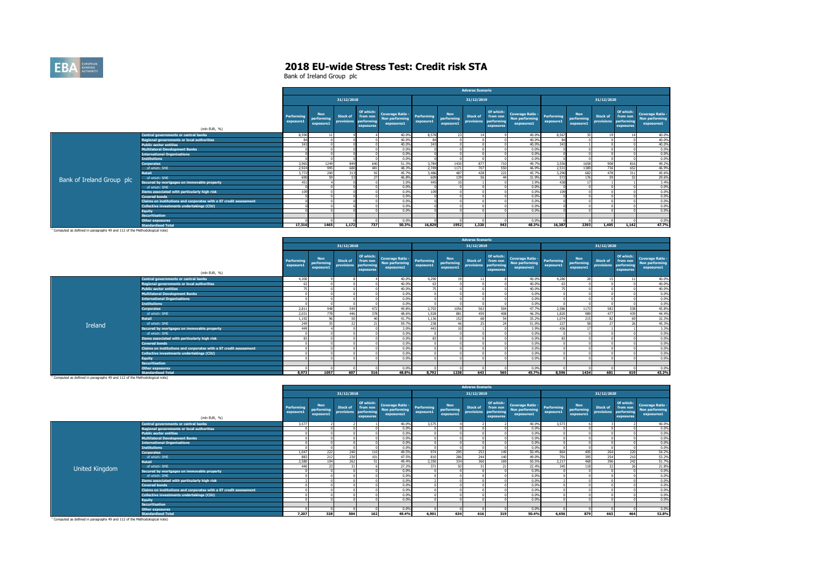

|                           |                                                                   |                         |                                       |                               |                                                  |                                                                |                         |                                       | <b>Adverse Scenario</b>       |                                                  |                                                         |                         |                                       |                        |                                                  |                                                  |
|---------------------------|-------------------------------------------------------------------|-------------------------|---------------------------------------|-------------------------------|--------------------------------------------------|----------------------------------------------------------------|-------------------------|---------------------------------------|-------------------------------|--------------------------------------------------|---------------------------------------------------------|-------------------------|---------------------------------------|------------------------|--------------------------------------------------|--------------------------------------------------|
|                           |                                                                   |                         |                                       | 31/12/2018                    |                                                  |                                                                |                         |                                       | 31/12/2019                    |                                                  |                                                         |                         |                                       | 31/12/2020             |                                                  |                                                  |
|                           | (mln EUR, %)                                                      | Performing<br>exposure1 | <b>Non</b><br>performing<br>exposure1 | <b>Stock of</b><br>provisions | Of which:<br>from non<br>performing<br>exposures | <b>Coverage Ratio -</b><br><b>Non performing</b><br>exposures1 | Performing<br>exposure1 | <b>Non</b><br>performing<br>exposure1 | <b>Stock of</b><br>provisions | Of which:<br>from non<br>performing<br>exposures | <b>Coverage Ratio -</b><br>Non performing<br>exposures1 | Performing<br>exposure1 | <b>Non</b><br>performing<br>exposure1 | Stock of<br>provisions | Of which:<br>from non<br>performing<br>exposures | Coverage Ratio -<br>Non performing<br>exposures1 |
|                           | Central governments or central banks                              | 8,590                   |                                       |                               |                                                  | 40.0%                                                          | 8.578                   | 23                                    | 14                            |                                                  | 40.0%                                                   | 8.567                   |                                       |                        |                                                  | 40.0%                                            |
|                           | <b>Regional governments or local authorities</b>                  |                         |                                       |                               |                                                  | 40.0%                                                          | 84                      |                                       |                               |                                                  | 40.0%                                                   |                         |                                       |                        |                                                  | 40.0%                                            |
|                           | <b>Public sector entities</b>                                     | 343                     |                                       |                               |                                                  | 40.0%                                                          | 343                     |                                       |                               |                                                  | 40.0%                                                   | 343                     |                                       |                        |                                                  | 40.0%                                            |
|                           | <b>Multilateral Development Banks</b>                             |                         |                                       |                               |                                                  | 0.0%                                                           |                         |                                       |                               |                                                  | 0.0%                                                    |                         |                                       |                        |                                                  | 0.0%                                             |
|                           | <b>International Organisations</b>                                |                         |                                       |                               |                                                  | 0.0%                                                           |                         |                                       |                               |                                                  | 0.0%                                                    |                         |                                       |                        |                                                  | 0.0%                                             |
|                           | <b>Institutions</b>                                               |                         |                                       |                               |                                                  | 0.0%                                                           |                         |                                       |                               |                                                  | 0.0%                                                    |                         |                                       |                        |                                                  | 0.0%                                             |
|                           | <b>Corporates</b>                                                 | 3,965                   | 1249                                  | 849                           | 640                                              | 51.3%                                                          | 3.784                   | 1430                                  | 877                           | 710                                              | 49.7%                                                   | 3.556                   | 1658                                  | 908                    | 816                                              | 49.2%                                            |
|                           | of which: SME                                                     | 2,924                   | 995                                   | 680                           | 481                                              | 48.3%                                                          | 2,749                   | 1171                                  | 707                           | 550                                              | 46.9%                                                   | 2,531                   | 1389                                  | 736                    | 652                                              | 46.9%                                            |
|                           | <b>Retail</b>                                                     | 3,772                   | 200                                   | 313                           | 92                                               | 45.7%                                                          | 3.486                   | 487                                   | 428                           | 222                                              | 45.7%                                                   | 3.290                   | 682                                   | 478                    | 311                                              | 45.6%                                            |
| Bank of Ireland Group plc | of which: SME                                                     | 690                     |                                       | F.                            |                                                  | 46.8%                                                          | 609                     | 139                                   | 56                            |                                                  | 31.9%                                                   | 572                     | 176                                   | <b>CO</b>              | <b>CD</b>                                        | 29.6%                                            |
|                           | Secured by mortgages on immovable property                        | 451                     |                                       |                               |                                                  | 3.0%                                                           | 445                     |                                       |                               |                                                  | 3.9%                                                    | 438                     |                                       |                        |                                                  | 3.4%                                             |
|                           | of which: SME                                                     |                         |                                       |                               |                                                  | 0.0%                                                           |                         |                                       |                               |                                                  | 0.0%                                                    |                         |                                       |                        |                                                  | 0.0%                                             |
|                           | Items associated with particularly high risk                      | 109                     |                                       |                               |                                                  | 0.0%                                                           | 109                     |                                       |                               |                                                  | 0.0%                                                    | 109                     |                                       |                        |                                                  | 0.0%                                             |
|                           | Covered bonds                                                     |                         |                                       |                               |                                                  | 0.0%                                                           |                         |                                       |                               |                                                  | 0.0%                                                    |                         |                                       |                        |                                                  | 0.0%                                             |
|                           | Claims on institutions and corporates with a ST credit assessment |                         |                                       |                               |                                                  | 0.0%                                                           |                         |                                       |                               |                                                  | 0.0%                                                    |                         |                                       |                        |                                                  | 0.0%                                             |
|                           | Collective investments undertakings (CIU)                         |                         |                                       |                               |                                                  | 0.0%                                                           |                         |                                       |                               |                                                  | 0.0%                                                    |                         |                                       |                        |                                                  | 0.0%                                             |
|                           | <b>Equity</b>                                                     |                         |                                       |                               |                                                  | 0.0%                                                           |                         |                                       |                               |                                                  | 0.0%                                                    |                         |                                       |                        |                                                  | 0.0%                                             |
|                           | <b>Securitisation</b>                                             |                         |                                       |                               |                                                  |                                                                |                         |                                       |                               |                                                  |                                                         |                         |                                       |                        |                                                  |                                                  |
|                           | <b>Other exposures</b>                                            |                         |                                       |                               |                                                  | 0.0%                                                           |                         |                                       |                               |                                                  | 0.0%                                                    |                         |                                       |                        |                                                  | 0.0%                                             |
|                           | <b>Standardised Total</b>                                         | 17,316                  | 1465                                  | 1.172                         | 737                                              | 50.3%                                                          | 16.829                  | 1952                                  | 1,320                         | 943                                              | 48.3%                                                   | 16,387                  | 2393                                  | 1,405                  | 1.142                                            | 47.7%                                            |

**Standardised Total** 1 Computed as defined in paragraphs 49 and 112 of the Methodological note)

|         |                                                                   |                         |                                       |                               |                                                  |                                                         |                         |                                       | <b>Adverse Scenario</b>       |                                                  |                                                         |                         |                                       |                        |                                                  |                                                                |
|---------|-------------------------------------------------------------------|-------------------------|---------------------------------------|-------------------------------|--------------------------------------------------|---------------------------------------------------------|-------------------------|---------------------------------------|-------------------------------|--------------------------------------------------|---------------------------------------------------------|-------------------------|---------------------------------------|------------------------|--------------------------------------------------|----------------------------------------------------------------|
|         |                                                                   |                         |                                       | 31/12/2018                    |                                                  |                                                         |                         |                                       | 31/12/2019                    |                                                  |                                                         |                         |                                       | 31/12/2020             |                                                  |                                                                |
|         | (mln EUR, %)                                                      | Performing<br>exposure1 | <b>Non</b><br>performing<br>exposure1 | <b>Stock of</b><br>provisions | Of which:<br>from non<br>performing<br>exposures | <b>Coverage Ratio -</b><br>Non performing<br>exposures1 | Performing<br>exposure1 | <b>Non</b><br>performing<br>exposure1 | <b>Stock of</b><br>provisions | Of which:<br>from non<br>performing<br>exposures | <b>Coverage Ratio -</b><br>Non performing<br>exposures1 | Performing<br>exposure1 | <b>Non</b><br>performing<br>exposure1 | Stock of<br>provisions | Of which:<br>from non<br>performing<br>exposures | <b>Coverage Ratio -</b><br><b>Non performing</b><br>exposures1 |
|         | Central governments or central banks                              | 4,300                   |                                       |                               |                                                  | 40.0%                                                   | 4,290                   |                                       | 11                            |                                                  | 40.0%                                                   | 4,280                   |                                       |                        |                                                  | 40.0%                                                          |
|         | <b>Regional governments or local authorities</b>                  |                         |                                       |                               |                                                  | 40.0%                                                   | 67                      |                                       |                               |                                                  | 40.0%                                                   | 63                      |                                       |                        |                                                  | 40.0%                                                          |
|         | <b>Public sector entities</b>                                     |                         |                                       |                               |                                                  | 40.0%                                                   | $\overline{a}$          |                                       |                               |                                                  | 40.0%                                                   | 75                      |                                       |                        |                                                  | 40.0%                                                          |
|         | <b>Multilateral Development Banks</b>                             |                         |                                       |                               |                                                  | 0.0%                                                    |                         |                                       |                               |                                                  | 0.0%                                                    |                         |                                       |                        |                                                  | 0.0%                                                           |
|         | <b>International Organisations</b>                                |                         |                                       |                               |                                                  | 0.0%                                                    |                         |                                       |                               |                                                  | 0.0%                                                    |                         |                                       |                        |                                                  | 0.0%                                                           |
|         | <b>Institutions</b>                                               |                         |                                       |                               |                                                  | 0.0%                                                    |                         |                                       |                               |                                                  | 0.0%                                                    |                         |                                       |                        |                                                  | 0.0%                                                           |
|         | <b>Corporates</b>                                                 | 2.811                   | 948                                   | 549                           | 472                                              | 49.8%                                                   | 2,703                   | 1056                                  | 563                           | 504                                              | 47.7%                                                   | 2,586                   | 1173                                  | 583                    | 538                                              | 45.8%                                                          |
|         | of which: SME                                                     | 2,031                   |                                       | 446                           | 378                                              | 48.6%                                                   | 1.928                   | 881                                   | 459                           | 40                                               | 46.3%                                                   | 1,820                   |                                       | 477                    | 439                                              | 44.4%                                                          |
|         | Retail                                                            | 1,192                   |                                       | 50                            |                                                  | 41.7%                                                   | 1,136                   | 152                                   | 68                            |                                                  | 35.2%                                                   | 1.074                   | 215                                   | $^{\circ}$             |                                                  | 32.3%                                                          |
| Ireland | of which: SME                                                     | 249                     |                                       | 22                            |                                                  | 59.7%                                                   | 238                     |                                       | 25                            |                                                  | 51.0%                                                   | 227                     |                                       | $\sim$                 | <b>12.5</b>                                      | 45.3%                                                          |
|         | Secured by mortgages on immovable property                        | 449                     |                                       |                               |                                                  | 3.0%                                                    | 4431                    |                                       |                               |                                                  | 3.9%                                                    | 436                     |                                       |                        |                                                  | 3.3%                                                           |
|         | of which: SME                                                     |                         |                                       |                               |                                                  | 0.0%                                                    |                         |                                       |                               |                                                  | 0.0%                                                    |                         |                                       |                        |                                                  | 0.0%                                                           |
|         | Items associated with particularly high risk                      | 83                      |                                       |                               |                                                  | 0.0%                                                    | 83                      |                                       |                               |                                                  | 0.0%                                                    | 83                      |                                       |                        |                                                  | 0.0%                                                           |
|         | <b>Covered bonds</b>                                              |                         |                                       |                               |                                                  | 0.0%                                                    |                         |                                       |                               |                                                  | 0.0%                                                    |                         |                                       |                        |                                                  | 0.0%                                                           |
|         | Claims on institutions and corporates with a ST credit assessment |                         |                                       |                               |                                                  | 0.0%                                                    |                         |                                       |                               |                                                  | 0.0%                                                    |                         |                                       |                        |                                                  | 0.0%                                                           |
|         | Collective investments undertakings (CIU)                         |                         |                                       |                               |                                                  | 0.0%                                                    |                         |                                       |                               |                                                  | 0.0%                                                    |                         |                                       |                        |                                                  | 0.0%                                                           |
|         | <b>Equity</b>                                                     |                         |                                       |                               |                                                  | 0.0%                                                    |                         |                                       |                               |                                                  | 0.0%                                                    |                         |                                       |                        |                                                  | 0.0%                                                           |
|         | <b>Securitisation</b>                                             |                         |                                       |                               |                                                  |                                                         |                         |                                       |                               |                                                  |                                                         |                         |                                       |                        |                                                  |                                                                |
|         | <b>Other exposures</b>                                            |                         |                                       |                               |                                                  | 0.0%                                                    |                         |                                       |                               |                                                  | 0.0%                                                    |                         |                                       |                        |                                                  | 0.0%                                                           |
|         | <b>Standardised Total</b>                                         | 8,973                   | 1057                                  | 607                           | 516                                              | 48.8%                                                   | 8.792                   | 1238                                  | 643                           | 565                                              | 45.7%                                                   | 8.596                   | 1434                                  | 681                    | 619                                              | 43.2%                                                          |

**Standardised Total** 1 Computed as defined in paragraphs 49 and 112 of the Methodological note)

|                |                                                                   |                         |                                       |                        |                                                 |                                                                |                         |                                       | <b>Adverse Scenario</b> |                                                  |                                                         |                         |                                       |                        |                                                  |                                                                |
|----------------|-------------------------------------------------------------------|-------------------------|---------------------------------------|------------------------|-------------------------------------------------|----------------------------------------------------------------|-------------------------|---------------------------------------|-------------------------|--------------------------------------------------|---------------------------------------------------------|-------------------------|---------------------------------------|------------------------|--------------------------------------------------|----------------------------------------------------------------|
|                |                                                                   |                         |                                       | 31/12/2018             |                                                 |                                                                |                         |                                       | 31/12/2019              |                                                  |                                                         |                         |                                       | 31/12/2020             |                                                  |                                                                |
|                | (mln EUR, %)                                                      | Performing<br>exposure1 | <b>Non</b><br>performing<br>exposure1 | Stock of<br>provisions | Of which:<br>from non<br>performin<br>exposures | <b>Coverage Ratio -</b><br><b>Non performing</b><br>exposures1 | Performing<br>exposure1 | <b>Non</b><br>performing<br>exposure1 | Stock of<br>provisions  | Of which:<br>from non<br>performing<br>exposures | <b>Coverage Ratio -</b><br>Non performing<br>exposures1 | Performing<br>exposure1 | <b>Non</b><br>performing<br>exposure1 | Stock of<br>provisions | Of which:<br>from non<br>performing<br>exposures | <b>Coverage Ratio -</b><br><b>Non performing</b><br>exposures1 |
|                | Central governments or central banks                              | 3,577                   |                                       |                        |                                                 | 40.0%                                                          | 3,575                   |                                       |                         |                                                  | 40.0%                                                   | 3,573                   |                                       |                        |                                                  | 40.0%                                                          |
|                | <b>Regional governments or local authorities</b>                  |                         |                                       |                        |                                                 | 0.0%                                                           |                         |                                       |                         |                                                  | 0.0%                                                    |                         |                                       |                        |                                                  | 0.0%                                                           |
|                | <b>Public sector entities</b>                                     |                         |                                       |                        |                                                 | 0.0%                                                           |                         |                                       |                         |                                                  | 0.0%                                                    |                         |                                       |                        |                                                  | 0.0%                                                           |
|                | <b>Multilateral Development Banks</b>                             |                         |                                       |                        |                                                 | 0.0%                                                           |                         |                                       |                         |                                                  | 0.0%                                                    |                         |                                       |                        |                                                  | 0.0%                                                           |
|                | <b>International Organisations</b>                                |                         |                                       |                        |                                                 | 0.0%                                                           |                         |                                       |                         |                                                  | 0.0%                                                    |                         |                                       |                        |                                                  | 0.0%                                                           |
|                | <b>Institutions</b>                                               |                         |                                       |                        |                                                 | 0.0%                                                           |                         |                                       |                         |                                                  | 0.0%                                                    | $\Omega$                |                                       |                        |                                                  | 0.0%                                                           |
|                | <b>Corporates</b>                                                 | 1,047                   | 222                                   | 240                    | 110                                             | 49.5%                                                          | 974                     | 295                                   | 253                     | 149                                              | 50.4%                                                   | 864                     | 40S                                   | 264                    | 220                                              | 54.2%                                                          |
|                | of which: SME                                                     | 883                     | 212                                   | 230                    | 101                                             | 47.5%                                                          | 810                     | 286                                   | 244                     |                                                  | 49.0%                                                   | 701                     | 395                                   | 254                    | 210                                              | 53.2%                                                          |
|                | <b>Retail</b>                                                     | 2,580                   | 104                                   | 262                    | C1                                              | 49.4%                                                          | 2.350                   | 334                                   | 360                     | 169                                              | 50.5%                                                   | 2.217                   | 468                                   | 396                    | 242                                              | 51.7%                                                          |
| United Kingdom | of which: SME                                                     | 440                     |                                       |                        |                                                 | 27.2%                                                          | 371                     |                                       | 31                      |                                                  | 22.4%                                                   | 345                     | 118                                   |                        | $\sim$                                           | 21.8%                                                          |
|                | Secured by mortgages on immovable property                        |                         |                                       |                        |                                                 | 0.0%                                                           |                         |                                       |                         |                                                  | 0.0%                                                    |                         |                                       |                        |                                                  | 0.0%                                                           |
|                | of which: SME                                                     |                         |                                       |                        |                                                 | 0.0%                                                           |                         |                                       |                         |                                                  | 0.0%                                                    |                         |                                       |                        |                                                  | 0.0%                                                           |
|                | Items associated with particularly high risk                      |                         |                                       |                        |                                                 | 0.0%                                                           |                         |                                       |                         |                                                  | 0.0%                                                    |                         |                                       |                        |                                                  | 0.0%                                                           |
|                | <b>Covered bonds</b>                                              |                         |                                       |                        |                                                 | 0.0%                                                           |                         |                                       |                         |                                                  | 0.0%                                                    |                         |                                       |                        |                                                  | 0.0%                                                           |
|                | Claims on institutions and corporates with a ST credit assessment |                         |                                       |                        |                                                 | 0.0%                                                           |                         |                                       |                         |                                                  | 0.0%                                                    |                         |                                       |                        |                                                  | 0.0%                                                           |
|                | Collective investments undertakings (CIU)                         |                         |                                       |                        |                                                 | 0.0%                                                           |                         |                                       |                         |                                                  | 0.0%                                                    |                         |                                       |                        |                                                  | 0.0%                                                           |
|                | <b>Equity</b>                                                     |                         |                                       |                        |                                                 | 0.0%                                                           |                         |                                       |                         |                                                  | 0.0%                                                    |                         |                                       |                        |                                                  | 0.0%                                                           |
|                | <b>Securitisation</b>                                             |                         |                                       |                        |                                                 |                                                                |                         |                                       |                         |                                                  |                                                         |                         |                                       |                        |                                                  |                                                                |
|                | <b>Other exposures</b>                                            |                         |                                       |                        |                                                 | 0.0%                                                           |                         |                                       |                         |                                                  | 0.0%                                                    |                         |                                       |                        |                                                  | 0.0%                                                           |
|                | <b>Standardised Total</b>                                         | 7.207                   | 328                                   | 504                    | 162                                             | 49.4%                                                          | 6.901                   | 634                                   | 616                     | 319                                              | 50.4%                                                   | 6,656                   | 879                                   | 663                    | 464                                              | 52.8%                                                          |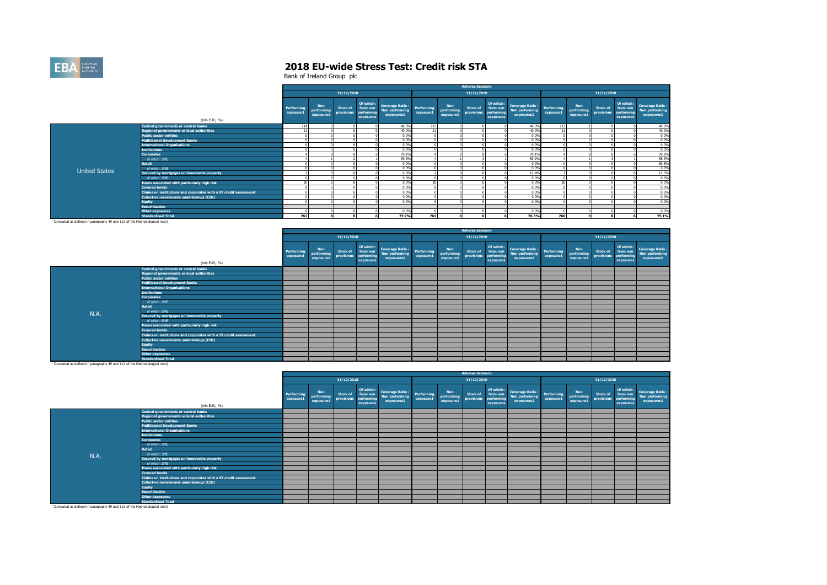

|                      |                                                                   |                         |                                       |                               |                                                  |                                                             |                 |                                       | <b>Adverse Scenario</b>                  |                                    |                                                         |                                |                                       |                               |                                                  |                                                         |
|----------------------|-------------------------------------------------------------------|-------------------------|---------------------------------------|-------------------------------|--------------------------------------------------|-------------------------------------------------------------|-----------------|---------------------------------------|------------------------------------------|------------------------------------|---------------------------------------------------------|--------------------------------|---------------------------------------|-------------------------------|--------------------------------------------------|---------------------------------------------------------|
|                      |                                                                   |                         |                                       | 31/12/2018                    |                                                  |                                                             |                 |                                       | 31/12/2019                               |                                    |                                                         |                                |                                       | 31/12/2020                    |                                                  |                                                         |
|                      | (mln EUR, %)                                                      | Performing<br>exposure1 | <b>Non</b><br>performing<br>exposure1 | <b>Stock of</b><br>provisions | Of which:<br>from non<br>performing<br>exposures | Coverage Ratio - Performing<br>Non performing<br>exposures1 | exposure1       | <b>Non</b><br>performing<br>exposure1 | <b>Stock of</b><br>provisions performing | Of which:<br>from non<br>exposures | <b>Coverage Ratio -</b><br>Non performing<br>exposures1 | <b>Performing</b><br>exposure1 | <b>Non</b><br>performing<br>exposure1 | <b>Stock of</b><br>provisions | Of which:<br>from non<br>performing<br>exposures | <b>Coverage Ratio -</b><br>Non performing<br>exposures1 |
|                      | Central governments or central banks                              | 714                     |                                       |                               |                                                  | 40.0%                                                       | 713             |                                       |                                          |                                    | 40.0%                                                   | 713                            |                                       |                               |                                                  | 40.0%                                                   |
|                      | Regional governments or local authorities                         | 21                      |                                       |                               |                                                  | 40.0%                                                       | 21              |                                       |                                          |                                    | 40.0%                                                   | 21                             |                                       |                               |                                                  | 40.0%                                                   |
|                      | <b>Public sector entities</b>                                     |                         |                                       |                               |                                                  | 0.0%                                                        |                 |                                       |                                          |                                    | 0.0%                                                    | $\sim$                         |                                       |                               |                                                  | 0.0%                                                    |
|                      | <b>Multilateral Development Banks</b>                             |                         |                                       |                               |                                                  | 0.0%                                                        |                 |                                       |                                          |                                    | 0.0%                                                    |                                |                                       |                               |                                                  | 0.0%                                                    |
|                      | <b>International Organisations</b>                                |                         |                                       |                               |                                                  | 0.0%                                                        |                 |                                       |                                          |                                    | 0.0%                                                    |                                |                                       |                               |                                                  | 0.0%                                                    |
|                      | <b>Institutions</b>                                               |                         |                                       |                               |                                                  | 0.0%                                                        |                 |                                       |                                          |                                    | 0.0%                                                    |                                |                                       |                               |                                                  | 0.0%                                                    |
|                      | <b>Corporates</b>                                                 |                         |                                       |                               |                                                  | 79.1%                                                       |                 |                                       |                                          |                                    | 79.1%                                                   |                                |                                       |                               |                                                  | 78.9%                                                   |
|                      | of which: SME                                                     |                         |                                       |                               |                                                  | 59.3%                                                       |                 |                                       |                                          |                                    | 59.2%                                                   |                                |                                       |                               |                                                  | 58.3%                                                   |
|                      | Retail                                                            |                         |                                       |                               |                                                  | 0.0%                                                        |                 |                                       |                                          |                                    | 0.0%                                                    |                                |                                       |                               |                                                  | 80.8%                                                   |
| <b>United States</b> | of which: SME                                                     |                         |                                       |                               |                                                  | 0.0%                                                        |                 |                                       |                                          |                                    | 0.0%                                                    |                                |                                       |                               |                                                  | 0.0%                                                    |
|                      | Secured by mortgages on immovable property                        |                         |                                       |                               |                                                  | 0.0%                                                        |                 |                                       |                                          |                                    | 12.4%                                                   |                                |                                       |                               |                                                  | 12.3%                                                   |
|                      | of which: SME                                                     |                         |                                       |                               |                                                  | 0.0%                                                        |                 |                                       |                                          |                                    | 0.0%                                                    |                                |                                       |                               |                                                  | 0.0%                                                    |
|                      | Items associated with particularly high risk                      | $\sim$                  |                                       |                               |                                                  | 0.0%                                                        | 20 <sub>1</sub> |                                       |                                          |                                    | 0.0%                                                    | 20 <sub>0</sub>                |                                       |                               |                                                  | 0.0%                                                    |
|                      | <b>Covered bonds</b>                                              |                         |                                       |                               |                                                  | 0.0%                                                        |                 |                                       |                                          |                                    | 0.0%                                                    |                                |                                       |                               |                                                  | 0.0%                                                    |
|                      | Claims on institutions and corporates with a ST credit assessment |                         |                                       |                               |                                                  | 0.0%                                                        |                 |                                       |                                          |                                    | 0.0%                                                    |                                |                                       |                               |                                                  | 0.0%                                                    |
|                      | Collective investments undertakings (CIU)                         |                         |                                       |                               |                                                  | 0.0%                                                        |                 |                                       |                                          |                                    | 0.0%                                                    |                                |                                       |                               |                                                  | 0.0%                                                    |
|                      | <b>Equity</b>                                                     |                         |                                       |                               |                                                  | 0.0%                                                        |                 |                                       |                                          |                                    | 0.0%                                                    |                                |                                       |                               |                                                  | 0.0%                                                    |
|                      | <b>Securitisation</b>                                             |                         |                                       |                               |                                                  |                                                             |                 |                                       |                                          |                                    |                                                         |                                |                                       |                               |                                                  |                                                         |
|                      | Other exposures                                                   |                         |                                       |                               |                                                  | 0.0%                                                        |                 |                                       |                                          |                                    | 0.0%                                                    |                                |                                       |                               |                                                  | 0.0%                                                    |
|                      | <b>Standardised Total</b>                                         | 761                     |                                       |                               |                                                  | 77.9%                                                       | 761             |                                       |                                          |                                    | 76.3%                                                   | 760                            |                                       |                               |                                                  | 75.1%                                                   |

**Standardised Total** 1 Computed as defined in paragraphs 49 and 112 of the Methodological note)

|      |                                                                   |                         |                                       |                        |                                                  |                                                         |                         |                                                  | <b>Adverse Scenario</b> |                                                  |                                                  |                         |                                       |                               |                                                  |                                                         |
|------|-------------------------------------------------------------------|-------------------------|---------------------------------------|------------------------|--------------------------------------------------|---------------------------------------------------------|-------------------------|--------------------------------------------------|-------------------------|--------------------------------------------------|--------------------------------------------------|-------------------------|---------------------------------------|-------------------------------|--------------------------------------------------|---------------------------------------------------------|
|      |                                                                   |                         |                                       | 31/12/2018             |                                                  |                                                         |                         |                                                  | 31/12/2019              |                                                  |                                                  |                         |                                       | 31/12/2020                    |                                                  |                                                         |
|      | (mln EUR, %)                                                      | Performing<br>exposure1 | <b>Non</b><br>performing<br>exposure1 | Stock of<br>provisions | Of which:<br>from non<br>performing<br>exposures | <b>Coverage Ratio -</b><br>Non performing<br>exposurest | Performing<br>exposure1 | <b>Non</b><br>performing provisions<br>exposure1 | <b>Stock of</b>         | Of which:<br>from non<br>performing<br>exposures | Coverage Ratio -<br>Non performing<br>exposures1 | Performing<br>exposure1 | <b>Non</b><br>performing<br>exposure1 | <b>Stock of</b><br>provisions | Of which:<br>from non<br>performing<br>exposures | <b>Coverage Ratio -</b><br>Non performing<br>exposures1 |
|      | Central governments or central banks                              |                         |                                       |                        |                                                  |                                                         |                         |                                                  |                         |                                                  |                                                  |                         |                                       |                               |                                                  |                                                         |
|      | <b>Regional governments or local authorities</b>                  |                         |                                       |                        |                                                  |                                                         |                         |                                                  |                         |                                                  |                                                  |                         |                                       |                               |                                                  |                                                         |
|      | <b>Public sector entities</b>                                     |                         |                                       |                        |                                                  |                                                         |                         |                                                  |                         |                                                  |                                                  |                         |                                       |                               |                                                  |                                                         |
|      | <b>Multilateral Development Banks</b>                             |                         |                                       |                        |                                                  |                                                         |                         |                                                  |                         |                                                  |                                                  |                         |                                       |                               |                                                  |                                                         |
|      | <b>International Organisations</b>                                |                         |                                       |                        |                                                  |                                                         |                         |                                                  |                         |                                                  |                                                  |                         |                                       |                               |                                                  |                                                         |
|      | <b>Institutions</b>                                               |                         |                                       |                        |                                                  |                                                         |                         |                                                  |                         |                                                  |                                                  |                         |                                       |                               |                                                  |                                                         |
|      | <b>Corporates</b>                                                 |                         |                                       |                        |                                                  |                                                         |                         |                                                  |                         |                                                  |                                                  |                         |                                       |                               |                                                  |                                                         |
|      | of which: SME                                                     |                         |                                       |                        |                                                  |                                                         |                         |                                                  |                         |                                                  |                                                  |                         |                                       |                               |                                                  |                                                         |
|      | <b>Retail</b>                                                     |                         |                                       |                        |                                                  |                                                         |                         |                                                  |                         |                                                  |                                                  |                         |                                       |                               |                                                  |                                                         |
| N.A. | of which: SME                                                     |                         |                                       |                        |                                                  |                                                         |                         |                                                  |                         |                                                  |                                                  |                         |                                       |                               |                                                  |                                                         |
|      | Secured by mortgages on immovable property                        |                         |                                       |                        |                                                  |                                                         |                         |                                                  |                         |                                                  |                                                  |                         |                                       |                               |                                                  |                                                         |
|      | of which: SME                                                     |                         |                                       |                        |                                                  |                                                         |                         |                                                  |                         |                                                  |                                                  |                         |                                       |                               |                                                  |                                                         |
|      | Items associated with particularly high risk                      |                         |                                       |                        |                                                  |                                                         |                         |                                                  |                         |                                                  |                                                  |                         |                                       |                               |                                                  |                                                         |
|      | <b>Covered bonds</b>                                              |                         |                                       |                        |                                                  |                                                         |                         |                                                  |                         |                                                  |                                                  |                         |                                       |                               |                                                  |                                                         |
|      | Claims on institutions and corporates with a ST credit assessment |                         |                                       |                        |                                                  |                                                         |                         |                                                  |                         |                                                  |                                                  |                         |                                       |                               |                                                  |                                                         |
|      | Collective investments undertakings (CIU)                         |                         |                                       |                        |                                                  |                                                         |                         |                                                  |                         |                                                  |                                                  |                         |                                       |                               |                                                  |                                                         |
|      | <b>Equity</b>                                                     |                         |                                       |                        |                                                  |                                                         |                         |                                                  |                         |                                                  |                                                  |                         |                                       |                               |                                                  |                                                         |
|      | <b>Securitisation</b>                                             |                         |                                       |                        |                                                  |                                                         |                         |                                                  |                         |                                                  |                                                  |                         |                                       |                               |                                                  |                                                         |
|      | Other exposures                                                   |                         |                                       |                        |                                                  |                                                         |                         |                                                  |                         |                                                  |                                                  |                         |                                       |                               |                                                  |                                                         |
|      | <b>Standardised Total</b>                                         |                         |                                       |                        |                                                  |                                                         |                         |                                                  |                         |                                                  |                                                  |                         |                                       |                               |                                                  |                                                         |

**Standardised Total** 1 Computed as defined in paragraphs 49 and 112 of the Methodological note)

|                                                                                                                |                                                                   |                         |                                       |                               |                         |                                                            |                         |                                       | <b>Adverse Scenario</b>       |                                                  |                                                         |                         |                                   |                 |                                                  |                                                         |
|----------------------------------------------------------------------------------------------------------------|-------------------------------------------------------------------|-------------------------|---------------------------------------|-------------------------------|-------------------------|------------------------------------------------------------|-------------------------|---------------------------------------|-------------------------------|--------------------------------------------------|---------------------------------------------------------|-------------------------|-----------------------------------|-----------------|--------------------------------------------------|---------------------------------------------------------|
|                                                                                                                |                                                                   |                         |                                       | 31/12/2018                    |                         |                                                            |                         |                                       | 31/12/2019                    |                                                  |                                                         |                         |                                   | 31/12/2020      |                                                  |                                                         |
|                                                                                                                | (mln EUR, %)                                                      | Performing<br>exposure1 | <b>Non</b><br>performing<br>exposure1 | <b>Stock of</b><br>provisions | performing<br>exposures | Of which: Coverage Ratio -<br>Non performing<br>exposures1 | Performing<br>exposure1 | <b>Non</b><br>performing<br>exposure1 | <b>Stock of</b><br>provisions | Of which:<br>from non<br>performing<br>exposures | <b>Coverage Ratio -</b><br>Non performing<br>exposures1 | Performing<br>exposure1 | <b>Non</b><br>performing Stock of | <b>Stock of</b> | Of which:<br>from non<br>performing<br>exposures | <b>Coverage Ratio -</b><br>Non performing<br>exposures1 |
|                                                                                                                | Central governments or central banks                              |                         |                                       |                               |                         |                                                            |                         |                                       |                               |                                                  |                                                         |                         |                                   |                 |                                                  |                                                         |
|                                                                                                                | <b>Regional governments or local authorities</b>                  |                         |                                       |                               |                         |                                                            |                         |                                       |                               |                                                  |                                                         |                         |                                   |                 |                                                  |                                                         |
|                                                                                                                | <b>Public sector entities</b>                                     |                         |                                       |                               |                         |                                                            |                         |                                       |                               |                                                  |                                                         |                         |                                   |                 |                                                  |                                                         |
|                                                                                                                | <b>Multilateral Development Banks</b>                             |                         |                                       |                               |                         |                                                            |                         |                                       |                               |                                                  |                                                         |                         |                                   |                 |                                                  |                                                         |
|                                                                                                                | <b>International Organisations</b>                                |                         |                                       |                               |                         |                                                            |                         |                                       |                               |                                                  |                                                         |                         |                                   |                 |                                                  |                                                         |
|                                                                                                                | <b>Institutions</b>                                               |                         |                                       |                               |                         |                                                            |                         |                                       |                               |                                                  |                                                         |                         |                                   |                 |                                                  |                                                         |
|                                                                                                                | <b>Corporates</b>                                                 |                         |                                       |                               |                         |                                                            |                         |                                       |                               |                                                  |                                                         |                         |                                   |                 |                                                  |                                                         |
|                                                                                                                | of which: SME                                                     |                         |                                       |                               |                         |                                                            |                         |                                       |                               |                                                  |                                                         |                         |                                   |                 |                                                  |                                                         |
|                                                                                                                | Retail                                                            |                         |                                       |                               |                         |                                                            |                         |                                       |                               |                                                  |                                                         |                         |                                   |                 |                                                  |                                                         |
| N.A.                                                                                                           | of which: SME                                                     |                         |                                       |                               |                         |                                                            |                         |                                       |                               |                                                  |                                                         |                         |                                   |                 |                                                  |                                                         |
|                                                                                                                | Secured by mortgages on immovable property                        |                         |                                       |                               |                         |                                                            |                         |                                       |                               |                                                  |                                                         |                         |                                   |                 |                                                  |                                                         |
|                                                                                                                | of which: SME                                                     |                         |                                       |                               |                         |                                                            |                         |                                       |                               |                                                  |                                                         |                         |                                   |                 |                                                  |                                                         |
|                                                                                                                | Items associated with particularly high risk                      |                         |                                       |                               |                         |                                                            |                         |                                       |                               |                                                  |                                                         |                         |                                   |                 |                                                  |                                                         |
|                                                                                                                | <b>Covered bonds</b>                                              |                         |                                       |                               |                         |                                                            |                         |                                       |                               |                                                  |                                                         |                         |                                   |                 |                                                  |                                                         |
|                                                                                                                | Claims on institutions and corporates with a ST credit assessment |                         |                                       |                               |                         |                                                            |                         |                                       |                               |                                                  |                                                         |                         |                                   |                 |                                                  |                                                         |
|                                                                                                                | Collective investments undertakings (CIU)                         |                         |                                       |                               |                         |                                                            |                         |                                       |                               |                                                  |                                                         |                         |                                   |                 |                                                  |                                                         |
|                                                                                                                | <b>Equity</b>                                                     |                         |                                       |                               |                         |                                                            |                         |                                       |                               |                                                  |                                                         |                         |                                   |                 |                                                  |                                                         |
|                                                                                                                | <b>Securitisation</b>                                             |                         |                                       |                               |                         |                                                            |                         |                                       |                               |                                                  |                                                         |                         |                                   |                 |                                                  |                                                         |
|                                                                                                                | <b>Other exposures</b>                                            |                         |                                       |                               |                         |                                                            |                         |                                       |                               |                                                  |                                                         |                         |                                   |                 |                                                  |                                                         |
|                                                                                                                | <b>Standardised Total</b>                                         |                         |                                       |                               |                         |                                                            |                         |                                       |                               |                                                  |                                                         |                         |                                   |                 |                                                  |                                                         |
| I consider the decision of the contract of the contract of the contract of the contract of the contract of the |                                                                   |                         |                                       |                               |                         |                                                            |                         |                                       |                               |                                                  |                                                         |                         |                                   |                 |                                                  |                                                         |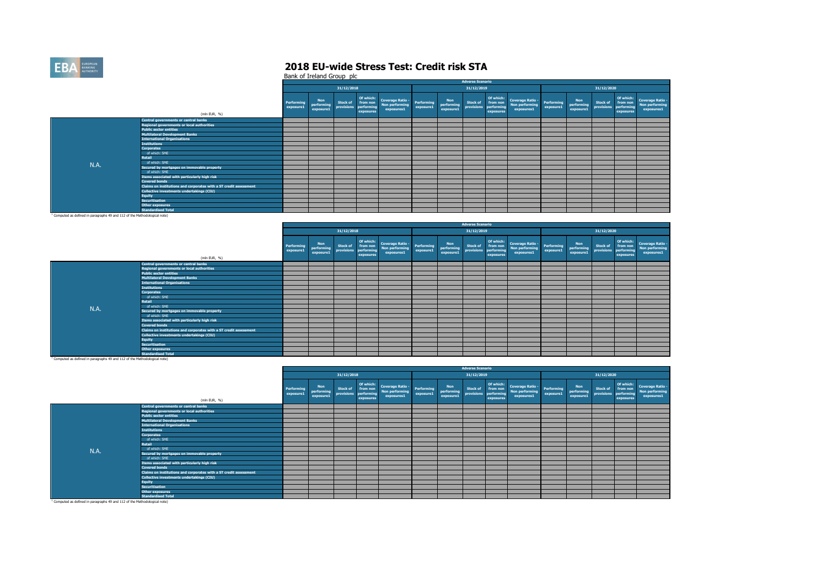

|                                                                                       |                                                                   |                         |                                       |                               |                         |                                                                     |                         |                                       | <b>Adverse Scenario</b>                  |                                    |                                                         |                         |                                       |                               |                                                  |                                                         |
|---------------------------------------------------------------------------------------|-------------------------------------------------------------------|-------------------------|---------------------------------------|-------------------------------|-------------------------|---------------------------------------------------------------------|-------------------------|---------------------------------------|------------------------------------------|------------------------------------|---------------------------------------------------------|-------------------------|---------------------------------------|-------------------------------|--------------------------------------------------|---------------------------------------------------------|
|                                                                                       |                                                                   |                         |                                       | 31/12/2018                    |                         |                                                                     |                         |                                       | 31/12/2019                               |                                    |                                                         |                         |                                       | 31/12/2020                    |                                                  |                                                         |
|                                                                                       | (mln EUR, %)                                                      | Performing<br>exposure1 | <b>Non</b><br>performing<br>exposure1 | <b>Stock of</b><br>provisions | performing<br>exposures | Of which:<br>from non<br>norforming<br>Non performing<br>exposures1 | Performing<br>exposure1 | <b>Non</b><br>performing<br>exposure1 | <b>Stock of</b><br>provisions performing | Of which:<br>from non<br>exposures | <b>Coverage Ratio -</b><br>Non performing<br>exposures1 | Performing<br>exposure1 | <b>Non</b><br>performing<br>exposure1 | <b>Stock of</b><br>provisions | Of which:<br>from non<br>performing<br>exposures | <b>Coverage Ratio -</b><br>Non performing<br>exposures1 |
|                                                                                       | <b>Central governments or central banks</b>                       |                         |                                       |                               |                         |                                                                     |                         |                                       |                                          |                                    |                                                         |                         |                                       |                               |                                                  |                                                         |
|                                                                                       | <b>Regional governments or local authorities</b>                  |                         |                                       |                               |                         |                                                                     |                         |                                       |                                          |                                    |                                                         |                         |                                       |                               |                                                  |                                                         |
|                                                                                       | <b>Public sector entities</b>                                     |                         |                                       |                               |                         |                                                                     |                         |                                       |                                          |                                    |                                                         |                         |                                       |                               |                                                  |                                                         |
|                                                                                       | <b>Multilateral Development Banks</b>                             |                         |                                       |                               |                         |                                                                     |                         |                                       |                                          |                                    |                                                         |                         |                                       |                               |                                                  |                                                         |
|                                                                                       | <b>International Organisations</b>                                |                         |                                       |                               |                         |                                                                     |                         |                                       |                                          |                                    |                                                         |                         |                                       |                               |                                                  |                                                         |
|                                                                                       | <b>Institutions</b>                                               |                         |                                       |                               |                         |                                                                     |                         |                                       |                                          |                                    |                                                         |                         |                                       |                               |                                                  |                                                         |
|                                                                                       | <b>Corporates</b>                                                 |                         |                                       |                               |                         |                                                                     |                         |                                       |                                          |                                    |                                                         |                         |                                       |                               |                                                  |                                                         |
|                                                                                       | of which: SME                                                     |                         |                                       |                               |                         |                                                                     |                         |                                       |                                          |                                    |                                                         |                         |                                       |                               |                                                  |                                                         |
|                                                                                       | Retail                                                            |                         |                                       |                               |                         |                                                                     |                         |                                       |                                          |                                    |                                                         |                         |                                       |                               |                                                  |                                                         |
| N.A.                                                                                  | of which: SME                                                     |                         |                                       |                               |                         |                                                                     |                         |                                       |                                          |                                    |                                                         |                         |                                       |                               |                                                  |                                                         |
|                                                                                       | Secured by mortgages on immovable property                        |                         |                                       |                               |                         |                                                                     |                         |                                       |                                          |                                    |                                                         |                         |                                       |                               |                                                  |                                                         |
|                                                                                       | of which: SME                                                     |                         |                                       |                               |                         |                                                                     |                         |                                       |                                          |                                    |                                                         |                         |                                       |                               |                                                  |                                                         |
|                                                                                       | Items associated with particularly high risk                      |                         |                                       |                               |                         |                                                                     |                         |                                       |                                          |                                    |                                                         |                         |                                       |                               |                                                  |                                                         |
|                                                                                       | <b>Covered bonds</b>                                              |                         |                                       |                               |                         |                                                                     |                         |                                       |                                          |                                    |                                                         |                         |                                       |                               |                                                  |                                                         |
|                                                                                       | Claims on institutions and corporates with a ST credit assessment |                         |                                       |                               |                         |                                                                     |                         |                                       |                                          |                                    |                                                         |                         |                                       |                               |                                                  |                                                         |
|                                                                                       | Collective investments undertakings (CIU)                         |                         |                                       |                               |                         |                                                                     |                         |                                       |                                          |                                    |                                                         |                         |                                       |                               |                                                  |                                                         |
|                                                                                       | <b>Equity</b>                                                     |                         |                                       |                               |                         |                                                                     |                         |                                       |                                          |                                    |                                                         |                         |                                       |                               |                                                  |                                                         |
|                                                                                       | <b>Securitisation</b>                                             |                         |                                       |                               |                         |                                                                     |                         |                                       |                                          |                                    |                                                         |                         |                                       |                               |                                                  |                                                         |
|                                                                                       | Other exposures                                                   |                         |                                       |                               |                         |                                                                     |                         |                                       |                                          |                                    |                                                         |                         |                                       |                               |                                                  |                                                         |
|                                                                                       | <b>Standardised Total</b>                                         |                         |                                       |                               |                         |                                                                     |                         |                                       |                                          |                                    |                                                         |                         |                                       |                               |                                                  |                                                         |
| <sup>1</sup> Computed as defined in paragraphs 49 and 112 of the Methodological note) |                                                                   |                         |                                       |                               |                         |                                                                     |                         |                                       |                                          |                                    |                                                         |                         |                                       |                               |                                                  |                                                         |

|      |                                                                   |                         |                                       |                               |                                     |                                                            |                         |                                       | <b>Adverse Scenario</b>       |                                     |                                                            |                         |                                       |                               |                                                  |                                                         |
|------|-------------------------------------------------------------------|-------------------------|---------------------------------------|-------------------------------|-------------------------------------|------------------------------------------------------------|-------------------------|---------------------------------------|-------------------------------|-------------------------------------|------------------------------------------------------------|-------------------------|---------------------------------------|-------------------------------|--------------------------------------------------|---------------------------------------------------------|
|      |                                                                   |                         |                                       | 31/12/2018                    |                                     |                                                            |                         |                                       | 31/12/2019                    |                                     |                                                            |                         |                                       | 31/12/2020                    |                                                  |                                                         |
|      | (mln EUR, %)                                                      | Performing<br>exposure1 | <b>Non</b><br>performing<br>exposure1 | <b>Stock of</b><br>provisions | from non<br>performing<br>exposures | Of which: Coverage Ratio -<br>Non performing<br>exposures1 | Performing<br>exposure1 | <b>Non</b><br>performing<br>exposure1 | <b>Stock of</b><br>provisions | from non<br>performing<br>exposures | Of which: Coverage Ratio -<br>Non performing<br>exposures1 | Performing<br>exposure1 | <b>Non</b><br>performing<br>exposure1 | <b>Stock of</b><br>provisions | Of which:<br>from non<br>performing<br>exposures | <b>Coverage Ratio -</b><br>Non performing<br>exposures1 |
|      | Central governments or central banks                              |                         |                                       |                               |                                     |                                                            |                         |                                       |                               |                                     |                                                            |                         |                                       |                               |                                                  |                                                         |
|      | <b>Regional governments or local authorities</b>                  |                         |                                       |                               |                                     |                                                            |                         |                                       |                               |                                     |                                                            |                         |                                       |                               |                                                  |                                                         |
|      | <b>Public sector entities</b>                                     |                         |                                       |                               |                                     |                                                            |                         |                                       |                               |                                     |                                                            |                         |                                       |                               |                                                  |                                                         |
|      | <b>Multilateral Development Banks</b>                             |                         |                                       |                               |                                     |                                                            |                         |                                       |                               |                                     |                                                            |                         |                                       |                               |                                                  |                                                         |
|      | <b>International Organisations</b>                                |                         |                                       |                               |                                     |                                                            |                         |                                       |                               |                                     |                                                            |                         |                                       |                               |                                                  |                                                         |
|      | <b>Institutions</b>                                               |                         |                                       |                               |                                     |                                                            |                         |                                       |                               |                                     |                                                            |                         |                                       |                               |                                                  |                                                         |
|      | <b>Corporates</b>                                                 |                         |                                       |                               |                                     |                                                            |                         |                                       |                               |                                     |                                                            |                         |                                       |                               |                                                  |                                                         |
|      | of which: SME                                                     |                         |                                       |                               |                                     |                                                            |                         |                                       |                               |                                     |                                                            |                         |                                       |                               |                                                  |                                                         |
|      | Retail                                                            |                         |                                       |                               |                                     |                                                            |                         |                                       |                               |                                     |                                                            |                         |                                       |                               |                                                  |                                                         |
| N.A. | of which: SME                                                     |                         |                                       |                               |                                     |                                                            |                         |                                       |                               |                                     |                                                            |                         |                                       |                               |                                                  |                                                         |
|      | Secured by mortgages on immovable property                        |                         |                                       |                               |                                     |                                                            |                         |                                       |                               |                                     |                                                            |                         |                                       |                               |                                                  |                                                         |
|      | of which: SME                                                     |                         |                                       |                               |                                     |                                                            |                         |                                       |                               |                                     |                                                            |                         |                                       |                               |                                                  |                                                         |
|      | Items associated with particularly high risk                      |                         |                                       |                               |                                     |                                                            |                         |                                       |                               |                                     |                                                            |                         |                                       |                               |                                                  |                                                         |
|      | <b>Covered bonds</b>                                              |                         |                                       |                               |                                     |                                                            |                         |                                       |                               |                                     |                                                            |                         |                                       |                               |                                                  |                                                         |
|      | Claims on institutions and corporates with a ST credit assessment |                         |                                       |                               |                                     |                                                            |                         |                                       |                               |                                     |                                                            |                         |                                       |                               |                                                  |                                                         |
|      | Collective investments undertakings (CIU)                         |                         |                                       |                               |                                     |                                                            |                         |                                       |                               |                                     |                                                            |                         |                                       |                               |                                                  |                                                         |
|      | <b>Equity</b>                                                     |                         |                                       |                               |                                     |                                                            |                         |                                       |                               |                                     |                                                            |                         |                                       |                               |                                                  |                                                         |
|      | <b>Securitisation</b>                                             |                         |                                       |                               |                                     |                                                            |                         |                                       |                               |                                     |                                                            |                         |                                       |                               |                                                  |                                                         |
|      | Other exposures                                                   |                         |                                       |                               |                                     |                                                            |                         |                                       |                               |                                     |                                                            |                         |                                       |                               |                                                  |                                                         |
|      | <b>Standardised Total</b>                                         |                         |                                       |                               |                                     |                                                            |                         |                                       |                               |                                     |                                                            |                         |                                       |                               |                                                  |                                                         |

|                                                                                       |                                                                   |                         |                                |                                            |           |                                                            |                         |                                       | <b>Adverse Scenario</b>       |                                                  |                                                         |                                |                                                  |                 |                                                  |                                                         |
|---------------------------------------------------------------------------------------|-------------------------------------------------------------------|-------------------------|--------------------------------|--------------------------------------------|-----------|------------------------------------------------------------|-------------------------|---------------------------------------|-------------------------------|--------------------------------------------------|---------------------------------------------------------|--------------------------------|--------------------------------------------------|-----------------|--------------------------------------------------|---------------------------------------------------------|
|                                                                                       |                                                                   |                         |                                | 31/12/2018                                 |           |                                                            |                         |                                       | 31/12/2019                    |                                                  |                                                         |                                |                                                  | 31/12/2020      |                                                  |                                                         |
|                                                                                       | (mln EUR, %)                                                      | Performing<br>exposure1 | Non<br>performing<br>exposure1 | Stock of from non<br>provisions performing | exposures | Of which: Coverage Ratio -<br>Non performing<br>exposures1 | Performing<br>exposure1 | <b>Non</b><br>performing<br>exposure1 | <b>Stock of</b><br>provisions | Of which:<br>from non<br>performing<br>exposures | <b>Coverage Ratio -</b><br>Non performing<br>exposures1 | <b>Performing</b><br>exposure1 | <b>Non</b><br>performing provisions<br>exposure1 | <b>Stock of</b> | Of which:<br>from non<br>performing<br>exposures | <b>Coverage Ratio -</b><br>Non performing<br>exposures1 |
|                                                                                       | Central governments or central banks                              |                         |                                |                                            |           |                                                            |                         |                                       |                               |                                                  |                                                         |                                |                                                  |                 |                                                  |                                                         |
|                                                                                       | <b>Regional governments or local authorities</b>                  |                         |                                |                                            |           |                                                            |                         |                                       |                               |                                                  |                                                         |                                |                                                  |                 |                                                  |                                                         |
|                                                                                       | <b>Public sector entities</b>                                     |                         |                                |                                            |           |                                                            |                         |                                       |                               |                                                  |                                                         |                                |                                                  |                 |                                                  |                                                         |
|                                                                                       | <b>Multilateral Development Banks</b>                             |                         |                                |                                            |           |                                                            |                         |                                       |                               |                                                  |                                                         |                                |                                                  |                 |                                                  |                                                         |
|                                                                                       | <b>International Organisations</b>                                |                         |                                |                                            |           |                                                            |                         |                                       |                               |                                                  |                                                         |                                |                                                  |                 |                                                  |                                                         |
|                                                                                       | <b>Institutions</b>                                               |                         |                                |                                            |           |                                                            |                         |                                       |                               |                                                  |                                                         |                                |                                                  |                 |                                                  |                                                         |
|                                                                                       | <b>Corporates</b>                                                 |                         |                                |                                            |           |                                                            |                         |                                       |                               |                                                  |                                                         |                                |                                                  |                 |                                                  |                                                         |
|                                                                                       | of which: SME                                                     |                         |                                |                                            |           |                                                            |                         |                                       |                               |                                                  |                                                         |                                |                                                  |                 |                                                  |                                                         |
|                                                                                       | Retail                                                            |                         |                                |                                            |           |                                                            |                         |                                       |                               |                                                  |                                                         |                                |                                                  |                 |                                                  |                                                         |
| N.A.                                                                                  | of which: SME                                                     |                         |                                |                                            |           |                                                            |                         |                                       |                               |                                                  |                                                         |                                |                                                  |                 |                                                  |                                                         |
|                                                                                       | Secured by mortgages on immovable property                        |                         |                                |                                            |           |                                                            |                         |                                       |                               |                                                  |                                                         |                                |                                                  |                 |                                                  |                                                         |
|                                                                                       | of which: SME                                                     |                         |                                |                                            |           |                                                            |                         |                                       |                               |                                                  |                                                         |                                |                                                  |                 |                                                  |                                                         |
|                                                                                       | Items associated with particularly high risk                      |                         |                                |                                            |           |                                                            |                         |                                       |                               |                                                  |                                                         |                                |                                                  |                 |                                                  |                                                         |
|                                                                                       | <b>Covered bonds</b>                                              |                         |                                |                                            |           |                                                            |                         |                                       |                               |                                                  |                                                         |                                |                                                  |                 |                                                  |                                                         |
|                                                                                       | Claims on institutions and corporates with a ST credit assessment |                         |                                |                                            |           |                                                            |                         |                                       |                               |                                                  |                                                         |                                |                                                  |                 |                                                  |                                                         |
|                                                                                       | <b>Collective investments undertakings (CIU)</b>                  |                         |                                |                                            |           |                                                            |                         |                                       |                               |                                                  |                                                         |                                |                                                  |                 |                                                  |                                                         |
|                                                                                       | <b>Equity</b>                                                     |                         |                                |                                            |           |                                                            |                         |                                       |                               |                                                  |                                                         |                                |                                                  |                 |                                                  |                                                         |
|                                                                                       | <b>Securitisation</b>                                             |                         |                                |                                            |           |                                                            |                         |                                       |                               |                                                  |                                                         |                                |                                                  |                 |                                                  |                                                         |
|                                                                                       | <b>Other exposures</b>                                            |                         |                                |                                            |           |                                                            |                         |                                       |                               |                                                  |                                                         |                                |                                                  |                 |                                                  |                                                         |
|                                                                                       | <b>Standardised Total</b>                                         |                         |                                |                                            |           |                                                            |                         |                                       |                               |                                                  |                                                         |                                |                                                  |                 |                                                  |                                                         |
| <sup>1</sup> Computed as defined in paragraphs 49 and 112 of the Methodological note) |                                                                   |                         |                                |                                            |           |                                                            |                         |                                       |                               |                                                  |                                                         |                                |                                                  |                 |                                                  |                                                         |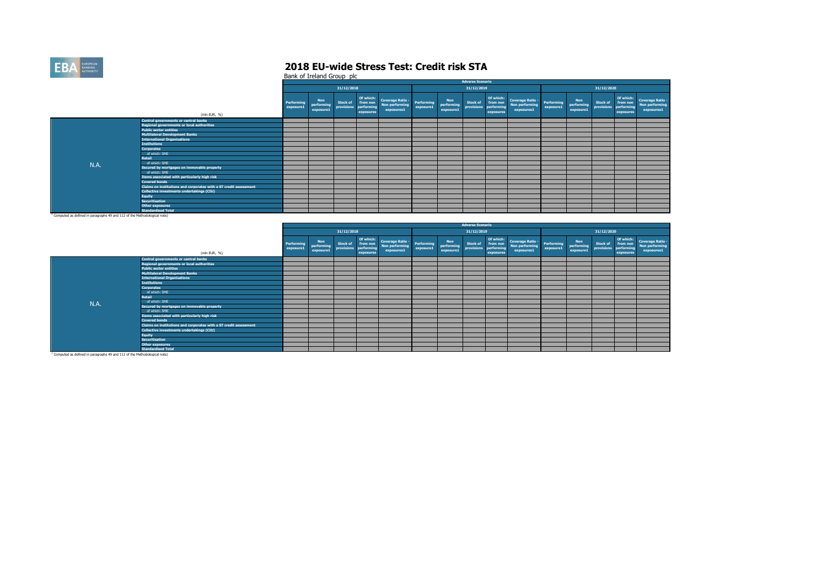

|                                                                                       |                                                                   |                         |                                |                               |                                                  |                                                                         |           |                                       | <b>Adverse Scenario</b>                  |                                    |                                                         |                         |                                       |                               |                                     |                                                          |
|---------------------------------------------------------------------------------------|-------------------------------------------------------------------|-------------------------|--------------------------------|-------------------------------|--------------------------------------------------|-------------------------------------------------------------------------|-----------|---------------------------------------|------------------------------------------|------------------------------------|---------------------------------------------------------|-------------------------|---------------------------------------|-------------------------------|-------------------------------------|----------------------------------------------------------|
|                                                                                       |                                                                   |                         |                                | 31/12/2018                    |                                                  |                                                                         |           |                                       | 31/12/2019                               |                                    |                                                         |                         |                                       | 31/12/2020                    |                                     |                                                          |
|                                                                                       | (mln EUR, %)                                                      | Performing<br>exposure1 | Non<br>performing<br>exposure1 | <b>Stock of</b><br>provisions | Of which:<br>from non<br>performing<br>exposures | Coverage Ratio - Performing<br>Non performing - exposured<br>exposures1 | exposure1 | <b>Non</b><br>performing<br>exposure1 | <b>Stock of</b><br>provisions performing | Of which:<br>from non<br>exposures | <b>Coverage Ratio -</b><br>Non performing<br>exposures1 | Performing<br>exposure1 | <b>Non</b><br>performing<br>exposure1 | <b>Stock of</b><br>provisions | from non<br>performing<br>exposures | Of which: Coverage Ratio<br>Non performing<br>exposures1 |
|                                                                                       | Central governments or central banks                              |                         |                                |                               |                                                  |                                                                         |           |                                       |                                          |                                    |                                                         |                         |                                       |                               |                                     |                                                          |
|                                                                                       | Regional governments or local authorities                         |                         |                                |                               |                                                  |                                                                         |           |                                       |                                          |                                    |                                                         |                         |                                       |                               |                                     |                                                          |
|                                                                                       | <b>Public sector entities</b>                                     |                         |                                |                               |                                                  |                                                                         |           |                                       |                                          |                                    |                                                         |                         |                                       |                               |                                     |                                                          |
|                                                                                       | <b>Multilateral Development Banks</b>                             |                         |                                |                               |                                                  |                                                                         |           |                                       |                                          |                                    |                                                         |                         |                                       |                               |                                     |                                                          |
|                                                                                       | <b>International Organisations</b>                                |                         |                                |                               |                                                  |                                                                         |           |                                       |                                          |                                    |                                                         |                         |                                       |                               |                                     |                                                          |
|                                                                                       | <b>Institutions</b>                                               |                         |                                |                               |                                                  |                                                                         |           |                                       |                                          |                                    |                                                         |                         |                                       |                               |                                     |                                                          |
|                                                                                       | <b>Corporates</b>                                                 |                         |                                |                               |                                                  |                                                                         |           |                                       |                                          |                                    |                                                         |                         |                                       |                               |                                     |                                                          |
|                                                                                       | of which: SME                                                     |                         |                                |                               |                                                  |                                                                         |           |                                       |                                          |                                    |                                                         |                         |                                       |                               |                                     |                                                          |
|                                                                                       | Retail                                                            |                         |                                |                               |                                                  |                                                                         |           |                                       |                                          |                                    |                                                         |                         |                                       |                               |                                     |                                                          |
| <b>N.A.</b>                                                                           | of which: SME                                                     |                         |                                |                               |                                                  |                                                                         |           |                                       |                                          |                                    |                                                         |                         |                                       |                               |                                     |                                                          |
|                                                                                       | Secured by mortgages on immovable property                        |                         |                                |                               |                                                  |                                                                         |           |                                       |                                          |                                    |                                                         |                         |                                       |                               |                                     |                                                          |
|                                                                                       | of which: SME                                                     |                         |                                |                               |                                                  |                                                                         |           |                                       |                                          |                                    |                                                         |                         |                                       |                               |                                     |                                                          |
|                                                                                       | Items associated with particularly high risk                      |                         |                                |                               |                                                  |                                                                         |           |                                       |                                          |                                    |                                                         |                         |                                       |                               |                                     |                                                          |
|                                                                                       | <b>Covered bonds</b>                                              |                         |                                |                               |                                                  |                                                                         |           |                                       |                                          |                                    |                                                         |                         |                                       |                               |                                     |                                                          |
|                                                                                       | Claims on institutions and corporates with a ST credit assessment |                         |                                |                               |                                                  |                                                                         |           |                                       |                                          |                                    |                                                         |                         |                                       |                               |                                     |                                                          |
|                                                                                       | Collective investments undertakings (CIU)                         |                         |                                |                               |                                                  |                                                                         |           |                                       |                                          |                                    |                                                         |                         |                                       |                               |                                     |                                                          |
|                                                                                       | <b>Equity</b>                                                     |                         |                                |                               |                                                  |                                                                         |           |                                       |                                          |                                    |                                                         |                         |                                       |                               |                                     |                                                          |
|                                                                                       | <b>Securitisation</b>                                             |                         |                                |                               |                                                  |                                                                         |           |                                       |                                          |                                    |                                                         |                         |                                       |                               |                                     |                                                          |
|                                                                                       | Other exposures                                                   |                         |                                |                               |                                                  |                                                                         |           |                                       |                                          |                                    |                                                         |                         |                                       |                               |                                     |                                                          |
|                                                                                       | <b>Standardised Total</b>                                         |                         |                                |                               |                                                  |                                                                         |           |                                       |                                          |                                    |                                                         |                         |                                       |                               |                                     |                                                          |
| <sup>1</sup> Computed as defined in paragraphs 49 and 112 of the Methodological note) |                                                                   |                         |                                |                               |                                                  |                                                                         |           |                                       |                                          |                                    |                                                         |                         |                                       |                               |                                     |                                                          |

|                                                                                       |                                                                   |                         |                                       |                               |                                                  |                                                         |                         |                                       | <b>Adverse Scenario</b>                  |                                    |                                                         |                         |                                       |                               |                                                  |                                                         |
|---------------------------------------------------------------------------------------|-------------------------------------------------------------------|-------------------------|---------------------------------------|-------------------------------|--------------------------------------------------|---------------------------------------------------------|-------------------------|---------------------------------------|------------------------------------------|------------------------------------|---------------------------------------------------------|-------------------------|---------------------------------------|-------------------------------|--------------------------------------------------|---------------------------------------------------------|
|                                                                                       |                                                                   |                         |                                       | 31/12/2018                    |                                                  |                                                         |                         |                                       | 31/12/2019                               |                                    |                                                         |                         |                                       | 31/12/2020                    |                                                  |                                                         |
|                                                                                       | (mln EUR, %)                                                      | Performing<br>exposure1 | <b>Non</b><br>performing<br>exposure1 | <b>Stock of</b><br>provisions | Of which:<br>from non<br>performing<br>exposures | <b>Coverage Ratio -</b><br>Non performing<br>exposures1 | Performing<br>exposure1 | <b>Non</b><br>performing<br>exposure1 | <b>Stock of</b><br>provisions performing | Of which:<br>from non<br>exposures | <b>Coverage Ratio -</b><br>Non performing<br>exposures1 | Performing<br>exposure1 | <b>Non</b><br>performing<br>exposure1 | <b>Stock of</b><br>provisions | Of which:<br>from non<br>performing<br>exposures | <b>Coverage Ratio -</b><br>Non performing<br>exposures1 |
|                                                                                       | <b>Central governments or central banks</b>                       |                         |                                       |                               |                                                  |                                                         |                         |                                       |                                          |                                    |                                                         |                         |                                       |                               |                                                  |                                                         |
|                                                                                       | <b>Regional governments or local authorities</b>                  |                         |                                       |                               |                                                  |                                                         |                         |                                       |                                          |                                    |                                                         |                         |                                       |                               |                                                  |                                                         |
|                                                                                       | <b>Public sector entities</b>                                     |                         |                                       |                               |                                                  |                                                         |                         |                                       |                                          |                                    |                                                         |                         |                                       |                               |                                                  |                                                         |
|                                                                                       | <b>Multilateral Development Banks</b>                             |                         |                                       |                               |                                                  |                                                         |                         |                                       |                                          |                                    |                                                         |                         |                                       |                               |                                                  |                                                         |
|                                                                                       | <b>International Organisations</b>                                |                         |                                       |                               |                                                  |                                                         |                         |                                       |                                          |                                    |                                                         |                         |                                       |                               |                                                  |                                                         |
|                                                                                       | <b>Institutions</b>                                               |                         |                                       |                               |                                                  |                                                         |                         |                                       |                                          |                                    |                                                         |                         |                                       |                               |                                                  |                                                         |
|                                                                                       | <b>Corporates</b>                                                 |                         |                                       |                               |                                                  |                                                         |                         |                                       |                                          |                                    |                                                         |                         |                                       |                               |                                                  |                                                         |
|                                                                                       | of which: SME                                                     |                         |                                       |                               |                                                  |                                                         |                         |                                       |                                          |                                    |                                                         |                         |                                       |                               |                                                  |                                                         |
|                                                                                       | Retail                                                            |                         |                                       |                               |                                                  |                                                         |                         |                                       |                                          |                                    |                                                         |                         |                                       |                               |                                                  |                                                         |
| N.A.                                                                                  | of which: SME                                                     |                         |                                       |                               |                                                  |                                                         |                         |                                       |                                          |                                    |                                                         |                         |                                       |                               |                                                  |                                                         |
|                                                                                       | Secured by mortgages on immovable property                        |                         |                                       |                               |                                                  |                                                         |                         |                                       |                                          |                                    |                                                         |                         |                                       |                               |                                                  |                                                         |
|                                                                                       | of which: SME                                                     |                         |                                       |                               |                                                  |                                                         |                         |                                       |                                          |                                    |                                                         |                         |                                       |                               |                                                  |                                                         |
|                                                                                       | Items associated with particularly high risk                      |                         |                                       |                               |                                                  |                                                         |                         |                                       |                                          |                                    |                                                         |                         |                                       |                               |                                                  |                                                         |
|                                                                                       | <b>Covered bonds</b>                                              |                         |                                       |                               |                                                  |                                                         |                         |                                       |                                          |                                    |                                                         |                         |                                       |                               |                                                  |                                                         |
|                                                                                       | Claims on institutions and corporates with a ST credit assessment |                         |                                       |                               |                                                  |                                                         |                         |                                       |                                          |                                    |                                                         |                         |                                       |                               |                                                  |                                                         |
|                                                                                       | Collective investments undertakings (CIU)                         |                         |                                       |                               |                                                  |                                                         |                         |                                       |                                          |                                    |                                                         |                         |                                       |                               |                                                  |                                                         |
|                                                                                       | <b>Equity</b>                                                     |                         |                                       |                               |                                                  |                                                         |                         |                                       |                                          |                                    |                                                         |                         |                                       |                               |                                                  |                                                         |
|                                                                                       | <b>Securitisation</b>                                             |                         |                                       |                               |                                                  |                                                         |                         |                                       |                                          |                                    |                                                         |                         |                                       |                               |                                                  |                                                         |
|                                                                                       | Other exposures                                                   |                         |                                       |                               |                                                  |                                                         |                         |                                       |                                          |                                    |                                                         |                         |                                       |                               |                                                  |                                                         |
|                                                                                       | <b>Standardised Total</b>                                         |                         |                                       |                               |                                                  |                                                         |                         |                                       |                                          |                                    |                                                         |                         |                                       |                               |                                                  |                                                         |
| <sup>1</sup> Computed as defined in paragraphs 49 and 112 of the Methodological note) |                                                                   |                         |                                       |                               |                                                  |                                                         |                         |                                       |                                          |                                    |                                                         |                         |                                       |                               |                                                  |                                                         |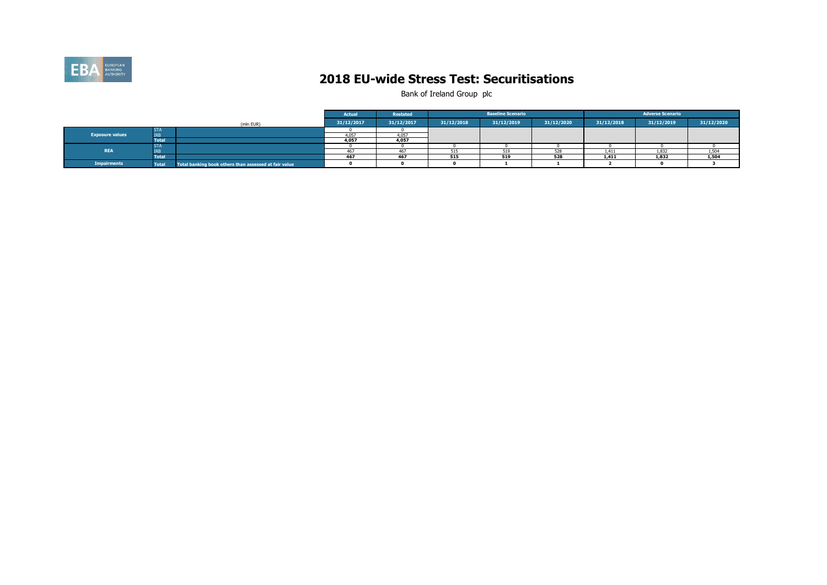

### **2018 EU-wide Stress Test: Securitisations**

|                        |              |                                                       | <b>Actual</b> | Restated   |            | <b>Baseline Scenario</b> |            |            | <b>Adverse Scenario</b> |            |
|------------------------|--------------|-------------------------------------------------------|---------------|------------|------------|--------------------------|------------|------------|-------------------------|------------|
|                        |              | (mln EUR)                                             | 31/12/2017    | 31/12/2017 | 31/12/2018 | 31/12/2019               | 31/12/2020 | 31/12/2018 | 31/12/2019              | 31/12/2020 |
|                        | <b>STA</b>   |                                                       |               |            |            |                          |            |            |                         |            |
| <b>Exposure values</b> | <b>IRB</b>   |                                                       |               | 4.057      |            |                          |            |            |                         |            |
|                        | <b>Total</b> |                                                       | 4.057         | 4,057      |            |                          |            |            |                         |            |
|                        | <b>STA</b>   |                                                       |               |            |            |                          |            |            |                         |            |
| <b>REA</b>             | <b>IRB</b>   |                                                       |               | 467        | 515        |                          |            | 1,411      | 1,832                   | 1,504      |
|                        | <b>Total</b> |                                                       | 467           | 467        | 515        | 519                      | 528        | 1,411      | 1,832                   | 1,504      |
| <b>Impairments</b>     | <b>Total</b> | Total banking book others than assessed at fair value |               |            |            |                          |            |            |                         |            |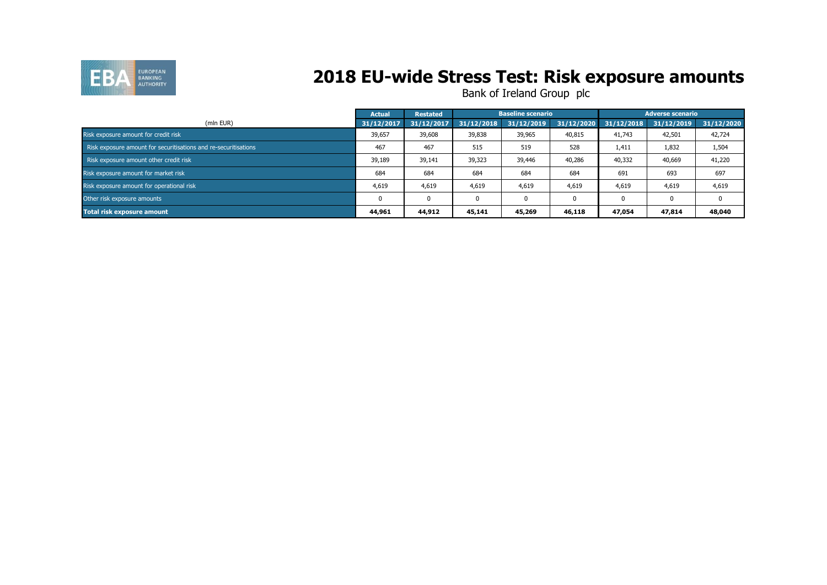

## **2018 EU-wide Stress Test: Risk exposure amounts**

|                                                                 | <b>Actual</b> | <b>Restated</b> |            | <b>Baseline scenario</b> |            |            | <b>Adverse scenario</b> |            |
|-----------------------------------------------------------------|---------------|-----------------|------------|--------------------------|------------|------------|-------------------------|------------|
| (mln EUR)                                                       | 31/12/2017    | 31/12/2017      | 31/12/2018 | 31/12/2019               | 31/12/2020 | 31/12/2018 | 31/12/2019              | 31/12/2020 |
| Risk exposure amount for credit risk                            | 39,657        | 39,608          | 39,838     | 39,965                   | 40,815     | 41,743     | 42,501                  | 42,724     |
| Risk exposure amount for securitisations and re-securitisations | 467           | 467             | 515        | 519                      | 528        | 1,411      | 1,832                   | 1,504      |
| Risk exposure amount other credit risk                          | 39,189        | 39,141          | 39,323     | 39,446                   | 40,286     | 40,332     | 40,669                  | 41,220     |
| Risk exposure amount for market risk                            | 684           | 684             | 684        | 684                      | 684        | 691        | 693                     | 697        |
| Risk exposure amount for operational risk                       | 4,619         | 4,619           | 4,619      | 4,619                    | 4,619      | 4,619      | 4,619                   | 4,619      |
| Other risk exposure amounts                                     |               | $\mathbf{0}$    | $\Omega$   | 0                        |            | 0          |                         |            |
| <b>Total risk exposure amount</b>                               | 44,961        | 44,912          | 45,141     | 45,269                   | 46,118     | 47,054     | 47.814                  | 48,040     |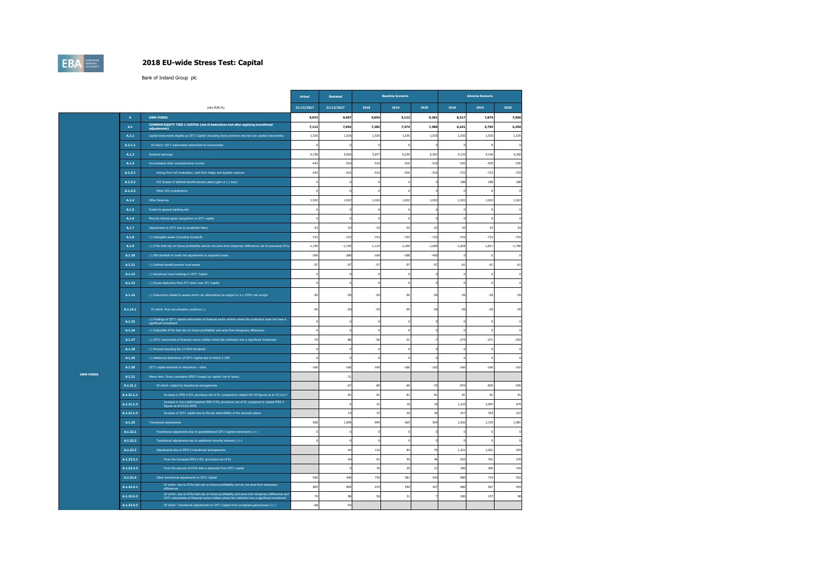## **EBA**

#### **2018 EU-wide Stress Test: Capital**

|                  |                |                                                                                                                                           | Actual     | Restated     |          | <b>Baseline Scenario</b> |          |          | <b>Adverse Scenario</b> |              |
|------------------|----------------|-------------------------------------------------------------------------------------------------------------------------------------------|------------|--------------|----------|--------------------------|----------|----------|-------------------------|--------------|
|                  |                | (mln EUR,%)                                                                                                                               | 31/12/2017 | 31/12/2017   | 2018     | 2019                     | 2020     | 2018     | 2019                    | 2020         |
|                  | $\Delta$       | <b>OWN FUNDS</b>                                                                                                                          | 9,073      | 9,057        | 9,054    | 9,122                    | 9,301    | 8.317    | 7,87                    | 7,500        |
|                  | $\mathbf{A.1}$ | COMMON EQUITY TIER 1 CAPITAL (net of deductions and after applying transitional<br>adjustments)                                           | 7,113      | 7,092        | 7,283    | 7,374                    | 7,480    | 6,241    | 5,795                   | 5,350        |
|                  | A.1.1          | Capital instruments eligible as CET1 Capital (including share premium and net own capital instruments)                                    | 1,535      | 1,535        | 1,535    | 1,535                    | 1,535    | 1,535    | 1,535                   | 1,535        |
|                  | A.1.1.1        | Of which: CET1 instruments subscribed by Government                                                                                       |            |              | $\Omega$ |                          |          | $\Omega$ |                         |              |
|                  | A.1.2          | Retained earnings                                                                                                                         | 5,728      | 5,692        | 5,877    | 6,239                    | 6,591    | 4,125    | 4,146                   | 4,260        |
|                  | A.1.3          | Accumulated other comprehensive income                                                                                                    | $-474$     | $-510$       | $-510$   | $-510$                   | $-510$   | $-535$   | $-535$                  | -535         |
|                  | A.1.3.1        | Arising from full revaluation, cash flow hedge and liquidity reserves                                                                     | $-424$     | $-510$       | $-510$   | $-510$                   | $-510$   | $-723$   | $-723$                  | $-723$       |
|                  | A.1.3.2        | OCI Impact of defined benefit pension plans [gain or (-) loss]                                                                            |            |              |          |                          |          | 188      | 188                     | 188          |
|                  | A.1.3.3        | Other OCI contributions                                                                                                                   |            |              | D        |                          |          | £        |                         |              |
|                  | A.1.4          | Other Reserves                                                                                                                            | 1,922      | 1,922        | 1,922    | 1,922                    | 1,922    | 1,922    | 1,922                   | 1,922        |
|                  | A.1.5          | Funds for general banking risk                                                                                                            |            |              | $\Omega$ |                          |          | $\Omega$ |                         |              |
|                  | A.1.6          | Minority interest given recognition in CET1 capital                                                                                       |            |              | $\Omega$ |                          |          | $\Omega$ |                         |              |
|                  | A.1.7          | Adjustments to CET1 due to prudential filters                                                                                             | $-33$      | $-33$        | $-33$    | $-33$                    | $-33$    | 93       | 93                      | $\mathbf{q}$ |
|                  | A.1.8          | (-) Intangible assets (including Goodwill)                                                                                                | .723       | .723         | $-723$   | $-723$                   | $-723$   | $-723$   | $-777$                  | $-727$       |
|                  | A.1.9          | (-) DTAs that rely on future profitability and do not arise from temporary differences net of associated DTLs                             | $-1,150$   | $-1,150$     | $-1,123$ | $-1,100$                 | $-1,069$ | $-1,818$ | $-1,811$                | $-1,748$     |
|                  | A.1.10         | (-) IRB shortfall of credit risk adjustments to expected losses                                                                           | $-309$     | $-280$       | $-169$   | $-308$                   | $-450$   |          |                         |              |
|                  | A.1.11         | (-) Defined benefit pension fund assets                                                                                                   | $-57$      | $-57$        | $-57$    | $-57$                    | $-57$    | $-61$    | $-61$                   | $-61$        |
|                  | A.1.12         | (-) Reciprocal cross holdings in CET1 Capital                                                                                             |            |              |          |                          |          |          |                         |              |
|                  | A.1.13         | (-) Excess deduction from AT1 items over AT1 Capital                                                                                      |            |              | $\Omega$ |                          |          | $\Omega$ |                         |              |
|                  | A.1.14         | (-) Deductions related to assets which can alternatively be subject to a 1.250% risk weight                                               | $-59$      | $-59$        | $-59$    | $-59$                    | $-59$    | $-59$    | $-55$                   | $-59$        |
|                  | A.1.14.1       | Of which: from securitisation positions (-)                                                                                               | $-59$      | $-59$        | $-59$    | $-59$                    | $-59$    | $-59$    | $-59$                   | $-59$        |
|                  | A.1.15         | (-) Holdings of CET1 capital instruments of financial sector entities where the institution does not have a                               |            |              |          |                          |          |          |                         |              |
|                  | A.1.16         | (-) Deductible DTAs that rely on future profitability and arise from temporary differences                                                |            |              | D        |                          |          | £.       |                         |              |
|                  | A.1.17         | (-) CET1 instruments of financial sector entities where the institution has a significant investment                                      | $-79$      | $-88$        | $-56$    | $-31$                    |          | $-274$   | $-271$                  | $-253$       |
|                  | A.1.18         | (-) Amount exceding the 17.65% threshold                                                                                                  |            |              | D        |                          |          |          |                         |              |
|                  | A.1.19         | (-) Additional deductions of CET1 Capital due to Article 3 CRR                                                                            |            |              | $\Omega$ |                          |          | D        |                         |              |
|                  | A.1.20         | CET1 capital elements or deductions - other                                                                                               | $-166$     | $-166$       | $-166$   | $-166$                   | $-163$   | $-166$   | $-166$                  | $-163$       |
| <b>OWN FUNDS</b> | A.1.21         | Memo item: Gross cumulative IFRS 9 impact on capital (net of taxes)                                                                       |            | 21           |          |                          |          |          |                         |              |
|                  | A.1.21.1       | Of which: subject to transitional arrangements                                                                                            |            | $-67$        | $-85$    | $-69$                    | $-70$    | $-974$   | $-825$                  | $-529$       |
|                  | A.1.21.1.1     | Increase in IFRS 9 ECL provisions net of EL compared to related IAS 39 figures as at 31/12/17                                             |            | 81           | 81       | 81                       | 81       | 81       | 81                      | 81           |
|                  | A.1.21.1.2     | Increase in non-credit-impaired IFRS 9 ECL provisions net of EL compared to related IFRS 9<br>figures as at 01/01/2018                    |            |              | 41       | 18                       | 19       | 1.310    | 1.097                   | 675          |
|                  | A.1.21.1.3     | Increase of CET1 capital due to the tax deductibility of the amounts above                                                                |            | $\mathbf{1}$ | 37       | 30                       | 30       | 417      | 353                     | 227          |
|                  | A.1.22         | <b>Transitional adjustments</b>                                                                                                           | 928        | 1,009        | 845      | 665                      | 504      | 2.202    | 1.725                   | 1.081        |
|                  | A.1.22.1       | Transitional adjustments due to grandfathered CET1 Capital instruments (+/-)                                                              |            |              | $\Omega$ |                          |          | $\theta$ |                         |              |
|                  | A.1.22.2       | Transitional adjustments due to additional minority interests (+/-)                                                                       |            |              |          |                          |          |          |                         |              |
|                  | A.1.22.3       | Adjustments due to IFRS 9 transitional arrangements                                                                                       |            | 64           | 116      | 84                       | 70       | 1.321    | 1.001                   | 529          |
|                  | A.1.22.3.1     | From the increased IFRS 9 ECL provisions net of EL                                                                                        |            | 64           | $\bf 81$ | 59                       | 49       | 925      | 701                     | 370          |
|                  | A.1.22.3.2     | From the amount of DTAs that is deducted from CET1 capital                                                                                |            |              | 35       | 25                       | 21       | 396      | 300                     | 159          |
|                  | A.1.22.4       | Other transitional adjustments to CET1 Capital<br>Of which: due to DTAs that rely on future profitability and do not arise from temporary | 928        | 946          | 730      | 581                      | 434      | 880      | 724                     | 552          |
|                  | A.1.22.4.1     | difference<br>Of which: due to DTAs that rely on future profitability and arise from temporary differences and                            | 805        | 805          | 674      | 550                      | 427      | 680      | 567                     | 454          |
|                  | A.1.22.4.2     | CET1 instruments of financial sector entities where the institution has a significant investment                                          | 79         | 88           | 56       | 31                       |          | 200      | 157                     | q            |
|                  | A.1.22.4.3     | Of which: Transitional adjustments to CET1 Capital from unrealised gains/losses (+/-)                                                     | $-68$      | $-54$        |          |                          |          |          |                         |              |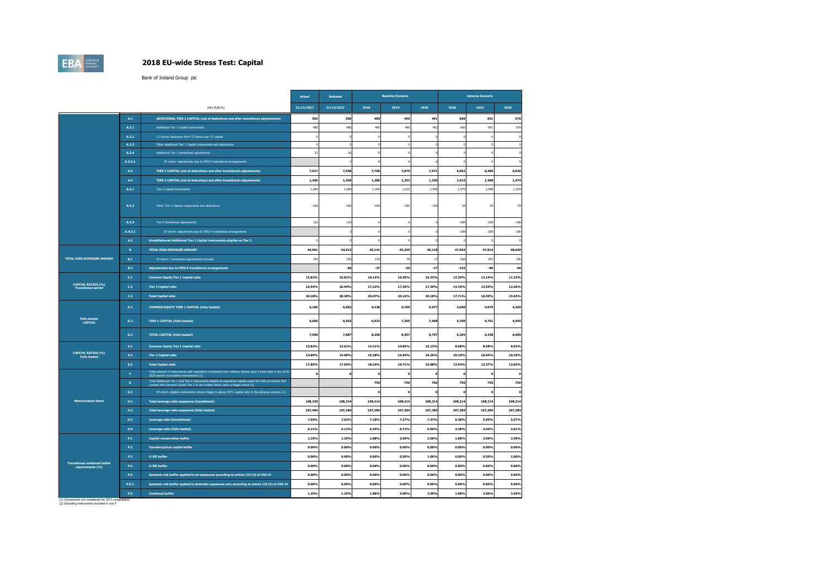### **EBA**

#### **2018 EU-wide Stress Test: Capital**

Bank of Ireland Group plc

|                                                         |                 |                                                                                                                                                                                            | Actual         | Restated   |         | <b>Baseline Scenario</b> |         |         | <b>Adverse Scenario</b> |                |
|---------------------------------------------------------|-----------------|--------------------------------------------------------------------------------------------------------------------------------------------------------------------------------------------|----------------|------------|---------|--------------------------|---------|---------|-------------------------|----------------|
|                                                         |                 | (mln EUR.%)                                                                                                                                                                                | 31/12/2017     | 31/12/2017 | 2018    | 2019                     | 2020    | 2018    | 2019                    | 2020           |
|                                                         | A.2             | ADDITIONAL TIER 1 CAPITAL (net of deductions and after transitional adjustments)                                                                                                           | 503            | 506        | 485     | 496                      | 491     | 660     | 691                     | 676            |
|                                                         | A.2.1           | Additional Tier 1 Capital instruments                                                                                                                                                      | 48             | 480        | 485     | 49                       | 491     | 660     | 691                     | 67             |
|                                                         | A.2.2           | (-) Excess deduction from T2 items over T2 capital                                                                                                                                         |                |            |         |                          |         |         |                         |                |
|                                                         | A.2.3           | Other Additional Tier 1 Capital components and deductions                                                                                                                                  |                |            |         |                          |         |         |                         |                |
|                                                         | A.2.4           | Additional Tier 1 transitional adjustments                                                                                                                                                 | 2 <sup>2</sup> | 26         |         |                          |         |         |                         |                |
|                                                         | A.2.4.1         | Of which: adjustments due to IFRS 9 transitional arrangements                                                                                                                              |                |            |         |                          |         |         |                         |                |
|                                                         | A.3             | TIER 1 CAPITAL (net of deductions and after transitional adjustments)                                                                                                                      | 7,617          | 7,598      | 7.768   | 7,870                    | 7,971   | 6.902   | 6,486                   | 6.026          |
|                                                         | A.4             | TIER 2 CAPITAL (net of deductions and after transitional adjustments)                                                                                                                      | 1,456          | 1,459      | 1,286   | 1,252                    | 1,330   | 1.415   | 1,388                   | 1,474          |
|                                                         | A.4.1           | Tier 2 Capital instruments                                                                                                                                                                 | 1,484          | 1,484      | 1,446   | 1,412                    | 1,490   | 1,575   | 1,548                   | 1,634          |
|                                                         | A.4.2           | Other Tier 2 Capital components and deductions                                                                                                                                             | $-160$         | $-160$     | $-160$  | $-160$                   | $-160$  | 29      | 25                      | $\overline{2}$ |
|                                                         | A.4.3           | Tier 2 transitional adjustments                                                                                                                                                            | 132            | 135        |         |                          |         | $-189$  | $-189$                  | $-189$         |
|                                                         | A.4.3.1         | Of which: adjustments due to IFRS 9 transitional arrangements                                                                                                                              |                |            |         |                          |         | $-189$  | $-189$                  | $-189$         |
|                                                         | A.5             | Grandfathered Additional Tier 1 Capital instruments eligible as Tier 2                                                                                                                     |                |            |         |                          |         |         |                         |                |
|                                                         | $\mathbf{B}$    | TOTAL RISK EXPOSURE AMOUNT                                                                                                                                                                 | 44,961         | 44,912     | 45,141  | 45,269                   | 46,118  | 47,054  | 47,814                  | 48,040         |
| <b>TOTAL RISK EXPOSURE AMOUNT</b>                       | B.1             | Of which: Transitional adjustments included                                                                                                                                                | 19             | 220        | 139     | $\overline{B}$           | 17      | 50      | 392                     | 246            |
|                                                         | B.2             | Adjustments due to IFRS 9 transitional arrangements                                                                                                                                        |                | $-66$      | $-27$   | $-20$                    | $-17$   | $-102$  | $-80$                   | $-46$          |
|                                                         | C.1             | <b>Common Equity Tier 1 Capital ratio</b>                                                                                                                                                  | 15.82%         | 15.81%     | 16.14%  | 16.30%                   | 16.23%  | 13.29%  | 12.14%                  | 11.15%         |
| <b>CAPITAL RATIOS (%)</b><br><b>Transitional period</b> | C.2             | <b>Tier 1 Capital ratio</b>                                                                                                                                                                | 16.94%         | 16.94%     | 17.22%  | 17.39%                   | 17.29%  | 14.70%  | 13.59%                  | 12.56%         |
|                                                         | C <sub>13</sub> | <b>Total Capital ratio</b>                                                                                                                                                                 | 20.18%         | 20.20%     | 20.07%  | 20.16%                   | 20.18%  | 17.71%  | 16.50%                  | 15.63%         |
|                                                         | D.1             | COMMON EQUITY TIER 1 CAPITAL (fully loaded)                                                                                                                                                | 6,185          | 6,083      | 6,438   | 6,709                    | 6,977   | 4,040   | 4,070                   | 4,269          |
| <b>Fully loaded</b><br><b>CAPITAL</b>                   | D.2             | <b>TIER 1 CAPITAL (fully loaded)</b>                                                                                                                                                       | 6,666          | 6,563      | 6,923   | 7,205                    | 7,468   | 4,700   | 4,761                   | 4,945          |
|                                                         | D <sub>3</sub>  | <b>TOTAL CAPITAL (fully loaded)</b>                                                                                                                                                        | 7,99           | 7,887      | 8,208   | 8.457                    | 8.797   | 6.304   | 6,338                   | 6.609          |
|                                                         | $\mathsf{E.1}$  | <b>Common Equity Tier 1 Capital ratio</b>                                                                                                                                                  | 13.82%         | 13.61%     | 14.31%  | 14.85%                   | 15.13%  | 8.68%   | 8.58%                   | 8.93%          |
| <b>CAPITAL RATIOS (%)</b><br><b>Fully loaded</b>        | E.2             | <b>Tier 1 Capital ratio</b>                                                                                                                                                                | 14,89%         | 14.68%     | 15,38%  | 15.94%                   | 16.20%  | 10.10%  | 10.04%                  | 10.35%         |
|                                                         | E.3             | <b>Total Capital ratio</b>                                                                                                                                                                 | 17.85%         | 17.65%     | 18.24%  | 18.71%                   | 19.08%  | 13.54%  | 13.37%                  | 13.83%         |
|                                                         | $\mathbf{F}$    | Total amount of instruments with mandatory conversion into ordinary shares upon a fixed date in the 2018<br>2020 period (cumulative conversions) (1)                                       |                |            |         |                          |         |         |                         |                |
|                                                         | $\mathsf{G}$    | Total Additional Tier 1 and Tier 2 instruments eligible as regulatory capital under the CRR provisions that convert into Common Equity Tier 1 or are written down upon a trigger event (2) |                |            | 750     | 750                      | 750     | 750     | 750                     | 750            |
|                                                         | G.1             | Of which: eligible instruments whose trigger is above CET1 capital ratio in the adverse scenario (2)                                                                                       |                |            |         |                          |         |         | $\Omega$                |                |
| <b>Memorandum items</b>                                 | H.1             | Total leverage ratio exposures (transitional)                                                                                                                                              | 108,330        | 108,214    | 108,214 | 108,214                  | 108,214 | 108,214 | 108,214                 | 108,214        |
|                                                         | H.2             | Total leverage ratio exposures (fully loaded)                                                                                                                                              | 107,404        | 107,284    | 107,284 | 107,284                  | 107,284 | 107,284 | 107,284                 | 107,284        |
|                                                         | <b>H.3</b>      | Leverage ratio (transitional)                                                                                                                                                              | 7.03%          | 7.02%      | 7.18%   | 7.27%                    | 7.37%   | 6.38%   | 5.99%                   | 5.57%          |
|                                                         | H.A             | Leverage ratio (fully loaded)                                                                                                                                                              | 6.219          | 6.12%      | 6.45%   | 6.72%                    | 6.96%   | 4.38%   | 4.44%                   | 4.61%          |
|                                                         | $\mathbf{P.1}$  | <b>Capital conservation buffer</b>                                                                                                                                                         | 1.25%          | 1.25%      | 1.88%   | 2.50%                    | 2.50%   | 1.88%   | 2.50%                   | 2.50%          |
|                                                         | P.2             | <b>Countercyclical capital buffer</b>                                                                                                                                                      | 0.00%          | 0.00%      | 0.00%   | 0.00%                    | 0.00%   | 0.00%   | 0.00%                   | 0.00%          |
|                                                         | P.3             | <b>O-SII buffer</b>                                                                                                                                                                        | 0.009          | 0.00%      | 0.00%   | 0.50%                    | 1.00%   | 0.00%   | 0.50%                   | 1.00%          |
| <b>Transitional combined buffer</b><br>requirements (%) | $\mathbf{P.4}$  | <b>G-SII buffer</b>                                                                                                                                                                        | 0.009          | 0.00%      | 0.00%   | 0.00%                    | 0.00%   | 0.00%   | 0.00%                   | 0.00%          |
|                                                         | P.5             | Systemic risk buffer applied to all exposures according to article 133 (4) of CRD IV                                                                                                       | 0.00%          | 0.00%      | 0.00%   | 0.00%                    | 0.00%   | 0.00%   | 0.00%                   | 0.00%          |
|                                                         | P.5.1           | Systemic risk buffer applied to domestic exposures only according to article 133 (5) of CRD IV                                                                                             | 0.00%          | 0.00%      | 0.00%   | 0.00%                    | 0.00%   | 0.00%   | 0.00%                   | 0.00%          |
|                                                         |                 |                                                                                                                                                                                            |                |            |         |                          |         |         |                         |                |

(1) Conversions not considered for CET1 computation (2) Excluding instruments included in row F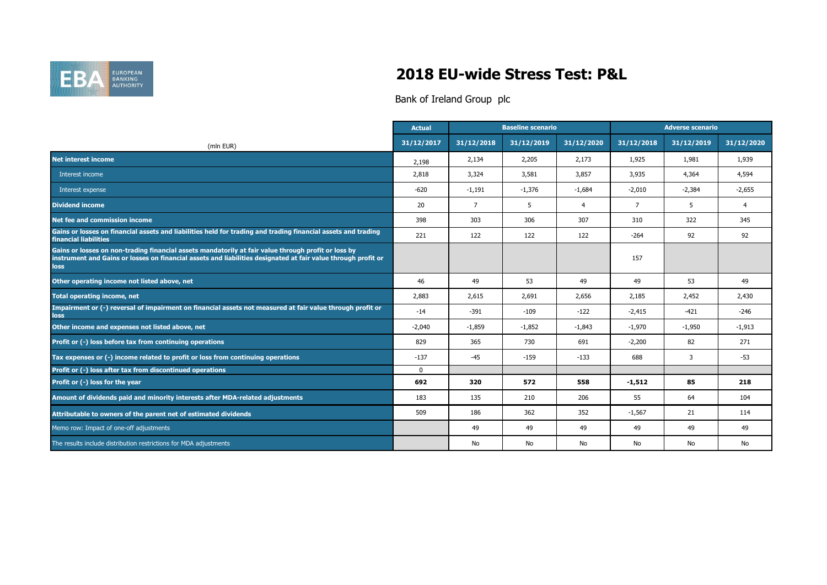

## **2018 EU-wide Stress Test: P&L**

|                                                                                                                                                                                                                              | <b>Actual</b> |                | <b>Baseline scenario</b> |                |                | <b>Adverse scenario</b> |                |
|------------------------------------------------------------------------------------------------------------------------------------------------------------------------------------------------------------------------------|---------------|----------------|--------------------------|----------------|----------------|-------------------------|----------------|
| (mln EUR)                                                                                                                                                                                                                    | 31/12/2017    | 31/12/2018     | 31/12/2019               | 31/12/2020     | 31/12/2018     | 31/12/2019              | 31/12/2020     |
| <b>Net interest income</b>                                                                                                                                                                                                   | 2,198         | 2,134          | 2,205                    | 2,173          | 1,925          | 1,981                   | 1,939          |
| Interest income                                                                                                                                                                                                              | 2,818         | 3,324          | 3,581                    | 3,857          | 3,935          | 4,364                   | 4,594          |
| Interest expense                                                                                                                                                                                                             | $-620$        | $-1,191$       | $-1,376$                 | $-1,684$       | $-2,010$       | $-2,384$                | $-2,655$       |
| <b>Dividend income</b>                                                                                                                                                                                                       | 20            | $\overline{7}$ | 5                        | $\overline{4}$ | $\overline{7}$ | 5                       | $\overline{4}$ |
| Net fee and commission income                                                                                                                                                                                                | 398           | 303            | 306                      | 307            | 310            | 322                     | 345            |
| Gains or losses on financial assets and liabilities held for trading and trading financial assets and trading<br>financial liabilities                                                                                       | 221           | 122            | 122                      | 122            | $-264$         | 92                      | 92             |
| Gains or losses on non-trading financial assets mandatorily at fair value through profit or loss by<br>instrument and Gains or losses on financial assets and liabilities designated at fair value through profit or<br>loss |               |                |                          |                | 157            |                         |                |
| Other operating income not listed above, net                                                                                                                                                                                 | 46            | 49             | 53                       | 49             | 49             | 53                      | 49             |
| <b>Total operating income, net</b>                                                                                                                                                                                           | 2,883         | 2,615          | 2,691                    | 2,656          | 2,185          | 2,452                   | 2,430          |
| Impairment or (-) reversal of impairment on financial assets not measured at fair value through profit or<br>loss                                                                                                            | $-14$         | $-391$         | $-109$                   | $-122$         | $-2,415$       | $-421$                  | $-246$         |
| Other income and expenses not listed above, net                                                                                                                                                                              | $-2,040$      | $-1,859$       | $-1,852$                 | $-1,843$       | $-1,970$       | $-1,950$                | $-1,913$       |
| Profit or (-) loss before tax from continuing operations                                                                                                                                                                     | 829           | 365            | 730                      | 691            | $-2,200$       | 82                      | 271            |
| Tax expenses or (-) income related to profit or loss from continuing operations                                                                                                                                              | $-137$        | $-45$          | $-159$                   | $-133$         | 688            | 3                       | $-53$          |
| Profit or (-) loss after tax from discontinued operations                                                                                                                                                                    | $\mathbf{0}$  |                |                          |                |                |                         |                |
| Profit or (-) loss for the year                                                                                                                                                                                              | 692           | 320            | 572                      | 558            | $-1,512$       | 85                      | 218            |
| Amount of dividends paid and minority interests after MDA-related adjustments                                                                                                                                                | 183           | 135            | 210                      | 206            | 55             | 64                      | 104            |
| Attributable to owners of the parent net of estimated dividends                                                                                                                                                              | 509           | 186            | 362                      | 352            | $-1,567$       | 21                      | 114            |
| Memo row: Impact of one-off adjustments                                                                                                                                                                                      |               | 49             | 49                       | 49             | 49             | 49                      | 49             |
| The results include distribution restrictions for MDA adjustments                                                                                                                                                            |               | No             | No                       | No             | No             | No                      | No             |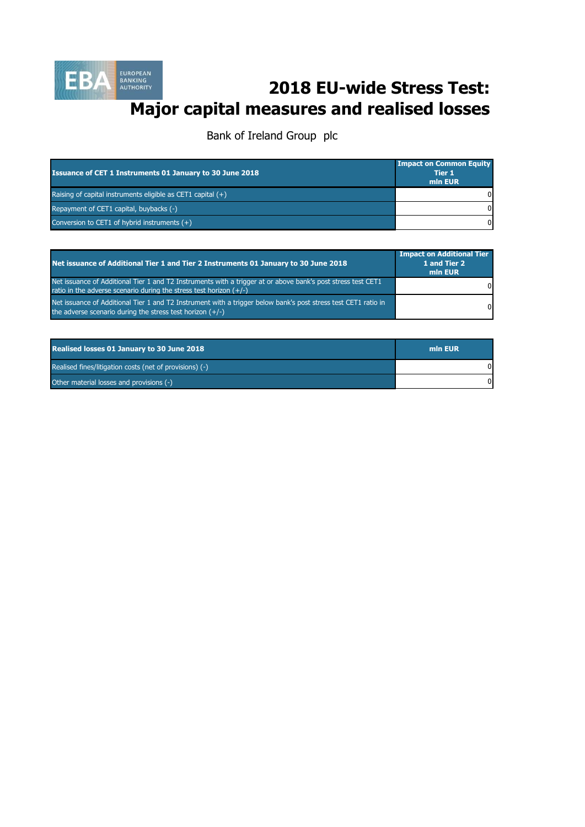

## **2018 EU-wide Stress Test: Major capital measures and realised losses**

| <b>Issuance of CET 1 Instruments 01 January to 30 June 2018</b> | <b>Impact on Common Equity</b><br><b>Tier 1</b><br>min EUR |
|-----------------------------------------------------------------|------------------------------------------------------------|
| Raising of capital instruments eligible as CET1 capital $(+)$   | ΩI                                                         |
| Repayment of CET1 capital, buybacks (-)                         | $\Omega$                                                   |
| Conversion to CET1 of hybrid instruments $(+)$                  | $\Omega$                                                   |

| Net issuance of Additional Tier 1 and Tier 2 Instruments 01 January to 30 June 2018                                                                                                  | <b>Impact on Additional Tier</b><br>1 and Tier 2<br>min EUR |
|--------------------------------------------------------------------------------------------------------------------------------------------------------------------------------------|-------------------------------------------------------------|
| Net issuance of Additional Tier 1 and T2 Instruments with a trigger at or above bank's post stress test CET1<br>ratio in the adverse scenario during the stress test horizon $(+/-)$ | $\Omega$                                                    |
| Net issuance of Additional Tier 1 and T2 Instrument with a trigger below bank's post stress test CET1 ratio in<br>the adverse scenario during the stress test horizon $(+/-)$        | $\Omega$                                                    |

| <b>Realised losses 01 January to 30 June 2018</b>       | min EUR |
|---------------------------------------------------------|---------|
| Realised fines/litigation costs (net of provisions) (-) |         |
| Other material losses and provisions (-)                |         |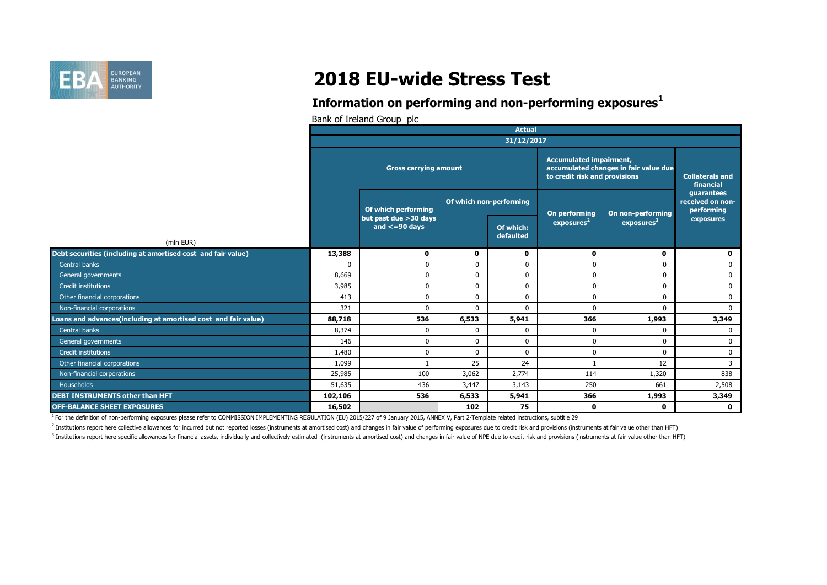

# **2018 EU-wide Stress Test**

### **Information on performing and non-performing exposures<sup>1</sup>**

Bank of Ireland Group plc

|                                                                           | <b>Actual</b> |                                               |                         |                        |                                                                                                          |                                     |                                              |  |
|---------------------------------------------------------------------------|---------------|-----------------------------------------------|-------------------------|------------------------|----------------------------------------------------------------------------------------------------------|-------------------------------------|----------------------------------------------|--|
|                                                                           | 31/12/2017    |                                               |                         |                        |                                                                                                          |                                     |                                              |  |
|                                                                           |               | <b>Gross carrying amount</b>                  |                         |                        | <b>Accumulated impairment,</b><br>accumulated changes in fair value due<br>to credit risk and provisions | <b>Collaterals and</b><br>financial |                                              |  |
|                                                                           |               | Of which performing                           | Of which non-performing |                        | On performing                                                                                            | On non-performing                   | quarantees<br>received on non-<br>performing |  |
|                                                                           |               | but past due > 30 days<br>and $\leq$ =90 days |                         | Of which:<br>defaulted | exposures <sup>2</sup>                                                                                   | exposures <sup>3</sup>              | exposures                                    |  |
| (mln EUR)<br>Debt securities (including at amortised cost and fair value) | 13,388        | $\mathbf 0$                                   | 0                       | 0                      | $\mathbf 0$                                                                                              | $\mathbf 0$                         | 0                                            |  |
| Central banks                                                             | $\Omega$      | $\mathbf{0}$                                  | $\mathbf 0$             | $\mathbf{0}$           | $\Omega$                                                                                                 | 0                                   | $\mathbf 0$                                  |  |
| General governments                                                       | 8,669         | $\mathbf{0}$                                  | $\mathbf 0$             | $\mathbf 0$            | $\Omega$                                                                                                 | $\mathbf 0$                         | $\mathbf{0}$                                 |  |
| Credit institutions                                                       | 3,985         | $\mathbf{0}$                                  | $\mathbf 0$             | 0                      | $\mathbf 0$                                                                                              | 0                                   | 0                                            |  |
| Other financial corporations                                              | 413           | $\mathbf{0}$                                  | 0                       | $\mathbf 0$            | $\mathbf{0}$                                                                                             | $\mathbf 0$                         | $\mathbf 0$                                  |  |
| Non-financial corporations                                                | 321           | $\mathbf{0}$                                  | $\mathbf{0}$            | $\mathbf{0}$           | $\Omega$                                                                                                 | 0                                   | $\Omega$                                     |  |
| Loans and advances(including at amortised cost and fair value)            | 88,718        | 536                                           | 6,533                   | 5,941                  | 366                                                                                                      | 1,993                               | 3,349                                        |  |
| Central banks                                                             | 8,374         | $\mathbf 0$                                   | 0                       | 0                      | $\Omega$                                                                                                 | 0                                   | $\mathbf{0}$                                 |  |
| General governments                                                       | 146           | $\mathbf{0}$                                  | $\mathbf{0}$            | $\mathbf 0$            | $\Omega$                                                                                                 | $\mathbf 0$                         | $\mathbf{0}$                                 |  |
| Credit institutions                                                       | 1,480         | $\mathbf 0$                                   | $\mathbf 0$             | $\mathbf 0$            | $\mathbf{0}$                                                                                             | $\mathbf 0$                         | $\mathbf 0$                                  |  |
| Other financial corporations                                              | 1,099         |                                               | 25                      | 24                     |                                                                                                          | 12                                  | 3                                            |  |
| Non-financial corporations                                                | 25,985        | 100                                           | 3,062                   | 2,774                  | 114                                                                                                      | 1,320                               | 838                                          |  |
| Households                                                                |               | 436                                           |                         |                        | 250                                                                                                      | 661                                 |                                              |  |
| <b>DEBT INSTRUMENTS other than HFT</b>                                    | 51,635        |                                               | 3,447                   | 3,143                  |                                                                                                          |                                     | 2,508                                        |  |
|                                                                           | 102,106       | 536                                           | 6,533                   | 5,941                  | 366                                                                                                      | 1,993                               | 3,349                                        |  |
| <b>OFF-BALANCE SHEET EXPOSURES</b>                                        | 16,502        |                                               | 102                     | 75                     | 0                                                                                                        | $\mathbf 0$                         | $\mathbf 0$                                  |  |

<sup>1</sup> For the definition of non-performing exposures please refer to COMMISSION IMPLEMENTING REGULATION (EU) 2015/227 of 9 January 2015, ANNEX V, Part 2-Template related instructions, subtitle 29

<sup>2</sup> Institutions report here collective allowances for incurred but not reported losses (instruments at amortised cost) and changes in fair value of performing exposures due to credit risk and provisions (instruments at fa

<sup>3</sup> Institutions report here specific allowances for financial assets, individually and collectively estimated (instruments at amortised cost) and changes in fair value of NPE due to credit risk and provisions (instruments